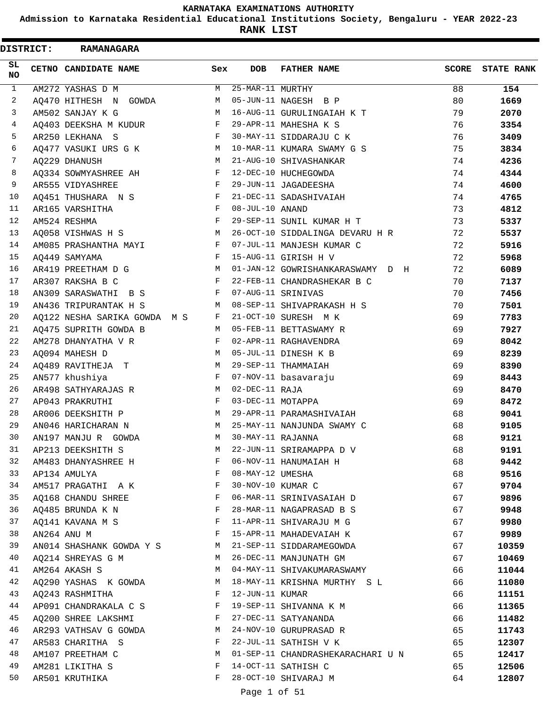**Admission to Karnataka Residential Educational Institutions Society, Bengaluru - YEAR 2022-23**

**RANK LIST**

ı

| <b>DISTRICT:</b> |  | <b>RAMANAGARA</b>                                                    |              |                   |                                   |          |                   |
|------------------|--|----------------------------------------------------------------------|--------------|-------------------|-----------------------------------|----------|-------------------|
| SL<br><b>NO</b>  |  | CETNO CANDIDATE NAME                                                 | Sex          | <b>DOB</b>        | <b>FATHER NAME</b>                | SCORE    | <b>STATE RANK</b> |
| $\mathbf{1}$     |  | AM272 YASHAS D M                                                     | М            | 25-MAR-11 MURTHY  |                                   | 88       | 154               |
| 2                |  | AQ470 HITHESH N GOWDA                                                | M            |                   | 05-JUN-11 NAGESH B P              | 80       | 1669              |
| 3                |  | AM502 SANJAY K G                                                     | M            |                   | 16-AUG-11 GURULINGAIAH K T        | 79       | 2070              |
| 4                |  | AQ403 DEEKSHA M KUDUR                                                | F            |                   | 29-APR-11 MAHESHA K S             | 76       | 3354              |
| 5                |  | AR250 LEKHANA S                                                      | F            |                   | 30-MAY-11 SIDDARAJU C K           | 76       | 3409              |
| 6                |  | AQ477 VASUKI URS G K                                                 | M            |                   | 10-MAR-11 KUMARA SWAMY G S        | 75       | 3834              |
| 7                |  | AQ229 DHANUSH                                                        | M            |                   | 21-AUG-10 SHIVASHANKAR            | 74       | 4236              |
| 8                |  | AQ334 SOWMYASHREE AH                                                 | F            |                   | 12-DEC-10 HUCHEGOWDA              | 74       | 4344              |
| 9                |  | AR555 VIDYASHREE                                                     | F            |                   | 29-JUN-11 JAGADEESHA              | 74       | 4600              |
| 10               |  | AQ451 THUSHARA N S                                                   | F            |                   | 21-DEC-11 SADASHIVAIAH            | 74       | 4765              |
| 11               |  | AR165 VARSHITHA                                                      | F            | 08-JUL-10 ANAND   |                                   | 73       | 4812              |
| 12               |  | AM524 RESHMA                                                         | F            |                   | 29-SEP-11 SUNIL KUMAR H T         | 73       | 5337              |
| 13               |  | AQ058 VISHWAS H S                                                    | M            |                   | 26-OCT-10 SIDDALINGA DEVARU H R   | 72       | 5537              |
| 14               |  | AM085 PRASHANTHA MAYI                                                | F            |                   | 07-JUL-11 MANJESH KUMAR C         | 72       | 5916              |
| 15               |  | A0449 SAMYAMA                                                        | F            |                   | 15-AUG-11 GIRISH H V              | 72       | 5968              |
| 16               |  | AR419 PREETHAM D G                                                   | M            |                   | 01-JAN-12 GOWRISHANKARASWAMY D H  | 72       | 6089              |
| 17               |  | AR307 RAKSHA B C                                                     | F            |                   | 22-FEB-11 CHANDRASHEKAR B C       | 70       | 7137              |
| 18               |  | AN309 SARASWATHI B S                                                 | F            |                   | 07-AUG-11 SRINIVAS                | 70       | 7456              |
| 19               |  | AN436 TRIPURANTAK H S                                                | M            |                   | 08-SEP-11 SHIVAPRAKASH H S        | 70       | 7501              |
| 20               |  | AQ122 NESHA SARIKA GOWDA M S                                         | F            |                   | 21-OCT-10 SURESH M K              | 69       | 7783              |
| 21               |  | AQ475 SUPRITH GOWDA B                                                | M            |                   | 05-FEB-11 BETTASWAMY R            | 69       | 7927              |
| 22               |  | AM278 DHANYATHA V R                                                  | F            |                   | 02-APR-11 RAGHAVENDRA             | 69       | 8042              |
| 23               |  | AQ094 MAHESH D                                                       | M            |                   | 05-JUL-11 DINESH K B              | 69       | 8239              |
| 24               |  | AQ489 RAVITHEJA T                                                    | M            |                   | 29-SEP-11 THAMMAIAH               | 69       | 8390              |
| 25               |  | AN577 khushiya                                                       | F            |                   | 07-NOV-11 basavaraju              | 69       | 8443              |
| 26               |  | AR498 SATHYARAJAS R                                                  | M            | 02-DEC-11 RAJA    |                                   | 69       | 8470              |
| 27               |  | AP043 PRAKRUTHI                                                      | F            | 03-DEC-11 MOTAPPA |                                   | 69       | 8472              |
| 28               |  | AR006 DEEKSHITH P                                                    | M            |                   | 29-APR-11 PARAMASHIVAIAH          | 68       | 9041              |
| 29<br>30         |  | AN046 HARICHARAN N                                                   | M<br>М       |                   | 25-MAY-11 NANJUNDA SWAMY C        | 68       | 9105              |
|                  |  | AN197 MANJU R GOWDA                                                  |              | 30-MAY-11 RAJANNA |                                   | 68       | 9121              |
| 31<br>32         |  | AP213 DEEKSHITH S                                                    | М<br>F       |                   | 22-JUN-11 SRIRAMAPPA D V          | 68       | 9191              |
| 33               |  | AM483 DHANYASHREE H                                                  | $\mathbf{F}$ | 08-MAY-12 UMESHA  | 06-NOV-11 HANUMAIAH H             | 68<br>68 | 9442<br>9516      |
| 34               |  | AP134 AMULYA                                                         | $\mathbf{F}$ | 30-NOV-10 KUMAR C |                                   | 67       | 9704              |
| 35               |  | AM517 PRAGATHI A K<br>AQ168 CHANDU SHREE                             | $\mathbf{F}$ |                   | 06-MAR-11 SRINIVASAIAH D          | 67       | 9896              |
| 36               |  | AQ485 BRUNDA K N<br>. The contract of the contract of $\mathbf{F}$ . |              |                   | 28-MAR-11 NAGAPRASAD B S          | 67       | 9948              |
| 37               |  | AQ141 KAVANA M S                                                     | $\mathbf{F}$ |                   | 11-APR-11 SHIVARAJU M G           | 67       | 9980              |
| 38               |  | AN264 ANU M                                                          | F            |                   | 15-APR-11 MAHADEVAIAH K           | 67       | 9989              |
| 39               |  | AN014 SHASHANK GOWDA Y S M                                           |              |                   | 21-SEP-11 SIDDARAMEGOWDA          | 67       | 10359             |
| 40               |  | AQ214 SHREYAS G M                                                    | M            |                   | 26-DEC-11 MANJUNATH GM            | 67       | 10469             |
| 41               |  | AM264 AKASH S                                                        | M            |                   | 04-MAY-11 SHIVAKUMARASWAMY        | 66       | 11044             |
| 42               |  | AQ290 YASHAS K GOWDA                                                 | M            |                   | 18-MAY-11 KRISHNA MURTHY S L      | 66       | 11080             |
| 43               |  | AQ243 RASHMITHA                                                      | F            | 12-JUN-11 KUMAR   |                                   | 66       | 11151             |
| 44               |  | AP091 CHANDRAKALA C S                                                | F            |                   | 19-SEP-11 SHIVANNA K M            | 66       | 11365             |
| 45               |  | $\mathbf{F}$<br>AQ200 SHREE LAKSHMI                                  |              |                   | 27-DEC-11 SATYANANDA              | 66       | 11482             |
| 46               |  | AR293 VATHSAV G GOWDA                                                | M            |                   | 24-NOV-10 GURUPRASAD R            | 65       | 11743             |
| 47               |  | AR583 CHARITHA S                                                     | F            |                   | 22-JUL-11 SATHISH V K             | 65       | 12307             |
| 48               |  | AM107 PREETHAM C                                                     | M            |                   | 01-SEP-11 CHANDRASHEKARACHARI U N | 65       | 12417             |
| 49               |  | AM281 LIKITHA S                                                      | F            |                   | 14-OCT-11 SATHISH C               | 65       | 12506             |
| 50               |  | AR501 KRUTHIKA                                                       | F            |                   | 28-OCT-10 SHIVARAJ M              | 64       | 12807             |
|                  |  |                                                                      |              | Page 1 of 51      |                                   |          |                   |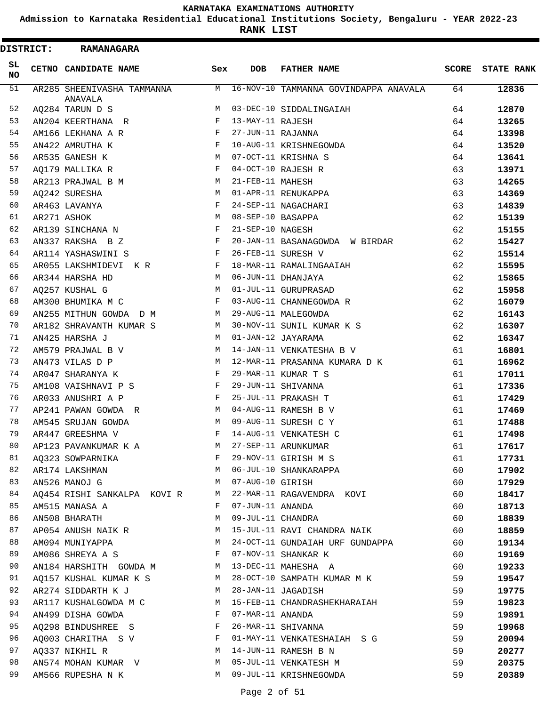**Admission to Karnataka Residential Educational Institutions Society, Bengaluru - YEAR 2022-23**

**RANK LIST**

 $\blacksquare$ 

| <b>DISTRICT:</b> | <b>RAMANAGARA</b>                     |              |                   |                                       |    |                  |
|------------------|---------------------------------------|--------------|-------------------|---------------------------------------|----|------------------|
| SL.<br><b>NO</b> | CETNO CANDIDATE NAME                  | Sex          | <b>DOB</b>        | <b>FATHER NAME</b>                    |    | SCORE STATE RANK |
| 51               | AR285 SHEENIVASHA TAMMANNA<br>ANAVALA | M            |                   | 16-NOV-10 TAMMANNA GOVINDAPPA ANAVALA | 64 | 12836            |
| 52               | AQ284 TARUN D S                       | M            |                   | 03-DEC-10 SIDDALINGAIAH               | 64 | 12870            |
| 53               | AN204 KEERTHANA R                     | F            | 13-MAY-11 RAJESH  |                                       | 64 | 13265            |
| 54               | AM166 LEKHANA A R                     | F            | 27-JUN-11 RAJANNA |                                       | 64 | 13398            |
| 55               | AN422 AMRUTHA K                       | F            |                   | 10-AUG-11 KRISHNEGOWDA                | 64 | 13520            |
| 56               | AR535 GANESH K                        | M            |                   | 07-OCT-11 KRISHNA S                   | 64 | 13641            |
| 57               | AQ179 MALLIKA R                       | $_{\rm F}$   |                   | 04-OCT-10 RAJESH R                    | 63 | 13971            |
| 58               | AR213 PRAJWAL B M                     | M            | 21-FEB-11 MAHESH  |                                       | 63 | 14265            |
| 59               | AQ242 SURESHA                         | M            |                   | 01-APR-11 RENUKAPPA                   | 63 | 14369            |
| 60               | AR463 LAVANYA                         | F            |                   | 24-SEP-11 NAGACHARI                   | 63 | 14839            |
| 61               | AR271 ASHOK                           | M            | 08-SEP-10 BASAPPA |                                       | 62 | 15139            |
| 62               | AR139 SINCHANA N                      | F            | 21-SEP-10 NAGESH  |                                       | 62 | 15155            |
| 63               | AN337 RAKSHA B Z                      | F            |                   | 20-JAN-11 BASANAGOWDA W BIRDAR        | 62 | 15427            |
| 64               | AR114 YASHASWINI S                    | $\mathbf{F}$ |                   | 26-FEB-11 SURESH V                    | 62 | 15514            |
| 65               | AR055 LAKSHMIDEVI K R                 | F            |                   | 18-MAR-11 RAMALINGAAIAH               | 62 | 15595            |
| 66               | AR344 HARSHA HD                       | M            |                   | 06-JUN-11 DHANJAYA                    | 62 | 15865            |
| 67               | AQ257 KUSHAL G                        | M            |                   | 01-JUL-11 GURUPRASAD                  | 62 | 15958            |
| 68               | AM300 BHUMIKA M C                     | F            |                   | 03-AUG-11 CHANNEGOWDA R               | 62 | 16079            |
| 69               | AN255 MITHUN GOWDA D M                | M            |                   | 29-AUG-11 MALEGOWDA                   | 62 | 16143            |
| 70               | AR182 SHRAVANTH KUMAR S               | M            |                   | 30-NOV-11 SUNIL KUMAR K S             | 62 | 16307            |
| 71               | AN425 HARSHA J                        | M            |                   | 01-JAN-12 JAYARAMA                    | 62 | 16347            |
| 72               | AM579 PRAJWAL B V                     | M            |                   | 14-JAN-11 VENKATESHA B V              | 61 | 16801            |
| 73               | AN473 VILAS D P                       | M            |                   | 12-MAR-11 PRASANNA KUMARA D K         | 61 | 16962            |
| 74               | AR047 SHARANYA K                      | F            |                   | 29-MAR-11 KUMAR T S                   | 61 | 17011            |
| 75               | AM108 VAISHNAVI P S                   | F            |                   | 29-JUN-11 SHIVANNA                    | 61 | 17336            |
| 76               | AR033 ANUSHRI A P                     | F            |                   | 25-JUL-11 PRAKASH T                   | 61 | 17429            |
| 77               | AP241 PAWAN GOWDA R                   | M            |                   | 04-AUG-11 RAMESH B V                  | 61 | 17469            |
| 78               | AM545 SRUJAN GOWDA                    | M            |                   | 09-AUG-11 SURESH C Y                  | 61 | 17488            |
| 79               | AR447 GREESHMA V                      | F            |                   | 14-AUG-11 VENKATESH C                 | 61 | 17498            |
| 80               | AP123 PAVANKUMAR K A                  | M            |                   | 27-SEP-11 ARUNKUMAR                   | 61 | 17617            |
| 81               | AQ323 SOWPARNIKA                      | F            |                   | 29-NOV-11 GIRISH M S                  | 61 | 17731            |
| 82               | AR174 LAKSHMAN                        | M            |                   | 06-JUL-10 SHANKARAPPA                 | 60 | 17902            |
| 83               | AN526 MANOJ G                         | M            | 07-AUG-10 GIRISH  |                                       | 60 | 17929            |
| 84               | AQ454 RISHI SANKALPA KOVI R           | M            |                   | 22-MAR-11 RAGAVENDRA KOVI             | 60 | 18417            |
| 85               | AM515 MANASA A                        | F            | 07-JUN-11 ANANDA  |                                       | 60 | 18713            |
| 86               | AN508 BHARATH                         | М            | 09-JUL-11 CHANDRA |                                       | 60 | 18839            |
| 87               | AP054 ANUSH NAIK R                    | M            |                   | 15-JUL-11 RAVI CHANDRA NAIK           | 60 | 18859            |
| 88               | AM094 MUNIYAPPA                       | M            |                   | 24-OCT-11 GUNDAIAH URF GUNDAPPA       | 60 | 19134            |
| 89               | AM086 SHREYA A S                      | F            |                   | 07-NOV-11 SHANKAR K                   | 60 | 19169            |
| 90               | AN184 HARSHITH GOWDA M                | M            |                   | 13-DEC-11 MAHESHA A                   | 60 | 19233            |
| 91               | AQ157 KUSHAL KUMAR K S                | M            |                   | 28-OCT-10 SAMPATH KUMAR M K           | 59 | 19547            |
| 92               | AR274 SIDDARTH K J                    | M            |                   | 28-JAN-11 JAGADISH                    | 59 | 19775            |
| 93               | AR117 KUSHALGOWDA M C                 | M            |                   | 15-FEB-11 CHANDRASHEKHARAIAH          | 59 | 19823            |
| 94               | AN499 DISHA GOWDA                     | F            | 07-MAR-11 ANANDA  |                                       | 59 | 19891            |
| 95               | AQ298 BINDUSHREE S                    | F            |                   | 26-MAR-11 SHIVANNA                    | 59 | 19968            |
| 96               | AQ003 CHARITHA S V                    | F            |                   | 01-MAY-11 VENKATESHAIAH S G           | 59 | 20094            |
| 97               | AQ337 NIKHIL R                        | M            |                   | 14-JUN-11 RAMESH B N                  | 59 | 20277            |
| 98               | AN574 MOHAN KUMAR V                   | M            |                   | 05-JUL-11 VENKATESH M                 | 59 | 20375            |
| 99               | AM566 RUPESHA N K                     | M            |                   | 09-JUL-11 KRISHNEGOWDA                | 59 | 20389            |
|                  |                                       |              |                   |                                       |    |                  |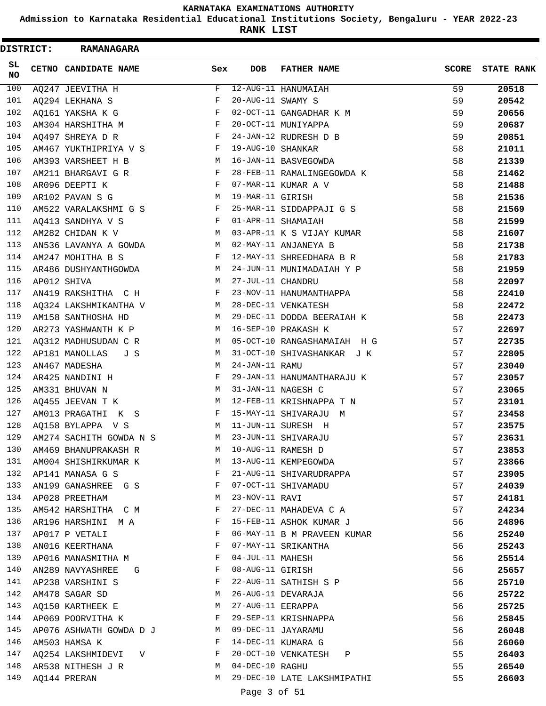**Admission to Karnataka Residential Educational Institutions Society, Bengaluru - YEAR 2022-23**

**RANK LIST**

ı

| <b>DISTRICT:</b> | <b>RAMANAGARA</b>       |              |                   |                             |              |                   |
|------------------|-------------------------|--------------|-------------------|-----------------------------|--------------|-------------------|
| SL.<br>NO        | CETNO CANDIDATE NAME    | Sex          | DOB               | <b>FATHER NAME</b>          | <b>SCORE</b> | <b>STATE RANK</b> |
| 100              | AQ247 JEEVITHA H        | F            |                   | 12-AUG-11 HANUMAIAH         | 59           | 20518             |
| 101              | AQ294 LEKHANA S         | F            | 20-AUG-11 SWAMY S |                             | 59           | 20542             |
| 102              | AQ161 YAKSHA K G        | F            |                   | 02-OCT-11 GANGADHAR K M     | 59           | 20656             |
| 103              | AM304 HARSHITHA M       | F            |                   | 20-OCT-11 MUNIYAPPA         | 59           | 20687             |
| 104              | AQ497 SHREYA D R        | F            |                   | 24-JAN-12 RUDRESH D B       | 59           | 20851             |
| 105              | AM467 YUKTHIPRIYA V S   | F            | 19-AUG-10 SHANKAR |                             | 58           | 21011             |
| 106              | AM393 VARSHEET H B      | М            |                   | 16-JAN-11 BASVEGOWDA        | 58           | 21339             |
| 107              | AM211 BHARGAVI G R      | F            |                   | 28-FEB-11 RAMALINGEGOWDA K  | 58           | 21462             |
| 108              | AR096 DEEPTI K          | F            |                   | 07-MAR-11 KUMAR A V         | 58           | 21488             |
| 109              | AR102 PAVAN S G         | М            | 19-MAR-11 GIRISH  |                             | 58           | 21536             |
| 110              | AM522 VARALAKSHMI G S   | F            |                   | 25-MAR-11 SIDDAPPAJI G S    | 58           | 21569             |
| 111              | AQ413 SANDHYA V S       | F            |                   | 01-APR-11 SHAMAIAH          | 58           | 21599             |
| 112              | AM282 CHIDAN K V        | M            |                   | 03-APR-11 K S VIJAY KUMAR   | 58           | 21607             |
| 113              | AN536 LAVANYA A GOWDA   | M            |                   | 02-MAY-11 ANJANEYA B        | 58           | 21738             |
| 114              | AM247 MOHITHA B S       | F            |                   | 12-MAY-11 SHREEDHARA B R    | 58           | 21783             |
| 115              | AR486 DUSHYANTHGOWDA    | M            |                   | 24-JUN-11 MUNIMADAIAH Y P   | 58           | 21959             |
| 116              | AP012 SHIVA             | М            | 27-JUL-11 CHANDRU |                             | 58           | 22097             |
| 117              | AN419 RAKSHITHA C H     | F            |                   | 23-NOV-11 HANUMANTHAPPA     | 58           | 22410             |
| 118              | AQ324 LAKSHMIKANTHA V   | M            |                   | 28-DEC-11 VENKATESH         | 58           | 22472             |
| 119              | AM158 SANTHOSHA HD      | M            |                   | 29-DEC-11 DODDA BEERAIAH K  | 58           | 22473             |
| 120              | AR273 YASHWANTH K P     | M            |                   | 16-SEP-10 PRAKASH K         | 57           | 22697             |
| 121              | AQ312 MADHUSUDAN C R    | M            |                   | 05-OCT-10 RANGASHAMAIAH H G | 57           | 22735             |
| 122              | AP181 MANOLLAS<br>J S   | M            |                   | 31-OCT-10 SHIVASHANKAR J K  | 57           | 22805             |
| 123              | AN467 MADESHA           | M            | 24-JAN-11 RAMU    |                             | 57           | 23040             |
| 124              | AR425 NANDINI H         | F            |                   | 29-JAN-11 HANUMANTHARAJU K  | 57           | 23057             |
| 125              | AM331 BHUVAN N          | M            |                   | 31-JAN-11 NAGESH C          | 57           | 23065             |
| 126              | AQ455 JEEVAN T K        | M            |                   | 12-FEB-11 KRISHNAPPA T N    | 57           | 23101             |
| 127              | AM013 PRAGATHI K S      | F            |                   | 15-MAY-11 SHIVARAJU M       | 57           | 23458             |
| 128              | AQ158 BYLAPPA V S       | M            |                   | 11-JUN-11 SURESH H          | 57           | 23575             |
| 129              | AM274 SACHITH GOWDA N S | M            |                   | 23-JUN-11 SHIVARAJU         | 57           | 23631             |
| 130              | AM469 BHANUPRAKASH R    | М            |                   | 10-AUG-11 RAMESH D          | 57           | 23853             |
| 131              | AM004 SHISHIRKUMAR K    | M            |                   | 13-AUG-11 KEMPEGOWDA        | 57           | 23866             |
| 132              | AP141 MANASA G S        | F            |                   | 21-AUG-11 SHIVARUDRAPPA     | 57           | 23905             |
| 133              | AN199 GANASHREE G S     | F            |                   | 07-OCT-11 SHIVAMADU         | 57           | 24039             |
| 134              | AP028 PREETHAM          | M            | 23-NOV-11 RAVI    |                             | 57           | 24181             |
| 135              | AM542 HARSHITHA C M     | F            |                   | 27-DEC-11 MAHADEVA C A      | 57           | 24234             |
| 136              | AR196 HARSHINI M A      | F            |                   | 15-FEB-11 ASHOK KUMAR J     | 56           | 24896             |
| 137              | AP017 P VETALI          | F            |                   | 06-MAY-11 B M PRAVEEN KUMAR | 56           | 25240             |
| 138              | AN016 KEERTHANA         | F            |                   | 07-MAY-11 SRIKANTHA         | 56           | 25243             |
| 139              | AP016 MANASMITHA M      | F            | 04-JUL-11 MAHESH  |                             | 56           | 25514             |
| 140              | AN289 NAVYASHREE<br>G   | F            | 08-AUG-11 GIRISH  |                             | 56           | 25657             |
| 141              | AP238 VARSHINI S        | F            |                   | 22-AUG-11 SATHISH S P       | 56           | 25710             |
| 142              | AM478 SAGAR SD          | М            |                   | 26-AUG-11 DEVARAJA          | 56           | 25722             |
| 143              | AQ150 KARTHEEK E        | M            | 27-AUG-11 EERAPPA |                             | 56           | 25725             |
| 144              | AP069 POORVITHA K       | $\mathbf{F}$ |                   | 29-SEP-11 KRISHNAPPA        | 56           | 25845             |
| 145              | AP076 ASHWATH GOWDA D J | M            |                   | 09-DEC-11 JAYARAMU          | 56           | 26048             |
| 146              | AM503 HAMSA K           | F            |                   | 14-DEC-11 KUMARA G          | 56           | 26060             |
| 147              | AQ254 LAKSHMIDEVI V     | F            |                   | 20-OCT-10 VENKATESH<br>Ρ    | 55           | 26403             |
| 148              | AR538 NITHESH J R       | M            | 04-DEC-10 RAGHU   |                             | 55           | 26540             |
| 149              | AQ144 PRERAN            | M            |                   | 29-DEC-10 LATE LAKSHMIPATHI | 55           | 26603             |
|                  |                         |              | Page 3 of 51      |                             |              |                   |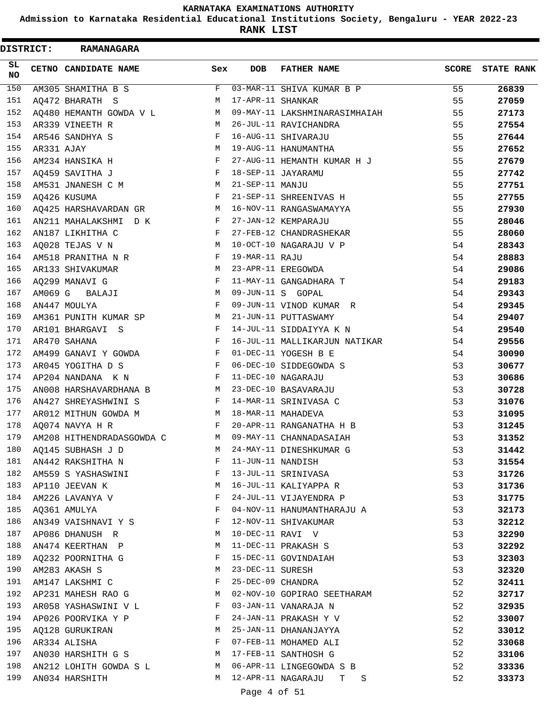**Admission to Karnataka Residential Educational Institutions Society, Bengaluru - YEAR 2022-23**

**RANK LIST**

| <b>DISTRICT:</b> |            | <b>RAMANAGARA</b>         |     |                   |                               |              |                   |
|------------------|------------|---------------------------|-----|-------------------|-------------------------------|--------------|-------------------|
| SL.<br>NO        |            | CETNO CANDIDATE NAME      | Sex | <b>DOB</b>        | <b>FATHER NAME</b>            | <b>SCORE</b> | <b>STATE RANK</b> |
| 150              |            | AM305 SHAMITHA B S        | F   |                   | 03-MAR-11 SHIVA KUMAR B P     | 55           | 26839             |
| 151              |            | AQ472 BHARATH S           | M   | 17-APR-11 SHANKAR |                               | 55           | 27059             |
| 152              |            | AQ480 HEMANTH GOWDA V L   | M   |                   | 09-MAY-11 LAKSHMINARASIMHAIAH | 55           | 27173             |
| 153              |            | AR339 VINEETH R           | M   |                   | 26-JUL-11 RAVICHANDRA         | 55           | 27554             |
| 154              |            | AR546 SANDHYA S           | F   |                   | 16-AUG-11 SHIVARAJU           | 55           | 27644             |
| 155              | AR331 AJAY |                           | M   |                   | 19-AUG-11 HANUMANTHA          | 55           | 27652             |
| 156              |            | AM234 HANSIKA H           | F   |                   | 27-AUG-11 HEMANTH KUMAR H J   | 55           | 27679             |
| 157              |            | AQ459 SAVITHA J           | F   |                   | 18-SEP-11 JAYARAMU            | 55           | 27742             |
| 158              |            | AM531 JNANESH C M         | M   | 21-SEP-11 MANJU   |                               | 55           | 27751             |
| 159              |            | AQ426 KUSUMA              | F   |                   | 21-SEP-11 SHREENIVAS H        | 55           | 27755             |
| 160              |            | AQ425 HARSHAVARDAN GR     | M   |                   | 16-NOV-11 RANGASWAMAYYA       | 55           | 27930             |
| 161              |            | AN211 MAHALAKSHMI D K     | F   |                   | 27-JAN-12 KEMPARAJU           | 55           | 28046             |
| 162              |            | AN187 LIKHITHA C          | F   |                   | 27-FEB-12 CHANDRASHEKAR       | 55           | 28060             |
| 163              |            | AQ028 TEJAS V N           | M   |                   | 10-OCT-10 NAGARAJU V P        | 54           | 28343             |
| 164              |            | AM518 PRANITHA N R        | F   | 19-MAR-11 RAJU    |                               | 54           | 28883             |
| 165              |            | AR133 SHIVAKUMAR          | M   |                   | 23-APR-11 EREGOWDA            | 54           | 29086             |
| 166              |            | AQ299 MANAVI G            | F   |                   | 11-MAY-11 GANGADHARA T        | 54           | 29183             |
| 167              |            | AM069 G BALAJI            | M   |                   | 09-JUN-11 S GOPAL             | 54           | 29343             |
| 168              |            | AN447 MOULYA              | F   |                   | 09-JUN-11 VINOD KUMAR R       | 54           | 29345             |
| 169              |            | AM361 PUNITH KUMAR SP     | M   |                   | 21-JUN-11 PUTTASWAMY          | 54           | 29407             |
| 170              |            | AR101 BHARGAVI S          | F   |                   | 14-JUL-11 SIDDAIYYA K N       | 54           | 29540             |
| 171              |            | AR470 SAHANA              | F   |                   | 16-JUL-11 MALLIKARJUN NATIKAR | 54           | 29556             |
| 172              |            | AM499 GANAVI Y GOWDA      | F   |                   | 01-DEC-11 YOGESH B E          | 54           | 30090             |
| 173              |            | AR045 YOGITHA D S         | F   |                   | 06-DEC-10 SIDDEGOWDA S        | 53           | 30677             |
| 174              |            | AP204 NANDANA K N         | F   |                   | 11-DEC-10 NAGARAJU            | 53           | 30686             |
| 175              |            | ANOO8 HARSHAVARDHANA B    | M   |                   | 23-DEC-10 BASAVARAJU          | 53           | 30728             |
| 176              |            | AN427 SHREYASHWINI S      | F   |                   | 14-MAR-11 SRINIVASA C         | 53           | 31076             |
| 177              |            | AR012 MITHUN GOWDA M      | M   |                   | 18-MAR-11 MAHADEVA            | 53           | 31095             |
| 178              |            | AQ074 NAVYA H R           | F   |                   | 20-APR-11 RANGANATHA H B      | 53           | 31245             |
| 179              |            | AM208 HITHENDRADASGOWDA C | M   |                   | 09-MAY-11 CHANNADASAIAH       | 53           | 31352             |
| 180              |            | AQ145 SUBHASH J D         | М   |                   | 24-MAY-11 DINESHKUMAR G       | 53           | 31442             |
| 181              |            | AN442 RAKSHITHA N         | F   | 11-JUN-11 NANDISH |                               | 53           | 31554             |
| 182              |            | AM559 S YASHASWINI        | F   |                   | 13-JUL-11 SRINIVASA           | 53           | 31726             |
| 183              |            | AP110 JEEVAN K            | М   |                   | 16-JUL-11 KALIYAPPA R         | 53           | 31736             |
| 184              |            | AM226 LAVANYA V           | F   |                   | 24-JUL-11 VIJAYENDRA P        | 53           | 31775             |
| 185              |            | AQ361 AMULYA              | F   |                   | 04-NOV-11 HANUMANTHARAJU A    | 53           | 32173             |
| 186              |            | AN349 VAISHNAVI Y S       | F   |                   | 12-NOV-11 SHIVAKUMAR          | 53           | 32212             |
| 187              |            | AP086 DHANUSH R           | М   |                   | 10-DEC-11 RAVI V              | 53           | 32290             |
| 188              |            | AN474 KEERTHAN P          | M   |                   | 11-DEC-11 PRAKASH S           | 53           | 32292             |
| 189              |            | AQ232 POORNITHA G         | F   |                   | 15-DEC-11 GOVINDAIAH          | 53           | 32303             |
| 190              |            | AM283 AKASH S             | M   | 23-DEC-11 SURESH  |                               | 53           | 32320             |
| 191              |            | AM147 LAKSHMI C           | F   | 25-DEC-09 CHANDRA |                               | 52           | 32411             |
| 192              |            | AP231 MAHESH RAO G        | М   |                   | 02-NOV-10 GOPIRAO SEETHARAM   | 52           | 32717             |
| 193              |            | AR058 YASHASWINI V L      | F   |                   | 03-JAN-11 VANARAJA N          | 52           | 32935             |
| 194              |            | AP026 POORVIKA Y P        | F   |                   | 24-JAN-11 PRAKASH Y V         | 52           | 33007             |
| 195              |            | AQ128 GURUKIRAN           | М   |                   | 25-JAN-11 DHANANJAYYA         | 52           | 33012             |
| 196              |            | AR334 ALISHA              | F   |                   | 07-FEB-11 MOHAMED ALI         | 52           | 33068             |
| 197              |            | AN030 HARSHITH G S        | M   |                   | 17-FEB-11 SANTHOSH G          | 52           | 33106             |
| 198              |            | AN212 LOHITH GOWDA S L    | M   |                   | 06-APR-11 LINGEGOWDA S B      | 52           | 33336             |
| 199              |            | AN034 HARSHITH            | M   |                   | 12-APR-11 NAGARAJU T<br>S     | 52           | 33373             |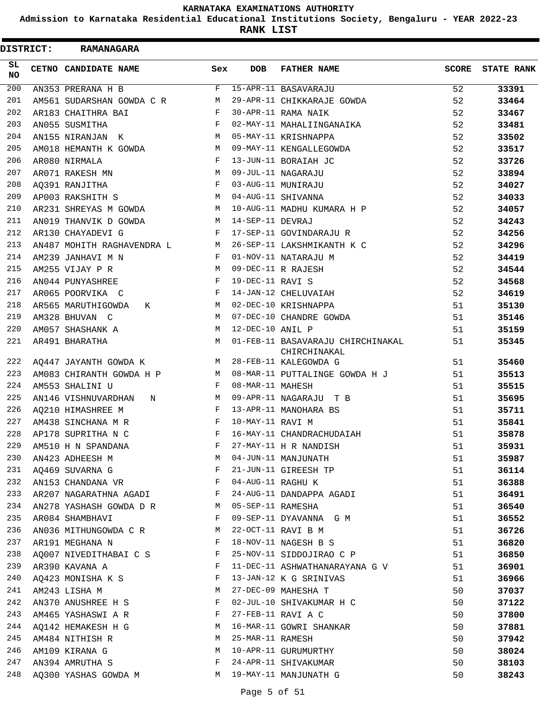**Admission to Karnataka Residential Educational Institutions Society, Bengaluru - YEAR 2022-23**

**RANK LIST**

| <b>DISTRICT:</b> | <b>RAMANAGARA</b>          |              |                   |                                                   |              |                   |
|------------------|----------------------------|--------------|-------------------|---------------------------------------------------|--------------|-------------------|
| SL.<br><b>NO</b> | CETNO CANDIDATE NAME       | Sex          | <b>DOB</b>        | <b>FATHER NAME</b>                                | <b>SCORE</b> | <b>STATE RANK</b> |
| 200              | AN353 PRERANA H B          | F            |                   | 15-APR-11 BASAVARAJU                              | 52           | 33391             |
| 201              | AM561 SUDARSHAN GOWDA C R  | М            |                   | 29-APR-11 CHIKKARAJE GOWDA                        | 52           | 33464             |
| 202              | AR183 CHAITHRA BAI         | F            |                   | 30-APR-11 RAMA NAIK                               | 52           | 33467             |
| 203              | AN055 SUSMITHA             | F            |                   | 02-MAY-11 MAHALIINGANAIKA                         | 52           | 33481             |
| 204              | AN155 NIRANJAN K           | M            |                   | 05-MAY-11 KRISHNAPPA                              | 52           | 33502             |
| 205              | AM018 HEMANTH K GOWDA      | M            |                   | 09-MAY-11 KENGALLEGOWDA                           | 52           | 33517             |
| 206              | AR080 NIRMALA              | F            |                   | 13-JUN-11 BORAIAH JC                              | 52           | 33726             |
| 207              | AR071 RAKESH MN            | м            |                   | 09-JUL-11 NAGARAJU                                | 52           | 33894             |
| 208              | A0391 RANJITHA             | F            |                   | 03-AUG-11 MUNIRAJU                                | 52           | 34027             |
| 209              | AP003 RAKSHITH S           | М            |                   | 04-AUG-11 SHIVANNA                                | 52           | 34033             |
| 210              | AR231 SHREYAS M GOWDA      | M            |                   | 10-AUG-11 MADHU KUMARA H P                        | 52           | 34057             |
| 211              | AN019 THANVIK D GOWDA      | M            | 14-SEP-11 DEVRAJ  |                                                   | 52           | 34243             |
| 212              | AR130 CHAYADEVI G          | F            |                   | 17-SEP-11 GOVINDARAJU R                           | 52           | 34256             |
| 213              | AN487 MOHITH RAGHAVENDRA L | M            |                   | 26-SEP-11 LAKSHMIKANTH K C                        | 52           | 34296             |
| 214              | AM239 JANHAVI M N          | F            |                   | 01-NOV-11 NATARAJU M                              | 52           | 34419             |
| 215              | AM255 VIJAY P R            | M            |                   | 09-DEC-11 R RAJESH                                | 52           | 34544             |
| 216              | AN044 PUNYASHREE           | F            | 19-DEC-11 RAVI S  |                                                   | 52           | 34568             |
| 217              | AR065 POORVIKA C           | F            |                   | 14-JAN-12 CHELUVAIAH                              | 52           | 34619             |
| 218              | AR565 MARUTHIGOWDA<br>К    | M            |                   | 02-DEC-10 KRISHNAPPA                              | 51           | 35130             |
| 219              | AM328 BHUVAN C             | M            |                   | 07-DEC-10 CHANDRE GOWDA                           | 51           | 35146             |
| 220              | AM057 SHASHANK A           | M            | 12-DEC-10 ANIL P  |                                                   | 51           | 35159             |
| 221              | AR491 BHARATHA             | M            |                   | 01-FEB-11 BASAVARAJU CHIRCHINAKAL<br>CHIRCHINAKAL | 51           | 35345             |
| 222              | AQ447 JAYANTH GOWDA K      | M            |                   | 28-FEB-11 KALEGOWDA G                             | 51           | 35460             |
| 223              | AM083 CHIRANTH GOWDA H P   | M            |                   | 08-MAR-11 PUTTALINGE GOWDA H J                    | 51           | 35513             |
| 224              | AM553 SHALINI U            | F            | 08-MAR-11 MAHESH  |                                                   | 51           | 35515             |
| 225              | AN146 VISHNUVARDHAN<br>N   | M            |                   | 09-APR-11 NAGARAJU T B                            | 51           | 35695             |
| 226              | AO210 HIMASHREE M          | F            |                   | 13-APR-11 MANOHARA BS                             | 51           | 35711             |
| 227              | AM438 SINCHANA M R         | F            | 10-MAY-11 RAVI M  |                                                   | 51           | 35841             |
| 228              | AP178 SUPRITHA N C         | F            |                   | 16-MAY-11 CHANDRACHUDAIAH                         | 51           | 35878             |
| 229              | AM510 H N SPANDANA         | F            |                   | 27-MAY-11 H R NANDISH                             | 51           | 35931             |
| 230              | AN423 ADHEESH M            | M            |                   | 04-JUN-11 MANJUNATH                               | 51           | 35987             |
| 231              | AQ469 SUVARNA G            | F            |                   | 21-JUN-11 GIREESH TP                              | 51           | 36114             |
| 232              | AN153 CHANDANA VR          | F            | 04-AUG-11 RAGHU K |                                                   | 51           | 36388             |
| 233              | AR207 NAGARATHNA AGADI     | $\mathbf{F}$ |                   | 24-AUG-11 DANDAPPA AGADI                          | 51           | 36491             |
| 234              | AN278 YASHASH GOWDA D R    | M            | 05-SEP-11 RAMESHA |                                                   | 51           | 36540             |
| 235              | AR084 SHAMBHAVI            | F            |                   | 09-SEP-11 DYAVANNA G M                            | 51           | 36552             |
| 236              | AN036 MITHUNGOWDA C R      | M            |                   | 22-OCT-11 RAVI B M                                | 51           | 36726             |
| 237              | AR191 MEGHANA N            | F            |                   | 18-NOV-11 NAGESH B S                              | 51           | 36820             |
| 238              | AQ007 NIVEDITHABAI C S     | F            |                   | 25-NOV-11 SIDDOJIRAO C P                          | 51           | 36850             |
| 239              | AR390 KAVANA A             | F            |                   | 11-DEC-11 ASHWATHANARAYANA G V                    | 51           | 36901             |
| 240              | AQ423 MONISHA K S          | F            |                   | 13-JAN-12 K G SRINIVAS                            | 51           | 36966             |
| 241              | AM243 LISHA M              | M            |                   | 27-DEC-09 MAHESHA T                               | 50           | 37037             |
| 242              | AN370 ANUSHREE H S         | F            |                   | 02-JUL-10 SHIVAKUMAR H C                          | 50           | 37122             |
| 243              | AM465 YASHASWI A R         | F            |                   | 27-FEB-11 RAVI A C                                | 50           | 37800             |
| 244              | AQ142 HEMAKESH H G         | M            |                   | 16-MAR-11 GOWRI SHANKAR                           | 50           | 37881             |
| 245              | AM484 NITHISH R            | M            | 25-MAR-11 RAMESH  |                                                   | 50           | 37942             |
| 246              | AM109 KIRANA G             | M            |                   | 10-APR-11 GURUMURTHY                              | 50           | 38024             |
| 247              | AN394 AMRUTHA S            | F            |                   | 24-APR-11 SHIVAKUMAR                              | 50           | 38103             |
| 248              | AQ300 YASHAS GOWDA M       |              |                   | M 19-MAY-11 MANJUNATH G                           | 50           | 38243             |
|                  |                            |              |                   |                                                   |              |                   |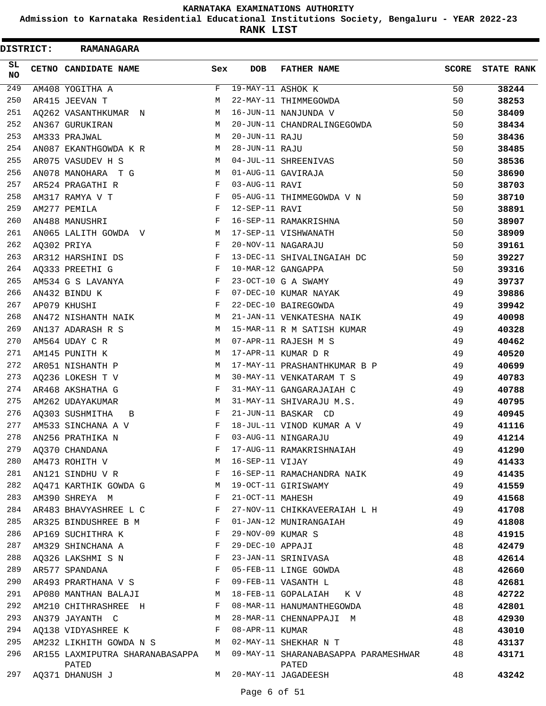**Admission to Karnataka Residential Educational Institutions Society, Bengaluru - YEAR 2022-23**

**RANK LIST**

| <b>DISTRICT:</b> | <b>RAMANAGARA</b>               |              |                   |                                      |              |                   |
|------------------|---------------------------------|--------------|-------------------|--------------------------------------|--------------|-------------------|
| SL.<br><b>NO</b> | CETNO CANDIDATE NAME            | Sex          | <b>DOB</b>        | <b>FATHER NAME</b>                   | <b>SCORE</b> | <b>STATE RANK</b> |
| 249              | AM408 YOGITHA A                 | F            | 19-MAY-11 ASHOK K |                                      | 50           | 38244             |
| 250              | AR415 JEEVAN T                  | М            |                   | 22-MAY-11 THIMMEGOWDA                | 50           | 38253             |
| 251              | AQ262 VASANTHKUMAR N            | М            |                   | 16-JUN-11 NANJUNDA V                 | 50           | 38409             |
| 252              | AN367 GURUKIRAN                 | M            |                   | 20-JUN-11 CHANDRALINGEGOWDA          | 50           | 38434             |
| 253              | AM333 PRAJWAL                   | М            | 20-JUN-11 RAJU    |                                      | 50           | 38436             |
| 254              | AN087 EKANTHGOWDA K R           | M            | 28-JUN-11 RAJU    |                                      | 50           | 38485             |
| 255              | AR075 VASUDEV H S               | M            |                   | 04-JUL-11 SHREENIVAS                 | 50           | 38536             |
| 256              | AN078 MANOHARA T G              | M            |                   | 01-AUG-11 GAVIRAJA                   | 50           | 38690             |
| 257              | AR524 PRAGATHI R                | F            | 03-AUG-11 RAVI    |                                      | 50           | 38703             |
| 258              | AM317 RAMYA V T                 | F            |                   | 05-AUG-11 THIMMEGOWDA V N            | 50           | 38710             |
| 259              | AM277 PEMILA                    | F            | 12-SEP-11 RAVI    |                                      | 50           | 38891             |
| 260              | AN488 MANUSHRI                  | F            |                   | 16-SEP-11 RAMAKRISHNA                | 50           | 38907             |
| 261              | AN065 LALITH GOWDA V            | М            |                   | 17-SEP-11 VISHWANATH                 | 50           | 38909             |
| 262              | AQ302 PRIYA                     | F            |                   | 20-NOV-11 NAGARAJU                   | 50           | 39161             |
| 263              | AR312 HARSHINI DS               | F            |                   | 13-DEC-11 SHIVALINGAIAH DC           | 50           | 39227             |
| 264              | AQ333 PREETHI G                 | F            |                   | 10-MAR-12 GANGAPPA                   | 50           | 39316             |
| 265              | AM534 G S LAVANYA               | F            |                   | 23-OCT-10 G A SWAMY                  | 49           | 39737             |
| 266              | AN432 BINDU K                   | F            |                   | 07-DEC-10 KUMAR NAYAK                | 49           | 39886             |
| 267              | AP079 KHUSHI                    | F            |                   | 22-DEC-10 BAIREGOWDA                 | 49           | 39942             |
| 268              | AN472 NISHANTH NAIK             | М            |                   | 21-JAN-11 VENKATESHA NAIK            | 49           | 40098             |
| 269              | AN137 ADARASH R S               | М            |                   | 15-MAR-11 R M SATISH KUMAR           | 49           | 40328             |
| 270              | AM564 UDAY C R                  | M            |                   | 07-APR-11 RAJESH M S                 | 49           | 40462             |
| 271              | AM145 PUNITH K                  | M            |                   | 17-APR-11 KUMAR D R                  | 49           | 40520             |
| 272              | AR051 NISHANTH P                | M            |                   | 17-MAY-11 PRASHANTHKUMAR B P         | 49           | 40699             |
| 273              | AQ236 LOKESH T V                | М            |                   | 30-MAY-11 VENKATARAM T S             | 49           | 40783             |
| 274              | AR468 AKSHATHA G                | F            |                   | 31-MAY-11 GANGARAJAIAH C             | 49           | 40788             |
| 275              | AM262 UDAYAKUMAR                | М            |                   | 31-MAY-11 SHIVARAJU M.S.             | 49           | 40795             |
| 276              | AQ303 SUSHMITHA<br>B            | F            |                   | 21-JUN-11 BASKAR CD                  | 49           | 40945             |
| 277              | AM533 SINCHANA A V              | F            |                   | 18-JUL-11 VINOD KUMAR A V            | 49           | 41116             |
| 278              | AN256 PRATHIKA N                | F            |                   | 03-AUG-11 NINGARAJU                  | 49           | 41214             |
| 279              | A0370 CHANDANA                  | F            |                   | 17-AUG-11 RAMAKRISHNAIAH             | 49           | 41290             |
| 280              | AM473 ROHITH V                  | М            | 16-SEP-11 VIJAY   |                                      | 49           | 41433             |
| 281              | AN121 SINDHU V R                | F            |                   | 16-SEP-11 RAMACHANDRA NAIK           | 49           | 41435             |
| 282              | AQ471 KARTHIK GOWDA G           | М            |                   | 19-OCT-11 GIRISWAMY                  | 49           | 41559             |
| 283              | AM390 SHREYA M                  | F            | 21-OCT-11 MAHESH  |                                      | 49           | 41568             |
| 284              | AR483 BHAVYASHREE L C           | F            |                   | 27-NOV-11 CHIKKAVEERAIAH L H         | 49           | 41708             |
| 285              | AR325 BINDUSHREE B M            | F            |                   | 01-JAN-12 MUNIRANGAIAH               | 49           | 41808             |
| 286              | AP169 SUCHITHRA K               | F            | 29-NOV-09 KUMAR S |                                      | 48           | 41915             |
| 287              | AM329 SHINCHANA A               | F            | 29-DEC-10 APPAJI  |                                      | 48           | 42479             |
| 288              | AQ326 LAKSHMI S N               | F            |                   | 23-JAN-11 SRINIVASA                  | 48           | 42614             |
| 289              | AR577 SPANDANA                  | F            |                   | 05-FEB-11 LINGE GOWDA                | 48           | 42660             |
| 290              | AR493 PRARTHANA V S             | $\mathbf{F}$ |                   | 09-FEB-11 VASANTH L                  | 48           | 42681             |
| 291              | AP080 MANTHAN BALAJI            | M            |                   | 18-FEB-11 GOPALAIAH K V              | 48           | 42722             |
| 292              | AM210 CHITHRASHREE H            | F            |                   | 08-MAR-11 HANUMANTHEGOWDA            | 48           | 42801             |
| 293              | AN379 JAYANTH C                 | М            |                   | 28-MAR-11 CHENNAPPAJI M              | 48           | 42930             |
| 294              | AQ138 VIDYASHREE K              | F            | 08-APR-11 KUMAR   |                                      | 48           | 43010             |
| 295              | AM232 LIKHITH GOWDA N S M       |              |                   | 02-MAY-11 SHEKHAR N T                | 48           | 43137             |
| 296              | AR155 LAXMIPUTRA SHARANABASAPPA | M            |                   | 09-MAY-11 SHARANABASAPPA PARAMESHWAR | 48           | 43171             |
| 297              | PATED<br>AQ371 DHANUSH J        | M            |                   | PATED<br>20-MAY-11 JAGADEESH         | 48           | 43242             |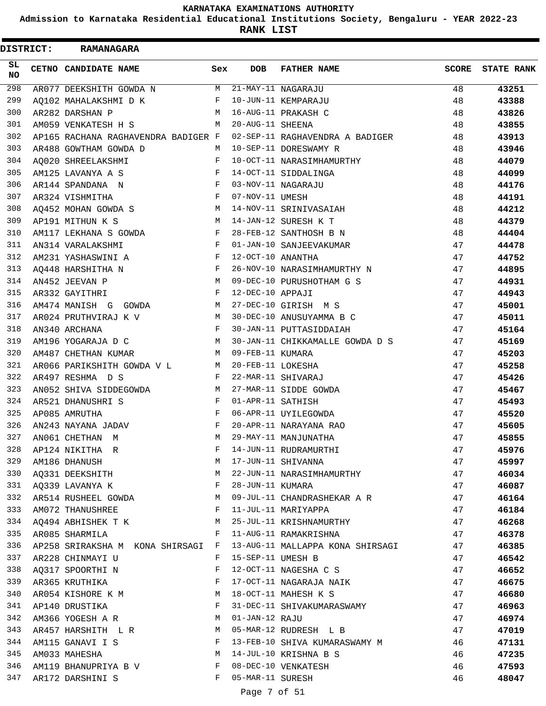**Admission to Karnataka Residential Educational Institutions Society, Bengaluru - YEAR 2022-23**

| <b>DISTRICT:</b> |  | <b>RAMANAGARA</b>                                                   |              |                   |                                  |       |                   |
|------------------|--|---------------------------------------------------------------------|--------------|-------------------|----------------------------------|-------|-------------------|
| SL.<br><b>NO</b> |  | CETNO CANDIDATE NAME                                                | Sex          | <b>DOB</b>        | <b>FATHER NAME</b>               | SCORE | <b>STATE RANK</b> |
| 298              |  | AR077 DEEKSHITH GOWDA N                                             |              |                   | M 21-MAY-11 NAGARAJU             | 48    | 43251             |
| 299              |  | AQ102 MAHALAKSHMI D K                                               | F            |                   | 10-JUN-11 KEMPARAJU              | 48    | 43388             |
| 300              |  | AR282 DARSHAN P                                                     | M            |                   | 16-AUG-11 PRAKASH C              | 48    | 43826             |
| 301              |  | AM059 VENKATESH H S                                                 | M            | 20-AUG-11 SHEENA  |                                  | 48    | 43855             |
| 302              |  | AP165 RACHANA RAGHAVENDRA BADIGER F                                 |              |                   | 02-SEP-11 RAGHAVENDRA A BADIGER  | 48    | 43913             |
| 303              |  | AR488 GOWTHAM GOWDA D                                               | M            |                   | 10-SEP-11 DORESWAMY R            | 48    | 43946             |
| 304              |  | AO020 SHREELAKSHMI                                                  | F            |                   | 10-OCT-11 NARASIMHAMURTHY        | 48    | 44079             |
| 305              |  | AM125 LAVANYA A S                                                   | F            |                   | 14-OCT-11 SIDDALINGA             | 48    | 44099             |
| 306              |  | AR144 SPANDANA N                                                    | $\mathbf{F}$ |                   | 03-NOV-11 NAGARAJU               | 48    | 44176             |
| 307              |  | AR324 VISHMITHA                                                     | $_{\rm F}$   | 07-NOV-11 UMESH   |                                  | 48    | 44191             |
| 308              |  | AQ452 MOHAN GOWDA S                                                 | M            |                   | 14-NOV-11 SRINIVASAIAH           | 48    | 44212             |
| 309              |  | AP191 MITHUN K S                                                    | М            |                   | 14-JAN-12 SURESH K T             | 48    | 44379             |
| 310              |  | AM117 LEKHANA S GOWDA                                               | $\mathbf{F}$ |                   | 28-FEB-12 SANTHOSH B N           | 48    | 44404             |
| 311              |  | AN314 VARALAKSHMI                                                   | F            |                   | 01-JAN-10 SANJEEVAKUMAR          | 47    | 44478             |
| 312              |  | AM231 YASHASWINI A                                                  | F            | 12-OCT-10 ANANTHA |                                  | 47    | 44752             |
| 313              |  | $\mathbf{F}$ and $\mathbf{F}$ and $\mathbf{F}$<br>AQ448 HARSHITHA N |              |                   | 26-NOV-10 NARASIMHAMURTHY N      | 47    | 44895             |
| 314              |  | AN452 JEEVAN P                                                      | M            |                   | 09-DEC-10 PURUSHOTHAM G S        | 47    | 44931             |
| 315              |  | AR332 GAYITHRI                                                      | $_{\rm F}$   | 12-DEC-10 APPAJI  |                                  | 47    | 44943             |
| 316              |  | AM474 MANISH G GOWDA                                                | М            |                   | 27-DEC-10 GIRISH M S             | 47    | 45001             |
| 317              |  | AR024 PRUTHVIRAJ K V                                                | М            |                   | 30-DEC-10 ANUSUYAMMA B C         | 47    | 45011             |
| 318              |  | AN340 ARCHANA                                                       | $_{\rm F}$   |                   | 30-JAN-11 PUTTASIDDAIAH          | 47    | 45164             |
| 319              |  | AM196 YOGARAJA D C                                                  | M            |                   | 30-JAN-11 CHIKKAMALLE GOWDA D S  | 47    | 45169             |
| 320              |  | AM487 CHETHAN KUMAR                                                 | M            | 09-FEB-11 KUMARA  |                                  | 47    | 45203             |
| 321              |  | AR066 PARIKSHITH GOWDA V L M                                        |              | 20-FEB-11 LOKESHA |                                  | 47    | 45258             |
| 322              |  |                                                                     | $\mathbf{F}$ |                   | 22-MAR-11 SHIVARAJ               |       |                   |
|                  |  | AR497 RESHMA D S                                                    |              |                   |                                  | 47    | 45426             |
| 323              |  | AN052 SHIVA SIDDEGOWDA                                              | M            |                   | 27-MAR-11 SIDDE GOWDA            | 47    | 45467             |
| 324              |  | AR521 DHANUSHRI S                                                   | $\mathbf{F}$ | 01-APR-11 SATHISH |                                  | 47    | 45493             |
| 325              |  | AP085 AMRUTHA                                                       | $\mathbf{F}$ |                   | 06-APR-11 UYILEGOWDA             | 47    | 45520             |
| 326              |  | AN243 NAYANA JADAV                                                  | $_{\rm F}$   |                   | 20-APR-11 NARAYANA RAO           | 47    | 45605             |
|                  |  | 327 AN061 CHETHAN M                                                 | M            |                   | 29-MAY-11 MANJUNATHA             | 47    | 45855             |
| 328              |  | AP124 NIKITHA R                                                     | F            |                   | 14-JUN-11 RUDRAMURTHI            | 47    | 45976             |
| 329              |  | AM186 DHANUSH                                                       | M            |                   | 17-JUN-11 SHIVANNA               | 47    | 45997             |
| 330              |  | AQ331 DEEKSHITH                                                     | M            |                   | 22-JUN-11 NARASIMHAMURTHY        | 47    | 46034             |
| 331              |  | AQ339 LAVANYA K                                                     | $\mathbf{F}$ | 28-JUN-11 KUMARA  |                                  | 47    | 46087             |
| 332              |  | AR514 RUSHEEL GOWDA M                                               |              |                   | 09-JUL-11 CHANDRASHEKAR A R      | 47    | 46164             |
| 333              |  | AM072 THANUSHREE<br>and the state of the state of the Party         |              |                   | 11-JUL-11 MARIYAPPA              | 47    | 46184             |
| 334              |  | AQ494 ABHISHEK T K M                                                |              |                   | 25-JUL-11 KRISHNAMURTHY          | 47    | 46268             |
| 335              |  | AR085 SHARMILA<br>$\mathbf{F}$ and $\mathbf{F}$ and $\mathbf{F}$    |              |                   | 11-AUG-11 RAMAKRISHNA            | 47    | 46378             |
| 336              |  | AP258 SRIRAKSHA M KONA SHIRSAGI F                                   |              |                   | 13-AUG-11 MALLAPPA KONA SHIRSAGI | 47    | 46385             |
| 337              |  | AR228 CHINMAYI U                                                    | F            | 15-SEP-11 UMESH B |                                  | 47    | 46542             |
| 338              |  | AQ317 SPOORTHI N                                                    | F            |                   | 12-OCT-11 NAGESHA C S            | 47    | 46652             |
| 339              |  | AR365 KRUTHIKA                                                      | F            |                   | 17-OCT-11 NAGARAJA NAIK          | 47    | 46675             |
| 340              |  | AR054 KISHORE K M M                                                 |              |                   | 18-OCT-11 MAHESH K S             | 47    | 46680             |
| 341              |  | AP140 DRUSTIKA<br>and the state of the state of the Party           |              |                   | 31-DEC-11 SHIVAKUMARASWAMY       | 47    | 46963             |
| 342              |  | AM366 YOGESH A R                                                    | M            | 01-JAN-12 RAJU    |                                  | 47    | 46974             |
| 343              |  | AR457 HARSHITH L R                                                  | M            |                   | 05-MAR-12 RUDRESH L B            | 47    | 47019             |
| 344              |  | AM115 GANAVI I S F                                                  |              |                   | 13-FEB-10 SHIVA KUMARASWAMY M    | 46    | 47131             |
| 345              |  | AM033 MAHESHA                                                       | М            |                   | 14-JUL-10 KRISHNA B S            | 46    | 47235             |
| 346              |  | AM119 BHANUPRIYA B V F                                              |              |                   | 08-DEC-10 VENKATESH              | 46    | 47593             |
| 347              |  | AR172 DARSHINI S                                                    | F            | 05-MAR-11 SURESH  |                                  | 46    | 48047             |
|                  |  |                                                                     |              |                   |                                  |       |                   |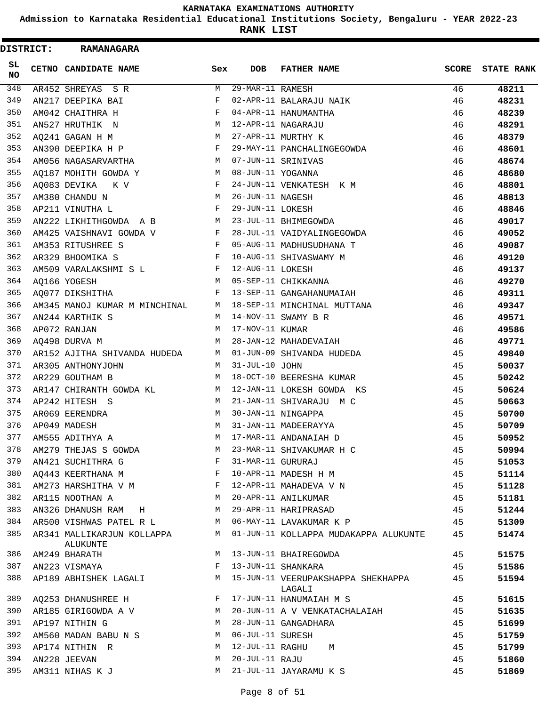**Admission to Karnataka Residential Educational Institutions Society, Bengaluru - YEAR 2022-23**

**RANK LIST**

| <b>DISTRICT:</b> | <b>RAMANAGARA</b>                      |              |                   |                                              |       |                   |
|------------------|----------------------------------------|--------------|-------------------|----------------------------------------------|-------|-------------------|
| SL.<br><b>NO</b> | CETNO CANDIDATE NAME                   | Sex          | <b>DOB</b>        | <b>FATHER NAME</b>                           | SCORE | <b>STATE RANK</b> |
| 348              | AR452 SHREYAS SR                       | M            | 29-MAR-11 RAMESH  |                                              | 46    | 48211             |
| 349              | AN217 DEEPIKA BAI                      | F            |                   | 02-APR-11 BALARAJU NAIK                      | 46    | 48231             |
| 350              | AM042 CHAITHRA H                       | F            |                   | 04-APR-11 HANUMANTHA                         | 46    | 48239             |
| 351              | AN527 HRUTHIK N                        | M            |                   | 12-APR-11 NAGARAJU                           | 46    | 48291             |
| 352              | AQ241 GAGAN H M                        | M            |                   | 27-APR-11 MURTHY K                           | 46    | 48379             |
| 353              | AN390 DEEPIKA H P                      | F            |                   | 29-MAY-11 PANCHALINGEGOWDA                   | 46    | 48601             |
| 354              | AM056 NAGASARVARTHA                    | M            |                   | 07-JUN-11 SRINIVAS                           | 46    | 48674             |
| 355              | AQ187 MOHITH GOWDA Y                   | М            | 08-JUN-11 YOGANNA |                                              | 46    | 48680             |
| 356              | AQ083 DEVIKA K V                       | F            |                   | 24-JUN-11 VENKATESH K M                      | 46    | 48801             |
| 357              | AM380 CHANDU N                         | M            | 26-JUN-11 NAGESH  |                                              | 46    | 48813             |
| 358              | AP211 VINUTHA L                        | F            | 29-JUN-11 LOKESH  |                                              | 46    | 48846             |
| 359              | AN222 LIKHITHGOWDA A B<br>$M_{\rm}$    |              |                   | 23-JUL-11 BHIMEGOWDA                         | 46    | 49017             |
| 360              | AM425 VAISHNAVI GOWDA V                | $\mathbf{F}$ |                   | 28-JUL-11 VAIDYALINGEGOWDA                   | 46    | 49052             |
| 361              | AM353 RITUSHREE S                      | $\mathbf{F}$ |                   | 05-AUG-11 MADHUSUDHANA T                     | 46    | 49087             |
| 362              | AR329 BHOOMIKA S                       | F            |                   | 10-AUG-11 SHIVASWAMY M                       | 46    | 49120             |
| 363              | AM509 VARALAKSHMI S L                  | F            | 12-AUG-11 LOKESH  |                                              | 46    | 49137             |
| 364              | AQ166 YOGESH                           | M            |                   | 05-SEP-11 CHIKKANNA                          | 46    | 49270             |
| 365              | AQ077 DIKSHITHA                        | F            |                   | 13-SEP-11 GANGAHANUMAIAH                     | 46    | 49311             |
| 366              | AM345 MANOJ KUMAR M MINCHINAL          |              |                   | M 18-SEP-11 MINCHINAL MUTTANA                | 46    | 49347             |
| 367              | AN244 KARTHIK S                        | M            |                   | 14-NOV-11 SWAMY B R                          | 46    | 49571             |
| 368              | AP072 RANJAN                           | M            | 17-NOV-11 KUMAR   |                                              | 46    | 49586             |
| 369              | A0498 DURVA M                          | M            |                   | 28-JAN-12 MAHADEVAIAH                        | 46    | 49771             |
| 370              | AR152 AJITHA SHIVANDA HUDEDA           | M            |                   | 01-JUN-09 SHIVANDA HUDEDA                    | 45    | 49840             |
| 371              | AR305 ANTHONYJOHN                      | M            | 31-JUL-10 JOHN    |                                              | 45    | 50037             |
| 372              | AR229 GOUTHAM B                        | M            |                   | 18-OCT-10 BEERESHA KUMAR                     | 45    | 50242             |
| 373              | AR147 CHIRANTH GOWDA KL                | M            |                   | 12-JAN-11 LOKESH GOWDA KS                    | 45    | 50624             |
| 374              | AP242 HITESH S                         | M            |                   | 21-JAN-11 SHIVARAJU M C                      | 45    | 50663             |
| 375              | AR069 EERENDRA                         | M            |                   | 30-JAN-11 NINGAPPA                           | 45    | 50700             |
| 376              | AP049 MADESH                           | M            |                   | 31-JAN-11 MADEERAYYA                         | 45    | 50709             |
| 377              | AM555 ADITHYA A                        | М            |                   | 17-MAR-11 ANDANAIAH D                        | 45    | 50952             |
| 378              | AM279 THEJAS S GOWDA                   | M            |                   | 23-MAR-11 SHIVAKUMAR H C                     | 45    | 50994             |
| 379              | AN421 SUCHITHRA G                      | $\mathbf{F}$ | 31-MAR-11 GURURAJ |                                              | 45    | 51053             |
| 380              | AQ443 KEERTHANA M                      | F            |                   | 10-APR-11 MADESH H M                         | 45    | 51114             |
| 381              | AM273 HARSHITHA V M                    |              |                   | 12-APR-11 MAHADEVA V N                       | 45    | 51128             |
| 382              | AR115 NOOTHAN A                        | М            |                   | 20-APR-11 ANILKUMAR                          | 45    | 51181             |
| 383              | AN326 DHANUSH RAM H                    | M            |                   | 29-APR-11 HARIPRASAD                         | 45    | 51244             |
| 384              | AR500 VISHWAS PATEL R L M              |              |                   | 06-MAY-11 LAVAKUMAR K P                      | 45    | 51309             |
| 385              | AR341 MALLIKARJUN KOLLAPPA<br>ALUKUNTE | M            |                   | 01-JUN-11 KOLLAPPA MUDAKAPPA ALUKUNTE        | 45    | 51474             |
| 386              | AM249 BHARATH                          | M            |                   | 13-JUN-11 BHAIREGOWDA                        | 45    | 51575             |
| 387              | AN223 VISMAYA                          | F            |                   | 13-JUN-11 SHANKARA                           | 45    | 51586             |
| 388              | AP189 ABHISHEK LAGALI                  | M            |                   | 15-JUN-11 VEERUPAKSHAPPA SHEKHAPPA<br>LAGALI | 45    | 51594             |
| 389              | AQ253 DHANUSHREE H                     | F            |                   | 17-JUN-11 HANUMAIAH M S                      | 45    | 51615             |
| 390              | AR185 GIRIGOWDA A V                    | M            |                   | 20-JUN-11 A V VENKATACHALAIAH                | 45    | 51635             |
| 391              | AP197 NITHIN G                         | M            |                   | 28-JUN-11 GANGADHARA                         | 45    | 51699             |
| 392              | AM560 MADAN BABU N S                   | M            | 06-JUL-11 SURESH  |                                              | 45    | 51759             |
| 393              | AP174 NITHIN R                         | М            | 12-JUL-11 RAGHU   | M                                            | 45    | 51799             |
| 394              | AN228 JEEVAN                           | M            | 20-JUL-11 RAJU    |                                              | 45    | 51860             |
| 395              | AM311 NIHAS K J                        | M            |                   | 21-JUL-11 JAYARAMU K S                       | 45    | 51869             |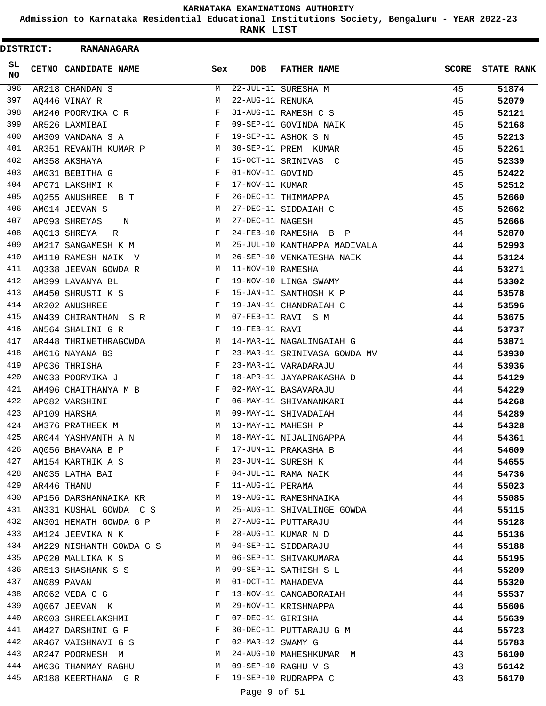**Admission to Karnataka Residential Educational Institutions Society, Bengaluru - YEAR 2022-23**

**RANK LIST**

| <b>DISTRICT:</b> | <b>RAMANAGARA</b>        |              |                   |                              |       |                   |
|------------------|--------------------------|--------------|-------------------|------------------------------|-------|-------------------|
| SL.<br><b>NO</b> | CETNO CANDIDATE NAME     | Sex          | <b>DOB</b>        | <b>FATHER NAME</b>           | SCORE | <b>STATE RANK</b> |
| 396              | AR218 CHANDAN S          | М            |                   | 22-JUL-11 SURESHA M          | 45    | 51874             |
| 397              | AQ446 VINAY R            | М            | 22-AUG-11 RENUKA  |                              | 45    | 52079             |
| 398              | AM240 POORVIKA C R       | F            |                   | 31-AUG-11 RAMESH C S         | 45    | 52121             |
| 399              | AR526 LAXMIBAI           | F            |                   | 09-SEP-11 GOVINDA NAIK       | 45    | 52168             |
| 400              | AM309 VANDANA S A        | F            |                   | 19-SEP-11 ASHOK S N          | 45    | 52213             |
| 401              | AR351 REVANTH KUMAR P    | M            |                   | 30-SEP-11 PREM KUMAR         | 45    | 52261             |
| 402              | AM358 AKSHAYA            | F            |                   | 15-OCT-11 SRINIVAS C         | 45    | 52339             |
| 403              | AM031 BEBITHA G          | F            | 01-NOV-11 GOVIND  |                              | 45    | 52422             |
| 404              | AP071 LAKSHMI K          | F            | 17-NOV-11 KUMAR   |                              | 45    | 52512             |
| 405              | AQ255 ANUSHREE B T       | F            |                   | 26-DEC-11 THIMMAPPA          | 45    | 52660             |
| 406              | AM014 JEEVAN S           | М            |                   | 27-DEC-11 SIDDAIAH C         | 45    | 52662             |
| 407              | AP093 SHREYAS<br>N       | M            | 27-DEC-11 NAGESH  |                              | 45    | 52666             |
| 408              | AQ013 SHREYA<br>R        | F            |                   | 24-FEB-10 RAMESHA B P        | 44    | 52870             |
| 409              | AM217 SANGAMESH K M      | M            |                   | 25-JUL-10 KANTHAPPA MADIVALA | 44    | 52993             |
| 410              | AM110 RAMESH NAIK V      | M            |                   | 26-SEP-10 VENKATESHA NAIK    | 44    | 53124             |
| 411              | AQ338 JEEVAN GOWDA R     | M            | 11-NOV-10 RAMESHA |                              | 44    | 53271             |
| 412              | AM399 LAVANYA BL         | F            |                   | 19-NOV-10 LINGA SWAMY        | 44    | 53302             |
| 413              | AM450 SHRUSTI K S        | F            |                   | 15-JAN-11 SANTHOSH K P       | 44    | 53578             |
| 414              | AR202 ANUSHREE           | F            |                   | 19-JAN-11 CHANDRAIAH C       | 44    | 53596             |
| 415              | AN439 CHIRANTHAN SR      | M            |                   | 07-FEB-11 RAVI S M           | 44    | 53675             |
| 416              | AN564 SHALINI G R        | F            | 19-FEB-11 RAVI    |                              | 44    | 53737             |
| 417              | AR448 THRINETHRAGOWDA    | М            |                   | 14-MAR-11 NAGALINGAIAH G     | 44    | 53871             |
| 418              | AM016 NAYANA BS          | F            |                   | 23-MAR-11 SRINIVASA GOWDA MV | 44    | 53930             |
| 419              | AP036 THRISHA            | F            |                   | 23-MAR-11 VARADARAJU         | 44    | 53936             |
| 420              | AN033 POORVIKA J         | F            |                   | 18-APR-11 JAYAPRAKASHA D     | 44    | 54129             |
| 421              | AM496 CHAITHANYA M B     | F            |                   | 02-MAY-11 BASAVARAJU         | 44    | 54229             |
| 422              | AP082 VARSHINI           | F            |                   | 06-MAY-11 SHIVANANKARI       | 44    | 54268             |
| 423              | AP109 HARSHA             | M            |                   | 09-MAY-11 SHIVADAIAH         | 44    | 54289             |
| 424              | AM376 PRATHEEK M         | М            |                   | 13-MAY-11 MAHESH P           | 44    | 54328             |
| 425              | AR044 YASHVANTH A N      | M            |                   | 18-MAY-11 NIJALINGAPPA       | 44    | 54361             |
| 426              | AQ056 BHAVANA B P        | F            |                   | 17-JUN-11 PRAKASHA B         | 44    | 54609             |
| 427              | AM154 KARTHIK A S        | M            |                   | 23-JUN-11 SURESH K           | 44    | 54655             |
| 428              | AN035 LATHA BAI          | $\mathbf{F}$ |                   | 04-JUL-11 RAMA NAIK          | 44    | 54736             |
| 429              | AR446 THANU              | F            | 11-AUG-11 PERAMA  |                              | 44    | 55023             |
| 430              | AP156 DARSHANNAIKA KR    | M            |                   | 19-AUG-11 RAMESHNAIKA        | 44    | 55085             |
| 431              | AN331 KUSHAL GOWDA C S   | M            |                   | 25-AUG-11 SHIVALINGE GOWDA   | 44    | 55115             |
| 432              | AN301 HEMATH GOWDA G P   | M            |                   | 27-AUG-11 PUTTARAJU          | 44    | 55128             |
| 433              | AM124 JEEVIKA N K        | F            |                   | 28-AUG-11 KUMAR N D          | 44    | 55136             |
| 434              | AM229 NISHANTH GOWDA G S | M            |                   | 04-SEP-11 SIDDARAJU          | 44    | 55188             |
| 435              | AP020 MALLIKA K S        | M            |                   | 06-SEP-11 SHIVAKUMARA        | 44    | 55195             |
| 436              | AR513 SHASHANK S S       | M            |                   | 09-SEP-11 SATHISH S L        | 44    | 55209             |
| 437              | AN089 PAVAN              | M            |                   | 01-OCT-11 MAHADEVA           | 44    | 55320             |
| 438              | AR062 VEDA C G           | F            |                   | 13-NOV-11 GANGABORAIAH       | 44    | 55537             |
| 439              | AQ067 JEEVAN K           | М            |                   | 29-NOV-11 KRISHNAPPA         | 44    | 55606             |
| 440              | AR003 SHREELAKSHMI       | F            |                   | 07-DEC-11 GIRISHA            | 44    | 55639             |
| 441              | AM427 DARSHINI G P       | F            |                   | 30-DEC-11 PUTTARAJU G M      | 44    | 55723             |
| 442              | AR467 VAISHNAVI G S      | F            | 02-MAR-12 SWAMY G |                              | 44    | 55783             |
| 443              | AR247 POORNESH M         | M            |                   | 24-AUG-10 MAHESHKUMAR M      | 43    | 56100             |
| 444              | AM036 THANMAY RAGHU      | M            |                   | 09-SEP-10 RAGHU V S          | 43    | 56142             |
| 445              | AR188 KEERTHANA G R      | F            |                   | 19-SEP-10 RUDRAPPA C         | 43    | 56170             |
|                  |                          |              |                   |                              |       |                   |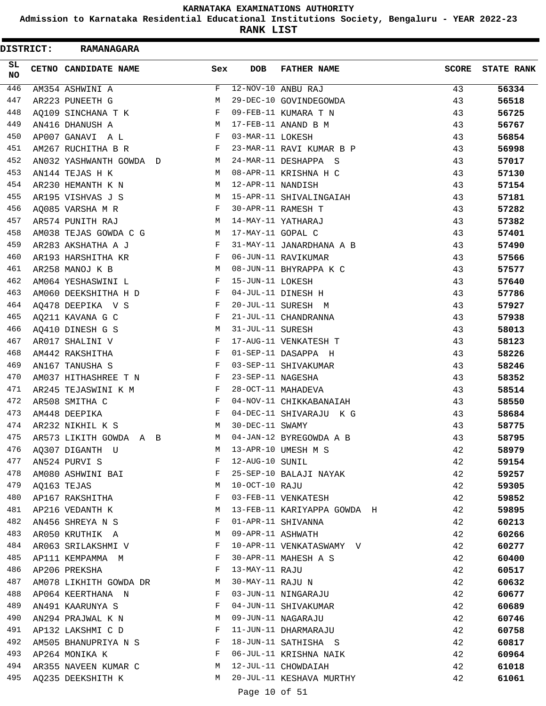**Admission to Karnataka Residential Educational Institutions Society, Bengaluru - YEAR 2022-23**

**RANK LIST**

|            | <b>DISTRICT:</b> | <b>RAMANAGARA</b>       |              |                   |                             |       |                   |
|------------|------------------|-------------------------|--------------|-------------------|-----------------------------|-------|-------------------|
| SL.<br>NO. |                  | CETNO CANDIDATE NAME    | Sex          | <b>DOB</b>        | <b>FATHER NAME</b>          | SCORE | <b>STATE RANK</b> |
| 446        |                  | AM354 ASHWINI A         | F            |                   | 12-NOV-10 ANBU RAJ          | 43    | 56334             |
| 447        |                  | AR223 PUNEETH G         | М            |                   | 29-DEC-10 GOVINDEGOWDA      | 43    | 56518             |
| 448        |                  | AQ109 SINCHANA T K      | F            |                   | 09-FEB-11 KUMARA T N        | 43    | 56725             |
| 449        |                  | AN416 DHANUSH A         | М            |                   | 17-FEB-11 ANAND B M         | 43    | 56767             |
| 450        |                  | AP007 GANAVI A L        | F            | 03-MAR-11 LOKESH  |                             | 43    | 56854             |
| 451        |                  | AM267 RUCHITHA B R      | F            |                   | 23-MAR-11 RAVI KUMAR B P    | 43    | 56998             |
| 452        |                  | AN032 YASHWANTH GOWDA D | М            |                   | 24-MAR-11 DESHAPPA S        | 43    | 57017             |
| 453        |                  | AN144 TEJAS H K         | M            |                   | 08-APR-11 KRISHNA H C       | 43    | 57130             |
| 454        |                  | AR230 HEMANTH K N       | M            | 12-APR-11 NANDISH |                             | 43    | 57154             |
| 455        |                  | AR195 VISHVAS J S       | М            |                   | 15-APR-11 SHIVALINGAIAH     | 43    | 57181             |
| 456        |                  | AQ085 VARSHA M R        | F            |                   | 30-APR-11 RAMESH T          | 43    | 57282             |
| 457        |                  | AR574 PUNITH RAJ        | М            |                   | 14-MAY-11 YATHARAJ          | 43    | 57382             |
| 458        |                  | AM038 TEJAS GOWDA C G   | M            | 17-MAY-11 GOPAL C |                             | 43    | 57401             |
| 459        |                  | AR283 AKSHATHA A J      | F            |                   | 31-MAY-11 JANARDHANA A B    | 43    | 57490             |
| 460        |                  | AR193 HARSHITHA KR      | F            |                   | 06-JUN-11 RAVIKUMAR         | 43    | 57566             |
| 461        |                  | AR258 MANOJ K B         | М            |                   | 08-JUN-11 BHYRAPPA K C      | 43    | 57577             |
| 462        |                  | AM064 YESHASWINI L      | F            | 15-JUN-11 LOKESH  |                             | 43    | 57640             |
| 463        |                  | AM060 DEEKSHITHA H D    | F            |                   | 04-JUL-11 DINESH H          | 43    | 57786             |
| 464        |                  | AQ478 DEEPIKA V S       | F            |                   | 20-JUL-11 SURESH M          | 43    | 57927             |
| 465        |                  | AQ211 KAVANA G C        | F            |                   | 21-JUL-11 CHANDRANNA        | 43    | 57938             |
| 466        |                  | AQ410 DINESH G S        | М            | 31-JUL-11 SURESH  |                             | 43    | 58013             |
| 467        |                  | AR017 SHALINI V         | F            |                   | 17-AUG-11 VENKATESH T       | 43    | 58123             |
| 468        |                  | AM442 RAKSHITHA         | F            |                   | 01-SEP-11 DASAPPA H         | 43    | 58226             |
| 469        |                  | AN167 TANUSHA S         | F            |                   | 03-SEP-11 SHIVAKUMAR        | 43    | 58246             |
| 470        |                  | AM037 HITHASHREE T N    | F            | 23-SEP-11 NAGESHA |                             | 43    | 58352             |
| 471        |                  | AR245 TEJASWINI K M     | F            |                   | 28-OCT-11 MAHADEVA          | 43    | 58514             |
| 472        |                  | AR508 SMITHA C          | F            |                   | 04-NOV-11 CHIKKABANAIAH     | 43    | 58550             |
| 473        |                  | AM448 DEEPIKA           | F            |                   | 04-DEC-11 SHIVARAJU K G     | 43    | 58684             |
| 474        |                  | AR232 NIKHIL K S        | М            | 30-DEC-11 SWAMY   |                             | 43    | 58775             |
| 475        |                  | AR573 LIKITH GOWDA A B  | М            |                   | 04-JAN-12 BYREGOWDA A B     | 43    | 58795             |
| 476        |                  | AQ307 DIGANTH U         | М            |                   | 13-APR-10 UMESH M S         | 42    | 58979             |
| 477        |                  | AN524 PURVI S           | F            | 12-AUG-10 SUNIL   |                             | 42    | 59154             |
| 478        |                  | AM080 ASHWINI BAI       | F            |                   | 25-SEP-10 BALAJI NAYAK      | 42    | 59257             |
| 479        |                  | AQ163 TEJAS             | М            | 10-OCT-10 RAJU    |                             | 42    | 59305             |
| 480        |                  | AP167 RAKSHITHA         | F            |                   | 03-FEB-11 VENKATESH         | 42    | 59852             |
| 481        |                  | AP216 VEDANTH K         | М            |                   | 13-FEB-11 KARIYAPPA GOWDA H | 42    | 59895             |
| 482        |                  | AN456 SHREYA N S        | F            |                   | 01-APR-11 SHIVANNA          | 42    | 60213             |
| 483        |                  | AR050 KRUTHIK A         | M            | 09-APR-11 ASHWATH |                             | 42    | 60266             |
| 484        |                  | AR063 SRILAKSHMI V      | F            |                   | 10-APR-11 VENKATASWAMY V    | 42    | 60277             |
| 485        |                  | AP111 KEMPAMMA M        | F            |                   | 30-APR-11 MAHESH A S        | 42    | 60400             |
| 486        |                  | AP206 PREKSHA           | F            | 13-MAY-11 RAJU    |                             | 42    | 60517             |
| 487        |                  | AM078 LIKHITH GOWDA DR  | M            | 30-MAY-11 RAJU N  |                             | 42    | 60632             |
| 488        |                  | AP064 KEERTHANA N       | F            |                   | 03-JUN-11 NINGARAJU         | 42    | 60677             |
| 489        |                  | AN491 KAARUNYA S        | F            |                   | 04-JUN-11 SHIVAKUMAR        | 42    | 60689             |
| 490        |                  | AN294 PRAJWAL K N       | M            |                   | 09-JUN-11 NAGARAJU          | 42    | 60746             |
| 491        |                  | AP132 LAKSHMI C D       | $\mathbf{F}$ |                   | 11-JUN-11 DHARMARAJU        | 42    | 60758             |
| 492        |                  | AM505 BHANUPRIYA N S    | F            |                   | 18-JUN-11 SATHISHA S        | 42    | 60817             |
| 493        |                  | AP264 MONIKA K          | F            |                   | 06-JUL-11 KRISHNA NAIK      | 42    | 60964             |
| 494        |                  | AR355 NAVEEN KUMAR C    | M            |                   | 12-JUL-11 CHOWDAIAH         | 42    | 61018             |
| 495        |                  | AQ235 DEEKSHITH K       | М            |                   | 20-JUL-11 KESHAVA MURTHY    | 42    | 61061             |
|            |                  |                         |              |                   |                             |       |                   |
|            |                  |                         |              | Page 10 of 51     |                             |       |                   |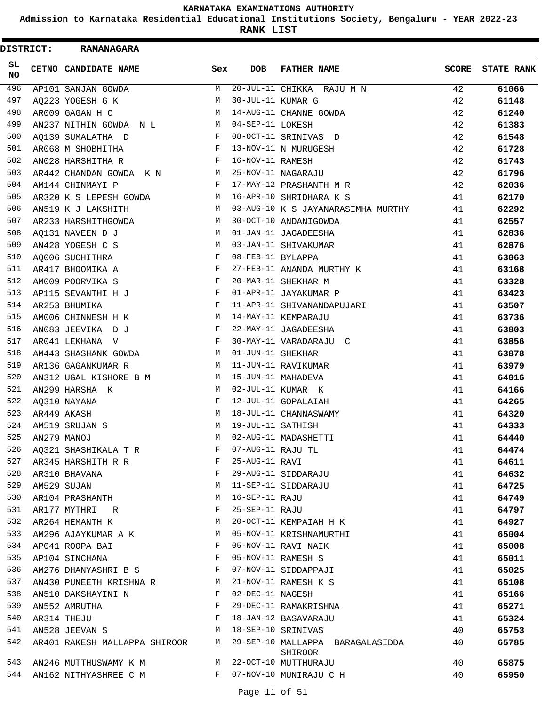**Admission to Karnataka Residential Educational Institutions Society, Bengaluru - YEAR 2022-23**

**RANK LIST**

| <b>DISTRICT:</b> | <b>RAMANAGARA</b>             |                   |                   |                                             |       |                   |
|------------------|-------------------------------|-------------------|-------------------|---------------------------------------------|-------|-------------------|
| SL.<br><b>NO</b> | CETNO CANDIDATE NAME          | Sex               | <b>DOB</b>        | <b>FATHER NAME</b>                          | SCORE | <b>STATE RANK</b> |
| 496              | AP101 SANJAN GOWDA            | M                 |                   | 20-JUL-11 CHIKKA RAJU M N                   | 42    | 61066             |
| 497              | AQ223 YOGESH G K              | M                 | 30-JUL-11 KUMAR G |                                             | 42    | 61148             |
| 498              | AR009 GAGAN H C               | M                 |                   | 14-AUG-11 CHANNE GOWDA                      | 42    | 61240             |
| 499              | AN237 NITHIN GOWDA N L        | <b>Example 19</b> | 04-SEP-11 LOKESH  |                                             | 42    | 61383             |
| 500              | AQ139 SUMALATHA D             | $\mathbf{F}$      |                   | 08-OCT-11 SRINIVAS D                        | 42    | 61548             |
| 501              | AR068 M SHOBHITHA             | $\mathbf{F}$      |                   | 13-NOV-11 N MURUGESH                        | 42    | 61728             |
| 502              | AN028 HARSHITHA R             | F                 | 16-NOV-11 RAMESH  |                                             | 42    | 61743             |
| 503              | AR442 CHANDAN GOWDA K N       | M                 |                   | 25-NOV-11 NAGARAJU                          | 42    | 61796             |
| 504              | AM144 CHINMAYI P              | $\mathbf{F}$      |                   | 17-MAY-12 PRASHANTH M R                     | 42    | 62036             |
| 505              | AR320 K S LEPESH GOWDA        | M                 |                   | 16-APR-10 SHRIDHARA K S                     | 41    | 62170             |
| 506              | AN519 K J LAKSHITH            | M                 |                   | 03-AUG-10 K S JAYANARASIMHA MURTHY          | 41    | 62292             |
| 507              | AR233 HARSHITHGOWDA           | M                 |                   | 30-OCT-10 ANDANIGOWDA                       | 41    | 62557             |
| 508              | AQ131 NAVEEN D J              | M                 |                   | 01-JAN-11 JAGADEESHA                        | 41    | 62836             |
| 509              | AN428 YOGESH C S              | M                 |                   | 03-JAN-11 SHIVAKUMAR                        | 41    | 62876             |
| 510              | AQ006 SUCHITHRA               | F                 | 08-FEB-11 BYLAPPA |                                             | 41    | 63063             |
| 511              | AR417 BHOOMIKA A              | F                 |                   | 27-FEB-11 ANANDA MURTHY K                   | 41    | 63168             |
| 512              | AM009 POORVIKA S              | F                 |                   | 20-MAR-11 SHEKHAR M                         | 41    | 63328             |
| 513              | AP115 SEVANTHI H J            | F                 |                   | 01-APR-11 JAYAKUMAR P                       | 41    | 63423             |
| 514              | AR253 BHUMIKA                 | F                 |                   | 11-APR-11 SHIVANANDAPUJARI                  | 41    | 63507             |
| 515              | AM006 CHINNESH H K            | M                 |                   | 14-MAY-11 KEMPARAJU                         | 41    | 63736             |
| 516              | AN083 JEEVIKA DJ              | F                 |                   | 22-MAY-11 JAGADEESHA                        | 41    | 63803             |
| 517              | AR041 LEKHANA V               | F                 |                   | 30-MAY-11 VARADARAJU C                      | 41    | 63856             |
| 518              | AM443 SHASHANK GOWDA          | M                 | 01-JUN-11 SHEKHAR |                                             | 41    | 63878             |
| 519              | AR136 GAGANKUMAR R            | M                 |                   | 11-JUN-11 RAVIKUMAR                         | 41    | 63979             |
| 520              | AN312 UGAL KISHORE B M        | М                 |                   | 15-JUN-11 MAHADEVA                          | 41    |                   |
| 521              | AN299 HARSHA K                | M                 |                   | 02-JUL-11 KUMAR K                           | 41    | 64016<br>64166    |
| 522              |                               | F                 |                   |                                             |       |                   |
| 523              | AQ310 NAYANA                  | M                 |                   | 12-JUL-11 GOPALAIAH                         | 41    | 64265             |
| 524              | AR449 AKASH                   | M                 |                   | 18-JUL-11 CHANNASWAMY                       | 41    | 64320             |
|                  | AM519 SRUJAN S                |                   | 19-JUL-11 SATHISH |                                             | 41    | 64333             |
| 525              | AN279 MANOJ                   | М                 |                   | 02-AUG-11 MADASHETTI                        | 41    | 64440             |
| 526              | AQ321 SHASHIKALA T R          | F                 | 07-AUG-11 RAJU TL |                                             | 41    | 64474             |
| 527              | AR345 HARSHITH R R            | F                 | 25-AUG-11 RAVI    |                                             | 41    | 64611             |
| 528              | AR310 BHAVANA                 | F                 |                   | 29-AUG-11 SIDDARAJU                         | 41    | 64632             |
| 529              | AM529 SUJAN                   | М                 |                   | 11-SEP-11 SIDDARAJU                         | 41    | 64725             |
| 530              | AR104 PRASHANTH               | М                 | 16-SEP-11 RAJU    |                                             | 41    | 64749             |
| 531              | AR177 MYTHRI R                | F                 | 25-SEP-11 RAJU    |                                             | 41    | 64797             |
| 532              | AR264 HEMANTH K               | М                 |                   | 20-OCT-11 KEMPAIAH H K                      | 41    | 64927             |
| 533              | AM296 AJAYKUMAR A K           | M                 |                   | 05-NOV-11 KRISHNAMURTHI                     | 41    | 65004             |
| 534              | AP041 ROOPA BAI               | F                 |                   | 05-NOV-11 RAVI NAIK                         | 41    | 65008             |
| 535              | AP104 SINCHANA                | $\mathbf{F}$      |                   | 05-NOV-11 RAMESH S                          | 41    | 65011             |
| 536              | AM276 DHANYASHRI B S          | $\mathbb F$       |                   | 07-NOV-11 SIDDAPPAJI                        | 41    | 65025             |
| 537              | AN430 PUNEETH KRISHNA R M     |                   |                   | 21-NOV-11 RAMESH K S                        | 41    | 65108             |
| 538              | AN510 DAKSHAYINI N            | $\mathbf{F}$      | 02-DEC-11 NAGESH  |                                             | 41    | 65166             |
| 539              | AN552 AMRUTHA                 | F                 |                   | 29-DEC-11 RAMAKRISHNA                       | 41    | 65271             |
| 540              | AR314 THEJU                   | F                 |                   | 18-JAN-12 BASAVARAJU                        | 41    | 65324             |
| 541              | AN528 JEEVAN S                | М                 |                   | 18-SEP-10 SRINIVAS                          | 40    | 65753             |
| 542              | AR401 RAKESH MALLAPPA SHIROOR | M                 |                   | 29-SEP-10 MALLAPPA BARAGALASIDDA<br>SHIROOR | 40    | 65785             |
| 543              | AN246 MUTTHUSWAMY K M         |                   |                   | M 22-OCT-10 MUTTHURAJU                      | 40    | 65875             |
| 544              | AN162 NITHYASHREE C M         | $F$ –             |                   | 07-NOV-10 MUNIRAJU C H                      | 40    | 65950             |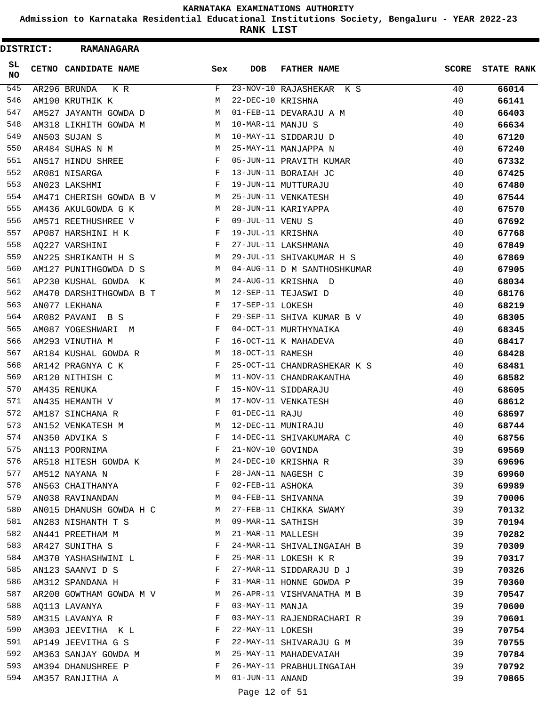**Admission to Karnataka Residential Educational Institutions Society, Bengaluru - YEAR 2022-23**

**RANK LIST**

| <b>DISTRICT:</b> | <b>RAMANAGARA</b>       |     |                   |                             |              |                   |
|------------------|-------------------------|-----|-------------------|-----------------------------|--------------|-------------------|
| SL.<br><b>NO</b> | CETNO CANDIDATE NAME    | Sex | DOB               | <b>FATHER NAME</b>          | <b>SCORE</b> | <b>STATE RANK</b> |
| 545              | AR296 BRUNDA<br>K R     | F   |                   | 23-NOV-10 RAJASHEKAR K S    | 40           | 66014             |
| 546              | AM190 KRUTHIK K         | М   | 22-DEC-10 KRISHNA |                             | 40           | 66141             |
| 547              | AM527 JAYANTH GOWDA D   | M   |                   | 01-FEB-11 DEVARAJU A M      | 40           | 66403             |
| 548              | AM318 LIKHITH GOWDA M   | M   | 10-MAR-11 MANJU S |                             | 40           | 66634             |
| 549              | AN503 SUJAN S           | M   |                   | 10-MAY-11 SIDDARJU D        | 40           | 67120             |
| 550              | AR484 SUHAS N M         | M   |                   | 25-MAY-11 MANJAPPA N        | 40           | 67240             |
| 551              | AN517 HINDU SHREE       | F   |                   | 05-JUN-11 PRAVITH KUMAR     | 40           | 67332             |
| 552              | AR081 NISARGA           | F   |                   | 13-JUN-11 BORAIAH JC        | 40           | 67425             |
| 553              | AN023 LAKSHMI           | F   |                   | 19-JUN-11 MUTTURAJU         | 40           | 67480             |
| 554              | AM471 CHERISH GOWDA B V | M   |                   | 25-JUN-11 VENKATESH         | 40           | 67544             |
| 555              | AM436 AKULGOWDA G K     | M   |                   | 28-JUN-11 KARIYAPPA         | 40           | 67570             |
| 556              | AM571 REETHUSHREE V     | F   | 09-JUL-11 VENU S  |                             | 40           | 67692             |
| 557              | AP087 HARSHINI H K      | F   | 19-JUL-11 KRISHNA |                             | 40           | 67768             |
| 558              | AQ227 VARSHINI          | F   |                   | 27-JUL-11 LAKSHMANA         | 40           | 67849             |
| 559              | AN225 SHRIKANTH H S     | M   |                   | 29-JUL-11 SHIVAKUMAR H S    | 40           | 67869             |
| 560              | AM127 PUNITHGOWDA D S   | M   |                   | 04-AUG-11 D M SANTHOSHKUMAR | 40           | 67905             |
| 561              | AP230 KUSHAL GOWDA K    | М   |                   | 24-AUG-11 KRISHNA D         | 40           | 68034             |
| 562              | AM470 DARSHITHGOWDA B T | M   |                   | 12-SEP-11 TEJASWI D         | 40           | 68176             |
| 563              | AN077 LEKHANA           | F   | 17-SEP-11 LOKESH  |                             | 40           | 68219             |
| 564              | AR082 PAVANI B S        | F   |                   | 29-SEP-11 SHIVA KUMAR B V   | 40           | 68305             |
| 565              | AM087 YOGESHWARI M      | F   |                   | 04-OCT-11 MURTHYNAIKA       | 40           | 68345             |
| 566              | AM293 VINUTHA M         | F   |                   | 16-OCT-11 K MAHADEVA        | 40           | 68417             |
| 567              | AR184 KUSHAL GOWDA R    | М   | 18-OCT-11 RAMESH  |                             | 40           | 68428             |
| 568              | AR142 PRAGNYA C K       | F   |                   | 25-OCT-11 CHANDRASHEKAR K S | 40           | 68481             |
| 569              | AR120 NITHISH C         | М   |                   | 11-NOV-11 CHANDRAKANTHA     | 40           | 68582             |
| 570              | AM435 RENUKA            | F   |                   | 15-NOV-11 SIDDARAJU         | 40           | 68605             |
| 571              | AN435 HEMANTH V         | М   |                   | 17-NOV-11 VENKATESH         | 40           | 68612             |
| 572              | AM187 SINCHANA R        | F   | 01-DEC-11 RAJU    |                             | 40           | 68697             |
| 573              | AN152 VENKATESH M       | M   |                   | 12-DEC-11 MUNIRAJU          | 40           | 68744             |
| 574              | AN350 ADVIKA S          | F   |                   | 14-DEC-11 SHIVAKUMARA C     | 40           | 68756             |
| 575              | AN113 POORNIMA          | F   | 21-NOV-10 GOVINDA |                             | 39           | 69569             |
| 576              | AR518 HITESH GOWDA K    | М   |                   | 24-DEC-10 KRISHNA R         | 39           | 69696             |
| 577              | AM512 NAYANA N          | F   |                   | 28-JAN-11 NAGESH C          | 39           | 69960             |
| 578              | AN563 CHAITHANYA        | F   | 02-FEB-11 ASHOKA  |                             | 39           | 69989             |
| 579              | AN038 RAVINANDAN        | M   |                   | 04-FEB-11 SHIVANNA          | 39           | 70006             |
| 580              | AN015 DHANUSH GOWDA H C | M   |                   | 27-FEB-11 CHIKKA SWAMY      | 39           | 70132             |
| 581              | AN283 NISHANTH T S      | М   | 09-MAR-11 SATHISH |                             | 39           | 70194             |
| 582              | AN441 PREETHAM M        | М   | 21-MAR-11 MALLESH |                             | 39           | 70282             |
| 583              | AR427 SUNITHA S         | F   |                   | 24-MAR-11 SHIVALINGAIAH B   | 39           | 70309             |
| 584              | AM370 YASHASHWINI L     | F   |                   | 25-MAR-11 LOKESH K R        | 39           | 70317             |
| 585              | AN123 SAANVI D S        | F   |                   | 27-MAR-11 SIDDARAJU D J     | 39           | 70326             |
| 586              | AM312 SPANDANA H        | F   |                   | 31-MAR-11 HONNE GOWDA P     | 39           | 70360             |
| 587              | AR200 GOWTHAM GOWDA M V | М   |                   | 26-APR-11 VISHVANATHA M B   | 39           | 70547             |
| 588              | AQ113 LAVANYA           | F   | 03-MAY-11 MANJA   |                             | 39           | 70600             |
| 589              | AM315 LAVANYA R         | F   |                   | 03-MAY-11 RAJENDRACHARI R   | 39           | 70601             |
| 590              | AM303 JEEVITHA K L      | F   | 22-MAY-11 LOKESH  |                             | 39           | 70754             |
| 591              | AP149 JEEVITHA G S      | F   |                   | 22-MAY-11 SHIVARAJU G M     | 39           | 70755             |
| 592              | AM363 SANJAY GOWDA M    | M   |                   | 25-MAY-11 MAHADEVAIAH       | 39           | 70784             |
| 593              | AM394 DHANUSHREE P      | F   |                   | 26-MAY-11 PRABHULINGAIAH    | 39           | 70792             |
| 594              | AM357 RANJITHA A        | М   | 01-JUN-11 ANAND   |                             | 39           | 70865             |
|                  |                         |     |                   |                             |              |                   |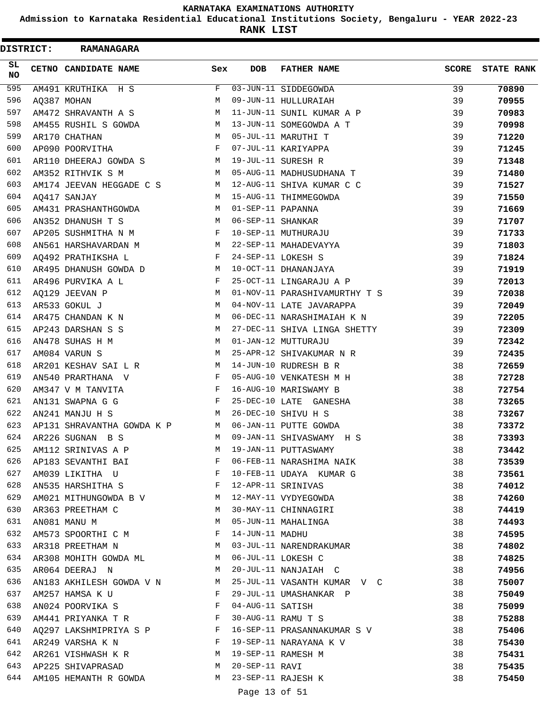**Admission to Karnataka Residential Educational Institutions Society, Bengaluru - YEAR 2022-23**

**RANK LIST**

| <b>DISTRICT:</b> | <b>RAMANAGARA</b>                                   |                               |                   |                               |              |                   |
|------------------|-----------------------------------------------------|-------------------------------|-------------------|-------------------------------|--------------|-------------------|
| SL<br><b>NO</b>  | CETNO CANDIDATE NAME                                | Sex                           | DOB               | <b>FATHER NAME</b>            | <b>SCORE</b> | <b>STATE RANK</b> |
| 595              | AM491 KRUTHIKA H S                                  | F                             |                   | 03-JUN-11 SIDDEGOWDA          | 39           | 70890             |
| 596              | AQ387 MOHAN                                         | M                             |                   | 09-JUN-11 HULLURAIAH          | 39           | 70955             |
| 597              | AM472 SHRAVANTH A S                                 | М                             |                   | 11-JUN-11 SUNIL KUMAR A P     | 39           | 70983             |
| 598              | AM455 RUSHIL S GOWDA                                | М                             |                   | 13-JUN-11 SOMEGOWDA A T       | 39           | 70998             |
| 599              | AR170 CHATHAN                                       | M                             |                   | 05-JUL-11 MARUTHI T           | 39           | 71220             |
| 600              | AP090 POORVITHA                                     | F                             |                   | 07-JUL-11 KARIYAPPA           | 39           | 71245             |
| 601              | AR110 DHEERAJ GOWDA S                               | М                             |                   | 19-JUL-11 SURESH R            | 39           | 71348             |
| 602              | AM352 RITHVIK S M                                   | M                             |                   | 05-AUG-11 MADHUSUDHANA T      | 39           | 71480             |
| 603              | AM174 JEEVAN HEGGADE C S                            | M                             |                   | 12-AUG-11 SHIVA KUMAR C C     | 39           | 71527             |
| 604              | AQ417 SANJAY                                        | M                             |                   | 15-AUG-11 THIMMEGOWDA         | 39           | 71550             |
| 605              | AM431 PRASHANTHGOWDA                                | M                             | 01-SEP-11 PAPANNA |                               | 39           | 71669             |
| 606              | AN352 DHANUSH T S                                   | M                             | 06-SEP-11 SHANKAR |                               | 39           | 71707             |
| 607              | AP205 SUSHMITHA N M                                 | F                             |                   | 10-SEP-11 MUTHURAJU           | 39           | 71733             |
| 608              | AN561 HARSHAVARDAN M                                | M                             |                   | 22-SEP-11 MAHADEVAYYA         | 39           | 71803             |
| 609              | AQ492 PRATHIKSHA L                                  | F                             |                   | 24-SEP-11 LOKESH S            | 39           | 71824             |
| 610              | AR495 DHANUSH GOWDA D                               | М                             |                   | 10-OCT-11 DHANANJAYA          | 39           | 71919             |
| 611              | AR496 PURVIKA A L                                   | F                             |                   | 25-OCT-11 LINGARAJU A P       | 39           | 72013             |
| 612              | AQ129 JEEVAN P                                      | M                             |                   | 01-NOV-11 PARASHIVAMURTHY T S | 39           | 72038             |
| 613              | AR533 GOKUL J                                       | М                             |                   | 04-NOV-11 LATE JAVARAPPA      | 39           | 72049             |
| 614              | AR475 CHANDAN K N                                   | M                             |                   | 06-DEC-11 NARASHIMAIAH K N    | 39           | 72205             |
| 615              | AP243 DARSHAN S S                                   | М                             |                   | 27-DEC-11 SHIVA LINGA SHETTY  | 39           | 72309             |
| 616              | AN478 SUHAS H M                                     | M                             |                   | 01-JAN-12 MUTTURAJU           | 39           | 72342             |
| 617              | AM084 VARUN S                                       | M                             |                   | 25-APR-12 SHIVAKUMAR N R      | 39           | 72435             |
| 618              | AR201 KESHAV SAI L R                                | M                             |                   | 14-JUN-10 RUDRESH B R         | 38           | 72659             |
| 619              | AN540 PRARTHANA V                                   | F                             |                   | 05-AUG-10 VENKATESH M H       | 38           | 72728             |
| 620              | AM347 V M TANVITA                                   | F                             |                   | 16-AUG-10 MARISWAMY B         | 38           | 72754             |
| 621              | AN131 SWAPNA G G                                    | F                             | 25-DEC-10 LATE    | GANESHA                       | 38           | 73265             |
| 622              | AN241 MANJU H S                                     | M                             |                   | 26-DEC-10 SHIVU H S           | 38           | 73267             |
| 623              | AP131 SHRAVANTHA GOWDA K P                          | M                             |                   | 06-JAN-11 PUTTE GOWDA         | 38           | 73372             |
| 624              | AR226 SUGNAN<br>B S                                 | M                             |                   | 09-JAN-11 SHIVASWAMY H S      | 38           | 73393             |
| 625              | AM112 SRINIVAS A P                                  | М                             |                   | 19-JAN-11 PUTTASWAMY          | 38           | 73442             |
| 626              | AP183 SEVANTHI BAI                                  | F                             |                   | 06-FEB-11 NARASHIMA NAIK      | 38           | 73539             |
| 627              | AM039 LIKITHA U                                     | $\mathbf{F}$ and $\mathbf{F}$ |                   | 10-FEB-11 UDAYA KUMAR G       | 38           | 73561             |
| 628              | AN535 HARSHITHA S                                   | $\mathbf{F}$                  |                   | 12-APR-11 SRINIVAS            | 38           | 74012             |
| 629              | AM021 MITHUNGOWDA B V M                             |                               |                   | 12-MAY-11 VYDYEGOWDA          | 38           | 74260             |
| 630              | AR363 PREETHAM C                                    | M                             |                   | 30-MAY-11 CHINNAGIRI          | 38           | 74419             |
| 631              | AN081 MANU M                                        | М                             |                   | 05-JUN-11 MAHALINGA           | 38           | 74493             |
| 632              | AM573 SPOORTHI C M                                  | F                             | 14-JUN-11 MADHU   |                               | 38           | 74595             |
| 633              | M <sub>1</sub><br>AR318 PREETHAM N                  |                               |                   | 03-JUL-11 NARENDRAKUMAR       | 38           | 74802             |
| 634              | AR308 MOHITH GOWDA ML M                             |                               |                   | 06-JUL-11 LOKESH C            | 38           | 74825             |
| 635              | AR064 DEERAJ N                                      | $M_{\odot}$                   |                   | 20-JUL-11 NANJAIAH C          | 38           | 74956             |
| 636              | AN183 AKHILESH GOWDA V N M                          |                               |                   | 25-JUL-11 VASANTH KUMAR V C   | 38           | 75007             |
| 637              | AM257 HAMSA K U                                     | F                             |                   | 29-JUL-11 UMASHANKAR P        | 38           | 75049             |
| 638              | AN024 POORVIKA S                                    | F                             | 04-AUG-11 SATISH  |                               | 38           | 75099             |
| 639              | $\mathbf{F}$ and $\mathbf{F}$<br>AM441 PRIYANKA T R |                               |                   | 30-AUG-11 RAMU T S            | 38           | 75288             |
| 640              | AQ297 LAKSHMIPRIYA S P F                            |                               |                   | 16-SEP-11 PRASANNAKUMAR S V   | 38           | 75406             |
| 641              | $\mathbf{F}$<br>AR249 VARSHA K N                    |                               |                   | 19-SEP-11 NARAYANA K V        | 38           | 75430             |
| 642              | AR261 VISHWASH K R                                  | $\mathbb{M}$                  |                   | 19-SEP-11 RAMESH M            | 38           | 75431             |
| 643              | AP225 SHIVAPRASAD                                   | <b>M</b>                      | 20-SEP-11 RAVI    |                               | 38           | 75435             |
| 644              | AM105 HEMANTH R GOWDA                               | M                             |                   | 23-SEP-11 RAJESH K            | 38           | 75450             |
|                  |                                                     |                               | Page 13 of 51     |                               |              |                   |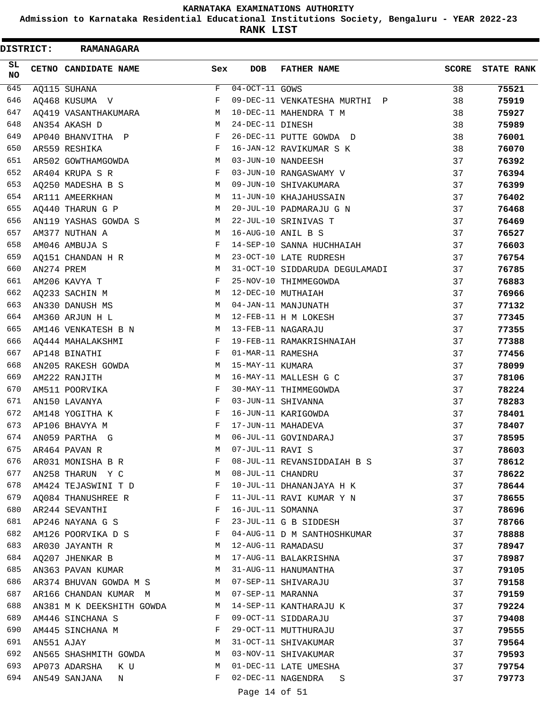**Admission to Karnataka Residential Educational Institutions Society, Bengaluru - YEAR 2022-23**

**RANK LIST**

ı

| <b>DISTRICT:</b> |            | <b>RAMANAGARA</b>            |     |                   |                                |              |                   |
|------------------|------------|------------------------------|-----|-------------------|--------------------------------|--------------|-------------------|
| SL<br><b>NO</b>  |            | CETNO CANDIDATE NAME         | Sex | <b>DOB</b>        | <b>FATHER NAME</b>             | <b>SCORE</b> | <b>STATE RANK</b> |
| 645              |            | AQ115 SUHANA                 | F   | 04-OCT-11 GOWS    |                                | 38           | 75521             |
| 646              |            | AQ468 KUSUMA V               | F   |                   | 09-DEC-11 VENKATESHA MURTHI P  | 38           | 75919             |
| 647              |            | AQ419 VASANTHAKUMARA         | М   |                   | 10-DEC-11 MAHENDRA T M         | 38           | 75927             |
| 648              |            | AN354 AKASH D                | M   | 24-DEC-11 DINESH  |                                | 38           | 75989             |
| 649              |            | AP040 BHANVITHA P            | F   |                   | 26-DEC-11 PUTTE GOWDA D        | 38           | 76001             |
| 650              |            | AR559 RESHIKA                | F   |                   | 16-JAN-12 RAVIKUMAR S K        | 38           | 76070             |
| 651              |            | AR502 GOWTHAMGOWDA           | М   |                   | 03-JUN-10 NANDEESH             | 37           | 76392             |
| 652              |            | AR404 KRUPA S R              | F   |                   | 03-JUN-10 RANGASWAMY V         | 37           | 76394             |
| 653              |            | AQ250 MADESHA B S            | М   |                   | 09-JUN-10 SHIVAKUMARA          | 37           | 76399             |
| 654              |            | AR111 AMEERKHAN              | M   |                   | 11-JUN-10 KHAJAHUSSAIN         | 37           | 76402             |
| 655              |            | AQ440 THARUN G P             | М   |                   | 20-JUL-10 PADMARAJU G N        | 37           | 76468             |
| 656              |            | AN119 YASHAS GOWDA S         | М   |                   | 22-JUL-10 SRINIVAS T           | 37           | 76469             |
| 657              |            | AM377 NUTHAN A               | М   |                   | 16-AUG-10 ANIL B S             | 37           | 76527             |
| 658              |            | AM046 AMBUJA S               | F   |                   | 14-SEP-10 SANNA HUCHHAIAH      | 37           | 76603             |
| 659              |            | AQ151 CHANDAN H R            | М   |                   | 23-OCT-10 LATE RUDRESH         | 37           | 76754             |
| 660              | AN274 PREM |                              | M   |                   | 31-OCT-10 SIDDARUDA DEGULAMADI | 37           | 76785             |
| 661              |            | AM206 KAVYA T                | F   |                   | 25-NOV-10 THIMMEGOWDA          | 37           | 76883             |
| 662              |            | AQ233 SACHIN M               | M   |                   | 12-DEC-10 MUTHAIAH             | 37           | 76966             |
| 663              |            | AN330 DANUSH MS              | М   |                   | 04-JAN-11 MANJUNATH            | 37           | 77132             |
| 664              |            | AM360 ARJUN H L              | M   |                   | 12-FEB-11 H M LOKESH           | 37           | 77345             |
| 665              |            | AM146 VENKATESH B N          | М   |                   | 13-FEB-11 NAGARAJU             | 37           | 77355             |
| 666              |            | AQ444 MAHALAKSHMI            | F   |                   | 19-FEB-11 RAMAKRISHNAIAH       | 37           | 77388             |
| 667              |            | AP148 BINATHI                | F   | 01-MAR-11 RAMESHA |                                | 37           | 77456             |
| 668              |            | AN205 RAKESH GOWDA           | M   | 15-MAY-11 KUMARA  |                                | 37           | 78099             |
| 669              |            | AM222 RANJITH                | М   |                   | 16-MAY-11 MALLESH G C          | 37           | 78106             |
| 670              |            | AM511 POORVIKA               | F   |                   | 30-MAY-11 THIMMEGOWDA          | 37           | 78224             |
| 671              |            | AN150 LAVANYA                | F   |                   | 03-JUN-11 SHIVANNA             | 37           | 78283             |
| 672              |            | AM148 YOGITHA K              | F   |                   | 16-JUN-11 KARIGOWDA            | 37           | 78401             |
| 673              |            | AP106 BHAVYA M               | F   |                   | 17-JUN-11 MAHADEVA             | 37           | 78407             |
| 674              |            | AN059 PARTHA G               | М   |                   | 06-JUL-11 GOVINDARAJ           | 37           | 78595             |
| 675              |            | AR464 PAVAN R                | М   | 07-JUL-11 RAVI S  |                                | 37           | 78603             |
| 676              |            | AR031 MONISHA B R            | F   |                   | 08-JUL-11 REVANSIDDAIAH B S    | 37           | 78612             |
| 677              |            | AN258 THARUN Y C             | М   | 08-JUL-11 CHANDRU |                                | 37           | 78622             |
| 678              |            | AM424 TEJASWINI T D          | F   |                   | 10-JUL-11 DHANANJAYA H K       | 37           | 78644             |
| 679              |            | AQ084 THANUSHREE R           | F   |                   | 11-JUL-11 RAVI KUMAR Y N       | 37           | 78655             |
| 680              |            | AR244 SEVANTHI               | F   | 16-JUL-11 SOMANNA |                                | 37           | 78696             |
| 681              |            | AP246 NAYANA G S             | F   |                   | 23-JUL-11 G B SIDDESH          | 37           | 78766             |
| 682              |            | AM126 POORVIKA D S           | F   |                   | 04-AUG-11 D M SANTHOSHKUMAR    | 37           | 78888             |
| 683              |            | AR030 JAYANTH R              | M   |                   | 12-AUG-11 RAMADASU             | 37           | 78947             |
| 684              |            | AQ207 JHENKAR B              | М   |                   | 17-AUG-11 BALAKRISHNA          | 37           | 78987             |
| 685              |            | AN363 PAVAN KUMAR            | M   |                   | 31-AUG-11 HANUMANTHA           | 37           | 79105             |
| 686              |            | AR374 BHUVAN GOWDA M S       | M   |                   | 07-SEP-11 SHIVARAJU            | 37           | 79158             |
| 687              |            | AR166 CHANDAN KUMAR M        | М   | 07-SEP-11 MARANNA |                                | 37           | 79159             |
| 688              |            | AN381 M K DEEKSHITH GOWDA    | M   |                   | 14-SEP-11 KANTHARAJU K         | 37           | 79224             |
| 689              |            | AM446 SINCHANA S             | F   |                   | 09-OCT-11 SIDDARAJU            | 37           | 79408             |
| 690              |            | AM445 SINCHANA M             | F   |                   | 29-OCT-11 MUTTHURAJU           | 37           | 79555             |
| 691              | AN551 AJAY |                              | М   |                   | 31-OCT-11 SHIVAKUMAR           | 37           | 79564             |
| 692              |            | AN565 SHASHMITH GOWDA        | M   |                   | 03-NOV-11 SHIVAKUMAR           | 37           | 79593             |
| 693              |            | AP073 ADARSHA<br>K U         | М   |                   | 01-DEC-11 LATE UMESHA          | 37           | 79754             |
| 694              |            | AN549 SANJANA<br>$\mathbb N$ | F   |                   | 02-DEC-11 NAGENDRA<br>S        | 37           | 79773             |
|                  |            |                              |     | Page 14 of 51     |                                |              |                   |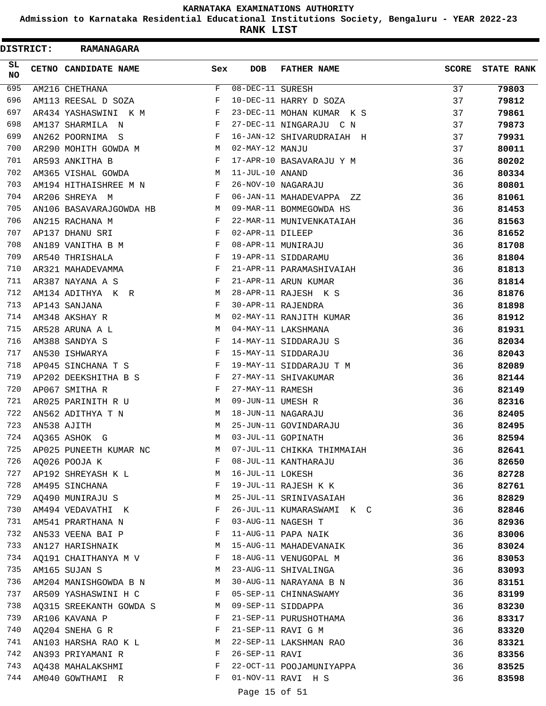**Admission to Karnataka Residential Educational Institutions Society, Bengaluru - YEAR 2022-23**

**RANK LIST**

ı

 $\blacksquare$ 

| <b>DISTRICT:</b> | <b>RAMANAGARA</b>       |     |                               |                            |       |                   |
|------------------|-------------------------|-----|-------------------------------|----------------------------|-------|-------------------|
| SL.<br>NO        | CETNO CANDIDATE NAME    | Sex | <b>DOB</b>                    | <b>FATHER NAME</b>         | SCORE | <b>STATE RANK</b> |
| 695              | AM216 CHETHANA          | F   | $08-\overline{DEC-11}$ SURESH |                            | 37    | 79803             |
| 696              | AM113 REESAL D SOZA     | F   |                               | 10-DEC-11 HARRY D SOZA     | 37    | 79812             |
| 697              | AR434 YASHASWINI K M    | F   |                               | 23-DEC-11 MOHAN KUMAR K S  | 37    | 79861             |
| 698              | AM137 SHARMILA N        | F   |                               | 27-DEC-11 NINGARAJU C N    | 37    | 79873             |
| 699              | AN262 POORNIMA S        | F   |                               | 16-JAN-12 SHIVARUDRAIAH H  | 37    | 79931             |
| 700              | AR290 MOHITH GOWDA M    | M   | 02-MAY-12 MANJU               |                            | 37    | 80011             |
| 701              | AR593 ANKITHA B         | F   |                               | 17-APR-10 BASAVARAJU Y M   | 36    | 80202             |
| 702              | AM365 VISHAL GOWDA      | М   | 11-JUL-10 ANAND               |                            | 36    | 80334             |
| 703              | AM194 HITHAISHREE M N   | F   |                               | 26-NOV-10 NAGARAJU         | 36    | 80801             |
| 704              | AR206 SHREYA M          | F   |                               | 06-JAN-11 MAHADEVAPPA ZZ   | 36    | 81061             |
| 705              | AN106 BASAVARAJGOWDA HB | M   |                               | 09-MAR-11 BOMMEGOWDA HS    | 36    | 81453             |
| 706              | AN215 RACHANA M         | F   |                               | 22-MAR-11 MUNIVENKATAIAH   | 36    | 81563             |
| 707              | AP137 DHANU SRI         | F   | 02-APR-11 DILEEP              |                            | 36    | 81652             |
| 708              | AN189 VANITHA B M       | F   |                               | 08-APR-11 MUNIRAJU         | 36    | 81708             |
| 709              | AR540 THRISHALA         | F   |                               | 19-APR-11 SIDDARAMU        | 36    | 81804             |
| 710              | AR321 MAHADEVAMMA       | F   |                               | 21-APR-11 PARAMASHIVAIAH   | 36    | 81813             |
| 711              | AR387 NAYANA A S        | F   |                               | 21-APR-11 ARUN KUMAR       | 36    | 81814             |
| 712              | AM134 ADITHYA K R       | M   |                               | 28-APR-11 RAJESH K S       | 36    | 81876             |
| 713              | AP143 SANJANA           | F   |                               | 30-APR-11 RAJENDRA         | 36    | 81898             |
| 714              | AM348 AKSHAY R          | M   |                               | 02-MAY-11 RANJITH KUMAR    | 36    | 81912             |
| 715              | AR528 ARUNA A L         | M   |                               | 04-MAY-11 LAKSHMANA        | 36    | 81931             |
| 716              | AM388 SANDYA S          | F   |                               | 14-MAY-11 SIDDARAJU S      | 36    | 82034             |
| 717              | AN530 ISHWARYA          | F   |                               | 15-MAY-11 SIDDARAJU        | 36    | 82043             |
| 718              | AP045 SINCHANA T S      | F   |                               | 19-MAY-11 SIDDARAJU T M    | 36    | 82089             |
| 719              | AP202 DEEKSHITHA B S    | F   |                               | 27-MAY-11 SHIVAKUMAR       | 36    | 82144             |
| 720              | AP067 SMITHA R          | F   | 27-MAY-11 RAMESH              |                            | 36    | 82149             |
| 721              | AR025 PARINITH R U      | M   | 09-JUN-11 UMESH R             |                            | 36    | 82316             |
| 722              | AN562 ADITHYA T N       | M   |                               | 18-JUN-11 NAGARAJU         | 36    | 82405             |
| 723              | AN538 AJITH             | M   |                               | 25-JUN-11 GOVINDARAJU      | 36    | 82495             |
| 724              | A0365 ASHOK G           | M   |                               | 03-JUL-11 GOPINATH         | 36    | 82594             |
| 725              | AP025 PUNEETH KUMAR NC  | M   |                               | 07-JUL-11 CHIKKA THIMMAIAH | 36    | 82641             |
| 726              | AQ026 POOJA K           | F   |                               | 08-JUL-11 KANTHARAJU       | 36    | 82650             |
| 727              | AP192 SHREYASH K L      | M   | 16-JUL-11 LOKESH              |                            | 36    | 82728             |
| 728              | AM495 SINCHANA          | F   |                               | 19-JUL-11 RAJESH K K       | 36    | 82761             |
| 729              | AQ490 MUNIRAJU S        | M   |                               | 25-JUL-11 SRINIVASAIAH     | 36    | 82829             |
| 730              | AM494 VEDAVATHI K       | F   |                               | 26-JUL-11 KUMARASWAMI K C  | 36    | 82846             |
| 731              | AM541 PRARTHANA N       | F   |                               | 03-AUG-11 NAGESH T         | 36    | 82936             |
| 732              | AN533 VEENA BAI P       | F   |                               | 11-AUG-11 PAPA NAIK        | 36    | 83006             |
| 733              | AN127 HARISHNAIK        | M   |                               | 15-AUG-11 MAHADEVANAIK     | 36    | 83024             |
| 734              | AO191 CHAITHANYA M V    | F   |                               | 18-AUG-11 VENUGOPAL M      | 36    | 83053             |
| 735              | AM165 SUJAN S           | M   |                               | 23-AUG-11 SHIVALINGA       | 36    | 83093             |
| 736              | AM204 MANISHGOWDA B N   | M   |                               | 30-AUG-11 NARAYANA B N     | 36    | 83151             |
| 737              | AR509 YASHASWINI H C    | F   |                               | 05-SEP-11 CHINNASWAMY      | 36    | 83199             |
| 738              | AQ315 SREEKANTH GOWDA S | M   |                               | 09-SEP-11 SIDDAPPA         | 36    | 83230             |
| 739              | AR106 KAVANA P          | F   |                               | 21-SEP-11 PURUSHOTHAMA     | 36    | 83317             |
| 740              | AQ204 SNEHA G R         | F   |                               | 21-SEP-11 RAVI G M         | 36    | 83320             |
| 741              | AN103 HARSHA RAO K L    | M   |                               | 22-SEP-11 LAKSHMAN RAO     | 36    | 83321             |
| 742              | AN393 PRIYAMANI R       | F   | 26-SEP-11 RAVI                |                            | 36    | 83356             |
| 743              | AQ438 MAHALAKSHMI       | F   |                               | 22-OCT-11 POOJAMUNIYAPPA   | 36    | 83525             |
| 744              | AM040 GOWTHAMI R        | F   |                               | 01-NOV-11 RAVI H S         | 36    | 83598             |
|                  |                         |     |                               |                            |       |                   |

Page 15 of 51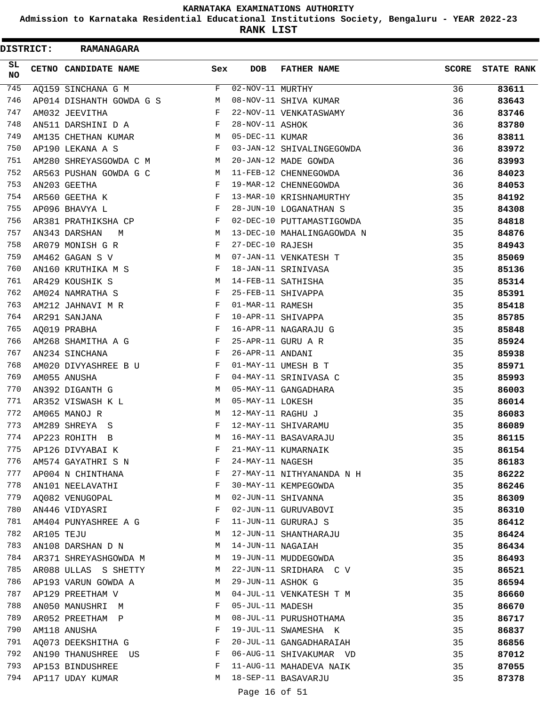**Admission to Karnataka Residential Educational Institutions Society, Bengaluru - YEAR 2022-23**

**RANK LIST**

| <b>DISTRICT:</b> |            | <b>RAMANAGARA</b>              |     |                               |                            |              |                   |
|------------------|------------|--------------------------------|-----|-------------------------------|----------------------------|--------------|-------------------|
| SL<br><b>NO</b>  |            | CETNO CANDIDATE NAME           | Sex | <b>DOB</b>                    | <b>FATHER NAME</b>         | <b>SCORE</b> | <b>STATE RANK</b> |
| 745              |            | AQ159 SINCHANA G M             | F   | $\overline{02-NOV-11}$ MURTHY |                            | 36           | 83611             |
| 746              |            | AP014 DISHANTH GOWDA G S       | M   |                               | 08-NOV-11 SHIVA KUMAR      | 36           | 83643             |
| 747              |            | AM032 JEEVITHA                 | F   |                               | 22-NOV-11 VENKATASWAMY     | 36           | 83746             |
| 748              |            | AN511 DARSHINI D A             | F   | 28-NOV-11 ASHOK               |                            | 36           | 83780             |
| 749              |            | AM135 CHETHAN KUMAR            | M   | 05-DEC-11 KUMAR               |                            | 36           | 83811             |
| 750              |            | AP190 LEKANA A S               | F   |                               | 03-JAN-12 SHIVALINGEGOWDA  | 36           | 83972             |
| 751              |            | AM280 SHREYASGOWDA C M         | М   |                               | 20-JAN-12 MADE GOWDA       | 36           | 83993             |
| 752              |            | AR563 PUSHAN GOWDA G C         | М   |                               | 11-FEB-12 CHENNEGOWDA      | 36           | 84023             |
| 753              |            | AN203 GEETHA                   | F   |                               | 19-MAR-12 CHENNEGOWDA      | 36           | 84053             |
| 754              |            | AR560 GEETHA K                 | F   |                               | 13-MAR-10 KRISHNAMURTHY    | 35           | 84192             |
| 755              |            | AP096 BHAVYA L                 | F   |                               | 28-JUN-10 LOGANATHAN S     | 35           | 84308             |
| 756              |            | AR381 PRATHIKSHA CP            | F   |                               | 02-DEC-10 PUTTAMASTIGOWDA  | 35           | 84818             |
| 757              |            | AN343 DARSHAN<br>М             | М   |                               | 13-DEC-10 MAHALINGAGOWDA N | 35           | 84876             |
| 758              |            | AR079 MONISH G R               | F   | 27-DEC-10 RAJESH              |                            | 35           | 84943             |
| 759              |            | AM462 GAGAN S V                | М   |                               | 07-JAN-11 VENKATESH T      | 35           | 85069             |
| 760              |            | AN160 KRUTHIKA M S             | F   |                               | 18-JAN-11 SRINIVASA        | 35           | 85136             |
| 761              |            | AR429 KOUSHIK S                | М   |                               | 14-FEB-11 SATHISHA         | 35           | 85314             |
| 762              |            | AM024 NAMRATHA S               | F   |                               | 25-FEB-11 SHIVAPPA         | 35           | 85391             |
| 763              |            | AM212 JAHNAVI M R              | F   | 01-MAR-11 RAMESH              |                            | 35           | 85418             |
| 764              |            | AR291 SANJANA                  | F   |                               | 10-APR-11 SHIVAPPA         | 35           | 85785             |
| 765              |            | AQ019 PRABHA                   | F   |                               | 16-APR-11 NAGARAJU G       | 35           | 85848             |
| 766              |            | AM268 SHAMITHA A G             | F   |                               | 25-APR-11 GURU A R         | 35           | 85924             |
| 767              |            | AN234 SINCHANA                 | F   | 26-APR-11 ANDANI              |                            | 35           | 85938             |
| 768              |            | AM020 DIVYASHREE B U           | F   |                               | 01-MAY-11 UMESH B T        | 35           | 85971             |
| 769              |            | AM055 ANUSHA                   | F   |                               | 04-MAY-11 SRINIVASA C      | 35           | 85993             |
| 770              |            | AN392 DIGANTH G                | М   |                               | 05-MAY-11 GANGADHARA       | 35           | 86003             |
| 771              |            | AR352 VISWASH K L              | M   | 05-MAY-11 LOKESH              |                            | 35           | 86014             |
| 772              |            | AM065 MANOJ R                  | M   | 12-MAY-11 RAGHU J             |                            | 35           | 86083             |
| 773              |            | AM289 SHREYA S                 | F   |                               | 12-MAY-11 SHIVARAMU        | 35           | 86089             |
| 774              |            | AP223 ROHITH<br>$\overline{B}$ | М   |                               | 16-MAY-11 BASAVARAJU       | 35           | 86115             |
| 775              |            | AP126 DIVYABAI K               | F   |                               | 21-MAY-11 KUMARNAIK        | 35           | 86154             |
| 776              |            | AM574 GAYATHRI S N             | F   | 24-MAY-11 NAGESH              |                            | 35           | 86183             |
| 777              |            | AP004 N CHINTHANA              | F   |                               | 27-MAY-11 NITHYANANDA N H  | 35           | 86222             |
| 778              |            | AN101 NEELAVATHI               | F   |                               | 30-MAY-11 KEMPEGOWDA       | 35           | 86246             |
| 779              |            | AQ082 VENUGOPAL                | M   |                               | 02-JUN-11 SHIVANNA         | 35           | 86309             |
| 780              |            | AN446 VIDYASRI                 | F   |                               | 02-JUN-11 GURUVABOVI       | 35           | 86310             |
| 781              |            | AM404 PUNYASHREE A G           | F   |                               | 11-JUN-11 GURURAJ S        | 35           | 86412             |
| 782              | AR105 TEJU |                                | M   |                               | 12-JUN-11 SHANTHARAJU      | 35           | 86424             |
| 783              |            | AN108 DARSHAN D N              | М   | 14-JUN-11 NAGAIAH             |                            | 35           | 86434             |
| 784              |            | AR371 SHREYASHGOWDA M          | M   |                               | 19-JUN-11 MUDDEGOWDA       | 35           | 86493             |
| 785              |            | AR088 ULLAS S SHETTY           | M   |                               | 22-JUN-11 SRIDHARA C V     | 35           | 86521             |
| 786              |            | AP193 VARUN GOWDA A            | M   | 29-JUN-11 ASHOK G             |                            | 35           | 86594             |
| 787              |            | AP129 PREETHAM V               | М   |                               | 04-JUL-11 VENKATESH T M    | 35           | 86660             |
| 788              |            | AN050 MANUSHRI M               | F   | 05-JUL-11 MADESH              |                            | 35           | 86670             |
| 789              |            | AR052 PREETHAM P               | М   |                               | 08-JUL-11 PURUSHOTHAMA     | 35           | 86717             |
| 790              |            | AM118 ANUSHA                   | F   |                               | 19-JUL-11 SWAMESHA K       | 35           | 86837             |
| 791              |            | AQ073 DEEKSHITHA G             | F   |                               | 20-JUL-11 GANGADHARAIAH    | 35           | 86856             |
| 792              |            | AN190 THANUSHREE US            | F   |                               | 06-AUG-11 SHIVAKUMAR VD    | 35           | 87012             |
| 793              |            | AP153 BINDUSHREE               | F   |                               | 11-AUG-11 MAHADEVA NAIK    | 35           | 87055             |
| 794              |            | AP117 UDAY KUMAR               | M   |                               | 18-SEP-11 BASAVARJU        | 35           | 87378             |
|                  |            |                                |     |                               |                            |              |                   |
|                  |            |                                |     | Page 16 of 51                 |                            |              |                   |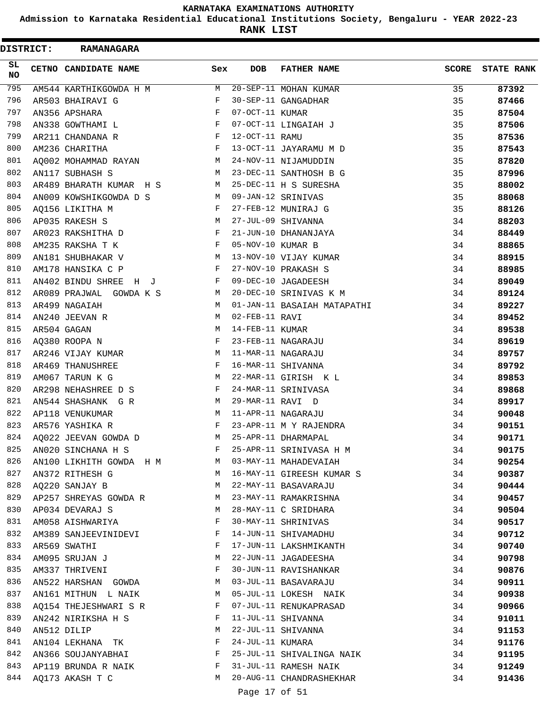**Admission to Karnataka Residential Educational Institutions Society, Bengaluru - YEAR 2022-23**

**RANK LIST**

 $\blacksquare$ 

| <b>DISTRICT:</b> |             | <b>RAMANAGARA</b>         |                                                |                    |                             |              |                   |
|------------------|-------------|---------------------------|------------------------------------------------|--------------------|-----------------------------|--------------|-------------------|
| SL<br>NO         |             | CETNO CANDIDATE NAME      | Sex                                            | <b>DOB</b>         | <b>FATHER NAME</b>          | <b>SCORE</b> | <b>STATE RANK</b> |
| 795              |             | AM544 KARTHIKGOWDA H M    | $M_{\rm H}$                                    |                    | 20-SEP-11 MOHAN KUMAR       | 35           | 87392             |
| 796              |             | AR503 BHAIRAVI G          | F                                              |                    | 30-SEP-11 GANGADHAR         | 35           | 87466             |
| 797              |             | AN356 APSHARA             | F                                              | 07-OCT-11 KUMAR    |                             | 35           | 87504             |
| 798              |             | AN338 GOWTHAMI L          | $\mathbf{F}$ and $\mathbf{F}$ and $\mathbf{F}$ |                    | 07-OCT-11 LINGAIAH J        | 35           | 87506             |
| 799              |             | AR211 CHANDANA R          | $\mathbf{F}$                                   | 12-OCT-11 RAMU     |                             | 35           | 87536             |
| 800              |             | AM236 CHARITHA            | F                                              |                    | 13-OCT-11 JAYARAMU M D      | 35           | 87543             |
| 801              |             | AQ002 MOHAMMAD RAYAN      | M                                              |                    | 24-NOV-11 NIJAMUDDIN        | 35           | 87820             |
| 802              |             | AN117 SUBHASH S           | M                                              |                    | 23-DEC-11 SANTHOSH B G      | 35           | 87996             |
| 803              |             | AR489 BHARATH KUMAR H S   | M                                              |                    | 25-DEC-11 H S SURESHA       | 35           | 88002             |
| 804              |             | AN009 KOWSHIKGOWDA D S    | M                                              | 09-JAN-12 SRINIVAS |                             | 35           | 88068             |
| 805              |             | AQ156 LIKITHA M           | F                                              |                    | 27-FEB-12 MUNIRAJ G         | 35           | 88126             |
| 806              |             | AP035 RAKESH S            | M                                              |                    | 27-JUL-09 SHIVANNA          | 34           | 88203             |
| 807              |             | AR023 RAKSHITHA D         | F                                              |                    | 21-JUN-10 DHANANJAYA        | 34           | 88449             |
| 808              |             | AM235 RAKSHA T K          | F                                              | 05-NOV-10 KUMAR B  |                             | 34           | 88865             |
| 809              |             | AN181 SHUBHAKAR V         | M                                              |                    | 13-NOV-10 VIJAY KUMAR       | 34           | 88915             |
| 810              |             | AM178 HANSIKA C P         | F                                              |                    | 27-NOV-10 PRAKASH S         | 34           | 88985             |
| 811              |             | AN402 BINDU SHREE H J     | F                                              |                    | 09-DEC-10 JAGADEESH         | 34           | 89049             |
| 812              |             | AR089 PRAJWAL GOWDA K S   | M                                              |                    | 20-DEC-10 SRINIVAS K M      | 34           | 89124             |
| 813              |             | AR499 NAGAIAH             | M                                              |                    | 01-JAN-11 BASAIAH MATAPATHI | 34           | 89227             |
| 814              |             | AN240 JEEVAN R            | M                                              | 02-FEB-11 RAVI     |                             | 34           | 89452             |
| 815              | AR504 GAGAN |                           | M                                              | 14-FEB-11 KUMAR    |                             | 34           | 89538             |
| 816              |             | AQ380 ROOPA N             | F                                              |                    | 23-FEB-11 NAGARAJU          | 34           | 89619             |
| 817              |             | AR246 VIJAY KUMAR         | M                                              |                    | 11-MAR-11 NAGARAJU          | 34           | 89757             |
| 818              |             | AR469 THANUSHREE          | F                                              |                    | 16-MAR-11 SHIVANNA          | 34           | 89792             |
| 819              |             | AM067 TARUN K G           | M                                              |                    | 22-MAR-11 GIRISH K L        | 34           | 89853             |
| 820              |             | AR298 NEHASHREE D S       | F                                              |                    | 24-MAR-11 SRINIVASA         | 34           | 89868             |
| 821              |             | AN544 SHASHANK G R        | M                                              | 29-MAR-11 RAVI D   |                             | 34           | 89917             |
| 822              |             | AP118 VENUKUMAR           | M                                              |                    | 11-APR-11 NAGARAJU          | 34           | 90048             |
| 823              |             | AR576 YASHIKA R           | F                                              |                    | 23-APR-11 M Y RAJENDRA      | 34           | 90151             |
| 824              |             | AQ022 JEEVAN GOWDA D      | M                                              |                    | 25-APR-11 DHARMAPAL         | 34           | 90171             |
| 825              |             | AN020 SINCHANA H S        | F                                              |                    | 25-APR-11 SRINIVASA H M     | 34           | 90175             |
| 826              |             | AN100 LIKHITH GOWDA H M M |                                                |                    | 03-MAY-11 MAHADEVAIAH       | 34           | 90254             |
| 827              |             | AN372 RITHESH G           | M                                              |                    | 16-MAY-11 GIREESH KUMAR S   | 34           | 90387             |
| 828              |             | AQ220 SANJAY B            | М                                              |                    | 22-MAY-11 BASAVARAJU        | 34           | 90444             |
| 829              |             | AP257 SHREYAS GOWDA R     | M                                              |                    | 23-MAY-11 RAMAKRISHNA       | 34           | 90457             |
| 830              |             | AP034 DEVARAJ S           | М                                              |                    | 28-MAY-11 C SRIDHARA        | 34           | 90504             |
| 831              |             | AM058 AISHWARIYA          | F                                              |                    | 30-MAY-11 SHRINIVAS         | 34           | 90517             |
| 832              |             | AM389 SANJEEVINIDEVI      | F                                              |                    | 14-JUN-11 SHIVAMADHU        | 34           | 90712             |
| 833              |             | AR569 SWATHI              | F                                              |                    | 17-JUN-11 LAKSHMIKANTH      | 34           | 90740             |
| 834              |             | AM095 SRUJAN J            | M                                              |                    | 22-JUN-11 JAGADEESHA        | 34           | 90798             |
| 835              |             | AM337 THRIVENI            | F                                              |                    | 30-JUN-11 RAVISHANKAR       | 34           | 90876             |
| 836              |             | AN522 HARSHAN GOWDA       | M                                              |                    | 03-JUL-11 BASAVARAJU        | 34           | 90911             |
| 837              |             | AN161 MITHUN L NAIK       | M                                              |                    | 05-JUL-11 LOKESH NAIK       | 34           | 90938             |
| 838              |             | AQ154 THEJESHWARI S R     | F                                              |                    | 07-JUL-11 RENUKAPRASAD      | 34           | 90966             |
| 839              |             | AN242 NIRIKSHA H S        | F                                              |                    | 11-JUL-11 SHIVANNA          | 34           | 91011             |
| 840              |             | AN512 DILIP               | M                                              |                    | 22-JUL-11 SHIVANNA          | 34           | 91153             |
| 841              |             | AN104 LEKHANA TK          | F                                              | 24-JUL-11 KUMARA   |                             | 34           | 91176             |
| 842              |             | AN366 SOUJANYABHAI        | F                                              |                    | 25-JUL-11 SHIVALINGA NAIK   | 34           | 91195             |
| 843              |             | AP119 BRUNDA R NAIK       | F                                              |                    | 31-JUL-11 RAMESH NAIK       | 34           | 91249             |
| 844              |             | AQ173 AKASH T C           | М                                              |                    | 20-AUG-11 CHANDRASHEKHAR    | 34           | 91436             |

Page 17 of 51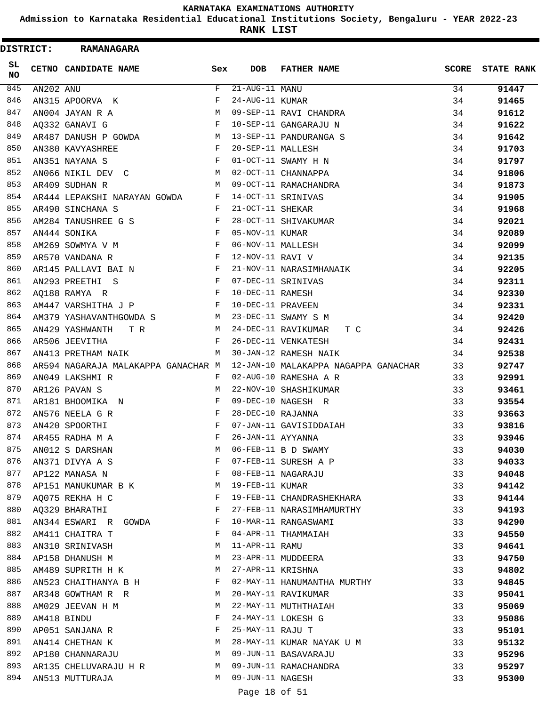**Admission to Karnataka Residential Educational Institutions Society, Bengaluru - YEAR 2022-23**

|                 | <b>DISTRICT:</b> | <b>RAMANAGARA</b>                   |              |                   |                                      |       |                   |
|-----------------|------------------|-------------------------------------|--------------|-------------------|--------------------------------------|-------|-------------------|
| SL<br><b>NO</b> |                  | CETNO CANDIDATE NAME                | Sex          | <b>DOB</b>        | <b>FATHER NAME</b>                   | SCORE | <b>STATE RANK</b> |
| 845             | AN202 ANU        |                                     | F            | 21-AUG-11 MANU    |                                      | 34    | 91447             |
| 846             |                  | AN315 APOORVA K                     | F            | 24-AUG-11 KUMAR   |                                      | 34    | 91465             |
| 847             |                  | AN004 JAYAN R A                     | M            |                   | 09-SEP-11 RAVI CHANDRA               | 34    | 91612             |
| 848             |                  | A0332 GANAVI G                      | F            |                   | 10-SEP-11 GANGARAJU N                | 34    | 91622             |
| 849             |                  | AR487 DANUSH P GOWDA                | M            |                   | 13-SEP-11 PANDURANGA S               | 34    | 91642             |
| 850             |                  | AN380 KAVYASHREE                    | F            | 20-SEP-11 MALLESH |                                      | 34    | 91703             |
| 851             |                  | AN351 NAYANA S                      | F            |                   | 01-OCT-11 SWAMY H N                  | 34    | 91797             |
| 852             |                  | AN066 NIKIL DEV C                   | M            |                   | 02-OCT-11 CHANNAPPA                  | 34    | 91806             |
| 853             |                  | AR409 SUDHAN R                      | M            |                   | 09-OCT-11 RAMACHANDRA                | 34    | 91873             |
| 854             |                  | AR444 LEPAKSHI NARAYAN GOWDA        | F            |                   | 14-OCT-11 SRINIVAS                   | 34    | 91905             |
| 855             |                  | AR490 SINCHANA S                    | F            | 21-OCT-11 SHEKAR  |                                      | 34    | 91968             |
| 856             |                  | AM284 TANUSHREE G S                 | $_{\rm F}$   |                   | 28-OCT-11 SHIVAKUMAR                 | 34    | 92021             |
| 857             |                  | AN444 SONIKA                        | $_{\rm F}$   | 05-NOV-11 KUMAR   |                                      | 34    | 92089             |
| 858             |                  | AM269 SOWMYA V M                    | $_{\rm F}$   | 06-NOV-11 MALLESH |                                      | 34    | 92099             |
| 859             |                  | AR570 VANDANA R                     | F            | 12-NOV-11 RAVI V  |                                      | 34    | 92135             |
| 860             |                  | AR145 PALLAVI BAI N                 | $\mathbf{F}$ |                   | 21-NOV-11 NARASIMHANAIK              | 34    | 92205             |
| 861             |                  | AN293 PREETHI S                     | $\mathbf{F}$ |                   | 07-DEC-11 SRINIVAS                   | 34    | 92311             |
| 862             |                  | AO188 RAMYA R                       | $_{\rm F}$   | 10-DEC-11 RAMESH  |                                      | 34    | 92330             |
| 863             |                  | AM447 VARSHITHA J P                 | F            | 10-DEC-11 PRAVEEN |                                      | 34    | 92331             |
| 864             |                  | AM379 YASHAVANTHGOWDA S M           |              |                   | 23-DEC-11 SWAMY S M                  | 34    | 92420             |
| 865             |                  | AN429 YASHWANTH<br>T R              | M            |                   | 24-DEC-11 RAVIKUMAR<br>T C           | 34    | 92426             |
| 866             |                  | AR506 JEEVITHA                      | F            |                   | 26-DEC-11 VENKATESH                  | 34    | 92431             |
| 867             |                  | AN413 PRETHAM NAIK                  | M            |                   | 30-JAN-12 RAMESH NAIK                |       | 92538             |
| 868             |                  |                                     |              |                   | 12-JAN-10 MALAKAPPA NAGAPPA GANACHAR | 34    |                   |
| 869             |                  | AR594 NAGARAJA MALAKAPPA GANACHAR M | F            |                   | 02-AUG-10 RAMESHA A R                | 33    | 92747             |
| 870             |                  | AN049 LAKSHMI R                     | M            |                   |                                      | 33    | 92991             |
| 871             |                  | AR126 PAVAN S                       |              |                   | 22-NOV-10 SHASHIKUMAR                | 33    | 93461             |
|                 |                  | AR181 BHOOMIKA N                    | F            |                   | 09-DEC-10 NAGESH R                   | 33    | 93554             |
| 872             |                  | AN576 NEELA G R                     | F            | 28-DEC-10 RAJANNA |                                      | 33    | 93663             |
| 873             |                  | AN420 SPOORTHI                      | F            |                   | 07-JAN-11 GAVISIDDAIAH               | 33    | 93816             |
| 874             |                  | AR455 RADHA M A                     | F            | 26-JAN-11 AYYANNA |                                      | 33    | 93946             |
| 875             |                  | AN012 S DARSHAN                     | М            |                   | 06-FEB-11 B D SWAMY                  | 33    | 94030             |
| 876             |                  | AN371 DIVYA A S                     | F            |                   | 07-FEB-11 SURESH A P                 | 33    | 94033             |
| 877             |                  | AP122 MANASA N                      | F            |                   | 08-FEB-11 NAGARAJU                   | 33    | 94048             |
| 878             |                  | AP151 MANUKUMAR B K                 | М            | 19-FEB-11 KUMAR   |                                      | 33    | 94142             |
| 879             |                  | AQ075 REKHA H C                     | F            |                   | 19-FEB-11 CHANDRASHEKHARA            | 33    | 94144             |
| 880             |                  | AQ329 BHARATHI                      | F            |                   | 27-FEB-11 NARASIMHAMURTHY            | 33    | 94193             |
| 881             |                  | AN344 ESWARI R GOWDA                | F            |                   | 10-MAR-11 RANGASWAMI                 | 33    | 94290             |
| 882             |                  | AM411 CHAITRA T                     | F            |                   | 04-APR-11 THAMMAIAH                  | 33    | 94550             |
| 883             |                  | AN310 SRINIVASH                     | M            | 11-APR-11 RAMU    |                                      | 33    | 94641             |
| 884             |                  | AP158 DHANUSH M                     | М            |                   | 23-APR-11 MUDDEERA                   | 33    | 94750             |
| 885             |                  | AM489 SUPRITH H K                   | М            | 27-APR-11 KRISHNA |                                      | 33    | 94802             |
| 886             |                  | AN523 CHAITHANYA B H                | F            |                   | 02-MAY-11 HANUMANTHA MURTHY          | 33    | 94845             |
| 887             |                  | AR348 GOWTHAM R R                   | M            |                   | 20-MAY-11 RAVIKUMAR                  | 33    | 95041             |
| 888             |                  | AM029 JEEVAN H M                    | М            |                   | 22-MAY-11 MUTHTHAIAH                 | 33    | 95069             |
| 889             |                  | AM418 BINDU                         | F            |                   | 24-MAY-11 LOKESH G                   | 33    | 95086             |
| 890             |                  | AP051 SANJANA R                     | F            | 25-MAY-11 RAJU T  |                                      | 33    | 95101             |
| 891             |                  | AN414 CHETHAN K                     | М            |                   | 28-MAY-11 KUMAR NAYAK U M            | 33    | 95132             |
| 892             |                  | AP180 CHANNARAJU                    | М            |                   | 09-JUN-11 BASAVARAJU                 | 33    | 95296             |
| 893             |                  | AR135 CHELUVARAJU H R               | М            |                   | 09-JUN-11 RAMACHANDRA                | 33    | 95297             |
| 894             |                  | AN513 MUTTURAJA                     | М            | 09-JUN-11 NAGESH  |                                      | 33    | 95300             |
|                 |                  |                                     |              | Page 18 of 51     |                                      |       |                   |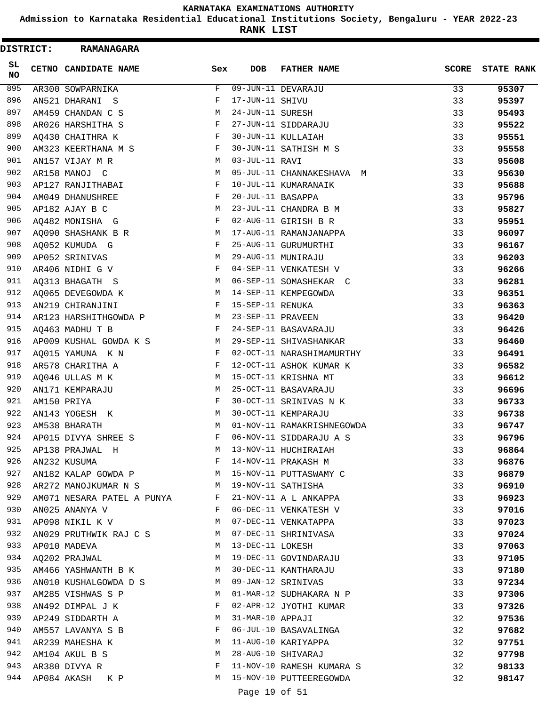**Admission to Karnataka Residential Educational Institutions Society, Bengaluru - YEAR 2022-23**

**RANK LIST**

| <b>DISTRICT:</b> | <b>RAMANAGARA</b>          |     |                   |                            |              |                   |
|------------------|----------------------------|-----|-------------------|----------------------------|--------------|-------------------|
| SL<br><b>NO</b>  | CETNO CANDIDATE NAME       | Sex | <b>DOB</b>        | <b>FATHER NAME</b>         | <b>SCORE</b> | <b>STATE RANK</b> |
| 895              | AR300 SOWPARNIKA           | F   |                   | 09-JUN-11 DEVARAJU         | 33           | 95307             |
| 896              | AN521 DHARANI S            | F   | 17-JUN-11 SHIVU   |                            | 33           | 95397             |
| 897              | AM459 CHANDAN C S          | М   | 24-JUN-11 SURESH  |                            | 33           | 95493             |
| 898              | AR026 HARSHITHA S          | F   |                   | 27-JUN-11 SIDDARAJU        | 33           | 95522             |
| 899              | AQ430 CHAITHRA K           | F   |                   | 30-JUN-11 KULLAIAH         | 33           | 95551             |
| 900              | AM323 KEERTHANA M S        | F   |                   | 30-JUN-11 SATHISH M S      | 33           | 95558             |
| 901              | AN157 VIJAY M R            | М   | 03-JUL-11 RAVI    |                            | 33           | 95608             |
| 902              | AR158 MANOJ C              | М   |                   | 05-JUL-11 CHANNAKESHAVA M  | 33           | 95630             |
| 903              | AP127 RANJITHABAI          | F   |                   | 10-JUL-11 KUMARANAIK       | 33           | 95688             |
| 904              | AM049 DHANUSHREE           | F   | 20-JUL-11 BASAPPA |                            | 33           | 95796             |
| 905              | AP182 AJAY B C             | М   |                   | 23-JUL-11 CHANDRA B M      | 33           | 95827             |
| 906              | AQ482 MONISHA G            | F   |                   | 02-AUG-11 GIRISH B R       | 33           | 95951             |
| 907              | AQ090 SHASHANK B R         | М   |                   | 17-AUG-11 RAMANJANAPPA     | 33           | 96097             |
| 908              | AQ052 KUMUDA G             | F   |                   | 25-AUG-11 GURUMURTHI       | 33           | 96167             |
| 909              | AP052 SRINIVAS             | М   |                   | 29-AUG-11 MUNIRAJU         | 33           | 96203             |
| 910              | AR406 NIDHI G V            | F   |                   | 04-SEP-11 VENKATESH V      | 33           | 96266             |
| 911              | AQ313 BHAGATH S            | М   |                   | 06-SEP-11 SOMASHEKAR C     | 33           | 96281             |
| 912              | AO065 DEVEGOWDA K          | М   |                   | 14-SEP-11 KEMPEGOWDA       | 33           | 96351             |
| 913              | AN219 CHIRANJINI           | F   | 15-SEP-11 RENUKA  |                            | 33           | 96363             |
| 914              | AR123 HARSHITHGOWDA P      | M   | 23-SEP-11 PRAVEEN |                            | 33           | 96420             |
| 915              | AQ463 MADHU T B            | F   |                   | 24-SEP-11 BASAVARAJU       | 33           | 96426             |
| 916              | AP009 KUSHAL GOWDA K S     | М   |                   | 29-SEP-11 SHIVASHANKAR     | 33           | 96460             |
| 917              | AQ015 YAMUNA K N           | F   |                   | 02-OCT-11 NARASHIMAMURTHY  | 33           | 96491             |
| 918              | AR578 CHARITHA A           | F   |                   | 12-OCT-11 ASHOK KUMAR K    | 33           | 96582             |
| 919              | AQ046 ULLAS M K            | М   |                   | 15-OCT-11 KRISHNA MT       | 33           | 96612             |
| 920              | AN171 KEMPARAJU            | М   |                   | 25-OCT-11 BASAVARAJU       | 33           | 96696             |
| 921              | AM150 PRIYA                | F   |                   | 30-OCT-11 SRINIVAS N K     | 33           | 96733             |
| 922              | AN143 YOGESH K             | М   |                   | 30-OCT-11 KEMPARAJU        | 33           | 96738             |
| 923              | AM538 BHARATH              | M   |                   | 01-NOV-11 RAMAKRISHNEGOWDA | 33           | 96747             |
| 924              | AP015 DIVYA SHREE S        | F   |                   | 06-NOV-11 SIDDARAJU A S    | 33           | 96796             |
| 925              | AP138 PRAJWAL H            | М   |                   | 13-NOV-11 HUCHIRAIAH       | 33           | 96864             |
| 926              | AN232 KUSUMA               | F   |                   | 14-NOV-11 PRAKASH M        | 33           | 96876             |
| 927              | AN182 KALAP GOWDA P M      |     |                   | 15-NOV-11 PUTTASWAMY C     | 33           | 96879             |
| 928              | AR272 MANOJKUMAR N S       | M   |                   | 19-NOV-11 SATHISHA         | 33           | 96910             |
| 929              | AM071 NESARA PATEL A PUNYA | F   |                   | 21-NOV-11 A L ANKAPPA      | 33           | 96923             |
| 930              | AN025 ANANYA V             | F   |                   | 06-DEC-11 VENKATESH V      | 33           | 97016             |
| 931              | AP098 NIKIL K V            | М   |                   | 07-DEC-11 VENKATAPPA       | 33           | 97023             |
| 932              | AN029 PRUTHWIK RAJ C S     | M   |                   | 07-DEC-11 SHRINIVASA       | 33           | 97024             |
| 933              | AP010 MADEVA               | M   | 13-DEC-11 LOKESH  |                            | 33           | 97063             |
| 934              | AQ202 PRAJWAL              | М   |                   | 19-DEC-11 GOVINDARAJU      | 33           | 97105             |
| 935              | AM466 YASHWANTH B K        | М   |                   | 30-DEC-11 KANTHARAJU       | 33           | 97180             |
| 936              | AN010 KUSHALGOWDA D S      | M   |                   | 09-JAN-12 SRINIVAS         | 33           | 97234             |
| 937              | AM285 VISHWAS S P          | M   |                   | 01-MAR-12 SUDHAKARA N P    | 33           | 97306             |
| 938              | AN492 DIMPAL J K           | F   |                   | 02-APR-12 JYOTHI KUMAR     | 33           | 97326             |
| 939              | AP249 SIDDARTH A           | M   | 31-MAR-10 APPAJI  |                            | 32           | 97536             |
| 940              | AM557 LAVANYA S B          | F   |                   | 06-JUL-10 BASAVALINGA      | 32           | 97682             |
| 941              | AR239 MAHESHA K            | М   |                   | 11-AUG-10 KARIYAPPA        | 32           | 97751             |
| 942              | AM104 AKUL B S             | М   |                   | 28-AUG-10 SHIVARAJ         | 32           | 97798             |
| 943              | AR380 DIVYA R              | F   |                   | 11-NOV-10 RAMESH KUMARA S  | 32           | 98133             |
| 944              | AP084 AKASH K P            | M   |                   | 15-NOV-10 PUTTEEREGOWDA    | 32           | 98147             |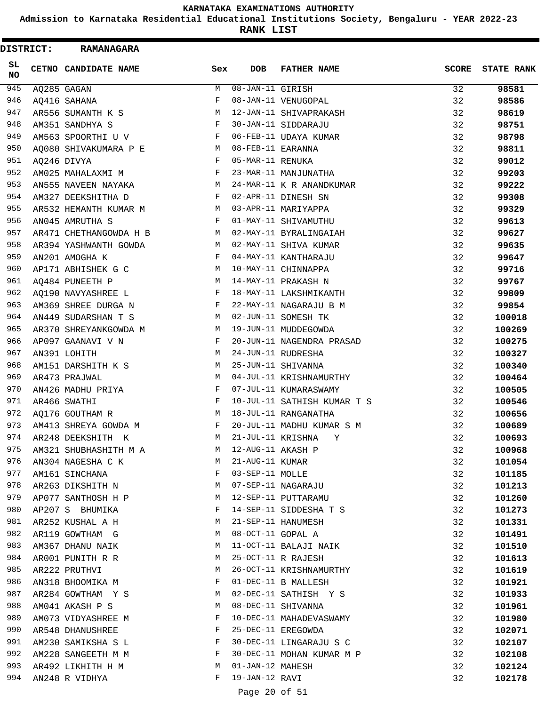**Admission to Karnataka Residential Educational Institutions Society, Bengaluru - YEAR 2022-23**

**RANK LIST**

 $\blacksquare$ 

| DISTRICT:        | <b>RAMANAGARA</b>           |              |                        |                             |              |                   |
|------------------|-----------------------------|--------------|------------------------|-----------------------------|--------------|-------------------|
| SL.<br><b>NO</b> | <b>CETNO CANDIDATE NAME</b> | Sex          | <b>DOB</b>             | <b>FATHER NAME</b>          | <b>SCORE</b> | <b>STATE RANK</b> |
| 945              | AO285 GAGAN                 | M            | $08 - JAN - 11$ GIRISH |                             | 32           | 98581             |
| 946              | AQ416 SAHANA                | F            |                        | 08-JAN-11 VENUGOPAL         | 32           | 98586             |
| 947              | AR556 SUMANTH K S           | М            |                        | 12-JAN-11 SHIVAPRAKASH      | 32           | 98619             |
| 948              | AM351 SANDHYA S             | $\mathbf{F}$ |                        | 30-JAN-11 SIDDARAJU         | 32           | 98751             |
| 949              | AM563 SPOORTHI U V          | $\mathbf{F}$ |                        | 06-FEB-11 UDAYA KUMAR       | 32           | 98798             |
| 950              | AQ080 SHIVAKUMARA P E       | M            | 08-FEB-11 EARANNA      |                             | 32           | 98811             |
| 951              | AQ246 DIVYA                 | F            | 05-MAR-11 RENUKA       |                             | 32           | 99012             |
| 952              | AM025 MAHALAXMI M           | F            |                        | 23-MAR-11 MANJUNATHA        | 32           | 99203             |
| 953              | AN555 NAVEEN NAYAKA         | М            |                        | 24-MAR-11 K R ANANDKUMAR    | 32           | 99222             |
| 954              | AM327 DEEKSHITHA D          | F            |                        | 02-APR-11 DINESH SN         | 32           | 99308             |
| 955              | AR532 HEMANTH KUMAR M       | M            |                        | 03-APR-11 MARIYAPPA         | 32           | 99329             |
| 956              | AN045 AMRUTHA S             | F            |                        | 01-MAY-11 SHIVAMUTHU        | 32           | 99613             |
| 957              | AR471 CHETHANGOWDA H B      | М            |                        | 02-MAY-11 BYRALINGAIAH      | 32           | 99627             |
| 958              | AR394 YASHWANTH GOWDA       | M            |                        | 02-MAY-11 SHIVA KUMAR       | 32           | 99635             |
| 959              | AN201 AMOGHA K              | F            |                        | 04-MAY-11 KANTHARAJU        | 32           | 99647             |
| 960              | AP171 ABHISHEK G C          | М            |                        | 10-MAY-11 CHINNAPPA         | 32           | 99716             |
| 961              | AQ484 PUNEETH P             | M            |                        | 14-MAY-11 PRAKASH N         | 32           | 99767             |
| 962              | AO190 NAVYASHREE L          | F            |                        | 18-MAY-11 LAKSHMIKANTH      | 32           | 99809             |
| 963              | AM369 SHREE DURGA N         | F            |                        | 22-MAY-11 NAGARAJU B M      | 32           | 99854             |
| 964              | AN449 SUDARSHAN T S         | M            |                        | 02-JUN-11 SOMESH TK         | 32           | 100018            |
| 965              | AR370 SHREYANKGOWDA M       | М            |                        | 19-JUN-11 MUDDEGOWDA        | 32           | 100269            |
| 966              | AP097 GAANAVI V N           | F            |                        | 20-JUN-11 NAGENDRA PRASAD   | 32           | 100275            |
| 967              | AN391 LOHITH                | М            |                        | 24-JUN-11 RUDRESHA          | 32           | 100327            |
| 968              | AM151 DARSHITH K S          | М            |                        | 25-JUN-11 SHIVANNA          | 32           | 100340            |
| 969              | AR473 PRAJWAL               | М            |                        | 04-JUL-11 KRISHNAMURTHY     | 32           | 100464            |
| 970              | AN426 MADHU PRIYA           | F            |                        | 07-JUL-11 KUMARASWAMY       | 32           | 100505            |
| 971              | AR466 SWATHI                | F            |                        | 10-JUL-11 SATHISH KUMAR T S | 32           | 100546            |
| 972              | AQ176 GOUTHAM R             | М            |                        | 18-JUL-11 RANGANATHA        | 32           | 100656            |
| 973              | AM413 SHREYA GOWDA M        | F            |                        | 20-JUL-11 MADHU KUMAR S M   | 32           | 100689            |
| 974              | AR248 DEEKSHITH K           | M            |                        | 21-JUL-11 KRISHNA<br>Y      | 32           | 100693            |
| 975              | AM321 SHUBHASHITH M A       | M            | 12-AUG-11 AKASH P      |                             | 32           | 100968            |
| 976              | AN304 NAGESHA C K           | M            | 21-AUG-11 KUMAR        |                             | 32           | 101054            |
| 977              | AM161 SINCHANA              | F            | 03-SEP-11 MOLLE        |                             | 32           | 101185            |
| 978              | AR263 DIKSHITH N            | M            |                        | 07-SEP-11 NAGARAJU          | 32           | 101213            |
| 979              | AP077 SANTHOSH H P          | M            |                        | 12-SEP-11 PUTTARAMU         | 32           | 101260            |
| 980              | AP207 S BHUMIKA             | F            |                        | 14-SEP-11 SIDDESHA T S      | 32           | 101273            |
| 981              | AR252 KUSHAL A H            | M            |                        | 21-SEP-11 HANUMESH          | 32           | 101331            |
| 982              | AR119 GOWTHAM G             | M            | 08-OCT-11 GOPAL A      |                             | 32           | 101491            |
| 983              | AM367 DHANU NAIK            | M            |                        | 11-OCT-11 BALAJI NAIK       | 32           | 101510            |
| 984              | AR001 PUNITH R R            | M            |                        | 25-OCT-11 R RAJESH          | 32           | 101613            |
| 985              | AR222 PRUTHVI               | М            |                        | 26-OCT-11 KRISHNAMURTHY     | 32           | 101619            |
| 986              | AN318 BHOOMIKA M            | F            |                        | 01-DEC-11 B MALLESH         | 32           | 101921            |
| 987              | AR284 GOWTHAM Y S           | M            |                        | 02-DEC-11 SATHISH Y S       | 32           | 101933            |
| 988              | AM041 AKASH P S             | М            |                        | 08-DEC-11 SHIVANNA          | 32           | 101961            |
| 989              | AM073 VIDYASHREE M          | F            |                        | 10-DEC-11 MAHADEVASWAMY     | 32           | 101980            |
| 990              | AR548 DHANUSHREE            | F            |                        | 25-DEC-11 EREGOWDA          | 32           | 102071            |
| 991              | AM230 SAMIKSHA S L          | F            |                        | 30-DEC-11 LINGARAJU S C     | 32           | 102107            |
| 992              | AM228 SANGEETH M M          | F            |                        | 30-DEC-11 MOHAN KUMAR M P   | 32           | 102108            |
| 993              | AR492 LIKHITH H M           | M            | 01-JAN-12 MAHESH       |                             | 32           | 102124            |
| 994              | AN248 R VIDHYA              | F            | 19-JAN-12 RAVI         |                             | 32           | 102178            |
|                  |                             |              |                        |                             |              |                   |

# Page 20 of 51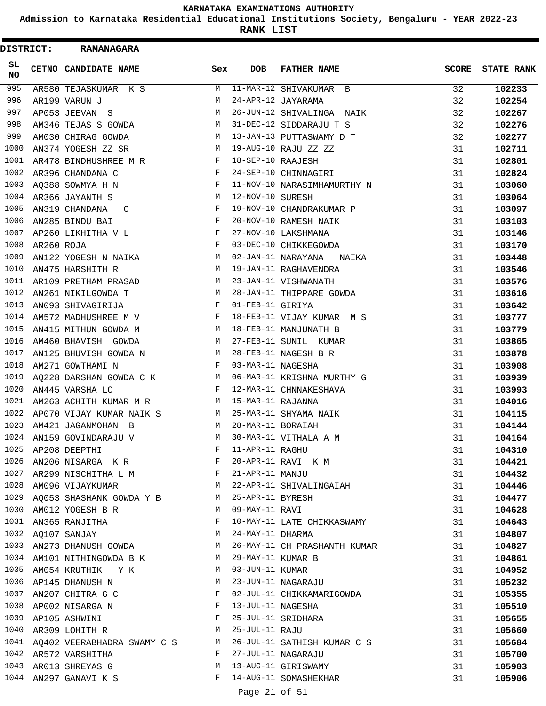**Admission to Karnataka Residential Educational Institutions Society, Bengaluru - YEAR 2022-23**

**RANK LIST**

| DISTRICT:       |            | <b>RAMANAGARA</b>                              |              |                     |                                                                |              |                   |
|-----------------|------------|------------------------------------------------|--------------|---------------------|----------------------------------------------------------------|--------------|-------------------|
| SL<br><b>NO</b> |            | <b>CETNO CANDIDATE NAME</b>                    | Sex          | <b>DOB</b>          | <b>FATHER NAME</b>                                             | <b>SCORE</b> | <b>STATE RANK</b> |
| 995             |            | AR580 TEJASKUMAR K S                           | M            |                     | 11-MAR-12 SHIVAKUMAR B                                         | 32           | 102233            |
| 996             |            | AR199 VARUN J                                  | M            |                     | 24-APR-12 JAYARAMA                                             | 32           | 102254            |
| 997             |            | AP053 JEEVAN S                                 | М            |                     | 26-JUN-12 SHIVALINGA NAIK                                      | 32           | 102267            |
| 998             |            | AM346 TEJAS S GOWDA                            | М            |                     | 31-DEC-12 SIDDARAJU T S                                        | 32           | 102276            |
| 999             |            | AM030 CHIRAG GOWDA                             | M            |                     | 13-JAN-13 PUTTASWAMY D T                                       | 32           | 102277            |
| 1000            |            | AN374 YOGESH ZZ SR                             | M            |                     | 19-AUG-10 RAJU ZZ ZZ                                           | 31           | 102711            |
| 1001            |            | AR478 BINDHUSHREE M R                          | F            | 18-SEP-10 RAAJESH   |                                                                | 31           | 102801            |
| 1002            |            | AR396 CHANDANA C                               | F            |                     | 24-SEP-10 CHINNAGIRI                                           | 31           | 102824            |
| 1003            |            | AQ388 SOWMYA H N                               | F            |                     | 11-NOV-10 NARASIMHAMURTHY N                                    | 31           | 103060            |
| 1004            |            | AR366 JAYANTH S                                | M            | 12-NOV-10 SURESH    |                                                                | 31           | 103064            |
| 1005            |            | AN319 CHANDANA<br>C                            | F            |                     | 19-NOV-10 CHANDRAKUMAR P                                       | 31           | 103097            |
| 1006            |            | AN285 BINDU BAI                                | F            |                     | 20-NOV-10 RAMESH NAIK                                          | 31           | 103103            |
| 1007            |            | AP260 LIKHITHA V L                             | F            |                     | 27-NOV-10 LAKSHMANA                                            | 31           | 103146            |
| 1008            | AR260 ROJA |                                                | F            |                     | 03-DEC-10 CHIKKEGOWDA                                          | 31           | 103170            |
| 1009            |            | AN122 YOGESH N NAIKA                           | М            |                     | 02-JAN-11 NARAYANA<br>NAIKA                                    | 31           | 103448            |
| 1010            |            | AN475 HARSHITH R                               | М            |                     | 19-JAN-11 RAGHAVENDRA                                          | 31           | 103546            |
| 1011            |            | AR109 PRETHAM PRASAD                           | М            |                     | 23-JAN-11 VISHWANATH                                           | 31           | 103576            |
| 1012            |            | AN261 NIKILGOWDA T                             | M            |                     | 28-JAN-11 THIPPARE GOWDA                                       | 31           | 103616            |
| 1013            |            | AN093 SHIVAGIRIJA                              | F            | 01-FEB-11 GIRIYA    |                                                                | 31           | 103642            |
| 1014            |            | AM572 MADHUSHREE M V F                         |              |                     | 18-FEB-11 VIJAY KUMAR M S                                      | 31           | 103777            |
| 1015            |            | AN415 MITHUN GOWDA M                           | M            |                     | 18-FEB-11 MANJUNATH B                                          | 31           | 103779            |
| 1016            |            | AM460 BHAVISH GOWDA                            | M            |                     | 27-FEB-11 SUNIL KUMAR                                          | 31           | 103865            |
| 1017            |            | AN125 BHUVISH GOWDA N                          | M            |                     | 28-FEB-11 NAGESH B R                                           | 31           | 103878            |
| 1018            |            | AM271 GOWTHAMI N                               | F            | 03-MAR-11 NAGESHA   |                                                                | 31           | 103908            |
| 1019            |            | AQ228 DARSHAN GOWDA C K                        | M            |                     | 06-MAR-11 KRISHNA MURTHY G                                     | 31           | 103939            |
| 1020            |            | AN445 VARSHA LC                                | F            |                     | 12-MAR-11 CHNNAKESHAVA                                         | 31           | 103993            |
| 1021            |            | AM263 ACHITH KUMAR M R                         |              | M 15-MAR-11 RAJANNA |                                                                | 31           | 104016            |
| 1022            |            | AP070 VIJAY KUMAR NAIK S<br>$M_{\rm H}$        |              |                     | 25-MAR-11 SHYAMA NAIK                                          | 31           | 104115            |
| 1023            |            | AM421 JAGANMOHAN B                             | M            | 28-MAR-11 BORAIAH   |                                                                | 31           | 104144            |
|                 |            | 1024 AN159 GOVINDARAJU V                       | M            |                     | 30-MAR-11 VITHALA A M                                          | 31           | 104164            |
| 1025            |            | AP208 DEEPTHI                                  | F            |                     | 30-MAR-11 VITHALA A M<br>11-APR-11 RAGHU<br>20-APR-11 RAVI K M | 31           | 104310            |
| 1026            |            | AN206 NISARGA K R F                            |              |                     |                                                                | 31           | 104421            |
|                 |            | 1027 AR299 NISCHITHA L M                       |              | 21-APR-11 MANJU     |                                                                | 31           | 104432            |
|                 |            | 1028 AM096 VIJAYKUMAR                          |              |                     | M 22-APR-11 SHIVALINGAIAH                                      | 31           | 104446            |
| 1029            |            | AQ053 SHASHANK GOWDA Y B M                     |              | 25-APR-11 BYRESH    |                                                                | 31           | 104477            |
| 1030            |            | <b>M</b><br>AM012 YOGESH B R                   |              | 09-MAY-11 RAVI      |                                                                | 31           | 104628            |
|                 |            | 1031 AN365 RANJITHA                            | F            |                     | 10-MAY-11 LATE CHIKKASWAMY                                     | 31           | 104643            |
|                 |            | M <sub>N</sub><br>1032 AQ107 SANJAY            |              | 24-MAY-11 DHARMA    |                                                                | 31           | 104807            |
| 1033            |            | AN273 DHANUSH GOWDA M                          |              |                     | 26-MAY-11 CH PRASHANTH KUMAR                                   | 31           | 104827            |
|                 |            | 1034 AM101 NITHINGOWDA B K M 29-MAY-11 KUMAR B |              |                     |                                                                | 31           | 104861            |
|                 |            | 1035 AM054 KRUTHIK Y K                         |              | M 03-JUN-11 KUMAR   |                                                                | 31           | 104952            |
|                 |            | 1036 AP145 DHANUSH N M                         |              |                     | 23-JUN-11 NAGARAJU                                             | 31           | 105232            |
| 1037            |            | AN207 CHITRA G C                               | F            |                     | 02-JUL-11 CHIKKAMARIGOWDA                                      | 31           | 105355            |
| 1038            |            | $\mathbf{F}$<br>AP002 NISARGA N                |              | 13-JUL-11 NAGESHA   |                                                                | 31           | 105510            |
| 1039            |            | AP105 ASHWINI                                  | F            |                     | 25-JUL-11 SRIDHARA                                             | 31           | 105655            |
| 1040            |            | AR309 LOHITH R                                 | M            | 25-JUL-11 RAJU      |                                                                | 31           | 105660            |
|                 |            | 1041 AQ402 VEERABHADRA SWAMY C S M             |              |                     | 26-JUL-11 SATHISH KUMAR C S                                    | 31           | 105684            |
|                 |            | 1042 AR572 VARSHITHA                           | $\mathbf{F}$ |                     | 27-JUL-11 NAGARAJU                                             | 31           | 105700            |
|                 |            | 1043 AR013 SHREYAS G                           | M            |                     | 13-AUG-11 GIRISWAMY                                            | 31           | 105903            |
|                 |            | 1044 AN297 GANAVI K S                          | F            |                     | 14-AUG-11 SOMASHEKHAR                                          | 31           | 105906            |
|                 |            |                                                |              | Page 21 of 51       |                                                                |              |                   |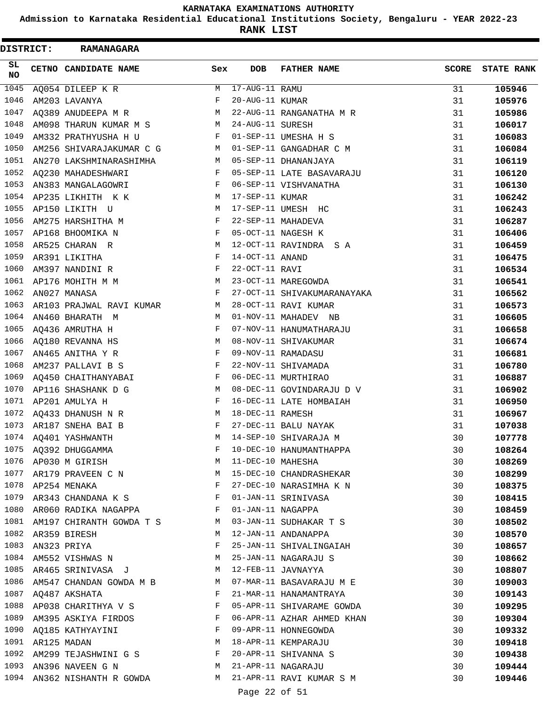**Admission to Karnataka Residential Educational Institutions Society, Bengaluru - YEAR 2022-23**

| <b>DISTRICT:</b> |                  | RAMANAGARA                                                                              |                                          |                  |                             |              |                   |
|------------------|------------------|-----------------------------------------------------------------------------------------|------------------------------------------|------------------|-----------------------------|--------------|-------------------|
| SL<br><b>NO</b>  |                  | CETNO CANDIDATE NAME                                                                    | Sex                                      | <b>DOB</b>       | <b>FATHER NAME</b>          | <b>SCORE</b> | <b>STATE RANK</b> |
| 1045             |                  | AQ054 DILEEP K R                                                                        | М                                        | 17-AUG-11 RAMU   |                             | 31           | 105946            |
| 1046             |                  | AM203 LAVANYA                                                                           | F                                        | 20-AUG-11 KUMAR  |                             | 31           | 105976            |
| 1047             |                  | AQ389 ANUDEEPA M R                                                                      | M                                        |                  | 22-AUG-11 RANGANATHA M R    | 31           | 105986            |
| 1048             |                  | AM098 THARUN KUMAR M S                                                                  | M                                        | 24-AUG-11 SURESH |                             | 31           | 106017            |
| 1049             |                  | AM332 PRATHYUSHA H U                                                                    | F                                        |                  | 01-SEP-11 UMESHA H S        | 31           | 106083            |
| 1050             |                  | AM256 SHIVARAJAKUMAR C G                                                                | M                                        |                  | 01-SEP-11 GANGADHAR C M     | 31           | 106084            |
| 1051             |                  | AN270 LAKSHMINARASHIMHA                                                                 | M                                        |                  | 05-SEP-11 DHANANJAYA        | 31           | 106119            |
| 1052             |                  | AQ230 MAHADESHWARI                                                                      | F                                        |                  | 05-SEP-11 LATE BASAVARAJU   | 31           | 106120            |
| 1053             |                  | AN383 MANGALAGOWRI                                                                      | $\mathbf{F}$                             |                  | 06-SEP-11 VISHVANATHA       | 31           | 106130            |
| 1054             |                  | AP235 LIKHITH K K                                                                       | M                                        | 17-SEP-11 KUMAR  |                             | 31           | 106242            |
| 1055             |                  | AP150 LIKITH U                                                                          | M                                        |                  | 17-SEP-11 UMESH HC          | 31           | 106243            |
| 1056             |                  | AM275 HARSHITHA M                                                                       | F                                        |                  | 22-SEP-11 MAHADEVA          | 31           | 106287            |
| 1057             |                  | AP168 BHOOMIKA N                                                                        | F                                        |                  | 05-OCT-11 NAGESH K          | 31           | 106406            |
| 1058             |                  | AR525 CHARAN R                                                                          | M                                        |                  | 12-OCT-11 RAVINDRA S A      | 31           | 106459            |
| 1059             |                  | AR391 LIKITHA                                                                           | F                                        | 14-OCT-11 ANAND  |                             | 31           | 106475            |
| 1060             |                  | AM397 NANDINI R                                                                         | $_{\rm F}$                               | 22-OCT-11 RAVI   |                             | 31           | 106534            |
| 1061             |                  | AP176 MOHITH M M                                                                        | M                                        |                  | 23-OCT-11 MAREGOWDA         | 31           | 106541            |
| 1062             |                  | AN027 MANASA                                                                            | F                                        |                  | 27-OCT-11 SHIVAKUMARANAYAKA | 31           | 106562            |
| 1063             |                  | AR103 PRAJWAL RAVI KUMAR                                                                | M                                        |                  | 28-OCT-11 RAVI KUMAR        | 31           | 106573            |
| 1064             |                  | AN460 BHARATH M                                                                         | M                                        |                  | 01-NOV-11 MAHADEV NB        | 31           | 106605            |
| 1065             |                  | AQ436 AMRUTHA H                                                                         | $\mathbf{F}$                             |                  | 07-NOV-11 HANUMATHARAJU     | 31           | 106658            |
| 1066             |                  | AQ180 REVANNA HS                                                                        | М                                        |                  | 08-NOV-11 SHIVAKUMAR        | 31           | 106674            |
| 1067             |                  | AN465 ANITHA Y R                                                                        | F                                        |                  | 09-NOV-11 RAMADASU          | 31           | 106681            |
| 1068             |                  | AM237 PALLAVI B S                                                                       | F                                        |                  | 22-NOV-11 SHIVAMADA         | 31           | 106780            |
| 1069             |                  | AQ450 CHAITHANYABAI                                                                     | F                                        |                  | 06-DEC-11 MURTHIRAO         | 31           | 106887            |
| 1070             |                  | AP116 SHASHANK D G                                                                      | M                                        |                  | 08-DEC-11 GOVINDARAJU D V   | 31           | 106902            |
| 1071             |                  | AP201 AMULYA H                                                                          | F                                        |                  | 16-DEC-11 LATE HOMBAIAH     | 31           | 106950            |
| 1072             |                  | AQ433 DHANUSH N R                                                                       | М                                        | 18-DEC-11 RAMESH |                             | 31           | 106967            |
| 1073             |                  | AR187 SNEHA BAI B                                                                       | F                                        |                  | 27-DEC-11 BALU NAYAK        | 31           | 107038            |
|                  |                  | 1074 AQ401 YASHWANTH                                                                    | M                                        |                  | 14-SEP-10 SHIVARAJA M       | 30           | 107778            |
|                  |                  | 1075 AQ392 DHUGGAMMA F 10-DEC-10 HANUMANTI<br>1076 AP030 M GIRISH M M 11-DEC-10 MAHESHA |                                          |                  | 10-DEC-10 HANUMANTHAPPA     | 30           | 108264            |
|                  |                  |                                                                                         |                                          |                  |                             | 30           | 108269            |
|                  |                  | 1077 AR179 PRAVEEN C N M 15-DEC-10 CHANDRASHEKAR                                        |                                          |                  |                             | 30           | 108299            |
|                  |                  | 1078 AP254 MENAKA                                                                       |                                          |                  | F 27-DEC-10 NARASIMHA K N   | 30           | 108375            |
|                  |                  | 1079 AR343 CHANDANA K S $$\rm F$$                                                       |                                          |                  | 01-JAN-11 SRINIVASA         | 30           | 108415            |
|                  |                  | 1080 AR060 RADIKA NAGAPPA F                                                             |                                          |                  | 01-JAN-11 NAGAPPA           | 30           | 108459            |
|                  |                  | 1081 AM197 CHIRANTH GOWDA T S M 03-JAN-11 SUDHAKAR T S                                  |                                          |                  |                             | 30           | 108502            |
|                  |                  | 1082 AR359 BIRESH                                                                       |                                          |                  | M 12-JAN-11 ANDANAPPA       | 30           | 108570            |
|                  | 1083 AN323 PRIYA |                                                                                         | $\mathbf{F}$ and the set of $\mathbf{F}$ |                  | 25-JAN-11 SHIVALINGAIAH     | 30           | 108657            |
|                  |                  | 1084 AM552 VISHWAS N M 25-JAN-11 NAGARAJU S                                             |                                          |                  |                             | 30           | 108662            |
|                  |                  | 1085 AR465 SRINIVASA J M 12-FEB-11 JAVNAYYA                                             |                                          |                  |                             | 30           | 108807            |
|                  |                  | 1086 AM547 CHANDAN GOWDA M B M 07-MAR-11 BASAVARAJU M E                                 |                                          |                  |                             | 30           | 109003            |
|                  |                  | 1087 AQ487 AKSHATA<br>$\mathbf{F}$ and $\mathbf{F}$ and $\mathbf{F}$                    |                                          |                  | 21-MAR-11 HANAMANTRAYA      | 30           | 109143            |
|                  |                  | 1088 AP038 CHARITHYA V S F                                                              |                                          |                  | 05-APR-11 SHIVARAME GOWDA   | 30           | 109295            |
|                  |                  | 1089 AM395 ASKIYA FIRDOS F                                                              |                                          |                  | 06-APR-11 AZHAR AHMED KHAN  | 30           | 109304            |
|                  |                  | 1090 AQ185 KATHYAYINI F                                                                 |                                          |                  | 09-APR-11 HONNEGOWDA        | 30           | 109332            |
|                  | 1091 AR125 MADAN |                                                                                         |                                          |                  | M 18-APR-11 KEMPARAJU       | 30           | 109418            |
|                  |                  | 1092 AM299 TEJASHWINI G S F 20-APR-11 SHIVANNA S                                        |                                          |                  |                             | 30           | 109438            |
|                  |                  | 1093 AN396 NAVEEN G N M 21-APR-11 NAGARAJU                                              |                                          |                  |                             | 30           | 109444            |
|                  |                  | 1094 AN362 NISHANTH R GOWDA M 21-APR-11 RAVI KUMAR S M                                  |                                          |                  |                             | 30           | 109446            |
|                  |                  |                                                                                         |                                          | Page 22 of 51    |                             |              |                   |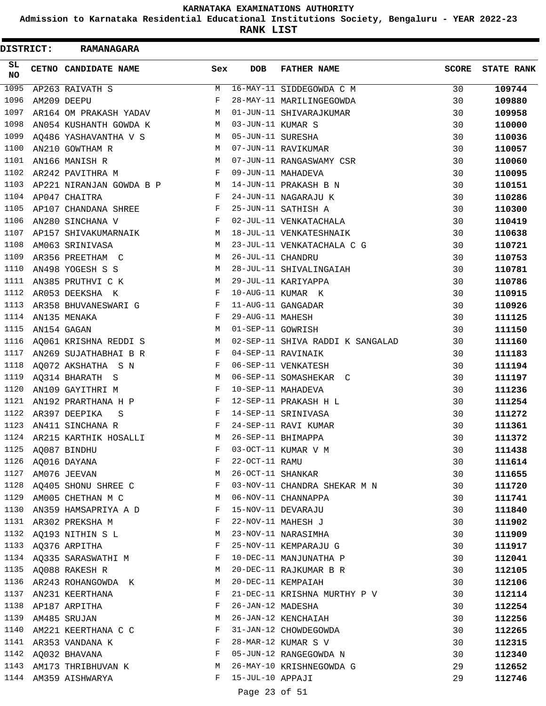**Admission to Karnataka Residential Educational Institutions Society, Bengaluru - YEAR 2022-23**

**RANK LIST**

| DISTRICT:         |             | <b>RAMANAGARA</b>                |                   |                   |                                  |              |                   |
|-------------------|-------------|----------------------------------|-------------------|-------------------|----------------------------------|--------------|-------------------|
| SL.<br>NO         |             | CETNO CANDIDATE NAME             | Sex               | <b>DOB</b>        | <b>FATHER NAME</b>               | <b>SCORE</b> | <b>STATE RANK</b> |
| $\overline{1095}$ |             | AP263 RAIVATH S                  | M                 |                   | 16-MAY-11 SIDDEGOWDA C M         | 30           | 109744            |
| 1096              |             | AM209 DEEPU                      | F                 |                   | 28-MAY-11 MARILINGEGOWDA         | 30           | 109880            |
| 1097              |             | AR164 OM PRAKASH YADAV           | М                 |                   | 01-JUN-11 SHIVARAJKUMAR          | 30           | 109958            |
| 1098              |             | AN054 KUSHANTH GOWDA K           | M                 | 03-JUN-11 KUMAR S |                                  | 30           | 110000            |
| 1099              |             | AQ486 YASHAVANTHA V S            | M                 | 05-JUN-11 SURESHA |                                  | 30           | 110036            |
| 1100              |             | AN210 GOWTHAM R                  | M                 |                   | 07-JUN-11 RAVIKUMAR              | 30           | 110057            |
| 1101              |             | AN166 MANISH R                   | M                 |                   | 07-JUN-11 RANGASWAMY CSR         | 30           | 110060            |
| 1102              |             | AR242 PAVITHRA M                 | F                 |                   | 09-JUN-11 MAHADEVA               | 30           | 110095            |
| 1103              |             | AP221 NIRANJAN GOWDA B P M       |                   |                   | 14-JUN-11 PRAKASH B N            | 30           | 110151            |
| 1104              |             | AP047 CHAITRA                    | F                 |                   | 24-JUN-11 NAGARAJU K             | 30           | 110286            |
| 1105              |             | AP107 CHANDANA SHREE             | F                 |                   | 25-JUN-11 SATHISH A              | 30           | 110300            |
| 1106              |             | $\mathbf{F}$<br>AN280 SINCHANA V |                   |                   | 02-JUL-11 VENKATACHALA           | 30           | 110419            |
| 1107              |             | AP157 SHIVAKUMARNAIK             | М                 |                   | 18-JUL-11 VENKATESHNAIK          | 30           | 110638            |
| 1108              |             | AM063 SRINIVASA                  | M                 |                   | 23-JUL-11 VENKATACHALA C G       | 30           | 110721            |
| 1109              |             | AR356 PREETHAM C                 | M                 | 26-JUL-11 CHANDRU |                                  | 30           | 110753            |
| 1110              |             | AN498 YOGESH S S                 | М                 |                   | 28-JUL-11 SHIVALINGAIAH          | 30           | 110781            |
| 1111              |             | AN385 PRUTHVI C K                | М                 |                   | 29-JUL-11 KARIYAPPA              | 30           | 110786            |
| 1112              |             | AR053 DEEKSHA K                  | F                 |                   | 10-AUG-11 KUMAR K                | 30           | 110915            |
| 1113              |             | AR358 BHUVANESWARI G             | F                 |                   | 11-AUG-11 GANGADAR               | 30           | 110926            |
| 1114              |             | AN135 MENAKA                     | F                 | 29-AUG-11 MAHESH  |                                  | 30           | 111125            |
| 1115              | AN154 GAGAN |                                  | M                 | 01-SEP-11 GOWRISH |                                  | 30           | 111150            |
| 1116              |             | AQ061 KRISHNA REDDI S            | M                 |                   | 02-SEP-11 SHIVA RADDI K SANGALAD | 30           | 111160            |
| 1117              |             | AN269 SUJATHABHAI B R            | F                 |                   | 04-SEP-11 RAVINAIK               | 30           | 111183            |
| 1118              |             | AQ072 AKSHATHA S N               | F                 |                   | 06-SEP-11 VENKATESH              | 30           | 111194            |
| 1119              |             | AQ314 BHARATH S                  | M                 |                   | 06-SEP-11 SOMASHEKAR C           | 30           | 111197            |
| 1120              |             | AN109 GAYITHRI M                 | F                 |                   | 10-SEP-11 MAHADEVA               | 30           | 111236            |
| 1121              |             | AN192 PRARTHANA H P              | F                 |                   | 12-SEP-11 PRAKASH H L            | 30           | 111254            |
| 1122              |             | AR397 DEEPIKA<br>S               | F                 |                   | 14-SEP-11 SRINIVASA              | 30           | 111272            |
| 1123              |             | AN411 SINCHANA R                 | F                 |                   | 24-SEP-11 RAVI KUMAR             | 30           | 111361            |
| 1124              |             | AR215 KARTHIK HOSALLI            | M                 |                   | 26-SEP-11 BHIMAPPA               | 30           | 111372            |
| 1125              |             | AQ087 BINDHU                     | F                 |                   | 03-OCT-11 KUMAR V M              | 30           | 111438            |
|                   |             | 1126 AQ016 DAYANA                | F                 | 22-OCT-11 RAMU    |                                  | 30           | 111614            |
|                   |             | 1127 AM076 JEEVAN                | M                 | 26-OCT-11 SHANKAR |                                  | 30           | 111655            |
|                   |             | 1128 AQ405 SHONU SHREE C         | F                 |                   | 03-NOV-11 CHANDRA SHEKAR M N     | 30           | 111720            |
| 1129              |             | AM005 CHETHAN M C                | M                 |                   | 06-NOV-11 CHANNAPPA              | 30           | 111741            |
| 1130              |             | AN359 HAMSAPRIYA A D             | F                 |                   | 15-NOV-11 DEVARAJU               | 30           | 111840            |
|                   |             | 1131 AR302 PREKSHA M             | F                 |                   | 22-NOV-11 MAHESH J               | 30           | 111902            |
| 1132              |             | AQ193 NITHIN S L                 | M                 |                   | 23-NOV-11 NARASIMHA              | 30           |                   |
| 1133              |             | AQ376 ARPITHA                    | F                 |                   | 25-NOV-11 KEMPARAJU G            | 30           | 111909<br>111917  |
|                   |             | 1134 AQ335 SARASWATHI M          | F                 |                   | 10-DEC-11 MANJUNATHA P           | 30           | 112041            |
|                   |             | 1135 AQ088 RAKESH R              | М                 |                   | 20-DEC-11 RAJKUMAR B R           | 30           | 112105            |
| 1136              |             | AR243 ROHANGOWDA K               | M                 |                   | 20-DEC-11 KEMPAIAH               | 30           |                   |
|                   |             |                                  | F                 |                   |                                  |              | 112106            |
| 1137<br>1138      |             | AN231 KEERTHANA                  | F                 | 26-JAN-12 MADESHA | 21-DEC-11 KRISHNA MURTHY P V     | 30           | 112114            |
| 1139              |             | AP187 ARPITHA                    |                   |                   |                                  | 30           | 112254            |
|                   |             | AM485 SRUJAN                     | М                 |                   | 26-JAN-12 KENCHAIAH              | 30           | 112256            |
| 1140              |             | AM221 KEERTHANA C C              | F                 |                   | 31-JAN-12 CHOWDEGOWDA            | 30           | 112265            |
| 1141              |             | AR353 VANDANA K                  | F<br>$\mathbf{F}$ |                   | 28-MAR-12 KUMAR S V              | 30           | 112315            |
|                   |             | 1142 AQ032 BHAVANA               |                   |                   | 05-JUN-12 RANGEGOWDA N           | 30           | 112340            |
|                   |             | 1143 AM173 THRIBHUVAN K          | M                 |                   | 26-MAY-10 KRISHNEGOWDA G         | 29           | 112652            |
|                   |             | 1144 AM359 AISHWARYA             | $\mathbf{F}$      | 15-JUL-10 APPAJI  |                                  | 29           | 112746            |
|                   |             |                                  |                   | Page 23 of 51     |                                  |              |                   |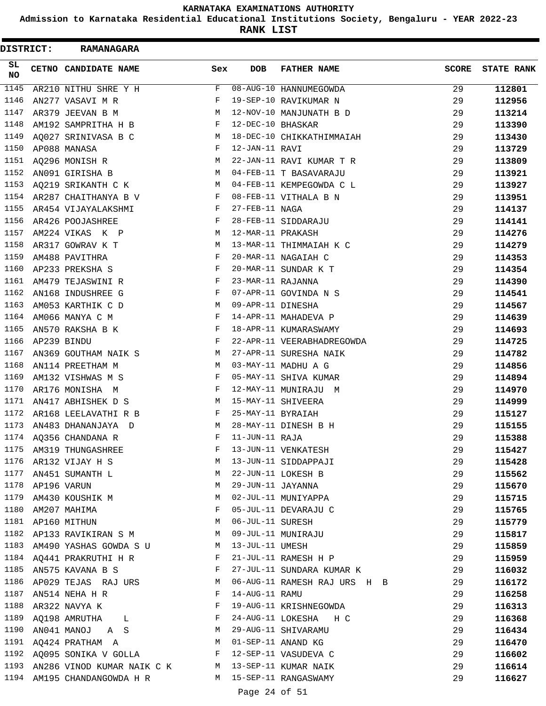**Admission to Karnataka Residential Educational Institutions Society, Bengaluru - YEAR 2022-23**

| DISTRICT: | <b>RAMANAGARA</b>            |              |                   |                              |              |                   |
|-----------|------------------------------|--------------|-------------------|------------------------------|--------------|-------------------|
| SL<br>NO  | CETNO CANDIDATE NAME         | Sex          | <b>DOB</b>        | <b>FATHER NAME</b>           | <b>SCORE</b> | <b>STATE RANK</b> |
| 1145      | AR210 NITHU SHRE Y H         | F            |                   | 08-AUG-10 HANNUMEGOWDA       | 29           | 112801            |
| 1146      | AN277 VASAVI M R             | F            |                   | 19-SEP-10 RAVIKUMAR N        | 29           | 112956            |
| 1147      | AR379 JEEVAN B M             | М            |                   | 12-NOV-10 MANJUNATH B D      | 29           | 113214            |
| 1148      | AM192 SAMPRITHA H B          | F            | 12-DEC-10 BHASKAR |                              | 29           | 113390            |
| 1149      | AQ027 SRINIVASA B C          | М            |                   | 18-DEC-10 CHIKKATHIMMAIAH    | 29           | 113430            |
| 1150      | AP088 MANASA                 | F            | 12-JAN-11 RAVI    |                              | 29           | 113729            |
| 1151      | AQ296 MONISH R               | М            |                   | 22-JAN-11 RAVI KUMAR T R     | 29           | 113809            |
| 1152      | AN091 GIRISHA B              | M            |                   | 04-FEB-11 T BASAVARAJU       | 29           | 113921            |
| 1153      | AQ219 SRIKANTH C K           | М            |                   | 04-FEB-11 KEMPEGOWDA C L     | 29           | 113927            |
| 1154      | AR287 CHAITHANYA B V         | F            |                   | 08-FEB-11 VITHALA B N        | 29           | 113951            |
| 1155      | AR454 VIJAYALAKSHMI          | F            | 27-FEB-11 NAGA    |                              | 29           | 114137            |
| 1156      | AR426 POOJASHREE             | F            |                   | 28-FEB-11 SIDDARAJU          | 29           | 114141            |
| 1157      | AM224 VIKAS K P              | М            | 12-MAR-11 PRAKASH |                              | 29           | 114276            |
| 1158      | AR317 GOWRAV K T             | М            |                   | 13-MAR-11 THIMMAIAH K C      | 29           | 114279            |
| 1159      | AM488 PAVITHRA               | F            |                   | 20-MAR-11 NAGAIAH C          | 29           | 114353            |
| 1160      | AP233 PREKSHA S              | F            |                   | 20-MAR-11 SUNDAR K T         | 29           | 114354            |
| 1161      | AM479 TEJASWINI R            | F            | 23-MAR-11 RAJANNA |                              | 29           | 114390            |
| 1162      | AN168 INDUSHREE G            | F            |                   | 07-APR-11 GOVINDA N S        | 29           | 114541            |
| 1163      | AM053 KARTHIK C D            | М            | 09-APR-11 DINESHA |                              | 29           | 114567            |
| 1164      | AM066 MANYA C M              | F            |                   | 14-APR-11 MAHADEVA P         | 29           | 114639            |
| 1165      | AN570 RAKSHA B K             | F            |                   | 18-APR-11 KUMARASWAMY        | 29           | 114693            |
| 1166      | AP239 BINDU                  | F            |                   | 22-APR-11 VEERABHADREGOWDA   | 29           | 114725            |
| 1167      | AN369 GOUTHAM NAIK S         | M            |                   | 27-APR-11 SURESHA NAIK       | 29           | 114782            |
| 1168      | AN114 PREETHAM M             | М            |                   | 03-MAY-11 MADHU A G          | 29           | 114856            |
| 1169      | AM132 VISHWAS M S            | F            |                   | 05-MAY-11 SHIVA KUMAR        | 29           | 114894            |
| 1170      | AR176 MONISHA M              | F            |                   | 12-MAY-11 MUNIRAJU M         | 29           | 114970            |
| 1171      | AN417 ABHISHEK D S           | М            |                   | 15-MAY-11 SHIVEERA           | 29           | 114999            |
| 1172      | AR168 LEELAVATHI R B         | F            | 25-MAY-11 BYRAIAH |                              | 29           | 115127            |
| 1173      |                              | М            |                   | 28-MAY-11 DINESH B H         |              |                   |
| 1174      | AN483 DHANANJAYA D           |              | 11-JUN-11 RAJA    |                              | 29           | 115155            |
|           | AQ356 CHANDANA R             |              |                   |                              | 29           | 115388            |
| 1175      | AM319 THUNGASHREE            | F            |                   | 13-JUN-11 VENKATESH          | 29           | 115427            |
| 1176      | AR132 VIJAY H S              | М            |                   | 13-JUN-11 SIDDAPPAJI         | 29           | 115428            |
| 1177      | AN451 SUMANTH L              | М            |                   | 22-JUN-11 LOKESH B           | 29           | 115562            |
| 1178      | AP196 VARUN                  | M            | 29-JUN-11 JAYANNA |                              | 29           | 115670            |
| 1179      | AM430 KOUSHIK M              | М            |                   | 02-JUL-11 MUNIYAPPA          | 29           | 115715            |
| 1180      | AM207 MAHIMA                 | F            |                   | 05-JUL-11 DEVARAJU C         | 29           | 115765            |
|           | 1181 AP160 MITHUN            | M            | 06-JUL-11 SURESH  |                              | 29           | 115779            |
| 1182      | AP133 RAVIKIRAN S M          | M            |                   | 09-JUL-11 MUNIRAJU           | 29           | 115817            |
| 1183      | AM490 YASHAS GOWDA S U       | M            | 13-JUL-11 UMESH   |                              | 29           | 115859            |
|           | 1184 AQ441 PRAKRUTHI H R     | F            |                   | 21-JUL-11 RAMESH H P         | 29           | 115959            |
| 1185      | AN575 KAVANA B S             | F            |                   | 27-JUL-11 SUNDARA KUMAR K    | 29           | 116032            |
| 1186      | AP029 TEJAS RAJ URS          | M            |                   | 06-AUG-11 RAMESH RAJ URS H B | 29           | 116172            |
| 1187      | AN514 NEHA H R               | F            | 14-AUG-11 RAMU    |                              | 29           | 116258            |
| 1188      | AR322 NAVYA K                | F            |                   | 19-AUG-11 KRISHNEGOWDA       | 29           | 116313            |
| 1189      | AQ198 AMRUTHA<br>L           | F            |                   | 24-AUG-11 LOKESHA H C        | 29           | 116368            |
| 1190      | AN041 MANOJ A S              | M            |                   | 29-AUG-11 SHIVARAMU          | 29           | 116434            |
| 1191      | AQ424 PRATHAM A              | M            |                   | 01-SEP-11 ANAND KG           | 29           | 116470            |
|           | 1192 AQ095 SONIKA V GOLLA    | $\mathbf{F}$ |                   | 12-SEP-11 VASUDEVA C         | 29           | 116602            |
| 1193      | AN286 VINOD KUMAR NAIK C K M |              |                   | 13-SEP-11 KUMAR NAIK         | 29           | 116614            |
| 1194      | AM195 CHANDANGOWDA H R       |              |                   | M 15-SEP-11 RANGASWAMY       | 29           | 116627            |
|           |                              |              | Page 24 of 51     |                              |              |                   |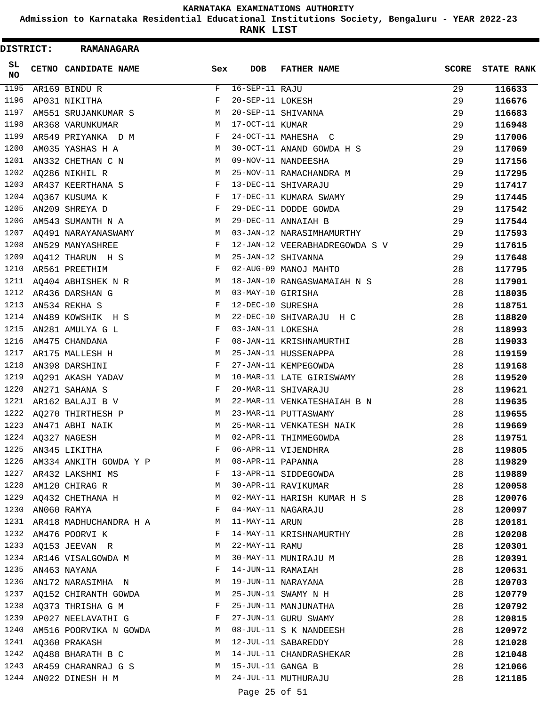**Admission to Karnataka Residential Educational Institutions Society, Bengaluru - YEAR 2022-23**

| DISTRICT: | <b>RAMANAGARA</b>           |     |                   |                                |              |                   |
|-----------|-----------------------------|-----|-------------------|--------------------------------|--------------|-------------------|
| SL<br>NO  | CETNO CANDIDATE NAME        | Sex | DOB               | <b>FATHER NAME</b>             | <b>SCORE</b> | <b>STATE RANK</b> |
| 1195      | AR169 BINDU R               | F   | $16-SEP-11$ RAJU  |                                | 29           | 116633            |
| 1196      | AP031 NIKITHA               | F   | 20-SEP-11 LOKESH  |                                | 29           | 116676            |
| 1197      | AM551 SRUJANKUMAR S         | М   |                   | 20-SEP-11 SHIVANNA             | 29           | 116683            |
| 1198      | AR368 VARUNKUMAR            | М   | 17-OCT-11 KUMAR   |                                | 29           | 116948            |
| 1199      | AR549 PRIYANKA D M          | F   |                   | 24-OCT-11 MAHESHA C            | 29           | 117006            |
| 1200      | AM035 YASHAS H A            | М   |                   | 30-OCT-11 ANAND GOWDA H S      | 29           | 117069            |
| 1201      | AN332 CHETHAN C N           | М   |                   | 09-NOV-11 NANDEESHA            | 29           | 117156            |
| 1202      | AQ286 NIKHIL R              | М   |                   | 25-NOV-11 RAMACHANDRA M        | 29           | 117295            |
| 1203      | AR437 KEERTHANA S           | F   |                   | 13-DEC-11 SHIVARAJU            | 29           | 117417            |
| 1204      | AQ367 KUSUMA K              | F   |                   | 17-DEC-11 KUMARA SWAMY         | 29           | 117445            |
| 1205      | AN209 SHREYA D              | F   |                   | 29-DEC-11 DODDE GOWDA          | 29           | 117542            |
| 1206      | AM543 SUMANTH N A           | М   |                   | 29-DEC-11 ANNAIAH B            | 29           | 117544            |
| 1207      | AQ491 NARAYANASWAMY         | М   |                   | 03-JAN-12 NARASIMHAMURTHY      | 29           | 117593            |
| 1208      | AN529 MANYASHREE            | F   |                   | 12-JAN-12 VEERABHADREGOWDA S V | 29           | 117615            |
| 1209      | AQ412 THARUN H S            | М   |                   | 25-JAN-12 SHIVANNA             | 29           | 117648            |
| 1210      | AR561 PREETHIM              | F   |                   | 02-AUG-09 MANOJ MAHTO          | 28           | 117795            |
| 1211      | AQ404 ABHISHEK N R          | М   |                   | 18-JAN-10 RANGASWAMAIAH N S    | 28           | 117901            |
| 1212      | AR436 DARSHAN G             | М   | 03-MAY-10 GIRISHA |                                | 28           | 118035            |
| 1213      | AN534 REKHA S               | F   | 12-DEC-10 SURESHA |                                | 28           | 118751            |
| 1214      | AN489 KOWSHIK H S           | М   |                   | 22-DEC-10 SHIVARAJU H C        | 28           | 118820            |
| 1215      | AN281 AMULYA G L            | F   | 03-JAN-11 LOKESHA |                                | 28           | 118993            |
| 1216      | AM475 CHANDANA              | F   |                   | 08-JAN-11 KRISHNAMURTHI        | 28           | 119033            |
| 1217      | AR175 MALLESH H             | М   |                   | 25-JAN-11 HUSSENAPPA           | 28           | 119159            |
| 1218      | AN398 DARSHINI              | F   |                   | 27-JAN-11 KEMPEGOWDA           | 28           | 119168            |
| 1219      | AQ291 AKASH YADAV           | M   |                   | 10-MAR-11 LATE GIRISWAMY       | 28           | 119520            |
| 1220      | AN271 SAHANA S              | F   |                   | 20-MAR-11 SHIVARAJU            | 28           | 119621            |
| 1221      | AR162 BALAJI B V            | М   |                   | 22-MAR-11 VENKATESHAIAH B N    | 28           | 119635            |
| 1222      | AQ270 THIRTHESH P           | М   |                   | 23-MAR-11 PUTTASWAMY           | 28           | 119655            |
| 1223      | AN471 ABHI NAIK             | М   |                   | 25-MAR-11 VENKATESH NAIK       | 28           | 119669            |
| 1224      | AQ327 NAGESH                |     |                   | M 02-APR-11 THIMMEGOWDA        | $2\,8$       | 119751            |
| 1225      | AN345 LIKITHA               | F   |                   | 06-APR-11 VIJENDHRA            | 28           | 119805            |
| 1226      | AM334 ANKITH GOWDA Y P      | M   | 08-APR-11 PAPANNA |                                | 28           | 119829            |
| 1227      | AR432 LAKSHMI MS            | F   |                   | 13-APR-11 SIDDEGOWDA           | 28           | 119889            |
| 1228      | AM120 CHIRAG R              | M   |                   | 30-APR-11 RAVIKUMAR            | 28           | 120058            |
| 1229      | AQ432 CHETHANA H            | М   |                   | 02-MAY-11 HARISH KUMAR H S     | 28           | 120076            |
| 1230      | AN060 RAMYA                 | F   |                   | 04-MAY-11 NAGARAJU             | 28           | 120097            |
|           | 1231 AR418 MADHUCHANDRA H A | M   | 11-MAY-11 ARUN    |                                | 28           | 120181            |
| 1232      | AM476 POORVI K              | F   |                   | 14-MAY-11 KRISHNAMURTHY        | 28           | 120208            |
| 1233      | AQ153 JEEVAN R              | M   | 22-MAY-11 RAMU    |                                | 28           | 120301            |
| 1234      | AR146 VISALGOWDA M          | M   |                   | 30-MAY-11 MUNIRAJU M           | 28           | 120391            |
| 1235      | AN463 NAYANA                | F   | 14-JUN-11 RAMAIAH |                                | 28           | 120631            |
| 1236      | AN172 NARASIMHA N           | M   |                   | 19-JUN-11 NARAYANA             | 28           | 120703            |
| 1237      | AQ152 CHIRANTH GOWDA        | M   |                   | 25-JUN-11 SWAMY N H            | 28           | 120779            |
| 1238      | AQ373 THRISHA G M           | F   |                   | 25-JUN-11 MANJUNATHA           | 28           | 120792            |
| 1239      | AP027 NEELAVATHI G          | F   |                   | 27-JUN-11 GURU SWAMY           | 28           | 120815            |
| 1240      | AM516 POORVIKA N GOWDA      | M   |                   | 08-JUL-11 S K NANDEESH         | 28           | 120972            |
| 1241      | AQ360 PRAKASH               | М   |                   | 12-JUL-11 SABAREDDY            | 28           | 121028            |
| 1242      | AQ488 BHARATH B C           | M   |                   | 14-JUL-11 CHANDRASHEKAR        | 28           | 121048            |
| 1243      | AR459 CHARANRAJ G S         | M   | 15-JUL-11 GANGA B |                                | 28           | 121066            |
|           | 1244 AN022 DINESH H M       | M   |                   | 24-JUL-11 MUTHURAJU            | 28           | 121185            |
|           |                             |     | Page 25 of 51     |                                |              |                   |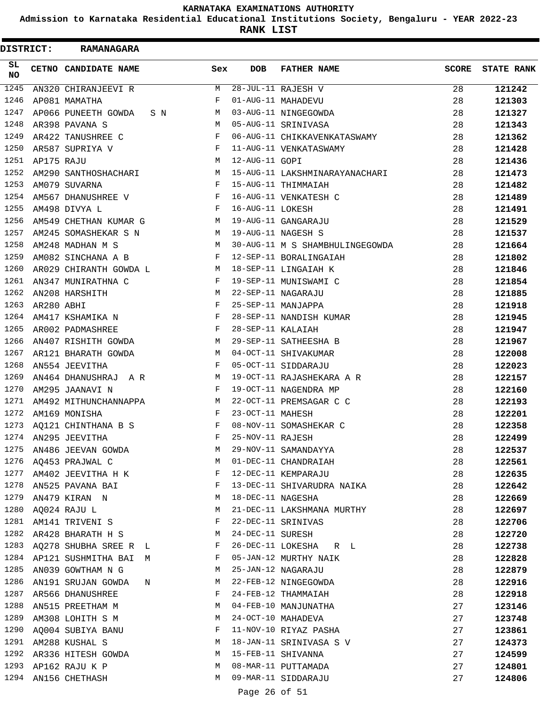**Admission to Karnataka Residential Educational Institutions Society, Bengaluru - YEAR 2022-23**

**RANK LIST**

| <b>DISTRICT:</b> |            | <b>RAMANAGARA</b>            |              |                   |                                 |              |                   |
|------------------|------------|------------------------------|--------------|-------------------|---------------------------------|--------------|-------------------|
| SL.<br>NO        |            | CETNO CANDIDATE NAME         | Sex          | <b>DOB</b>        | <b>FATHER NAME</b>              | <b>SCORE</b> | <b>STATE RANK</b> |
| 1245             |            | AN320 CHIRANJEEVI R          | M            |                   | 28-JUL-11 RAJESH V              | 28           | 121242            |
| 1246             |            | AP081 MAMATHA                | F            |                   | 01-AUG-11 MAHADEVU              | 28           | 121303            |
| 1247             |            | AP066 PUNEETH GOWDA<br>S N   | М            |                   | 03-AUG-11 NINGEGOWDA            | 28           | 121327            |
| 1248             |            | AR398 PAVANA S               | M            |                   | 05-AUG-11 SRINIVASA             | 28           | 121343            |
| 1249             |            | AR422 TANUSHREE C            | F            |                   | 06-AUG-11 CHIKKAVENKATASWAMY    | 28           | 121362            |
| 1250             |            | AR587 SUPRIYA V              | F            |                   | 11-AUG-11 VENKATASWAMY          | 28           | 121428            |
| 1251             | AP175 RAJU |                              | М            | 12-AUG-11 GOPI    |                                 | 28           | 121436            |
| 1252             |            | AM290 SANTHOSHACHARI         | M            |                   | 15-AUG-11 LAKSHMINARAYANACHARI  | 28           | 121473            |
| 1253             |            | AM079 SUVARNA                | F            |                   | 15-AUG-11 THIMMAIAH             | 28           | 121482            |
| 1254             |            | AM567 DHANUSHREE V           | $\mathbf{F}$ |                   | 16-AUG-11 VENKATESH C           | 28           | 121489            |
| 1255             |            | AM498 DIVYA L                | F            | 16-AUG-11 LOKESH  |                                 | 28           | 121491            |
| 1256             |            | AM549 CHETHAN KUMAR G        | M            |                   | 19-AUG-11 GANGARAJU             | 28           | 121529            |
| 1257             |            | AM245 SOMASHEKAR S N         | M            |                   | 19-AUG-11 NAGESH S              | 28           | 121537            |
| 1258             |            | AM248 MADHAN M S             | M            |                   | 30-AUG-11 M S SHAMBHULINGEGOWDA | 28           | 121664            |
| 1259             |            | AM082 SINCHANA A B           | F            |                   | 12-SEP-11 BORALINGAIAH          | 28           | 121802            |
| 1260             |            | AR029 CHIRANTH GOWDA L       | M            |                   | 18-SEP-11 LINGAIAH K            | 28           | 121846            |
| 1261             |            | AN347 MUNIRATHNA C           | F            |                   | 19-SEP-11 MUNISWAMI C           | 28           | 121854            |
| 1262             |            | AN208 HARSHITH               | M            |                   | 22-SEP-11 NAGARAJU              | 28           | 121885            |
| 1263             | AR280 ABHI |                              | F            |                   | 25-SEP-11 MANJAPPA              | 28           | 121918            |
| 1264             |            | AM417 KSHAMIKA N             | F            |                   | 28-SEP-11 NANDISH KUMAR         | 28           | 121945            |
| 1265             |            | AR002 PADMASHREE             | $\mathbf{F}$ | 28-SEP-11 KALAIAH |                                 | 28           | 121947            |
| 1266             |            | AN407 RISHITH GOWDA          | M            |                   | 29-SEP-11 SATHEESHA B           | 28           | 121967            |
| 1267             |            | AR121 BHARATH GOWDA          | M            |                   | 04-OCT-11 SHIVAKUMAR            | 28           | 122008            |
| 1268             |            | AN554 JEEVITHA               | F            |                   | 05-OCT-11 SIDDARAJU             | 28           | 122023            |
| 1269             |            | AN464 DHANUSHRAJ A R         | M            |                   | 19-OCT-11 RAJASHEKARA A R       | 28           | 122157            |
| 1270             |            | AM295 JAANAVI N              | F            |                   | 19-OCT-11 NAGENDRA MP           | 28           | 122160            |
| 1271             |            | AM492 MITHUNCHANNAPPA        | М            |                   | 22-OCT-11 PREMSAGAR C C         | 28           | 122193            |
| 1272             |            | AM169 MONISHA                | F            | 23-OCT-11 MAHESH  |                                 | 28           | 122201            |
| 1273             |            | AQ121 CHINTHANA B S          | F            |                   | 08-NOV-11 SOMASHEKAR C          | 28           | 122358            |
| 1274             |            | AN295 JEEVITHA               | F            | 25-NOV-11 RAJESH  |                                 | 28           | 122499            |
| 1275             |            | AN486 JEEVAN GOWDA           | M            |                   | 29-NOV-11 SAMANDAYYA            | 28           | 122537            |
| 1276             |            | AQ453 PRAJWAL C              | M            |                   | 01-DEC-11 CHANDRAIAH            | 28           | 122561            |
|                  |            | 1277 AM402 JEEVITHA H K      | F            |                   | 12-DEC-11 KEMPARAJU             | 28           | 122635            |
|                  |            | 1278 AN525 PAVANA BAI        | F            |                   | 13-DEC-11 SHIVARUDRA NAIKA      | 28           | 122642            |
| 1279             |            | AN479 KIRAN N                | М            | 18-DEC-11 NAGESHA |                                 | 28           | 122669            |
| 1280             |            | AQ024 RAJU L                 | M            |                   | 21-DEC-11 LAKSHMANA MURTHY      | 28           | 122697            |
| 1281             |            | AM141 TRIVENI S              | F            |                   | 22-DEC-11 SRINIVAS              | 28           | 122706            |
| 1282             |            | AR428 BHARATH H S            | M            | 24-DEC-11 SURESH  |                                 | 28           | 122720            |
|                  |            | 1283 AQ278 SHUBHA SREE R L   | F            |                   | 26-DEC-11 LOKESHA R L           |              |                   |
|                  |            |                              |              |                   | 05-JAN-12 MURTHY NAIK           | 28           | 122738            |
|                  |            | 1284 AP121 SUSHMITHA BAI M   | F            |                   |                                 | 28           | 122828            |
| 1285             |            | AN039 GOWTHAM N G            | M            |                   | 25-JAN-12 NAGARAJU              | 28           | 122879            |
|                  |            | 1286 AN191 SRUJAN GOWDA<br>N | M            |                   | 22-FEB-12 NINGEGOWDA            | 28           | 122916            |
|                  |            | 1287 AR566 DHANUSHREE        | F            |                   | 24-FEB-12 THAMMAIAH             | 28           | 122918            |
| 1288             |            | AN515 PREETHAM M             | M            |                   | 04-FEB-10 MANJUNATHA            | 27           | 123146            |
| 1289             |            | AM308 LOHITH S M             | M            |                   | 24-OCT-10 MAHADEVA              | 27           | 123748            |
| 1290             |            | AQ004 SUBIYA BANU            | F            |                   | 11-NOV-10 RIYAZ PASHA           | 27           | 123861            |
|                  |            | 1291 AM288 KUSHAL S          | M            |                   | 18-JAN-11 SRINIVASA S V         | 27           | 124373            |
|                  |            | 1292 AR336 HITESH GOWDA      | M            |                   | 15-FEB-11 SHIVANNA              | 27           | 124599            |
|                  |            | 1293 AP162 RAJU K P          | M            |                   | 08-MAR-11 PUTTAMADA             | 27           | 124801            |
|                  |            | 1294 AN156 CHETHASH          | M            |                   | 09-MAR-11 SIDDARAJU             | 27           | 124806            |
|                  |            |                              |              | Page 26 of 51     |                                 |              |                   |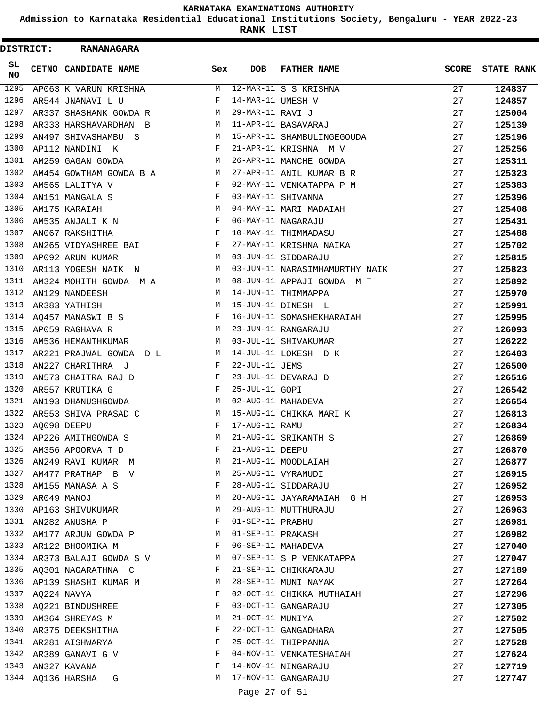**Admission to Karnataka Residential Educational Institutions Society, Bengaluru - YEAR 2022-23**

**RANK LIST**

| DISTRICT: | <b>RAMANAGARA</b>       |              |                   |                                |              |                   |
|-----------|-------------------------|--------------|-------------------|--------------------------------|--------------|-------------------|
| SL.<br>NO | CETNO CANDIDATE NAME    | Sex          | DOB               | <b>FATHER NAME</b>             | <b>SCORE</b> | <b>STATE RANK</b> |
| 1295      | AP063 K VARUN KRISHNA   | М            |                   | 12-MAR-11 S S KRISHNA          | 27           | 124837            |
| 1296      | AR544 JNANAVI L U       | F            | 14-MAR-11 UMESH V |                                | 27           | 124857            |
| 1297      | AR337 SHASHANK GOWDA R  | M            | 29-MAR-11 RAVI J  |                                | 27           | 125004            |
| 1298      | AR333 HARSHAVARDHAN B   | M            |                   | 11-APR-11 BASAVARAJ            | 27           | 125139            |
| 1299      | AN497 SHIVASHAMBU S     | M            |                   | 15-APR-11 SHAMBULINGEGOUDA     | 27           | 125196            |
| 1300      | AP112 NANDINI K         | F            |                   | 21-APR-11 KRISHNA M V          | 27           | 125256            |
| 1301      | AM259 GAGAN GOWDA       | M            |                   | 26-APR-11 MANCHE GOWDA         | 27           | 125311            |
| 1302      | AM454 GOWTHAM GOWDA B A | M            |                   | 27-APR-11 ANIL KUMAR B R       | 27           | 125323            |
| 1303      | AM565 LALITYA V         | $\mathbf{F}$ |                   | 02-MAY-11 VENKATAPPA P M       | 27           | 125383            |
| 1304      | AN151 MANGALA S         | F            |                   | 03-MAY-11 SHIVANNA             | 27           | 125396            |
| 1305      | AM175 KARAIAH           | M            |                   | 04-MAY-11 MARI MADAIAH         | 27           | 125408            |
| 1306      | AM535 ANJALI K N        | F            |                   | 06-MAY-11 NAGARAJU             | 27           | 125431            |
| 1307      | AN067 RAKSHITHA         | F            |                   | 10-MAY-11 THIMMADASU           | 27           | 125488            |
| 1308      | AN265 VIDYASHREE BAI    | F            |                   | 27-MAY-11 KRISHNA NAIKA        | 27           | 125702            |
| 1309      | AP092 ARUN KUMAR        | М            |                   | 03-JUN-11 SIDDARAJU            | 27           | 125815            |
| 1310      | AR113 YOGESH NAIK N     | M            |                   | 03-JUN-11 NARASIMHAMURTHY NAIK | 27           | 125823            |
| 1311      | AM324 MOHITH GOWDA M A  | M            |                   | 08-JUN-11 APPAJI GOWDA M T     | 27           | 125892            |
| 1312      | AN129 NANDEESH          | M            |                   | 14-JUN-11 THIMMAPPA            | 27           | 125970            |
| 1313      | AR383 YATHISH           | M            |                   | 15-JUN-11 DINESH L             | 27           | 125991            |
| 1314      | AQ457 MANASWI B S       | F            |                   | 16-JUN-11 SOMASHEKHARAIAH      | 27           | 125995            |
| 1315      | AP059 RAGHAVA R         | M            |                   | 23-JUN-11 RANGARAJU            | 27           | 126093            |
| 1316      | AM536 HEMANTHKUMAR      | M            |                   | 03-JUL-11 SHIVAKUMAR           | 27           | 126222            |
| 1317      | AR221 PRAJWAL GOWDA D L | М            |                   | 14-JUL-11 LOKESH D K           | 27           | 126403            |
| 1318      | AN227 CHARITHRA J       | F            | 22-JUL-11 JEMS    |                                | 27           | 126500            |
| 1319      | AN573 CHAITRA RAJ D     | F            |                   | 23-JUL-11 DEVARAJ D            | 27           | 126516            |
| 1320      | AR557 KRUTIKA G         | F            | 25-JUL-11 GOPI    |                                | 27           | 126542            |
| 1321      | AN193 DHANUSHGOWDA      | М            |                   | 02-AUG-11 MAHADEVA             | 27           | 126654            |
| 1322      | AR553 SHIVA PRASAD C    | M            |                   | 15-AUG-11 CHIKKA MARI K        | 27           | 126813            |
| 1323      | AQ098 DEEPU             | F            | 17-AUG-11 RAMU    |                                | 27           | 126834            |
|           | 1324 AP226 AMITHGOWDA S | М            |                   | 21-AUG-11 SRIKANTH S           | 27           | 126869            |
| 1325      | AM356 APOORVA T D       | F            | 21-AUG-11 DEEPU   |                                | 27           | 126870            |
| 1326      | AN249 RAVI KUMAR M      | М            |                   | 21-AUG-11 MOODLAIAH            | 27           | 126877            |
| 1327      | AM477 PRATHAP B V       | M            |                   | 25-AUG-11 VYRAMUDI             | 27           | 126915            |
| 1328      | AM155 MANASA A S        | F            |                   | 28-AUG-11 SIDDARAJU            | 27           | 126952            |
| 1329      | AR049 MANOJ             | М            |                   | 28-AUG-11 JAYARAMAIAH G H      | 27           | 126953            |
| 1330      | AP163 SHIVUKUMAR        | М            |                   | 29-AUG-11 MUTTHURAJU           | 27           | 126963            |
| 1331      | AN282 ANUSHA P          | F            | 01-SEP-11 PRABHU  |                                | 27           | 126981            |
| 1332      | AM177 ARJUN GOWDA P     | M            |                   | 01-SEP-11 PRAKASH              | 27           | 126982            |
| 1333      | AR122 BHOOMIKA M        | F            |                   | 06-SEP-11 MAHADEVA             | 27           | 127040            |
| 1334      | AR373 BALAJI GOWDA S V  | M            |                   | 07-SEP-11 S P VENKATAPPA       | 27           | 127047            |
| 1335      | AQ301 NAGARATHNA C      | F            |                   | 21-SEP-11 CHIKKARAJU           | 27           | 127189            |
| 1336      | AP139 SHASHI KUMAR M    | М            |                   | 28-SEP-11 MUNI NAYAK           | 27           | 127264            |
| 1337      | AQ224 NAVYA             | F            |                   | 02-OCT-11 CHIKKA MUTHAIAH      | 27           | 127296            |
| 1338      | AQ221 BINDUSHREE        | F            |                   | 03-OCT-11 GANGARAJU            | 27           | 127305            |
| 1339      | AM364 SHREYAS M         | М            | 21-OCT-11 MUNIYA  |                                | 27           | 127502            |
| 1340      | AR375 DEEKSHITHA        | F            |                   | 22-OCT-11 GANGADHARA           | 27           | 127505            |
| 1341      | AR281 AISHWARYA         | F            |                   | 25-OCT-11 THIPPANNA            | 27           | 127528            |
| 1342      | AR389 GANAVI G V        | F            |                   | 04-NOV-11 VENKATESHAIAH        | 27           | 127624            |
| 1343      | AN327 KAVANA            | F            |                   | 14-NOV-11 NINGARAJU            | 27           | 127719            |
| 1344      | AQ136 HARSHA<br>G       | M            |                   | 17-NOV-11 GANGARAJU            | 27           | 127747            |
|           |                         |              |                   |                                |              |                   |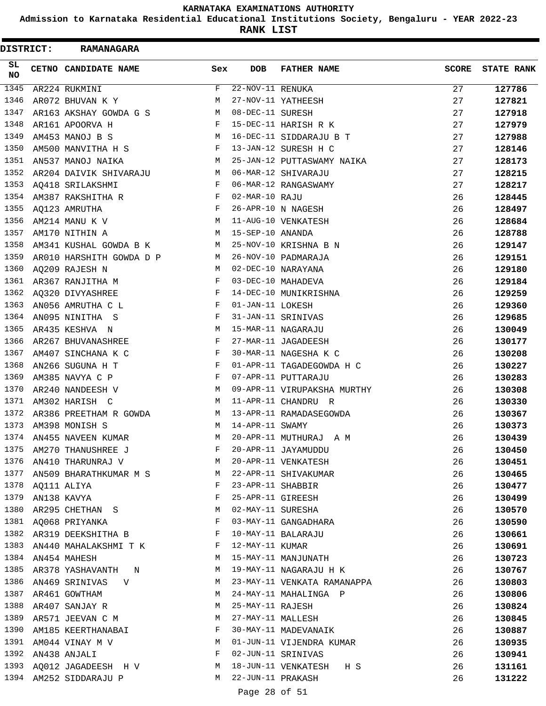**Admission to Karnataka Residential Educational Institutions Society, Bengaluru - YEAR 2022-23**

**RANK LIST**

| <b>DISTRICT:</b> | <b>RAMANAGARA</b>             |              |                               |                             |              |                   |
|------------------|-------------------------------|--------------|-------------------------------|-----------------------------|--------------|-------------------|
| SL<br>NO         | CETNO CANDIDATE NAME          | Sex          | DOB                           | <b>FATHER NAME</b>          | <b>SCORE</b> | <b>STATE RANK</b> |
| 1345             | AR224 RUKMINI                 | F            | $\overline{22-NOV-11}$ RENUKA |                             | 27           | 127786            |
| 1346             | AR072 BHUVAN K Y              | M            |                               | 27-NOV-11 YATHEESH          | 27           | 127821            |
| 1347             | AR163 AKSHAY GOWDA G S        | M            | 08-DEC-11 SURESH              |                             | 27           | 127918            |
| 1348             | AR161 APOORVA H               | $\mathbf{F}$ |                               | 15-DEC-11 HARISH R K        | 27           | 127979            |
| 1349             | AM453 MANOJ B S               | M            |                               | 16-DEC-11 SIDDARAJU B T     | 27           | 127988            |
| 1350             | AM500 MANVITHA H S            | F            |                               | 13-JAN-12 SURESH H C        | 27           | 128146            |
| 1351             | AN537 MANOJ NAIKA             | M            |                               | 25-JAN-12 PUTTASWAMY NAIKA  | 27           | 128173            |
| 1352             | AR204 DAIVIK SHIVARAJU        | M            |                               | 06-MAR-12 SHIVARAJU         | 27           | 128215            |
| 1353             | AQ418 SRILAKSHMI              | F            |                               | 06-MAR-12 RANGASWAMY        | 27           | 128217            |
| 1354             | AM387 RAKSHITHA R             | $\mathbf{F}$ | 02-MAR-10 RAJU                |                             | 26           | 128445            |
| 1355             | $\mathbf{F}$<br>AQ123 AMRUTHA |              |                               | 26-APR-10 N NAGESH          | 26           | 128497            |
| 1356             | $\mathbf M$<br>AM214 MANU K V |              |                               | 11-AUG-10 VENKATESH         | 26           | 128684            |
| 1357             | M<br>AM170 NITHIN A           |              | 15-SEP-10 ANANDA              |                             | 26           | 128788            |
| 1358             | AM341 KUSHAL GOWDA B K        | M            |                               | 25-NOV-10 KRISHNA B N       | 26           | 129147            |
| 1359             | AR010 HARSHITH GOWDA D P      | M            |                               | 26-NOV-10 PADMARAJA         | 26           | 129151            |
| 1360             | AQ209 RAJESH N                | м            |                               | 02-DEC-10 NARAYANA          | 26           | 129180            |
| 1361             | AR367 RANJITHA M              | F            |                               | 03-DEC-10 MAHADEVA          | 26           | 129184            |
| 1362             | AQ320 DIVYASHREE              | $\mathbf{F}$ |                               | 14-DEC-10 MUNIKRISHNA       | 26           | 129259            |
| 1363             | AN056 AMRUTHA C L             | F            | 01-JAN-11 LOKESH              |                             | 26           | 129360            |
| 1364             | AN095 NINITHA S               | F            |                               | 31-JAN-11 SRINIVAS          | 26           | 129685            |
| 1365             | AR435 KESHVA N                | M            |                               | 15-MAR-11 NAGARAJU          | 26           | 130049            |
| 1366             | AR267 BHUVANASHREE            | $\mathbf{F}$ |                               | 27-MAR-11 JAGADEESH         | 26           | 130177            |
| 1367             | AM407 SINCHANA K C            | F            |                               | 30-MAR-11 NAGESHA K C       | 26           | 130208            |
| 1368             | AN266 SUGUNA H T              | F            |                               | 01-APR-11 TAGADEGOWDA H C   | 26           | 130227            |
| 1369             | AM385 NAVYA C P               | F            |                               | 07-APR-11 PUTTARAJU         | 26           | 130283            |
| 1370             | AR240 NANDEESH V              | M            |                               | 09-APR-11 VIRUPAKSHA MURTHY | 26           | 130308            |
| 1371             | AM302 HARISH C                | M            |                               | 11-APR-11 CHANDRU R         | 26           | 130330            |
| 1372             | AR386 PREETHAM R GOWDA        | M            |                               | 13-APR-11 RAMADASEGOWDA     | 26           | 130367            |
| 1373             | AM398 MONISH S                | М            | 14-APR-11 SWAMY               |                             | 26           | 130373            |
| 1374             | AN455 NAVEEN KUMAR            | M            |                               | 20-APR-11 MUTHURAJ A M      | 26           | 130439            |
| 1375             | AM270 THANUSHREE J            | F            |                               | 20-APR-11 JAYAMUDDU         | 26           | 130450            |
| 1376             | AN410 THARUNRAJ V             | M            |                               | 20-APR-11 VENKATESH         | 26           | 130451            |
| 1377             | AN509 BHARATHKUMAR M S        | <b>M</b>     |                               | 22-APR-11 SHIVAKUMAR        | 26           | 130465            |
| 1378             | AQ111 ALIYA                   | $\mathbf{F}$ | 23-APR-11 SHABBIR             |                             | 26           | 130477            |
| 1379             | AN138 KAVYA                   | F            | 25-APR-11 GIREESH             |                             | 26           | 130499            |
| 1380             | AR295 CHETHAN S               | М            | 02-MAY-11 SURESHA             |                             | 26           | 130570            |
| 1381             | AQ068 PRIYANKA                | F            |                               | 03-MAY-11 GANGADHARA        | 26           | 130590            |
|                  | 1382 AR319 DEEKSHITHA B       | F            |                               | 10-MAY-11 BALARAJU          | 26           | 130661            |
| 1383             | AN440 MAHALAKSHMI T K         | F            | 12-MAY-11 KUMAR               |                             | 26           | 130691            |
| 1384             | AN454 MAHESH                  | M            |                               | 15-MAY-11 MANJUNATH         | 26           | 130723            |
| 1385             | AR378 YASHAVANTH N            | M            |                               | 19-MAY-11 NAGARAJU H K      | 26           | 130767            |
| 1386             | AN469 SRINIVAS V              | M            |                               | 23-MAY-11 VENKATA RAMANAPPA | 26           | 130803            |
| 1387             | AR461 GOWTHAM                 | M            |                               | 24-MAY-11 MAHALINGA P       | 26           | 130806            |
| 1388             | AR407 SANJAY R                | M            | 25-MAY-11 RAJESH              |                             | 26           | 130824            |
| 1389             | AR571 JEEVAN C M              | М            |                               | 27-MAY-11 MALLESH           | 26           | 130845            |
| 1390             | AM185 KEERTHANABAI            | F            |                               | 30-MAY-11 MADEVANAIK        | 26           | 130887            |
| 1391             | AM044 VINAY M V               | M            |                               | 01-JUN-11 VIJENDRA KUMAR    | 26           | 130935            |
| 1392             | AN438 ANJALI                  | F            |                               | 02-JUN-11 SRINIVAS          | 26           | 130941            |
| 1393             | AQ012 JAGADEESH H V           | M            |                               | 18-JUN-11 VENKATESH H S     | 26           | 131161            |
|                  | 1394 AM252 SIDDARAJU P        | M            | 22-JUN-11 PRAKASH             |                             | 26           | 131222            |
|                  |                               |              | Page 28 of 51                 |                             |              |                   |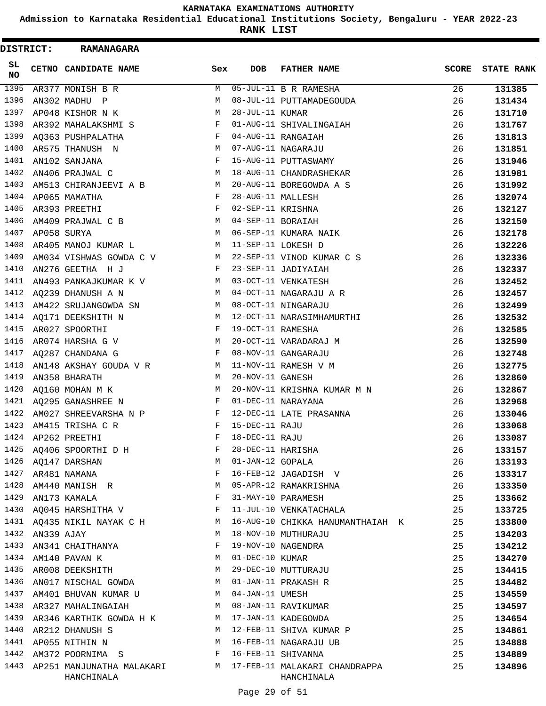**Admission to Karnataka Residential Educational Institutions Society, Bengaluru - YEAR 2022-23**

**RANK LIST**

| DISTRICT: |            | <b>RAMANAGARA</b>                                                               |     |                   |                                                                             |              |                   |
|-----------|------------|---------------------------------------------------------------------------------|-----|-------------------|-----------------------------------------------------------------------------|--------------|-------------------|
| SL<br>NO  |            | CETNO CANDIDATE NAME                                                            | Sex | DOB               | <b>FATHER NAME</b>                                                          | <b>SCORE</b> | <b>STATE RANK</b> |
| 1395      |            | AR377 MONISH B R                                                                | M   |                   | 05-JUL-11 B R RAMESHA                                                       | 26           | 131385            |
| 1396      |            | AN302 MADHU P                                                                   | M   |                   | 08-JUL-11 PUTTAMADEGOUDA                                                    | 26           | 131434            |
| 1397      |            | AP048 KISHOR N K                                                                | М   | 28-JUL-11 KUMAR   |                                                                             | 26           | 131710            |
| 1398      |            | AR392 MAHALAKSHMI S                                                             | F   |                   | 01-AUG-11 SHIVALINGAIAH                                                     | 26           | 131767            |
| 1399      |            | AQ363 PUSHPALATHA                                                               | F   |                   | 04-AUG-11 RANGAIAH                                                          | 26           | 131813            |
| 1400      |            | AR575 THANUSH N                                                                 | M   |                   | 07-AUG-11 NAGARAJU                                                          | 26           | 131851            |
| 1401      |            | AN102 SANJANA                                                                   | F   |                   | 15-AUG-11 PUTTASWAMY                                                        | 26           | 131946            |
| 1402      |            | AN406 PRAJWAL C                                                                 | М   |                   | 18-AUG-11 CHANDRASHEKAR                                                     | 26           | 131981            |
| 1403      |            | AM513 CHIRANJEEVI A B                                                           | М   |                   | 20-AUG-11 BOREGOWDA A S                                                     | 26           | 131992            |
| 1404      |            | AP065 MAMATHA                                                                   | F   | 28-AUG-11 MALLESH |                                                                             | 26           | 132074            |
| 1405      |            | AR393 PREETHI                                                                   | F   | 02-SEP-11 KRISHNA |                                                                             | 26           | 132127            |
| 1406      |            | AM409 PRAJWAL C B                                                               | M   | 04-SEP-11 BORAIAH |                                                                             | 26           | 132150            |
| 1407      |            | AP058 SURYA                                                                     | M   |                   | 06-SEP-11 KUMARA NAIK                                                       | 26           | 132178            |
| 1408      |            | AR405 MANOJ KUMAR L                                                             | M   |                   | 11-SEP-11 LOKESH D                                                          | 26           | 132226            |
| 1409      |            | AM034 VISHWAS GOWDA C V                                                         | M   |                   | 22-SEP-11 VINOD KUMAR C S                                                   | 26           | 132336            |
| 1410      |            | AN276 GEETHA H J                                                                | F   |                   | 23-SEP-11 JADIYAIAH                                                         | 26           | 132337            |
| 1411      |            | AN493 PANKAJKUMAR K V                                                           | M   |                   | 03-OCT-11 VENKATESH                                                         | 26           | 132452            |
| 1412      |            | AO239 DHANUSH A N                                                               | M   |                   | 04-OCT-11 NAGARAJU A R                                                      | 26           | 132457            |
| 1413      |            | AM422 SRUJANGOWDA SN                                                            | M   |                   | 08-OCT-11 NINGARAJU                                                         | 26           | 132499            |
| 1414      |            | AQ171 DEEKSHITH N                                                               | M   |                   | 12-OCT-11 NARASIMHAMURTHI                                                   | 26           | 132532            |
| 1415      |            | AR027 SPOORTHI                                                                  | F   | 19-OCT-11 RAMESHA |                                                                             | 26           | 132585            |
| 1416      |            | AR074 HARSHA G V                                                                | M   |                   | 20-OCT-11 VARADARAJ M                                                       | 26           | 132590            |
| 1417      |            | AQ287 CHANDANA G                                                                | F   |                   | 08-NOV-11 GANGARAJU                                                         | 26           | 132748            |
| 1418      |            | AN148 AKSHAY GOUDA V R                                                          | М   |                   | 11-NOV-11 RAMESH V M                                                        | 26           | 132775            |
| 1419      |            | AN358 BHARATH                                                                   | М   | 20-NOV-11 GANESH  |                                                                             | 26           | 132860            |
| 1420      |            | AQ160 MOHAN M K                                                                 | M   |                   | 20-NOV-11 KRISHNA KUMAR M N                                                 | 26           | 132867            |
| 1421      |            | AQ295 GANASHREE N                                                               | F   |                   | 01-DEC-11 NARAYANA                                                          | 26           | 132968            |
| 1422      |            | AM027 SHREEVARSHA N P                                                           | F   |                   | 12-DEC-11 LATE PRASANNA                                                     | 26           | 133046            |
| 1423      |            | AM415 TRISHA C R                                                                | F   | 15-DEC-11 RAJU    |                                                                             | 26           | 133068            |
| 1424      |            | AP262 PREETHI                                                                   | F   | 18-DEC-11 RAJU    |                                                                             | 26           | 133087            |
| 1425      |            | AQ406 SPOORTHI D H                                                              | F   | 28-DEC-11 HARISHA |                                                                             | 26           | 133157            |
| 1426      |            | AQ147 DARSHAN                                                                   | М   | 01-JAN-12 GOPALA  |                                                                             | 26           | 133193            |
| 1427      |            | AR481 NAMANA                                                                    | F   |                   | 16-FEB-12 JAGADISH V                                                        | 26           | 133317            |
| 1428      |            | AM440 MANISH R                                                                  | М   |                   | 05-APR-12 RAMAKRISHNA                                                       | 26           | 133350            |
| 1429      |            | AN173 KAMALA                                                                    | F   |                   | 31-MAY-10 PARAMESH                                                          | 25           | 133662            |
| 1430      |            | AQ045 HARSHITHA V                                                               | F   |                   | 11-JUL-10 VENKATACHALA                                                      | 25           | 133725            |
| 1431      |            | AQ435 NIKIL NAYAK C H                                                           | M   |                   | 16-AUG-10 CHIKKA HANUMANTHAIAH K                                            | 25           | 133800            |
| 1432      | AN339 AJAY |                                                                                 | М   |                   | 18-NOV-10 MUTHURAJU                                                         | 25           | 134203            |
| 1433      |            | AN341 CHAITHANYA                                                                | F   |                   | 19-NOV-10 NAGENDRA                                                          | 25           | 134212            |
| 1434      |            | AM140 PAVAN K                                                                   | M   | 01-DEC-10 KUMAR   |                                                                             | 25           | 134270            |
| 1435      |            | AR008 DEEKSHITH                                                                 | М   |                   | 29-DEC-10 MUTTURAJU                                                         | 25           | 134415            |
| 1436      |            | AN017 NISCHAL GOWDA                                                             | M   |                   | 01-JAN-11 PRAKASH R                                                         | 25           | 134482            |
| 1437      |            | AM401 BHUVAN KUMAR U                                                            | M   | 04-JAN-11 UMESH   |                                                                             | 25           | 134559            |
| 1438      |            | AR327 MAHALINGAIAH                                                              | M   |                   | 08-JAN-11 RAVIKUMAR                                                         | 25           | 134597            |
| 1439      |            | AR346 KARTHIK GOWDA H K                                                         | M   |                   | 17-JAN-11 KADEGOWDA                                                         | 25           | 134654            |
| 1440      |            | AR212 DHANUSH S                                                                 | M   |                   | 12-FEB-11 SHIVA KUMAR P                                                     | 25           | 134861            |
| 1441      |            | AP055 NITHIN N                                                                  | M   |                   | 16-FEB-11 NAGARAJU UB                                                       | 25           | 134888            |
| 1442      |            | $\mathbf{F}$ . The contract of the contract of $\mathbf{F}$<br>AM372 POORNIMA S |     |                   | 16-FEB-11 SHIVANNA                                                          | 25           | 134889            |
| 1443      |            | HANCHINALA                                                                      |     |                   | AP251 MANJUNATHA MALAKARI MARI MATAFEB-11 MALAKARI CHANDRAPPA<br>HANCHINALA | 25           | 134896            |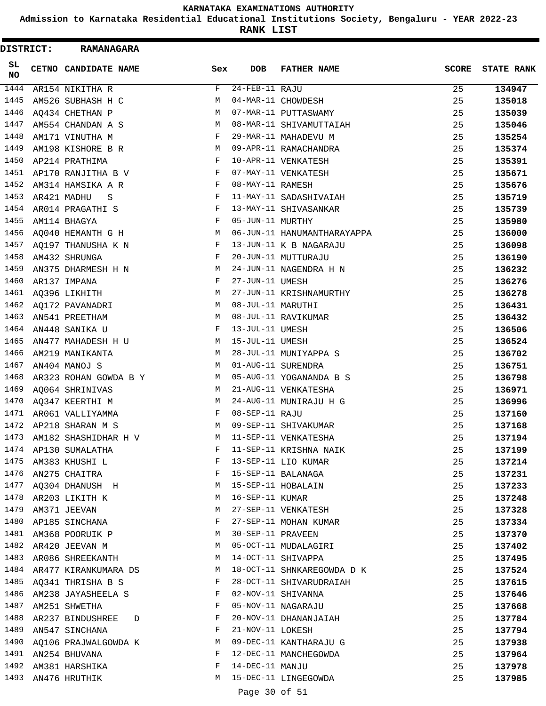**Admission to Karnataka Residential Educational Institutions Society, Bengaluru - YEAR 2022-23**

**RANK LIST**

 $\blacksquare$ 

| DISTRICT: | <b>RAMANAGARA</b>         |              |                   |                             |              |                   |
|-----------|---------------------------|--------------|-------------------|-----------------------------|--------------|-------------------|
| SL<br>NO  | CETNO CANDIDATE NAME      | Sex          | <b>DOB</b>        | <b>FATHER NAME</b>          | <b>SCORE</b> | <b>STATE RANK</b> |
| 1444      | AR154 NIKITHA R           | F            | 24-FEB-11 RAJU    |                             | 25           | 134947            |
| 1445      | AM526 SUBHASH H C         | М            |                   | 04-MAR-11 CHOWDESH          | 25           | 135018            |
| 1446      | AQ434 CHETHAN P           | M            |                   | 07-MAR-11 PUTTASWAMY        | 25           | 135039            |
| 1447      | AM554 CHANDAN A S         | M            |                   | 08-MAR-11 SHIVAMUTTAIAH     | 25           | 135046            |
| 1448      | AM171 VINUTHA M           | $\mathbf{F}$ |                   | 29-MAR-11 MAHADEVU M        | 25           | 135254            |
| 1449      | AM198 KISHORE B R         | М            |                   | 09-APR-11 RAMACHANDRA       | 25           | 135374            |
| 1450      | AP214 PRATHIMA            | F            |                   | 10-APR-11 VENKATESH         | 25           | 135391            |
| 1451      | AP170 RANJITHA B V        | F            |                   | 07-MAY-11 VENKATESH         | 25           | 135671            |
| 1452      | AM314 HAMSIKA A R         | F            | 08-MAY-11 RAMESH  |                             | 25           | 135676            |
| 1453      | AR421 MADHU<br>S          | F            |                   | 11-MAY-11 SADASHIVAIAH      | 25           | 135719            |
| 1454      | AR014 PRAGATHI S          | F            |                   | 13-MAY-11 SHIVASANKAR       | 25           | 135739            |
| 1455      | AM114 BHAGYA              | F            | 05-JUN-11 MURTHY  |                             | 25           | 135980            |
| 1456      | AQ040 HEMANTH G H         | M            |                   | 06-JUN-11 HANUMANTHARAYAPPA | 25           | 136000            |
| 1457      | AQ197 THANUSHA K N        | F            |                   | 13-JUN-11 K B NAGARAJU      | 25           | 136098            |
| 1458      | AM432 SHRUNGA             | F            |                   | 20-JUN-11 MUTTURAJU         | 25           | 136190            |
| 1459      | AN375 DHARMESH H N        | М            |                   | 24-JUN-11 NAGENDRA H N      | 25           | 136232            |
| 1460      | AR137 IMPANA              | F            | 27-JUN-11 UMESH   |                             | 25           | 136276            |
| 1461      | AQ396 LIKHITH             | М            |                   | 27-JUN-11 KRISHNAMURTHY     | 25           | 136278            |
| 1462      | AQ172 PAVANADRI           | M            | 08-JUL-11 MARUTHI |                             | 25           | 136431            |
| 1463      | AN541 PREETHAM            | M            |                   | 08-JUL-11 RAVIKUMAR         | 25           | 136432            |
| 1464      | AN448 SANIKA U            | F            | 13-JUL-11 UMESH   |                             | 25           | 136506            |
| 1465      | AN477 MAHADESH H U        | М            | 15-JUL-11 UMESH   |                             | 25           | 136524            |
| 1466      | AM219 MANIKANTA           | M            |                   | 28-JUL-11 MUNIYAPPA S       | 25           | 136702            |
| 1467      | AN404 MANOJ S             | М            |                   | 01-AUG-11 SURENDRA          | 25           | 136751            |
| 1468      | AR323 ROHAN GOWDA B Y     | M            |                   | 05-AUG-11 YOGANANDA B S     | 25           | 136798            |
| 1469      | A0064 SHRINIVAS           | М            |                   | 21-AUG-11 VENKATESHA        | 25           | 136971            |
| 1470      | AQ347 KEERTHI M           | M            |                   | 24-AUG-11 MUNIRAJU H G      | 25           | 136996            |
| 1471      | AR061 VALLIYAMMA          | F            | 08-SEP-11 RAJU    |                             | 25           | 137160            |
| 1472      | AP218 SHARAN M S          | M            |                   | 09-SEP-11 SHIVAKUMAR        | 25           | 137168            |
| 1473      | AM182 SHASHIDHAR H V      | M            |                   | 11-SEP-11 VENKATESHA        | 25           | 137194            |
| 1474      | AP130 SUMALATHA           | F            |                   | 11-SEP-11 KRISHNA NAIK      | 25           | 137199            |
| 1475      | AM383 KHUSHI L            | F            |                   | 13-SEP-11 LIO KUMAR         | 25           | 137214            |
| 1476      | AN275 CHAITRA             | F            |                   | 15-SEP-11 BALANAGA          | 25           | 137231            |
| 1477      | AQ304 DHANUSH H           | М            |                   | 15-SEP-11 HOBALAIN          | 25           | 137233            |
| 1478      | AR203 LIKITH K            | М            | 16-SEP-11 KUMAR   |                             | 25           | 137248            |
| 1479      | AM371 JEEVAN              | М            |                   | 27-SEP-11 VENKATESH         | 25           | 137328            |
| 1480      | AP185 SINCHANA            | F            |                   | 27-SEP-11 MOHAN KUMAR       | 25           | 137334            |
| 1481      | AM368 POORUIK P           | M            | 30-SEP-11 PRAVEEN |                             | 25           | 137370            |
| 1482      | AR420 JEEVAN M            | M            |                   | 05-OCT-11 MUDALAGIRI        | 25           | 137402            |
| 1483      | AR086 SHREEKANTH          | М            |                   | 14-OCT-11 SHIVAPPA          | 25           | 137495            |
|           | 1484 AR477 KIRANKUMARA DS | M            |                   | 18-OCT-11 SHNKAREGOWDA D K  | 25           | 137524            |
| 1485      | AQ341 THRISHA B S         | F            |                   | 28-OCT-11 SHIVARUDRAIAH     | 25           | 137615            |
| 1486      | AM238 JAYASHEELA S        | F            |                   | 02-NOV-11 SHIVANNA          | 25           | 137646            |
| 1487      | AM251 SHWETHA             | F            |                   | 05-NOV-11 NAGARAJU          | 25           | 137668            |
| 1488      | AR237 BINDUSHREE D        | F            |                   | 20-NOV-11 DHANANJAIAH       | 25           | 137784            |
| 1489      | AN547 SINCHANA            | F            | 21-NOV-11 LOKESH  |                             | 25           | 137794            |
| 1490      | AQ106 PRAJWALGOWDA K      | М            |                   | 09-DEC-11 KANTHARAJU G      | 25           | 137938            |
| 1491      | AN254 BHUVANA             | F            |                   | 12-DEC-11 MANCHEGOWDA       | 25           | 137964            |
| 1492      | AM381 HARSHIKA            | F            | 14-DEC-11 MANJU   |                             | 25           | 137978            |
| 1493      | AN476 HRUTHIK             | M            |                   | 15-DEC-11 LINGEGOWDA        | 25           | 137985            |
|           |                           |              |                   |                             |              |                   |

Page 30 of 51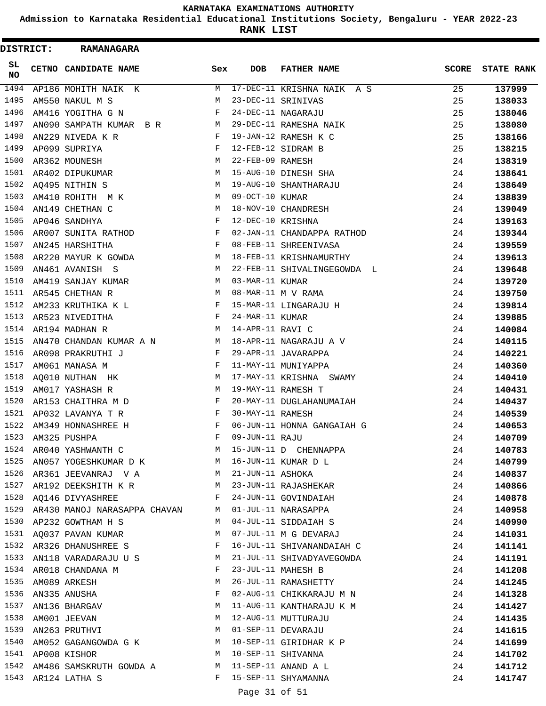**Admission to Karnataka Residential Educational Institutions Society, Bengaluru - YEAR 2022-23**

**RANK LIST**

 $\blacksquare$ 

| <b>DISTRICT:</b> | <b>RAMANAGARA</b>                               |                                 |                   |                             |              |                   |
|------------------|-------------------------------------------------|---------------------------------|-------------------|-----------------------------|--------------|-------------------|
| SL.<br>NO        | <b>CETNO CANDIDATE NAME</b>                     | Sex                             | <b>DOB</b>        | <b>FATHER NAME</b>          | <b>SCORE</b> | <b>STATE RANK</b> |
| 1494             | AP186 MOHITH NAIK K                             | M                               |                   | 17-DEC-11 KRISHNA NAIK A S  | 25           | 137999            |
| 1495             | AM550 NAKUL M S                                 | М                               |                   | 23-DEC-11 SRINIVAS          | 25           | 138033            |
| 1496             | AM416 YOGITHA G N                               | F                               |                   | 24-DEC-11 NAGARAJU          | 25           | 138046            |
| 1497             | AN090 SAMPATH KUMAR B R                         | M                               |                   | 29-DEC-11 RAMESHA NAIK      | 25           | 138080            |
| 1498             | AN229 NIVEDA K R                                | $\mathbf{F}$                    |                   | 19-JAN-12 RAMESH K C        | 25           | 138166            |
| 1499             | AP099 SUPRIYA                                   | F                               |                   | 12-FEB-12 SIDRAM B          | 25           | 138215            |
| 1500             | AR362 MOUNESH                                   | М                               | 22-FEB-09 RAMESH  |                             | 24           | 138319            |
| 1501             | AR402 DIPUKUMAR                                 | M                               |                   | 15-AUG-10 DINESH SHA        | 24           | 138641            |
| 1502             | AQ495 NITHIN S                                  | M                               |                   | 19-AUG-10 SHANTHARAJU       | 24           | 138649            |
| 1503             | AM410 ROHITH M K                                | М                               | 09-OCT-10 KUMAR   |                             | 24           | 138839            |
| 1504             | AN149 CHETHAN C                                 | M                               |                   | 18-NOV-10 CHANDRESH         | 24           | 139049            |
| 1505             | AP046 SANDHYA                                   | F                               | 12-DEC-10 KRISHNA |                             | 24           | 139163            |
| 1506             | AR007 SUNITA RATHOD                             | F                               |                   | 02-JAN-11 CHANDAPPA RATHOD  | 24           | 139344            |
| 1507             | AN245 HARSHITHA                                 | F                               |                   | 08-FEB-11 SHREENIVASA       | 24           | 139559            |
| 1508             | AR220 MAYUR K GOWDA                             | M                               |                   | 18-FEB-11 KRISHNAMURTHY     | 24           | 139613            |
| 1509             | AN461 AVANISH S                                 | М                               |                   | 22-FEB-11 SHIVALINGEGOWDA L | 24           | 139648            |
| 1510             | AM419 SANJAY KUMAR                              | M                               | 03-MAR-11 KUMAR   |                             | 24           | 139720            |
| 1511             | AR545 CHETHAN R                                 | М                               |                   | 08-MAR-11 M V RAMA          | 24           | 139750            |
| 1512             | AM233 KRUTHIKA K L                              | F                               |                   | 15-MAR-11 LINGARAJU H       | 24           | 139814            |
| 1513             | AR523 NIVEDITHA                                 | $\mathbf{F}$ . The $\mathbf{F}$ | 24-MAR-11 KUMAR   |                             | 24           | 139885            |
| 1514             | AR194 MADHAN R                                  | M                               | 14-APR-11 RAVI C  |                             | 24           | 140084            |
| 1515             | AN470 CHANDAN KUMAR A N M                       |                                 |                   | 18-APR-11 NAGARAJU A V      | 24           | 140115            |
| 1516             | AR098 PRAKRUTHI J                               | F                               |                   | 29-APR-11 JAVARAPPA         | 24           | 140221            |
| 1517             | AM061 MANASA M                                  | F                               |                   | 11-MAY-11 MUNIYAPPA         | 24           | 140360            |
| 1518             | AQ010 NUTHAN HK                                 | M                               |                   | 17-MAY-11 KRISHNA SWAMY     | 24           | 140410            |
| 1519             | AM017 YASHASH R                                 | М                               |                   | 19-MAY-11 RAMESH T          | 24           | 140431            |
| 1520             | AR153 CHAITHRA M D                              | F                               |                   | 20-MAY-11 DUGLAHANUMAIAH    | 24           | 140437            |
| 1521             | AP032 LAVANYA T R                               | F                               | 30-MAY-11 RAMESH  |                             | 24           | 140539            |
| 1522             | AM349 HONNASHREE H                              | F                               |                   | 06-JUN-11 HONNA GANGAIAH G  | 24           | 140653            |
| 1523             |                                                 | F                               | 09-JUN-11 RAJU    |                             | 24           | 140709            |
| 1524             | AM325 PUSHPA<br>AR040 YASHWANTH C               | M                               |                   | 15-JUN-11 D CHENNAPPA       | 24           |                   |
| 1525             | AN057 YOGESHKUMAR D K M 16-JUN-11 KUMAR D L     |                                 |                   |                             | 24           | 140783            |
|                  |                                                 |                                 |                   |                             |              | 140799            |
| 1527             | 1526 AR361 JEEVANRAJ V A M 21-JUN-11 ASHOKA     |                                 |                   |                             | 24           | 140837            |
|                  | AR192 DEEKSHITH K R M 23-JUN-11 RAJASHEKAR      |                                 |                   |                             | 24           | 140866            |
| 1528             | AQ146 DIVYASHREE                                | F                               |                   | 24-JUN-11 GOVINDAIAH        | 24           | 140878            |
| 1529             | AR430 MANOJ NARASAPPA CHAVAN                    | M                               |                   | 01-JUL-11 NARASAPPA         | 24           | 140958            |
| 1530             | AP232 GOWTHAM H S                               | М                               |                   | 04-JUL-11 SIDDAIAH S        | 24           | 140990            |
| 1531             | AQ037 PAVAN KUMAR                               | М                               |                   | 07-JUL-11 M G DEVARAJ       | 24           | 141031            |
| 1532             | AR326 DHANUSHREE S                              | F                               |                   | 16-JUL-11 SHIVANANDAIAH C   | 24           | 141141            |
|                  | 1533 AN118 VARADARAJU U S $$\tt{M}$$            |                                 |                   | 21-JUL-11 SHIVADYAVEGOWDA   | 24           | 141191            |
|                  | 1534 AR018 CHANDANA M                           | F                               |                   | 23-JUL-11 MAHESH B          | 24           | 141208            |
| 1535             | AM089 ARKESH                                    | М                               |                   | 26-JUL-11 RAMASHETTY        | 24           | 141245            |
| 1536             | AN335 ANUSHA                                    | F                               |                   | 02-AUG-11 CHIKKARAJU M N    | 24           | 141328            |
| 1537             | AN136 BHARGAV                                   | М                               |                   | 11-AUG-11 KANTHARAJU K M    | 24           | 141427            |
| 1538             | AM001 JEEVAN                                    | М                               |                   | 12-AUG-11 MUTTURAJU         | 24           | 141435            |
| 1539             | AN263 PRUTHVI                                   | M                               |                   | 01-SEP-11 DEVARAJU          | 24           | 141615            |
| 1540             | AM052 GAGANGOWDA G K                            |                                 |                   | M 10-SEP-11 GIRIDHAR K P    | 24           | 141699            |
|                  | 1541 AP008 KISHOR                               |                                 |                   | M 10-SEP-11 SHIVANNA        | 24           | 141702            |
| 1542             | AM486 SAMSKRUTH GOWDA A $M$ 11-SEP-11 ANAND A L |                                 |                   |                             | 24           | 141712            |
| 1543             | AR124 LATHA S                                   | F                               |                   | 15-SEP-11 SHYAMANNA         | 24           | 141747            |

# Page 31 of 51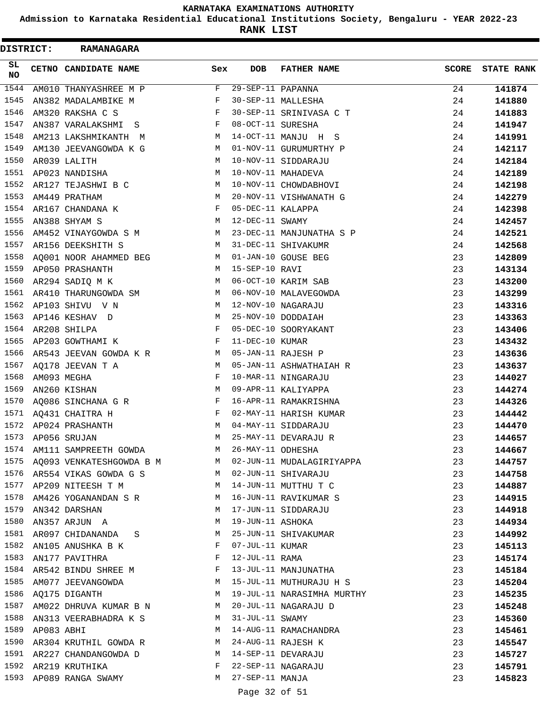**Admission to Karnataka Residential Educational Institutions Society, Bengaluru - YEAR 2022-23**

**RANK LIST**

| DISTRICT: |            | <b>RAMANAGARA</b>          |                                                |                   |                            |              |                   |
|-----------|------------|----------------------------|------------------------------------------------|-------------------|----------------------------|--------------|-------------------|
| SL<br>NO  |            | CETNO CANDIDATE NAME       | Sex                                            | <b>DOB</b>        | <b>FATHER NAME</b>         | <b>SCORE</b> | <b>STATE RANK</b> |
| 1544      |            | AM010 THANYASHREE M P      | F                                              | 29-SEP-11 PAPANNA |                            | 24           | 141874            |
| 1545      |            | AN382 MADALAMBIKE M        | F                                              |                   | 30-SEP-11 MALLESHA         | 24           | 141880            |
| 1546      |            | AM320 RAKSHA C S           | F                                              |                   | 30-SEP-11 SRINIVASA C T    | 24           | 141883            |
| 1547      |            | AN387 VARALAKSHMI S        | F                                              | 08-OCT-11 SURESHA |                            | 24           | 141947            |
| 1548      |            | AM213 LAKSHMIKANTH M       | М                                              |                   | 14-OCT-11 MANJU H S        | 24           | 141991            |
| 1549      |            | AM130 JEEVANGOWDA K G      | M                                              |                   | 01-NOV-11 GURUMURTHY P     | 24           | 142117            |
| 1550      |            | AR039 LALITH               | M                                              |                   | 10-NOV-11 SIDDARAJU        | 24           | 142184            |
| 1551      |            | AP023 NANDISHA             | M                                              |                   | 10-NOV-11 MAHADEVA         | 24           | 142189            |
| 1552      |            | AR127 TEJASHWI B C         | М                                              |                   | 10-NOV-11 CHOWDABHOVI      | 24           | 142198            |
| 1553      |            | AM449 PRATHAM              | M                                              |                   | 20-NOV-11 VISHWANATH G     | 24           | 142279            |
| 1554      |            | AR167 CHANDANA K           | $\mathbf{F}$                                   | 05-DEC-11 KALAPPA |                            | 24           | 142398            |
| 1555      |            | AN388 SHYAM S              | M                                              | 12-DEC-11 SWAMY   |                            | 24           | 142457            |
| 1556      |            | AM452 VINAYGOWDA S M       | M                                              |                   | 23-DEC-11 MANJUNATHA S P   | 24           | 142521            |
| 1557      |            | AR156 DEEKSHITH S          | M                                              |                   | 31-DEC-11 SHIVAKUMR        | 24           | 142568            |
| 1558      |            | AQ001 NOOR AHAMMED BEG     | M                                              |                   | 01-JAN-10 GOUSE BEG        | 23           | 142809            |
| 1559      |            | AP050 PRASHANTH            | M                                              | 15-SEP-10 RAVI    |                            | 23           | 143134            |
| 1560      |            | AR294 SADIQ M K            | M                                              |                   | 06-OCT-10 KARIM SAB        | 23           | 143200            |
| 1561      |            | AR410 THARUNGOWDA SM       | M                                              |                   | 06-NOV-10 MALAVEGOWDA      | 23           | 143299            |
| 1562      |            | AP103 SHIVU V N            | M                                              |                   | 12-NOV-10 NAGARAJU         | 23           | 143316            |
| 1563      |            | AP146 KESHAV D             | M                                              |                   | 25-NOV-10 DODDAIAH         | 23           | 143363            |
| 1564      |            | AR208 SHILPA               | $\mathbf{F}$                                   |                   | 05-DEC-10 SOORYAKANT       | 23           | 143406            |
| 1565      |            | AP203 GOWTHAMI K           | F                                              | 11-DEC-10 KUMAR   |                            | 23           | 143432            |
| 1566      |            | AR543 JEEVAN GOWDA K R     | M                                              |                   | 05-JAN-11 RAJESH P         | 23           | 143636            |
| 1567      |            | AQ178 JEEVAN T A           | М                                              |                   | 05-JAN-11 ASHWATHAIAH R    | 23           | 143637            |
| 1568      |            | AM093 MEGHA                | F                                              |                   | 10-MAR-11 NINGARAJU        | 23           | 144027            |
| 1569      |            | AN260 KISHAN               | M                                              |                   | 09-APR-11 KALIYAPPA        | 23           | 144274            |
| 1570      |            | AQ086 SINCHANA G R         | F                                              |                   | 16-APR-11 RAMAKRISHNA      | 23           | 144326            |
| 1571      |            | AQ431 CHAITRA H            | F                                              |                   | 02-MAY-11 HARISH KUMAR     | 23           | 144442            |
| 1572      |            | AP024 PRASHANTH            | M                                              |                   | 04-MAY-11 SIDDARAJU        | 23           | 144470            |
| 1573      |            | AP056 SRUJAN               | M                                              |                   | 25-MAY-11 DEVARAJU R       | 23           | 144657            |
| 1574      |            | AM111 SAMPREETH GOWDA      | M                                              | 26-MAY-11 ODHESHA |                            | 23           | 144667            |
| 1575      |            | AQ093 VENKATESHGOWDA B M   | M                                              |                   | 02-JUN-11 MUDALAGIRIYAPPA  | 23           | 144757            |
|           |            | 1576 AR554 VIKAS GOWDA G S | <b>M</b>                                       |                   | 02-JUN-11 SHIVARAJU        | 23           | 144758            |
|           |            | 1577 AP209 NITEESH T M     | M                                              |                   | 14-JUN-11 MUTTHU T C       | 23           | 144887            |
| 1578      |            | AM426 YOGANANDAN S R       | M                                              |                   | 16-JUN-11 RAVIKUMAR S      | 23           | 144915            |
| 1579      |            | AN342 DARSHAN              | M                                              |                   | 17-JUN-11 SIDDARAJU        | 23           | 144918            |
| 1580      |            | AN357 ARJUN A              | М                                              | 19-JUN-11 ASHOKA  |                            | 23           | 144934            |
| 1581      |            | AR097 CHIDANANDA S         | M                                              |                   | 25-JUN-11 SHIVAKUMAR       | 23           | 144992            |
| 1582      |            | AN105 ANUSHKA B K          | F                                              | 07-JUL-11 KUMAR   |                            | 23           | 145113            |
| 1583      |            | AN177 PAVITHRA             | F                                              | 12-JUL-11 RAMA    |                            | 23           | 145174            |
|           |            | 1584 AR542 BINDU SHREE M   | $\mathbf{F}$ and $\mathbf{F}$ and $\mathbf{F}$ |                   | 13-JUL-11 MANJUNATHA       | 23           | 145184            |
|           |            | 1585 AM077 JEEVANGOWDA     | M                                              |                   | 15-JUL-11 MUTHURAJU H S    | 23           | 145204            |
| 1586      |            | AQ175 DIGANTH              | M                                              |                   | 19-JUL-11 NARASIMHA MURTHY | 23           | 145235            |
| 1587      |            | AM022 DHRUVA KUMAR B N     | M                                              |                   | 20-JUL-11 NAGARAJU D       | 23           | 145248            |
| 1588      |            | AN313 VEERABHADRA K S      | M                                              | 31-JUL-11 SWAMY   |                            | 23           | 145360            |
| 1589      | AP083 ABHI |                            | M                                              |                   | 14-AUG-11 RAMACHANDRA      | 23           | 145461            |
| 1590      |            | AR304 KRUTHIL GOWDA R      | M                                              |                   | 24-AUG-11 RAJESH K         | 23           | 145547            |
| 1591      |            | AR227 CHANDANGOWDA D       | M                                              |                   | 14-SEP-11 DEVARAJU         | 23           | 145727            |
|           |            | 1592 AR219 KRUTHIKA        | F                                              |                   | 22-SEP-11 NAGARAJU         | 23           | 145791            |
| 1593      |            | AP089 RANGA SWAMY          | M                                              | 27-SEP-11 MANJA   |                            | 23           | 145823            |
|           |            |                            |                                                | Page 32 of 51     |                            |              |                   |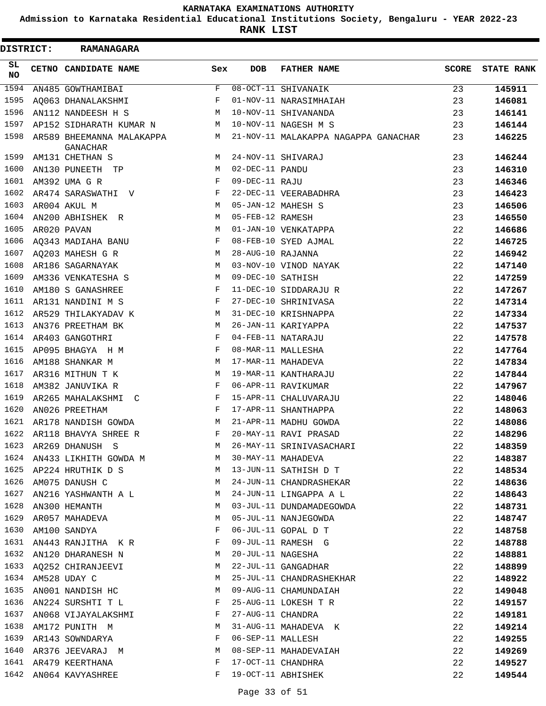**Admission to Karnataka Residential Educational Institutions Society, Bengaluru - YEAR 2022-23**

| <b>DISTRICT:</b> | <b>RAMANAGARA</b>                            |     |                   |                                      |              |                   |
|------------------|----------------------------------------------|-----|-------------------|--------------------------------------|--------------|-------------------|
| SL<br><b>NO</b>  | CETNO CANDIDATE NAME                         | Sex | <b>DOB</b>        | <b>FATHER NAME</b>                   | <b>SCORE</b> | <b>STATE RANK</b> |
| 1594             | AN485 GOWTHAMIBAI                            | F   |                   | 08-OCT-11 SHIVANAIK                  | 23           | 145911            |
| 1595             | AO063 DHANALAKSHMI                           | F   |                   | 01-NOV-11 NARASIMHAIAH               | 23           | 146081            |
| 1596             | AN112 NANDEESH H S                           | M   |                   | 10-NOV-11 SHIVANANDA                 | 23           | 146141            |
| 1597             | AP152 SIDHARATH KUMAR N                      | M   |                   | 10-NOV-11 NAGESH M S                 | 23           | 146144            |
| 1598             | AR589 BHEEMANNA MALAKAPPA<br><b>GANACHAR</b> | М   |                   | 21-NOV-11 MALAKAPPA NAGAPPA GANACHAR | 23           | 146225            |
| 1599             | AM131 CHETHAN S                              | M   |                   | 24-NOV-11 SHIVARAJ                   | 23           | 146244            |
| 1600             | AN130 PUNEETH TP                             | М   | 02-DEC-11 PANDU   |                                      | 23           | 146310            |
| 1601             | AM392 UMA G R                                | F   | 09-DEC-11 RAJU    |                                      | 23           | 146346            |
| 1602             | AR474 SARASWATHI V                           | F   |                   | 22-DEC-11 VEERABADHRA                | 23           | 146423            |
| 1603             | AR004 AKUL M                                 | M   |                   | 05-JAN-12 MAHESH S                   | 23           | 146506            |
| 1604             | AN200 ABHISHEK R                             | M   | 05-FEB-12 RAMESH  |                                      | 23           | 146550            |
| 1605             | AR020 PAVAN                                  | М   |                   | 01-JAN-10 VENKATAPPA                 | 22           | 146686            |
| 1606             | AQ343 MADIAHA BANU                           | F   |                   | 08-FEB-10 SYED AJMAL                 | 22           | 146725            |
| 1607             | AO203 MAHESH G R                             | M   | 28-AUG-10 RAJANNA |                                      | 22           | 146942            |
| 1608             | AR186 SAGARNAYAK                             | M   |                   | 03-NOV-10 VINOD NAYAK                | 22           | 147140            |
| 1609             | AM336 VENKATESHA S                           | M   | 09-DEC-10 SATHISH |                                      | 22           | 147259            |
| 1610             | AM180 S GANASHREE                            | F   |                   | 11-DEC-10 SIDDARAJU R                | 22           | 147267            |
| 1611             | AR131 NANDINI M S                            | F   |                   | 27-DEC-10 SHRINIVASA                 | 22           | 147314            |
| 1612             | AR529 THILAKYADAV K                          | M   |                   | 31-DEC-10 KRISHNAPPA                 | 22           | 147334            |
| 1613             | AN376 PREETHAM BK                            | M   |                   | 26-JAN-11 KARIYAPPA                  | 22           | 147537            |
| 1614             | AR403 GANGOTHRI                              | F   |                   | 04-FEB-11 NATARAJU                   | 22           | 147578            |
| 1615             | AP095 BHAGYA H M                             | F   |                   | 08-MAR-11 MALLESHA                   | 22           | 147764            |
| 1616             | AM188 SHANKAR M                              | M   |                   | 17-MAR-11 MAHADEVA                   | 22           | 147834            |
| 1617             | AR316 MITHUN T K                             | M   |                   | 19-MAR-11 KANTHARAJU                 | 22           | 147844            |
| 1618             | AM382 JANUVIKA R                             | F   |                   | 06-APR-11 RAVIKUMAR                  | 22           | 147967            |
| 1619             | AR265 MAHALAKSHMI C                          | F   |                   | 15-APR-11 CHALUVARAJU                | 22           | 148046            |
| 1620             | AN026 PREETHAM                               | F   |                   | 17-APR-11 SHANTHAPPA                 | 22           | 148063            |
| 1621             | AR178 NANDISH GOWDA                          | М   |                   | 21-APR-11 MADHU GOWDA                | 22           | 148086            |
| 1622             | AR118 BHAVYA SHREE R                         | F   |                   | 20-MAY-11 RAVI PRASAD                | 22           | 148296            |
| 1623             | AR269 DHANUSH S                              | M   |                   | 26-MAY-11 SRINIVASACHARI             | 22           | 148359            |
| 1624             | AN433 LIKHITH GOWDA M                        |     |                   | 30-MAY-11 MAHADEVA                   | 22           | 148387            |
|                  | 1625 AP224 HRUTHIK D S M                     |     |                   | 13-JUN-11 SATHISH D T                | 22           | 148534            |
|                  | 1626 AM075 DANUSH C                          | M   |                   | 24-JUN-11 CHANDRASHEKAR              | 22           | 148636            |
| 1627             | AN216 YASHWANTH A L M                        |     |                   | 24-JUN-11 LINGAPPA A L               | 22           | 148643            |
| 1628             | AN300 HEMANTH                                | M   |                   | 03-JUL-11 DUNDAMADEGOWDA             | 22           | 148731            |
| 1629             | AR057 MAHADEVA                               | M   |                   | 05-JUL-11 NANJEGOWDA                 | 22           | 148747            |
|                  | 1630 AM100 SANDYA                            | F   |                   | 06-JUL-11 GOPAL D T                  | 22           | 148758            |
| 1631             | AN443 RANJITHA K R                           | F   |                   | 09-JUL-11 RAMESH G                   | 22           | 148788            |
| 1632             | AN120 DHARANESH N                            | M   |                   | 20-JUL-11 NAGESHA                    | 22           | 148881            |
|                  | 1633 AQ252 CHIRANJEEVI                       | M   |                   | 22-JUL-11 GANGADHAR                  | 22           | 148899            |
|                  | 1634 AM528 UDAY C                            | М   |                   | 25-JUL-11 CHANDRASHEKHAR             | 22           | 148922            |
| 1635             | AN001 NANDISH HC                             | M   |                   | 09-AUG-11 CHAMUNDAIAH                | 22           | 149048            |
| 1636             | AN224 SURSHTI T L                            | F   |                   | 25-AUG-11 LOKESH T R                 | 22           | 149157            |
| 1637             | AN068 VIJAYALAKSHMI F                        |     | 27-AUG-11 CHANDRA |                                      | 22           | 149181            |
|                  | 1638 AM172 PUNITH M                          | M   |                   | 31-AUG-11 MAHADEVA K                 | 22           | 149214            |
| 1639             | AR143 SOWNDARYA                              | F   | 06-SEP-11 MALLESH |                                      | 22           | 149255            |
| 1640             | AR376 JEEVARAJ M                             | M   |                   | 08-SEP-11 MAHADEVAIAH                | 22           | 149269            |
|                  | 1641 AR479 KEERTHANA                         | F   |                   | 17-OCT-11 CHANDHRA                   | 22           | 149527            |
|                  | 1642 AN064 KAVYASHREE                        | F   |                   | 19-OCT-11 ABHISHEK                   | 22           | 149544            |
|                  |                                              |     |                   |                                      |              |                   |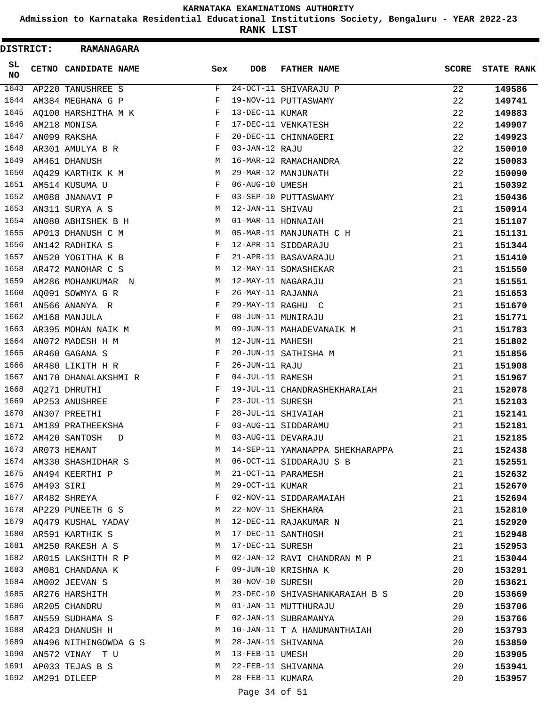**Admission to Karnataka Residential Educational Institutions Society, Bengaluru - YEAR 2022-23**

**RANK LIST**

| DISTRICT: |                 | <b>RAMANAGARA</b>                    |              |                   |                                 |              |                   |
|-----------|-----------------|--------------------------------------|--------------|-------------------|---------------------------------|--------------|-------------------|
| SL.<br>NO |                 | CETNO CANDIDATE NAME                 | Sex          | <b>DOB</b>        | <b>FATHER NAME</b>              | <b>SCORE</b> | <b>STATE RANK</b> |
| 1643      |                 | AP220 TANUSHREE S                    | F            |                   | 24-OCT-11 SHIVARAJU P           | 22           | 149586            |
| 1644      |                 | AM384 MEGHANA G P                    | F            |                   | 19-NOV-11 PUTTASWAMY            | 22           | 149741            |
| 1645      |                 | AQ100 HARSHITHA M K                  | F            | 13-DEC-11 KUMAR   |                                 | 22           | 149883            |
| 1646      |                 | AM218 MONISA                         | F            |                   | 17-DEC-11 VENKATESH             | 22           | 149907            |
| 1647      |                 | AN099 RAKSHA                         | F            |                   | 20-DEC-11 CHINNAGERI            | 22           | 149923            |
| 1648      |                 | AR301 AMULYA B R                     | F            | 03-JAN-12 RAJU    |                                 | 22           | 150010            |
| 1649      |                 | AM461 DHANUSH                        | М            |                   | 16-MAR-12 RAMACHANDRA           | 22           | 150083            |
| 1650      |                 | AQ429 KARTHIK K M                    | M            |                   | 29-MAR-12 MANJUNATH             | 22           | 150090            |
| 1651      |                 | AM514 KUSUMA U                       | F            | 06-AUG-10 UMESH   |                                 | 21           | 150392            |
| 1652      |                 | AM088 JNANAVI P                      | F            |                   | 03-SEP-10 PUTTASWAMY            | 21           | 150436            |
| 1653      |                 | AN311 SURYA A S                      | M            | 12-JAN-11 SHIVAU  |                                 | 21           | 150914            |
| 1654      |                 | AN080 ABHISHEK B H                   | M            |                   | 01-MAR-11 HONNAIAH              | 21           | 151107            |
| 1655      |                 | AP013 DHANUSH C M                    | M            |                   | 05-MAR-11 MANJUNATH C H         | 21           | 151131            |
| 1656      |                 | AN142 RADHIKA S                      | F            |                   | 12-APR-11 SIDDARAJU             | 21           | 151344            |
| 1657      |                 | AN520 YOGITHA K B                    | F            |                   | 21-APR-11 BASAVARAJU            | 21           | 151410            |
| 1658      |                 | AR472 MANOHAR C S                    | M            |                   | 12-MAY-11 SOMASHEKAR            | 21           | 151550            |
| 1659      |                 | AM286 MOHANKUMAR N                   | М            |                   | 12-MAY-11 NAGARAJU              | 21           | 151551            |
| 1660      |                 | AQ091 SOWMYA G R                     | F            | 26-MAY-11 RAJANNA |                                 | 21           | 151653            |
| 1661      |                 | AN566 ANANYA R                       | F            |                   | 29-MAY-11 RAGHU C               | 21           | 151670            |
| 1662      |                 | AM168 MANJULA                        | F            |                   | 08-JUN-11 MUNIRAJU              | 21           | 151771            |
| 1663      |                 | AR395 MOHAN NAIK M                   | M            |                   | 09-JUN-11 MAHADEVANAIK M        | 21           | 151783            |
| 1664      |                 | AN072 MADESH H M                     | M            | 12-JUN-11 MAHESH  |                                 | 21           | 151802            |
| 1665      |                 | AR460 GAGANA S                       | F            |                   | 20-JUN-11 SATHISHA M            | 21           | 151856            |
| 1666      |                 | AR480 LIKITH H R                     | F            | 26-JUN-11 RAJU    |                                 | 21           | 151908            |
| 1667      |                 | AN170 DHANALAKSHMI R                 | F            | 04-JUL-11 RAMESH  |                                 | 21           | 151967            |
| 1668      |                 | AQ271 DHRUTHI                        | F            |                   | 19-JUL-11 CHANDRASHEKHARAIAH    | 21           | 152078            |
| 1669      |                 | AP253 ANUSHREE                       | F            | 23-JUL-11 SURESH  |                                 | 21           | 152103            |
| 1670      |                 | AN307 PREETHI                        | F            |                   | 28-JUL-11 SHIVAIAH              | 21           | 152141            |
| 1671      |                 | AM189 PRATHEEKSHA                    | F            |                   | 03-AUG-11 SIDDARAMU             | 21           | 152181            |
| 1672      |                 | AM420 SANTOSH<br>D                   | M            |                   | 03-AUG-11 DEVARAJU              | 21           | 152185            |
|           |                 | 1673 AR073 HEMANT                    | M            |                   | 14-SEP-11 YAMANAPPA SHEKHARAPPA | 21           | 152438            |
|           |                 | 1674 AM330 SHASHIDHAR S              | M            |                   | 06-OCT-11 SIDDARAJU S B         | 21           | 152551            |
|           |                 | 1675 AN494 KEERTHI P                 | M            |                   | 21-OCT-11 PARAMESH              | 21           | 152632            |
|           | 1676 AM493 SIRI |                                      | M            | 29-OCT-11 KUMAR   |                                 | 21           | 152670            |
|           |                 | 1677 AR482 SHREYA                    | $\mathbf{F}$ |                   | 02-NOV-11 SIDDARAMAIAH          | 21           | 152694            |
|           |                 | 1678 AP229 PUNEETH G S               | М            |                   | 22-NOV-11 SHEKHARA              | 21           | 152810            |
|           |                 | 1679 AQ479 KUSHAL YADAV              | M            |                   | 12-DEC-11 RAJAKUMAR N           | 21           | 152920            |
|           |                 | 1680 AR591 KARTHIK S                 | М            |                   | 17-DEC-11 SANTHOSH              | 21           | 152948            |
|           |                 | 1681 AM250 RAKESH A S                | М            | 17-DEC-11 SURESH  |                                 | 21           | 152953            |
|           |                 | 1682 AR015 LAKSHITH R P              | M            |                   | 02-JAN-12 RAVI CHANDRAN M P     | 21           | 153044            |
| 1683      |                 | AM081 CHANDANA K                     | F            |                   | 09-JUN-10 KRISHNA K             | 20           | 153291            |
|           |                 | 1684 AM002 JEEVAN S                  | М            | 30-NOV-10 SURESH  |                                 | 20           | 153621            |
|           |                 | 1685 AR276 HARSHITH                  | M            |                   | 23-DEC-10 SHIVASHANKARAIAH B S  | 20           | 153669            |
| 1686      |                 | AR205 CHANDRU                        | М            |                   | 01-JAN-11 MUTTHURAJU            | 20           | 153706            |
| 1687      |                 | AN559 SUDHAMA S                      | F            |                   | 02-JAN-11 SUBRAMANYA            | 20           | 153766            |
|           |                 | 1688 AR423 DHANUSH H                 | M            |                   | 10-JAN-11 T A HANUMANTHAIAH     | 20           | 153793            |
|           |                 | 1689 AN496 NITHINGOWDA G S           | M            |                   | 28-JAN-11 SHIVANNA              | 20           | 153850            |
| 1690      |                 | AN572 VINAY   T U                    | M            | 13-FEB-11 UMESH   |                                 | 20           | 153905            |
| 1692      |                 | 1691 AP033 TEJAS B S<br>AM291 DILEEP | M<br>M       | 28-FEB-11 KUMARA  | 22-FEB-11 SHIVANNA              | 20<br>20     | 153941            |
|           |                 |                                      |              |                   |                                 |              | 153957            |
|           |                 |                                      |              | Page 34 of 51     |                                 |              |                   |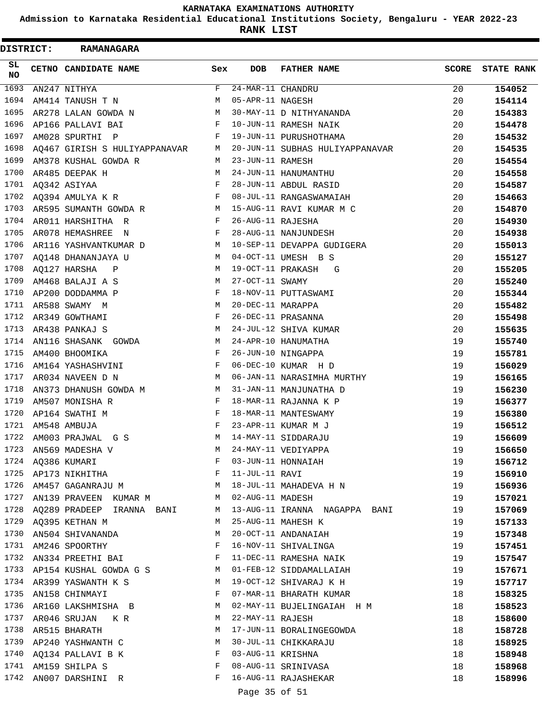**Admission to Karnataka Residential Educational Institutions Society, Bengaluru - YEAR 2022-23**

|          | <b>DISTRICT:</b> | <b>RAMANAGARA</b>             |              |                   |                                 |              |                   |
|----------|------------------|-------------------------------|--------------|-------------------|---------------------------------|--------------|-------------------|
| SL<br>NO |                  | CETNO CANDIDATE NAME          | Sex          | <b>DOB</b>        | <b>FATHER NAME</b>              | <b>SCORE</b> | <b>STATE RANK</b> |
| 1693     |                  | AN247 NITHYA                  | F            | 24-MAR-11 CHANDRU |                                 | 20           | 154052            |
| 1694     |                  | AM414 TANUSH T N              | M            | 05-APR-11 NAGESH  |                                 | 20           | 154114            |
| 1695     |                  | AR278 LALAN GOWDA N           | М            |                   | 30-MAY-11 D NITHYANANDA         | 20           | 154383            |
| 1696     |                  | AP166 PALLAVI BAI             | F            |                   | 10-JUN-11 RAMESH NAIK           | 20           | 154478            |
| 1697     |                  | AM028 SPURTHI P               | F            |                   | 19-JUN-11 PURUSHOTHAMA          | 20           | 154532            |
| 1698     |                  | AO467 GIRISH S HULIYAPPANAVAR | M            |                   | 20-JUN-11 SUBHAS HULIYAPPANAVAR | 20           | 154535            |
| 1699     |                  | AM378 KUSHAL GOWDA R          | М            | 23-JUN-11 RAMESH  |                                 | 20           | 154554            |
| 1700     |                  | AR485 DEEPAK H                | M            |                   | 24-JUN-11 HANUMANTHU            | 20           | 154558            |
| 1701     |                  | AQ342 ASIYAA                  | F            |                   | 28-JUN-11 ABDUL RASID           | 20           | 154587            |
| 1702     |                  | AQ394 AMULYA K R              | F            |                   | 08-JUL-11 RANGASWAMAIAH         | 20           | 154663            |
| 1703     |                  | AR595 SUMANTH GOWDA R         | М            |                   | 15-AUG-11 RAVI KUMAR M C        | 20           | 154870            |
| 1704     |                  | AR011 HARSHITHA R             | F            | 26-AUG-11 RAJESHA |                                 | 20           | 154930            |
| 1705     |                  | AR078 HEMASHREE N             | F            |                   | 28-AUG-11 NANJUNDESH            | 20           | 154938            |
| 1706     |                  | AR116 YASHVANTKUMAR D         | М            |                   | 10-SEP-11 DEVAPPA GUDIGERA      | 20           | 155013            |
| 1707     |                  | AQ148 DHANANJAYA U            | M            |                   | 04-OCT-11 UMESH B S             | 20           | 155127            |
| 1708     |                  | AQ127 HARSHA<br>$\mathbb{P}$  | М            |                   | 19-OCT-11 PRAKASH<br>G          | 20           | 155205            |
| 1709     |                  | AM468 BALAJI A S              | M            | 27-OCT-11 SWAMY   |                                 | 20           | 155240            |
| 1710     |                  | AP200 DODDAMMA P              | F            |                   | 18-NOV-11 PUTTASWAMI            | 20           | 155344            |
| 1711     |                  | AR588 SWAMY M                 | M            | 20-DEC-11 MARAPPA |                                 | 20           | 155482            |
| 1712     |                  | AR349 GOWTHAMI                | F            |                   | 26-DEC-11 PRASANNA              | 20           | 155498            |
| 1713     |                  | AR438 PANKAJ S                | M            |                   | 24-JUL-12 SHIVA KUMAR           | 20           |                   |
| 1714     |                  |                               | M            |                   |                                 |              | 155635            |
| 1715     |                  | AN116 SHASANK GOWDA           | F            |                   | 24-APR-10 HANUMATHA             | 19           | 155740            |
|          |                  | AM400 BHOOMIKA                |              |                   | 26-JUN-10 NINGAPPA              | 19           | 155781            |
| 1716     |                  | AM164 YASHASHVINI             | F            |                   | 06-DEC-10 KUMAR H D             | 19           | 156029            |
| 1717     |                  | AR034 NAVEEN D N              | M            |                   | 06-JAN-11 NARASIMHA MURTHY      | 19           | 156165            |
| 1718     |                  | AN373 DHANUSH GOWDA M         | M            |                   | 31-JAN-11 MANJUNATHA D          | 19           | 156230            |
| 1719     |                  | AM507 MONISHA R               | F            |                   | 18-MAR-11 RAJANNA K P           | 19           | 156377            |
| 1720     |                  | AP164 SWATHI M                | F            |                   | 18-MAR-11 MANTESWAMY            | 19           | 156380            |
|          |                  | 1721 AM548 AMBUJA             | $\mathbf F$  |                   | 23-APR-11 KUMAR M J             | 19           | 156512            |
| 1722     |                  | AM003 PRAJWAL G S             |              |                   | M 14-MAY-11 SIDDARAJU           | 19           | 156609            |
| 1723     |                  | AN569 MADESHA V               | M            |                   | 24-MAY-11 VEDIYAPPA             | 19           | 156650            |
| 1724     |                  | AQ386 KUMARI                  | F            |                   | 03-JUN-11 HONNAIAH              | 19           | 156712            |
|          |                  | 1725 AP173 NIKHITHA           | F            | 11-JUL-11 RAVI    |                                 | 19           | 156910            |
| 1726     |                  | AM457 GAGANRAJU M             | М            |                   | 18-JUL-11 MAHADEVA H N          | 19           | 156936            |
| 1727     |                  | AN139 PRAVEEN KUMAR M         | M            | 02-AUG-11 MADESH  |                                 | 19           | 157021            |
| 1728     |                  | AQ289 PRADEEP IRANNA BANI     | M            |                   | 13-AUG-11 IRANNA NAGAPPA BANI   | 19           | 157069            |
|          |                  | 1729 AQ395 KETHAN M           | M            |                   | 25-AUG-11 MAHESH K              | 19           | 157133            |
| 1730     |                  | AN504 SHIVANANDA              | М            |                   | 20-OCT-11 ANDANAIAH             | 19           | 157348            |
| 1731     |                  | AM246 SPOORTHY                | F            |                   | 16-NOV-11 SHIVALINGA            | 19           | 157451            |
| 1732     |                  | AN334 PREETHI BAI             | $\mathbf{F}$ |                   | 11-DEC-11 RAMESHA NAIK          | 19           | 157547            |
|          |                  | 1733 AP154 KUSHAL GOWDA G S   | M            |                   | 01-FEB-12 SIDDAMALLAIAH         | 19           | 157671            |
|          |                  | 1734 AR399 YASWANTH K S       | М            |                   | 19-OCT-12 SHIVARAJ K H          | 19           | 157717            |
| 1735     |                  | AN158 CHINMAYI                | F            |                   | 07-MAR-11 BHARATH KUMAR         | 18           | 158325            |
| 1736     |                  | AR160 LAKSHMISHA B            | M            |                   | 02-MAY-11 BUJELINGAIAH H M      | 18           | 158523            |
| 1737     |                  | AR046 SRUJAN KR               | M            | 22-MAY-11 RAJESH  |                                 | 18           | 158600            |
| 1738     |                  | AR515 BHARATH                 | М            |                   | 17-JUN-11 BORALINGEGOWDA        | 18           | 158728            |
| 1739     |                  | AP240 YASHWANTH C             | М            |                   | 30-JUL-11 CHIKKARAJU            | 18           | 158925            |
| 1740     |                  | AQ134 PALLAVI B K             | F            | 03-AUG-11 KRISHNA |                                 | 18           | 158948            |
|          |                  | 1741 AM159 SHILPA S           | F            |                   | 08-AUG-11 SRINIVASA             | 18           | 158968            |
| 1742     |                  | AN007 DARSHINI R              | F            |                   | 16-AUG-11 RAJASHEKAR            | 18           | 158996            |
|          |                  |                               |              | Page 35 of 51     |                                 |              |                   |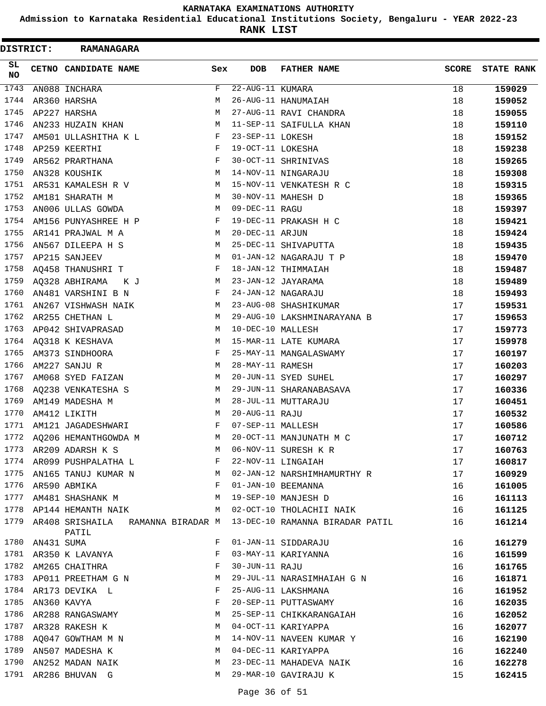**Admission to Karnataka Residential Educational Institutions Society, Bengaluru - YEAR 2022-23**

**RANK LIST**

| <b>DISTRICT:</b> |                 | <b>RAMANAGARA</b>                                                                       |     |                   |                                                                        |              |                   |
|------------------|-----------------|-----------------------------------------------------------------------------------------|-----|-------------------|------------------------------------------------------------------------|--------------|-------------------|
| SL<br><b>NO</b>  |                 | CETNO CANDIDATE NAME                                                                    | Sex | DOB               | <b>FATHER NAME</b>                                                     | <b>SCORE</b> | <b>STATE RANK</b> |
| 1743             |                 | AN088 INCHARA                                                                           | F   | 22-AUG-11 KUMARA  |                                                                        | 18           | 159029            |
| 1744             |                 | AR360 HARSHA                                                                            | М   |                   | 26-AUG-11 HANUMAIAH                                                    | 18           | 159052            |
| 1745             |                 | AP227 HARSHA                                                                            | М   |                   | 27-AUG-11 RAVI CHANDRA                                                 | 18           | 159055            |
| 1746             |                 | AN233 HUZAIN KHAN                                                                       | M   |                   | 11-SEP-11 SAIFULLA KHAN                                                | 18           | 159110            |
| 1747             |                 | AM501 ULLASHITHA K L                                                                    | F   | 23-SEP-11 LOKESH  |                                                                        | 18           | 159152            |
| 1748             |                 | AP259 KEERTHI                                                                           | F   | 19-OCT-11 LOKESHA |                                                                        | 18           | 159238            |
| 1749             |                 | AR562 PRARTHANA                                                                         | F   |                   | 30-OCT-11 SHRINIVAS                                                    | 18           | 159265            |
| 1750             |                 | AN328 KOUSHIK                                                                           | M   |                   | 14-NOV-11 NINGARAJU                                                    | 18           | 159308            |
| 1751             |                 | AR531 KAMALESH R V                                                                      | М   |                   | 15-NOV-11 VENKATESH R C                                                | 18           | 159315            |
| 1752             |                 | AM181 SHARATH M                                                                         | М   |                   | 30-NOV-11 MAHESH D                                                     | 18           | 159365            |
| 1753             |                 | AN006 ULLAS GOWDA                                                                       | M   | 09-DEC-11 RAGU    |                                                                        | 18           | 159397            |
| 1754             |                 | AM156 PUNYASHREE H P                                                                    | F   |                   | 19-DEC-11 PRAKASH H C                                                  | 18           | 159421            |
| 1755             |                 | AR141 PRAJWAL M A                                                                       | M   | 20-DEC-11 ARJUN   |                                                                        | 18           | 159424            |
| 1756             |                 | AN567 DILEEPA H S                                                                       | М   |                   | 25-DEC-11 SHIVAPUTTA                                                   | 18           | 159435            |
| 1757             |                 | AP215 SANJEEV                                                                           | М   |                   | 01-JAN-12 NAGARAJU T P                                                 | 18           | 159470            |
| 1758             |                 | AQ458 THANUSHRI T                                                                       | F   |                   | 18-JAN-12 THIMMAIAH                                                    | 18           | 159487            |
| 1759             |                 | AQ328 ABHIRAMA KJ                                                                       | M   |                   | 23-JAN-12 JAYARAMA                                                     | 18           | 159489            |
| 1760             |                 | AN481 VARSHINI B N                                                                      | F   |                   | 24-JAN-12 NAGARAJU                                                     | 18           | 159493            |
| 1761             |                 | AN267 VISHWASH NAIK                                                                     | M   |                   | 23-AUG-08 SHASHIKUMAR                                                  | 17           | 159531            |
| 1762             |                 | AR255 CHETHAN L                                                                         | M   |                   | 29-AUG-10 LAKSHMINARAYANA B                                            | 17           | 159653            |
| 1763             |                 | AP042 SHIVAPRASAD                                                                       | М   | 10-DEC-10 MALLESH |                                                                        | 17           | 159773            |
| 1764             |                 | AQ318 K KESHAVA                                                                         | М   |                   | 15-MAR-11 LATE KUMARA                                                  | 17           | 159978            |
| 1765             |                 | AM373 SINDHOORA                                                                         | F   |                   | 25-MAY-11 MANGALASWAMY                                                 | 17           | 160197            |
| 1766             |                 | AM227 SANJU R                                                                           | M   | 28-MAY-11 RAMESH  |                                                                        | 17           | 160203            |
| 1767             |                 | AM068 SYED FAIZAN                                                                       | M   |                   | 20-JUN-11 SYED SUHEL                                                   | 17           | 160297            |
| 1768             |                 | AQ238 VENKATESHA S                                                                      | М   |                   | 29-JUN-11 SHARANABASAVA                                                | 17           | 160336            |
| 1769             |                 | AM149 MADESHA M                                                                         | M   |                   | 28-JUL-11 MUTTARAJU                                                    | 17           | 160451            |
| 1770             |                 | AM412 LIKITH                                                                            | М   | 20-AUG-11 RAJU    |                                                                        | 17           | 160532            |
| 1771             |                 | AM121 JAGADESHWARI                                                                      | F   | 07-SEP-11 MALLESH |                                                                        | 17           | 160586            |
| 1772             |                 | AQ206 HEMANTHGOWDA M                                                                    | M   |                   | 20-OCT-11 MANJUNATH M C                                                | 17           | 160712            |
|                  |                 | 1773 AR209 ADARSH K S                                                                   | M   |                   | 06-NOV-11 SURESH K R                                                   | 17           | 160763            |
|                  |                 | 1774 AR099 PUSHPALATHA L                                                                |     |                   | 22-NOV-11 LINGAIAH                                                     | 17           | 160817            |
|                  |                 |                                                                                         |     |                   | 1775 AN165 TANUJ KUMAR N M 02-JAN-12 NARSHIMHAMURTHY R                 | 17           | 160929            |
|                  |                 | 1776 AR590 ABMIKA<br>F 01-JAN-10 BEEMANNA                                               |     |                   |                                                                        | 16           | 161005            |
|                  |                 | 1777 AM481 SHASHANK M M 19-SEP-10 MANJESH D                                             |     |                   |                                                                        | 16           | 161113            |
|                  |                 |                                                                                         |     |                   | 1778 AP144 HEMANTH NAIK M 02-OCT-10 THOLACHII NAIK                     | 16           | 161125            |
|                  |                 | PATIL                                                                                   |     |                   | 1779 AR408 SRISHAILA RAMANNA BIRADAR M 13-DEC-10 RAMANNA BIRADAR PATIL | 16           | 161214            |
|                  | 1780 AN431 SUMA |                                                                                         | F   |                   | 01-JAN-11 SIDDARAJU                                                    | 16           | 161279            |
|                  |                 | 1781 AR350 K LAVANYA                                                                    | F   |                   | 03-MAY-11 KARIYANNA                                                    | 16           | 161599            |
|                  |                 | 1782 AM265 CHAITHRA                                                                     | F   | 30-JUN-11 RAJU    |                                                                        | 16           | 161765            |
|                  |                 | 1783 AP011 PREETHAM G N M                                                               |     |                   | 29-JUL-11 NARASIMHAIAH G N                                             | 16           | 161871            |
|                  |                 | $\mathbb{F}^{\mathbb{Z}}$ . The set of $\mathbb{F}^{\mathbb{Z}}$<br>1784 AR173 DEVIKA L |     |                   | 25-AUG-11 LAKSHMANA                                                    | 16           | 161952            |
|                  |                 | 1785 AN360 KAVYA                                                                        |     |                   | 20-SEP-11 PUTTASWAMY                                                   | 16           | 162035            |
| 1786             |                 | AN360 KAVYA<br>AR288 RANGASWAMY M                                                       |     |                   | 25-SEP-11 CHIKKARANGAIAH                                               | 16           | 162052            |
| 1787             |                 | AR328 RAKESH K                                                                          | M   |                   | 04-OCT-11 KARIYAPPA                                                    | 16           | 162077            |
|                  |                 | 1788 $AQ047$ GOWTHAM M N                                                                |     |                   | 14-NOV-11 NAVEEN KUMAR Y                                               | 16           | 162190            |
|                  |                 | 1789 AN507 MADESHA K                                                                    |     |                   | M 04-DEC-11 KARIYAPPA                                                  | 16           | 162240            |
| 1790             |                 |                                                                                         |     |                   | AN252 MADAN NAIK MARING MARING 23-DEC-11 MAHADEVA NAIK                 | 16           | 162278            |
|                  |                 | 1791 AR286 BHUVAN G                                                                     |     |                   | M 29-MAR-10 GAVIRAJU K                                                 | 15           | 162415            |
|                  |                 |                                                                                         |     |                   |                                                                        |              |                   |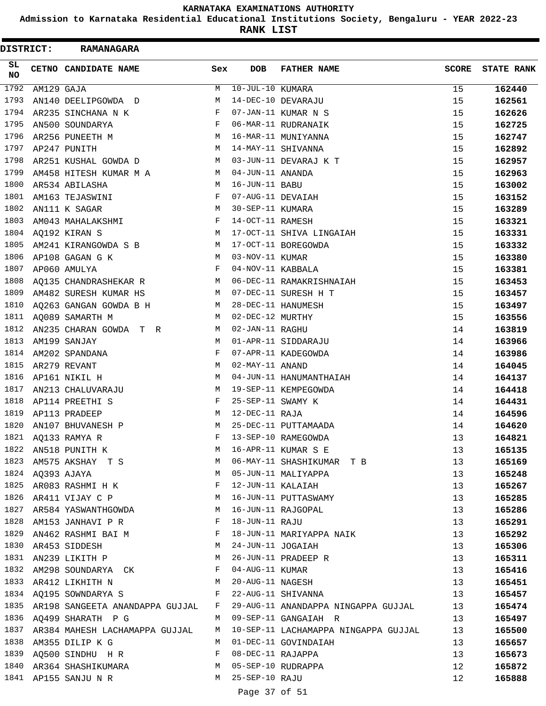**Admission to Karnataka Residential Educational Institutions Society, Bengaluru - YEAR 2022-23**

**RANK LIST**

| DISTRICT: |                  | <b>RAMANAGARA</b>                     |             |                     |                                      |              |                   |
|-----------|------------------|---------------------------------------|-------------|---------------------|--------------------------------------|--------------|-------------------|
| SL<br>NO  |                  | CETNO CANDIDATE NAME                  | Sex         | <b>DOB</b>          | <b>FATHER NAME</b>                   | <b>SCORE</b> | <b>STATE RANK</b> |
| 1792      | AM129 GAJA       |                                       | М           | $10$ -JUL-10 KUMARA |                                      | 15           | 162440            |
| 1793      |                  | AN140 DEELIPGOWDA D                   | M           |                     | 14-DEC-10 DEVARAJU                   | 15           | 162561            |
| 1794      |                  | AR235 SINCHANA N K                    | F           |                     | 07-JAN-11 KUMAR N S                  | 15           | 162626            |
| 1795      |                  | AN500 SOUNDARYA                       | F           |                     | 06-MAR-11 RUDRANAIK                  | 15           | 162725            |
| 1796      |                  | AR256 PUNEETH M                       | M           |                     | 16-MAR-11 MUNIYANNA                  | 15           | 162747            |
| 1797      |                  | AP247 PUNITH                          | M           |                     | 14-MAY-11 SHIVANNA                   | 15           | 162892            |
| 1798      |                  | AR251 KUSHAL GOWDA D                  | М           |                     | 03-JUN-11 DEVARAJ K T                | 15           | 162957            |
| 1799      |                  | AM458 HITESH KUMAR M A                | М           | 04-JUN-11 ANANDA    |                                      | 15           | 162963            |
| 1800      |                  | AR534 ABILASHA                        | М           | 16-JUN-11 BABU      |                                      | 15           | 163002            |
| 1801      |                  | AM163 TEJASWINI                       | F           | 07-AUG-11 DEVAIAH   |                                      | 15           | 163152            |
| 1802      |                  | AN111 K SAGAR                         | М           | 30-SEP-11 KUMARA    |                                      | 15           | 163289            |
| 1803      |                  | AM043 MAHALAKSHMI                     | F           | 14-OCT-11 RAMESH    |                                      | 15           | 163321            |
| 1804      |                  | AQ192 KIRAN S                         | M           |                     | 17-OCT-11 SHIVA LINGAIAH             | 15           | 163331            |
| 1805      |                  | AM241 KIRANGOWDA S B                  | М           |                     | 17-OCT-11 BOREGOWDA                  | 15           | 163332            |
| 1806      |                  | AP108 GAGAN G K                       | M           | 03-NOV-11 KUMAR     |                                      | 15           | 163380            |
| 1807      |                  | AP060 AMULYA                          | F           | 04-NOV-11 KABBALA   |                                      | 15           | 163381            |
| 1808      |                  | AQ135 CHANDRASHEKAR R                 | M           |                     | 06-DEC-11 RAMAKRISHNAIAH             | 15           | 163453            |
| 1809      |                  | AM482 SURESH KUMAR HS                 | M           |                     | 07-DEC-11 SURESH H T                 | 15           | 163457            |
| 1810      |                  | AQ263 GANGAN GOWDA B H                | М           |                     | 28-DEC-11 HANUMESH                   | 15           | 163497            |
| 1811      |                  | AQ089 SAMARTH M                       | M           | 02-DEC-12 MURTHY    |                                      | 15           | 163556            |
| 1812      |                  | AN235 CHARAN GOWDA T R                | M           | 02-JAN-11 RAGHU     |                                      | 14           | 163819            |
| 1813      |                  | AM199 SANJAY                          | M           |                     | 01-APR-11 SIDDARAJU                  | 14           | 163966            |
| 1814      |                  | AM202 SPANDANA                        | F           |                     | 07-APR-11 KADEGOWDA                  | 14           | 163986            |
| 1815      |                  | AR279 REVANT                          | M           | 02-MAY-11 ANAND     |                                      | 14           | 164045            |
| 1816      |                  | AP161 NIKIL H                         | М           |                     | 04-JUN-11 HANUMANTHAIAH              | 14           | 164137            |
| 1817      |                  | AN213 CHALUVARAJU                     | M           |                     | 19-SEP-11 KEMPEGOWDA                 | 14           | 164418            |
| 1818      |                  | AP114 PREETHI S                       | F           | 25-SEP-11 SWAMY K   |                                      | 14           | 164431            |
| 1819      |                  | AP113 PRADEEP                         | М           | 12-DEC-11 RAJA      |                                      | 14           | 164596            |
| 1820      |                  | AN107 BHUVANESH P                     | М           |                     | 25-DEC-11 PUTTAMAADA                 | 14           | 164620            |
| 1821      |                  | AO133 RAMYA R                         | F           |                     | 13-SEP-10 RAMEGOWDA                  | 13           | 164821            |
|           |                  | 1822 AN518 PUNITH K                   | M           |                     | 16-APR-11 KUMAR S E                  | 13           | 165135            |
| 1823      |                  | AM575 AKSHAY T S                      | M           |                     | 06-MAY-11 SHASHIKUMAR T B            | 13           | 165169            |
|           | 1824 AQ393 AJAYA | <b>M</b>                              |             |                     | 05-JUN-11 MALIYAPPA                  | 13           | 165248            |
|           |                  | 1825 AR083 RASHMI H K                 | $$\rm \,F$$ | 12-JUN-11 KALAIAH   |                                      | 13           | 165267            |
|           |                  | 1826 AR411 VIJAY C P M                |             |                     | 16-JUN-11 PUTTASWAMY                 | 13           | 165285            |
| 1827      |                  | AR584 YASWANTHGOWDA M                 |             |                     | 16-JUN-11 RAJGOPAL                   | 13           | 165286            |
| 1828      |                  | $\mathbf{F}$<br>AM153 JANHAVI P R     |             | 18-JUN-11 RAJU      |                                      | 13           | 165291            |
|           |                  | 1829 AN462 RASHMI BAI M               |             |                     | 18-JUN-11 MARIYAPPA NAIK             | 13           | 165292            |
|           |                  | 1830 AR453 SIDDESH<br>M <sub>1</sub>  |             | 24-JUN-11 JOGAIAH   |                                      | 13           | 165306            |
|           |                  | 1831 AN239 LIKITH P                   | M           |                     | 26-JUN-11 PRADEEP R                  | 13           | 165311            |
|           |                  | 1832 AM298 SOUNDARYA CK F             |             | 04-AUG-11 KUMAR     |                                      | 13           | 165416            |
|           |                  | 1833 AR412 LIKHITH N                  |             |                     | M 20-AUG-11 NAGESH                   | 13           | 165451            |
|           |                  | 1834 AQ195 SOWNDARYA S                |             |                     | 22-AUG-11 SHIVANNA                   | 13           | 165457            |
| 1835      |                  | AR198 SANGEETA ANANDAPPA GUJJAL F     |             |                     | 29-AUG-11 ANANDAPPA NINGAPPA GUJJAL  | 13           | 165474            |
| 1836      |                  | AQ499 SHARATH P G<br>$\mathbf{M}$     |             |                     | 09-SEP-11 GANGAIAH R                 | 13           | 165497            |
|           |                  | 1837 AR384 MAHESH LACHAMAPPA GUJJAL M |             |                     | 10-SEP-11 LACHAMAPPA NINGAPPA GUJJAL | 13           | 165500            |
|           |                  | 1838 AM355 DILIP K G                  | M           |                     | 01-DEC-11 GOVINDAIAH                 | 13           | 165657            |
|           |                  | 1839 AQ500 SINDHU H R F               |             | 08-DEC-11 RAJAPPA   |                                      | 13           | 165673            |
|           |                  | 1840 AR364 SHASHIKUMARA M             |             |                     | 05-SEP-10 RUDRAPPA                   | 12           | 165872            |
|           |                  | 1841 AP155 SANJU N R                  | M           | 25-SEP-10 RAJU      |                                      | 12           | 165888            |
|           |                  |                                       |             | Page 37 of 51       |                                      |              |                   |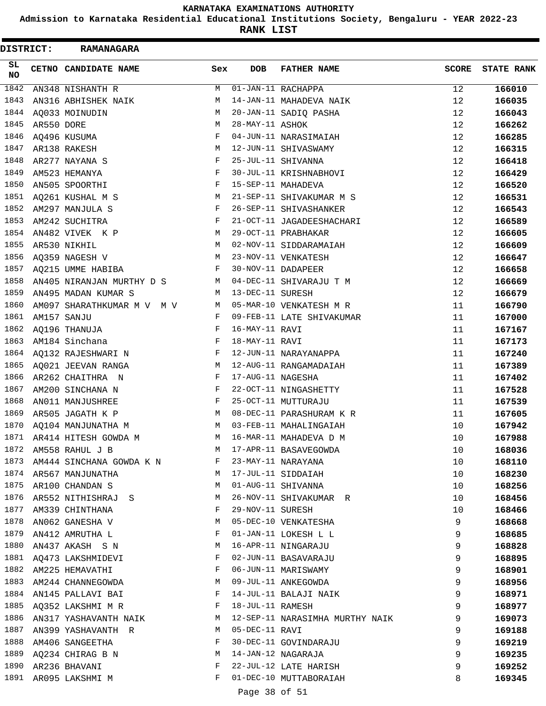**Admission to Karnataka Residential Educational Institutions Society, Bengaluru - YEAR 2022-23**

**RANK LIST**

 $\blacksquare$ 

| DISTRICT:       |            | <b>RAMANAGARA</b>          |     |                   |                                  |              |                   |
|-----------------|------------|----------------------------|-----|-------------------|----------------------------------|--------------|-------------------|
| SL<br><b>NO</b> |            | CETNO CANDIDATE NAME       | Sex | <b>DOB</b>        | <b>FATHER NAME</b>               | <b>SCORE</b> | <b>STATE RANK</b> |
| 1842            |            | AN348 NISHANTH R           | M   |                   | $\overline{01}$ -JAN-11 RACHAPPA | 12           | 166010            |
| 1843            |            | AN316 ABHISHEK NAIK        | М   |                   | 14-JAN-11 MAHADEVA NAIK          | 12           | 166035            |
| 1844            |            | AQ033 MOINUDIN             | М   |                   | 20-JAN-11 SADIQ PASHA            | 12           | 166043            |
| 1845            | AR550 DORE |                            | М   | 28-MAY-11 ASHOK   |                                  | 12           | 166262            |
| 1846            |            | AQ496 KUSUMA               | F   |                   | 04-JUN-11 NARASIMAIAH            | 12           | 166285            |
| 1847            |            | AR138 RAKESH               | M   |                   | 12-JUN-11 SHIVASWAMY             | 12           | 166315            |
| 1848            |            | AR277 NAYANA S             | F   |                   | 25-JUL-11 SHIVANNA               | 12           | 166418            |
| 1849            |            | AM523 HEMANYA              | F   |                   | 30-JUL-11 KRISHNABHOVI           | 12           | 166429            |
| 1850            |            | AN505 SPOORTHI             | F   |                   | 15-SEP-11 MAHADEVA               | 12           | 166520            |
| 1851            |            | AQ261 KUSHAL M S           | М   |                   | 21-SEP-11 SHIVAKUMAR M S         | 12           | 166531            |
| 1852            |            | AM297 MANJULA S            | F   |                   | 26-SEP-11 SHIVASHANKER           | 12           | 166543            |
| 1853            |            | AM242 SUCHITRA             | F   |                   | 21-OCT-11 JAGADEESHACHARI        | 12           | 166589            |
| 1854            |            | AN482 VIVEK K P            | M   |                   | 29-OCT-11 PRABHAKAR              | 12           | 166605            |
| 1855            |            | AR530 NIKHIL               | M   |                   | 02-NOV-11 SIDDARAMAIAH           | 12           | 166609            |
| 1856            |            | AQ359 NAGESH V             | M   |                   | 23-NOV-11 VENKATESH              | 12           | 166647            |
| 1857            |            | AQ215 UMME HABIBA          | F   |                   | 30-NOV-11 DADAPEER               | 12           | 166658            |
| 1858            |            | AN405 NIRANJAN MURTHY D S  | M   |                   | 04-DEC-11 SHIVARAJU T M          | 12           | 166669            |
| 1859            |            | AN495 MADAN KUMAR S        | M   | 13-DEC-11 SURESH  |                                  | 12           | 166679            |
| 1860            |            | AM097 SHARATHKUMAR M V M V | M   |                   | 05-MAR-10 VENKATESH M R          | 11           | 166790            |
| 1861            |            | AM157 SANJU                | F   |                   | 09-FEB-11 LATE SHIVAKUMAR        | 11           | 167000            |
| 1862            |            | AQ196 THANUJA              | F   | 16-MAY-11 RAVI    |                                  | 11           | 167167            |
| 1863            |            | AM184 Sinchana             | F   | 18-MAY-11 RAVI    |                                  | 11           | 167173            |
| 1864            |            | AQ132 RAJESHWARI N         | F   |                   | 12-JUN-11 NARAYANAPPA            | 11           | 167240            |
| 1865            |            | AQ021 JEEVAN RANGA         | М   |                   | 12-AUG-11 RANGAMADAIAH           | 11           | 167389            |
| 1866            |            | AR262 CHAITHRA N           | F   | 17-AUG-11 NAGESHA |                                  | 11           | 167402            |
| 1867            |            | AM200 SINCHANA N           | F   |                   | 22-OCT-11 NINGASHETTY            | 11           | 167528            |
| 1868            |            | AN011 MANJUSHREE           | F   |                   | 25-OCT-11 MUTTURAJU              | 11           | 167539            |
| 1869            |            | AR505 JAGATH K P           | M   |                   | 08-DEC-11 PARASHURAM K R         | 11           | 167605            |
| 1870            |            | AQ104 MANJUNATHA M         | М   |                   | 03-FEB-11 MAHALINGAIAH           | 10           | 167942            |
|                 |            | 1871 AR414 HITESH GOWDA M  | M   |                   | 16-MAR-11 MAHADEVA D M           | 10           | 167988            |
| 1872            |            | AM558 RAHUL J B            | М   |                   | 17-APR-11 BASAVEGOWDA            | 10           | 168036            |
| 1873            |            | AM444 SINCHANA GOWDA K N   | F   |                   | 23-MAY-11 NARAYANA               | 10           | 168110            |
|                 |            | 1874 AR567 MANJUNATHA      | M   |                   | 17-JUL-11 SIDDAIAH               | 10           | 168230            |
| 1875            |            | AR100 CHANDAN S            | M   |                   | 01-AUG-11 SHIVANNA               | 10           | 168256            |
| 1876            |            | AR552 NITHISHRAJ S         | M   |                   | 26-NOV-11 SHIVAKUMAR R           | 10           | 168456            |
| 1877            |            | AM339 CHINTHANA            | F   | 29-NOV-11 SURESH  |                                  | 10           | 168466            |
| 1878            |            | AN062 GANESHA V            | М   |                   | 05-DEC-10 VENKATESHA             | 9            | 168668            |
| 1879            |            | AN412 AMRUTHA L            | F   |                   | 01-JAN-11 LOKESH L L             | 9            | 168685            |
| 1880            |            | AN437 AKASH S N            | М   |                   | 16-APR-11 NINGARAJU              | 9            | 168828            |
| 1881            |            | AQ473 LAKSHMIDEVI          | F   |                   | 02-JUN-11 BASAVARAJU             | 9            | 168895            |
|                 |            | 1882 AM225 HEMAVATHI       | F   |                   | 06-JUN-11 MARISWAMY              | 9            | 168901            |
|                 |            | 1883 AM244 CHANNEGOWDA     | М   |                   | 09-JUL-11 ANKEGOWDA              | 9            | 168956            |
|                 |            | 1884 AN145 PALLAVI BAI     | F   |                   | 14-JUL-11 BALAJI NAIK            | 9            | 168971            |
| 1885            |            | AQ352 LAKSHMI M R          | F   | 18-JUL-11 RAMESH  |                                  | 9            | 168977            |
| 1886            |            | AN317 YASHAVANTH NAIK      | M   |                   | 12-SEP-11 NARASIMHA MURTHY NAIK  | 9            | 169073            |
| 1887            |            | AN399 YASHAVANTH R         | M   | 05-DEC-11 RAVI    |                                  | 9            | 169188            |
| 1888            |            | AM406 SANGEETHA            | F   |                   | 30-DEC-11 GOVINDARAJU            | 9            | 169219            |
| 1889            |            | AQ234 CHIRAG B N           | M   |                   | 14-JAN-12 NAGARAJA               | 9            | 169235            |
| 1890            |            | AR236 BHAVANI              | F   |                   | 22-JUL-12 LATE HARISH            | 9            | 169252            |
|                 |            | 1891 AR095 LAKSHMI M       | F   |                   | 01-DEC-10 MUTTABORAIAH           | 8            | 169345            |
|                 |            |                            |     |                   |                                  |              |                   |

Page 38 of 51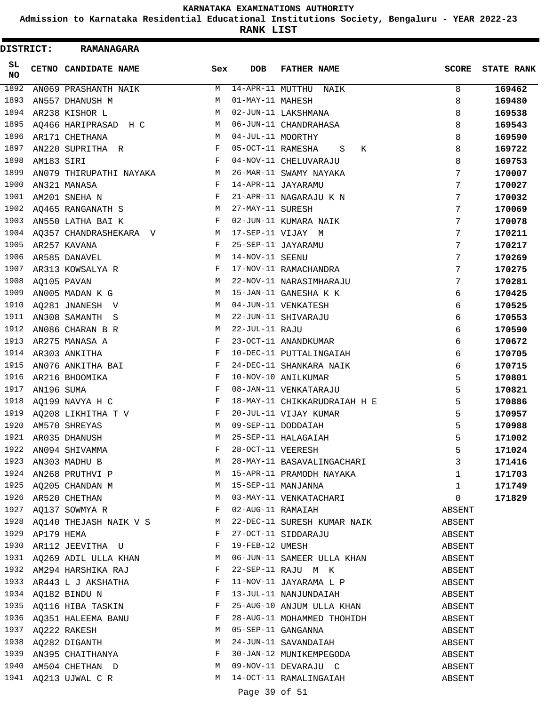**Admission to Karnataka Residential Educational Institutions Society, Bengaluru - YEAR 2022-23**

ı

**RANK LIST**

| <b>DISTRICT:</b> |            | <b>RAMANAGARA</b>                                                          |            |                        |                                                       |                  |                   |
|------------------|------------|----------------------------------------------------------------------------|------------|------------------------|-------------------------------------------------------|------------------|-------------------|
| SL<br><b>NO</b>  |            | CETNO CANDIDATE NAME                                                       | Sex        | <b>DOB</b>             | <b>FATHER NAME</b>                                    | <b>SCORE</b>     | <b>STATE RANK</b> |
| 1892             |            | AN069 PRASHANTH NAIK                                                       | M          | $14 - APR - 11$ MUTTHU | NAIK                                                  | 8                | 169462            |
| 1893             |            | AN557 DHANUSH M                                                            | M          | 01-MAY-11 MAHESH       |                                                       | 8                | 169480            |
| 1894             |            | AR238 KISHOR L                                                             | M          |                        | 02-JUN-11 LAKSHMANA                                   | 8                | 169538            |
| 1895             |            | AQ466 HARIPRASAD H C                                                       | М          |                        | 06-JUN-11 CHANDRAHASA                                 | 8                | 169543            |
| 1896             |            | AR171 CHETHANA                                                             | М          | 04-JUL-11 MOORTHY      |                                                       | 8                | 169590            |
| 1897             |            | AN220 SUPRITHA R                                                           | F          | 05-OCT-11 RAMESHA      | S<br>К                                                | 8                | 169722            |
| 1898             | AM183 SIRI |                                                                            | F          |                        | 04-NOV-11 CHELUVARAJU                                 | 8                | 169753            |
| 1899             |            | AN079 THIRUPATHI NAYAKA                                                    | М          |                        | 26-MAR-11 SWAMY NAYAKA                                | 7                | 170007            |
| 1900             |            | AN321 MANASA                                                               | F          |                        | 14-APR-11 JAYARAMU                                    | 7                | 170027            |
| 1901             |            | AM201 SNEHA N                                                              | $_{\rm F}$ |                        | 21-APR-11 NAGARAJU K N                                | 7                | 170032            |
| 1902             |            | AQ465 RANGANATH S                                                          | М          | 27-MAY-11 SURESH       |                                                       | 7                | 170069            |
| 1903             |            | AN550 LATHA BAI K                                                          | F          |                        | 02-JUN-11 KUMARA NAIK                                 | 7                | 170078            |
| 1904             |            | AQ357 CHANDRASHEKARA V                                                     | M          |                        | 17-SEP-11 VIJAY M                                     | 7                | 170211            |
| 1905             |            | AR257 KAVANA                                                               | F          |                        | 25-SEP-11 JAYARAMU                                    | 7                | 170217            |
| 1906             |            | AR585 DANAVEL                                                              | M          | 14-NOV-11 SEENU        |                                                       | 7                | 170269            |
| 1907             |            | AR313 KOWSALYA R                                                           | F          |                        | 17-NOV-11 RAMACHANDRA                                 | 7                | 170275            |
| 1908             |            | AQ105 PAVAN                                                                | М          |                        | 22-NOV-11 NARASIMHARAJU                               | 7                | 170281            |
| 1909             |            | AN005 MADAN K G                                                            | M          |                        | 15-JAN-11 GANESHA K K                                 | 6                | 170425            |
| 1910             |            | AQ281 JNANESH V                                                            | М          |                        | 04-JUN-11 VENKATESH                                   | 6                | 170525            |
| 1911             |            | AN308 SAMANTH S                                                            | M          |                        | 22-JUN-11 SHIVARAJU                                   | 6                | 170553            |
| 1912             |            | AN086 CHARAN B R                                                           | М          | 22-JUL-11 RAJU         |                                                       | 6                | 170590            |
| 1913             |            | AR275 MANASA A                                                             | $_{\rm F}$ |                        | 23-OCT-11 ANANDKUMAR                                  | 6                | 170672            |
| 1914             |            | AR303 ANKITHA                                                              | F          |                        | 10-DEC-11 PUTTALINGAIAH                               | 6                | 170705            |
| 1915             |            | AN076 ANKITHA BAI                                                          | F          |                        | 24-DEC-11 SHANKARA NAIK                               | 6                | 170715            |
| 1916             |            | AR216 BHOOMIKA                                                             | F          |                        | 10-NOV-10 ANILKUMAR                                   | 5                | 170801            |
| 1917             | AN196 SUMA |                                                                            | $_{\rm F}$ |                        | 08-JAN-11 VENKATARAJU                                 | 5                | 170821            |
| 1918             |            | AQ199 NAVYA H C                                                            | F          |                        | 18-MAY-11 CHIKKARUDRAIAH H E                          | 5                | 170886            |
| 1919             |            | AQ208 LIKHITHA T V                                                         | F          |                        | 20-JUL-11 VIJAY KUMAR                                 | 5                | 170957            |
| 1920             |            | AM570 SHREYAS                                                              | M          |                        | 09-SEP-11 DODDAIAH                                    | 5                | 170988            |
| 1921             |            | AR035 DHANUSH                                                              | M          |                        | 25-SEP-11 HALAGAIAH                                   | 5                | 171002            |
|                  |            | 1922 AN094 SHIVAMMA<br>1923 AN303 MADHU B                                  | F          |                        | 28-OCT-11 VEERESH                                     | 5                | 171024            |
|                  |            |                                                                            | M          |                        | 28-MAY-11 BASAVALINGACHARI                            | $\mathbf{3}$     | 171416            |
|                  |            | 1924 AN268 PRUTHVI P M                                                     |            |                        | 15-APR-11 PRAMODH NAYAKA                              | 1                | 171703            |
|                  |            |                                                                            |            |                        |                                                       | $\mathbf{1}$     | 171749            |
|                  |            |                                                                            |            |                        |                                                       | 0                | 171829            |
| 1927             |            | AQ137 SOWMYA R F                                                           |            |                        | 02-AUG-11 RAMAIAH                                     | ABSENT           |                   |
|                  |            | 1928 $\overline{AQ}$ 140 THEJASH NAIK V S<br>1929 $\overline{AP}$ 179 HEMA |            |                        | 22-DEC-11 SURESH KUMAR NAIK                           | ABSENT           |                   |
|                  |            | 1930 AR112 JEEVITHA U                                                      |            |                        | 27-OCT-11 SIDDARAJU                                   | ABSENT           |                   |
|                  |            |                                                                            |            | 19-FEB-12 UMESH        |                                                       | ABSENT           |                   |
|                  |            | 1932 AM294 HARSHIKA RAJ F                                                  |            |                        | 1931 AQ269 ADIL ULLA KHAN MO6-JUN-11 SAMEER ULLA KHAN | ABSENT           |                   |
|                  |            |                                                                            |            |                        | 22-SEP-11 RAJU M K<br>11-NOV-11 JAYARAMA L P          | ABSENT           |                   |
|                  |            | 1933 AR443 L J AKSHATHA F                                                  |            |                        |                                                       | ABSENT           |                   |
|                  |            | 1934 $AQ182$ BINDU N F                                                     |            |                        | 13-JUL-11 NANJUNDAIAH                                 | ABSENT           |                   |
| 1935             |            | AQ116 HIBA TASKIN                                                          | F          |                        | 25-AUG-10 ANJUM ULLA KHAN                             | ABSENT           |                   |
|                  |            | 1936 AQ351 HALEEMA BANU F<br>1937 AQ222 RAKESH M<br>1938 AQ282 DIGANTH M   |            |                        | 28-AUG-11 MOHAMMED THOHIDH<br>05-SEP-11 GANGANNA      | ABSENT           |                   |
|                  |            |                                                                            |            |                        |                                                       | ABSENT           |                   |
|                  |            | 1939 AN395 CHAITHANYA F                                                    |            |                        | 24-JUN-11 SAVANDAIAH                                  | ABSENT           |                   |
|                  |            |                                                                            |            |                        | 30-JAN-12 MUNIKEMPEGODA                               | ABSENT           |                   |
|                  |            | 1940 AM504 CHETHAN D<br>1941 AQ213 UJWAL C R                               | M          |                        | 09-NOV-11 DEVARAJU C<br>14-OCT-11 RAMALINGAIAH        | ABSENT<br>ABSENT |                   |
|                  |            |                                                                            |            |                        |                                                       |                  |                   |
|                  |            |                                                                            |            | Page 39 of 51          |                                                       |                  |                   |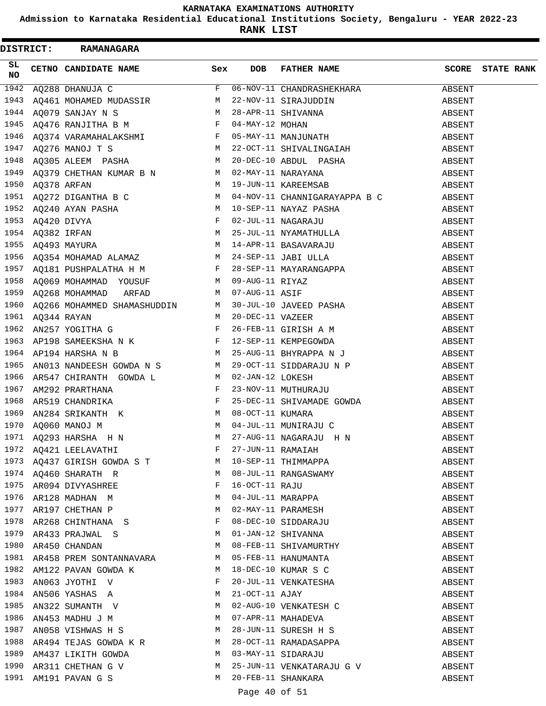**Admission to Karnataka Residential Educational Institutions Society, Bengaluru - YEAR 2022-23**

**RANK LIST**

|          | DISTRICT: RAMANAGARA                                                                                                                                                                                                                                                                                                                                      |              |            |                                             |                  |                   |
|----------|-----------------------------------------------------------------------------------------------------------------------------------------------------------------------------------------------------------------------------------------------------------------------------------------------------------------------------------------------------------|--------------|------------|---------------------------------------------|------------------|-------------------|
| SL<br>NO | CETNO CANDIDATE NAME                                                                                                                                                                                                                                                                                                                                      | Sex          | <b>DOB</b> | FATHER NAME                                 | SCORE            | <b>STATE RANK</b> |
|          | 1942 $AQ288$ DHANUJA C F                                                                                                                                                                                                                                                                                                                                  |              |            | 06-NOV-11 CHANDRASHEKHARA                   | ABSENT           |                   |
|          | 1942 AQ288 DHANUJA C<br>1943 AQ461 MOHAMED MUDASSIR<br>1943 AQ461 MOHAMED MUDASSIR<br>1944 AQ079 SANJAY N S<br>1945 AQ476 RANJITHA B M<br>1946 AQ374 VARAMAHALAKSHMI<br>1946 AQ374 VARAMAHALAKSHMI<br>1946 AQ374 VARAMAHALAKSHMI<br>1947 AQ27                                                                                                             |              |            |                                             | ABSENT           |                   |
|          |                                                                                                                                                                                                                                                                                                                                                           |              |            |                                             | ABSENT           |                   |
|          |                                                                                                                                                                                                                                                                                                                                                           |              |            |                                             | ABSENT           |                   |
|          |                                                                                                                                                                                                                                                                                                                                                           |              |            |                                             | ABSENT           |                   |
|          |                                                                                                                                                                                                                                                                                                                                                           |              |            |                                             | ABSENT           |                   |
|          |                                                                                                                                                                                                                                                                                                                                                           |              |            |                                             | ABSENT           |                   |
|          |                                                                                                                                                                                                                                                                                                                                                           |              |            |                                             | ABSENT           |                   |
|          |                                                                                                                                                                                                                                                                                                                                                           |              |            |                                             | ABSENT           |                   |
|          | 1951 AQ272 DIGANTHA B C M 04-NOV-11 CHANNIGARAYAPPA B C                                                                                                                                                                                                                                                                                                   |              |            |                                             | ABSENT           |                   |
|          | 1951 AQ272 DIGANTHA B C<br>1952 AQ240 AYAN PASHA<br>1953 AQ420 DIVYA<br>1953 AQ420 DIVYA<br>1954 AQ382 IRFAN<br>1955 AQ493 MAYURA<br>1955 AQ493 MAYURA<br>1955 AQ493 MAYURA<br>1955 AQ493 MAYURA<br>1955 AQ493 MAYURA<br>1956 AQ354 MOHAMAD ALAMA                                                                                                         |              |            |                                             | ABSENT           |                   |
|          |                                                                                                                                                                                                                                                                                                                                                           |              |            |                                             | ABSENT           |                   |
|          |                                                                                                                                                                                                                                                                                                                                                           |              |            |                                             | ABSENT           |                   |
|          |                                                                                                                                                                                                                                                                                                                                                           |              |            |                                             | ABSENT           |                   |
|          |                                                                                                                                                                                                                                                                                                                                                           |              |            |                                             | ABSENT           |                   |
|          |                                                                                                                                                                                                                                                                                                                                                           |              |            |                                             | ABSENT           |                   |
|          |                                                                                                                                                                                                                                                                                                                                                           |              |            |                                             | ABSENT           |                   |
|          |                                                                                                                                                                                                                                                                                                                                                           |              |            |                                             | ABSENT           |                   |
|          |                                                                                                                                                                                                                                                                                                                                                           |              |            |                                             | ABSENT           |                   |
|          |                                                                                                                                                                                                                                                                                                                                                           |              |            |                                             | ABSENT           |                   |
|          |                                                                                                                                                                                                                                                                                                                                                           |              |            |                                             | ABSENT           |                   |
|          |                                                                                                                                                                                                                                                                                                                                                           |              |            |                                             | ABSENT           |                   |
|          | 1958 AQ069 MOHAMMAD YOUSUF M 09-AUG-11 RIYAZ<br>1958 AQ069 MOHAMMAD YOUSUF M 09-AUG-11 RIYAZ<br>1960 AQ266 MOHAMMED SHAMASHUDDIN M 30-JUL-10 JAVEED PASHA<br>1961 AQ344 RAYAN M 20-DEC-11 VAZEER<br>1962 AN257 YOGITHA G F 26-FEB-11                                                                                                                      |              |            |                                             | ABSENT           |                   |
| 1965     |                                                                                                                                                                                                                                                                                                                                                           |              |            |                                             | ABSENT           |                   |
| 1966     |                                                                                                                                                                                                                                                                                                                                                           |              |            |                                             | ABSENT           |                   |
|          | ANO13 NANDEESH GOWDA N S<br>AR547 CHIRANTH GOWDA L M 02-JAN-12 LOKESH<br>AM292 PRARTHANA M F 23-NOV-11 MUTHURAJU<br>1967 AM292 PRARTHANA F 23-NOV-11 MUTHURAJU<br>1968 AR519 CHANDRIKA F 25-DEC-11 SHIVAMADE GOWDA<br>1969 AN284 SRIKANTH K M 08-OCT-11 KUMARA<br>1970 AQ060 MANOJ M M 04-JUL-11 MUNIRAJU C<br>1971 AQ293 HARSHA H N M 27-AUG-11 NAGARAJU |              |            |                                             | ABSENT           |                   |
|          |                                                                                                                                                                                                                                                                                                                                                           |              |            |                                             | ABSENT           |                   |
|          |                                                                                                                                                                                                                                                                                                                                                           |              |            |                                             | ABSENT           |                   |
|          |                                                                                                                                                                                                                                                                                                                                                           |              |            |                                             | ABSENT           |                   |
|          |                                                                                                                                                                                                                                                                                                                                                           |              |            |                                             | ABSENT           |                   |
|          |                                                                                                                                                                                                                                                                                                                                                           |              |            |                                             | ABSENT           |                   |
|          | 1972 AQ421 LEELAVATHI F 27 AOS 11 NAGARADU H N<br>1972 AQ421 LEELAVATHI F 27-JUN-11 RAMAIAH<br>1973 AQ437 GIRISH GOWDA S T M 10-SEP-11 THIMMAPPA<br>1974 AQ460 SHARATH R M 08-JUL-11 RANGASWAMY<br>1975 AR094 DIVYASHREE F 16-OCT-11                                                                                                                      |              |            |                                             | ABSENT           |                   |
|          |                                                                                                                                                                                                                                                                                                                                                           |              |            |                                             | ABSENT           |                   |
|          |                                                                                                                                                                                                                                                                                                                                                           |              |            |                                             | ABSENT           |                   |
|          |                                                                                                                                                                                                                                                                                                                                                           |              |            |                                             | ABSENT           |                   |
|          |                                                                                                                                                                                                                                                                                                                                                           |              |            |                                             | ABSENT           |                   |
| 1978     | AR268 CHINTHANA S                                                                                                                                                                                                                                                                                                                                         | $_{\rm F}$   |            | 08-DEC-10 SIDDARAJU                         |                  |                   |
| 1979     | AR433 PRAJWAL S M                                                                                                                                                                                                                                                                                                                                         |              |            | 01-JAN-12 SHIVANNA                          | ABSENT<br>ABSENT |                   |
| 1980     | AR450 CHANDAN                                                                                                                                                                                                                                                                                                                                             | M            |            |                                             |                  |                   |
|          | 1981 AR458 PREM SONTANNAVARA M                                                                                                                                                                                                                                                                                                                            |              |            | 08-FEB-11 SHIVAMURTHY                       | ABSENT<br>ABSENT |                   |
| 1982     | <b>M</b>                                                                                                                                                                                                                                                                                                                                                  |              |            | 05-FEB-11 HANUMANTA<br>18-DEC-10 KUMAR S C  |                  |                   |
| 1983     | AM122 PAVAN GOWDA K                                                                                                                                                                                                                                                                                                                                       | $\mathbf{F}$ |            |                                             | ABSENT           |                   |
|          | AN063 JYOTHI V                                                                                                                                                                                                                                                                                                                                            |              |            | 20-JUL-11 VENKATESHA                        | ABSENT           |                   |
|          |                                                                                                                                                                                                                                                                                                                                                           |              |            | 21-OCT-11 AJAY<br>02-AUG-10 VENKATESH C     | ABSENT           |                   |
|          |                                                                                                                                                                                                                                                                                                                                                           |              |            |                                             | ABSENT           |                   |
| 1986     | AN453 MADHU J M                                                                                                                                                                                                                                                                                                                                           |              |            | 07-APR-11 MAHADEVA<br>28-JUN-11 SURESH H S  | ABSENT           |                   |
| 1987     | AN058 VISHWAS H S M                                                                                                                                                                                                                                                                                                                                       |              |            |                                             | ABSENT           |                   |
| 1988     | AR494 TEJAS GOWDA K R M                                                                                                                                                                                                                                                                                                                                   |              |            | 28-OCT-11 RAMADASAPPA<br>03-MAY-11 SIDARAJU | ABSENT           |                   |
|          | 1989 AM437 LIKITH GOWDA M 03-MAY-11 SIDARAJU                                                                                                                                                                                                                                                                                                              |              |            |                                             | ABSENT           |                   |
| 1990     | AR311 CHETHAN G V M                                                                                                                                                                                                                                                                                                                                       |              |            | 25-JUN-11 VENKATARAJU G V                   | ABSENT           |                   |
|          | 1991 AM191 PAVAN G S                                                                                                                                                                                                                                                                                                                                      | M            |            | 20-FEB-11 SHANKARA                          | ABSENT           |                   |

## Page 40 of 51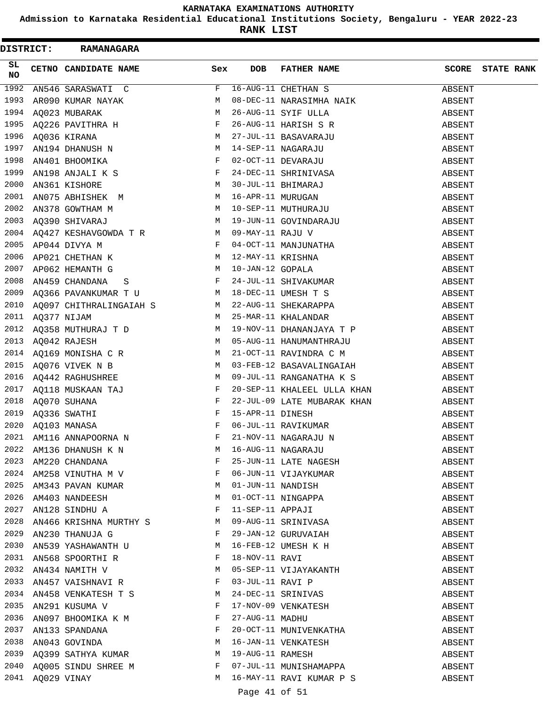**Admission to Karnataka Residential Educational Institutions Society, Bengaluru - YEAR 2022-23**

| <b>DISTRICT:</b> |                  | <b>RAMANAGARA</b>                                                                                                                                                                                                                |              |                  |                                                                                                            |                  |                   |
|------------------|------------------|----------------------------------------------------------------------------------------------------------------------------------------------------------------------------------------------------------------------------------|--------------|------------------|------------------------------------------------------------------------------------------------------------|------------------|-------------------|
| SL.<br>NO.       |                  | CETNO CANDIDATE NAME                                                                                                                                                                                                             | Sex          | <b>DOB</b>       | <b>FATHER NAME</b>                                                                                         | <b>SCORE</b>     | <b>STATE RANK</b> |
| 1992             |                  | AN546 SARASWATI C                                                                                                                                                                                                                | F            |                  | 16-AUG-11 CHETHAN S                                                                                        | ABSENT           |                   |
| 1993             |                  | AR090 KUMAR NAYAK NAMBIR MARARA NAMBARAK NAMBARAK NAMBARAK NAMBIR MARARA NAMBIR MARARA NAMBIR MARARA NAMBIR MA<br>NAMBIR MARARA NAMBIR MARARA NAMBIR MARARA NAMBIR MARARA NAMBIR MARARA NAMBIR MARARA NAMBIR MARARA NAMBIR MARAR |              |                  | 08-DEC-11 NARASIMHA NAIK                                                                                   | ABSENT           |                   |
| 1994             |                  |                                                                                                                                                                                                                                  |              |                  | 26-AUG-11 SYIF ULLA                                                                                        | ABSENT           |                   |
| 1995             |                  | AQ226 PAVITHRA H $F$                                                                                                                                                                                                             |              |                  | 26-AUG-11 HARISH S R                                                                                       | ABSENT           |                   |
|                  |                  |                                                                                                                                                                                                                                  |              |                  |                                                                                                            | ABSENT           |                   |
|                  |                  |                                                                                                                                                                                                                                  |              |                  |                                                                                                            | ABSENT           |                   |
|                  |                  | 1996 AQ036 KIRANA M<br>1997 AN194 DHANUSH N M<br>1998 AN401 BHOOMIKA F<br>1999 AN198 ANJALI K S                                                                                                                                  |              |                  | 27-JUL-11 BASAVARAJU<br>14-SEP-11 NAGARAJU<br>02-OCT-11 DEVARAJU<br>24-DEC-11 SHRINIVASA                   | ABSENT           |                   |
|                  |                  |                                                                                                                                                                                                                                  |              |                  |                                                                                                            | ABSENT           |                   |
| 2000             |                  | AN361 KISHORE                                                                                                                                                                                                                    | M            |                  | 30-JUL-11 BHIMARAJ<br>16-APR-11 MURUGAN<br>10-SEP-11 MUTHURAJU                                             | ABSENT           |                   |
| 2001             |                  | AN075 ABHISHEK M                                                                                                                                                                                                                 |              |                  |                                                                                                            | ABSENT           |                   |
| 2002             |                  | AN378 GOWTHAM M<br>AQ390 SHIVARAJ M                                                                                                                                                                                              |              |                  |                                                                                                            | ABSENT           |                   |
| 2003             |                  |                                                                                                                                                                                                                                  |              |                  | 19-JUN-11 GOVINDARAJU                                                                                      | ABSENT           |                   |
|                  |                  | 2004 $AQ427$ KESHAVGOWDA T R M                                                                                                                                                                                                   |              |                  | 09-MAY-11 RAJU V<br>04-OCT-11 MANJUNATHA<br>12-MAY-11 KRISHNA                                              | ABSENT           |                   |
|                  |                  | AP044 DIVYA M<br>AP021 CHETHAN K M M<br>2005 AP044 DIVYA M                                                                                                                                                                       |              |                  |                                                                                                            | ABSENT           |                   |
| 2006             |                  |                                                                                                                                                                                                                                  |              |                  |                                                                                                            | ABSENT           |                   |
| 2007             |                  | M <sub>1</sub><br>AP062 HEMANTH G                                                                                                                                                                                                |              |                  | 10-JAN-12 GOPALA                                                                                           | ABSENT           |                   |
| 2008             |                  | AN459 CHANDANA S                                                                                                                                                                                                                 |              |                  | 24-JUL-11 SHIVAKUMAR                                                                                       | ABSENT           |                   |
|                  |                  |                                                                                                                                                                                                                                  |              |                  |                                                                                                            | ABSENT           |                   |
|                  |                  |                                                                                                                                                                                                                                  |              |                  | 2009 AQ366 PAVANKUMAR T U $M$ 18-DEC-11 UMESH T S<br>2010 AQ097 CHITHRALINGAIAH S $M$ 22-AUG-11 SHEKARAPPA | ABSENT           |                   |
| 2011             | AQ377 NIJAM      |                                                                                                                                                                                                                                  |              |                  | M 25-MAR-11 KHALANDAR                                                                                      | ABSENT           |                   |
|                  |                  | 2012 AQ358 MUTHURAJ T D M                                                                                                                                                                                                        |              |                  | 19-NOV-11 DHANANJAYA T P                                                                                   | ABSENT           |                   |
|                  |                  |                                                                                                                                                                                                                                  |              |                  |                                                                                                            | ABSENT           |                   |
|                  |                  |                                                                                                                                                                                                                                  |              |                  | 2013 AQ042 RAJESH M 05-AUG-11 HANUMANTHRAJU<br>2014 AQ169 MONISHA C R M 21-OCT-11 RAVINDRA C M             | ABSENT           |                   |
| 2015             |                  | AQ076 VIVEK N B M                                                                                                                                                                                                                |              |                  | 03-FEB-12 BASAVALINGAIAH                                                                                   | ABSENT           |                   |
| 2016             |                  | AQ442 RAGHUSHREE M                                                                                                                                                                                                               |              |                  | 09-JUL-11 RANGANATHA K S                                                                                   | ABSENT           |                   |
|                  |                  |                                                                                                                                                                                                                                  |              |                  | 20-SEP-11 KHALEEL ULLA KHAN                                                                                | ABSENT           |                   |
|                  |                  | 2017 $\overline{AQ118}$ MUSKAAN TAJ F<br>2018 $\overline{AQ070}$ SUHANA F<br>2019 $\overline{AQ336}$ SWATHI F<br>2020 $\overline{AQ103}$ MANASA F                                                                                |              |                  | 22-JUL-09 LATE MUBARAK KHAN                                                                                | ABSENT           |                   |
|                  |                  |                                                                                                                                                                                                                                  |              | 15-APR-11 DINESH |                                                                                                            | ABSENT           |                   |
|                  |                  |                                                                                                                                                                                                                                  |              |                  |                                                                                                            | ABSENT           |                   |
|                  |                  | 2021 AM116 ANNAPOORNA N                                                                                                                                                                                                          | F            |                  | 06-JUL-11 RAVIKUMAR<br>21-NOV-11 NAGARAJU N                                                                | ABSENT           |                   |
| 2022             |                  | AM136 DHANUSH K N                                                                                                                                                                                                                | M            |                  | 16-AUG-11 NAGARAJU                                                                                         | ABSENT           |                   |
| 2023             |                  | AM220 CHANDANA                                                                                                                                                                                                                   | F            |                  | 25-JUN-11 LATE NAGESH                                                                                      | ABSENT           |                   |
|                  |                  | 2024 AM258 VINUTHA M V $F$                                                                                                                                                                                                       |              |                  | 06-JUN-11 VIJAYKUMAR                                                                                       | ABSENT           |                   |
|                  |                  |                                                                                                                                                                                                                                  |              |                  | 01-JUN-11 NANDISH                                                                                          | ABSENT           |                   |
|                  |                  | 2025 AM343 PAVAN KUMAR M                                                                                                                                                                                                         | M            |                  |                                                                                                            |                  |                   |
| 2027             |                  | 2026 AM403 NANDEESH<br>AN128 SINDHU A $$\rm F$$                                                                                                                                                                                  |              |                  | 01-OCT-11 NINGAPPA<br>11-SEP-11 APPAJI                                                                     | ABSENT           |                   |
| 2028             |                  | AN466 KRISHNA MURTHY S M                                                                                                                                                                                                         |              |                  | 09-AUG-11 SRINIVASA                                                                                        | ABSENT<br>ABSENT |                   |
|                  |                  | 2029 AN230 THANUJA G                                                                                                                                                                                                             | $\mathbf{F}$ |                  | 29-JAN-12 GURUVAIAH                                                                                        |                  |                   |
|                  |                  |                                                                                                                                                                                                                                  |              |                  |                                                                                                            | ABSENT           |                   |
|                  |                  | 2030 AN539 YASHAWANTH U M                                                                                                                                                                                                        |              |                  | 16-FEB-12 UMESH K H                                                                                        | ABSENT           |                   |
|                  |                  | 2031 AN568 SPOORTHIR F<br>2032 AN434 NAMITH V M                                                                                                                                                                                  |              | 18-NOV-11 RAVI   |                                                                                                            | ABSENT           |                   |
|                  |                  |                                                                                                                                                                                                                                  |              |                  | 05-SEP-11 VIJAYAKANTH                                                                                      | ABSENT           |                   |
|                  |                  | 2033 AN457 VAISHNAVI R F                                                                                                                                                                                                         |              |                  | 03-JUL-11 RAVI P<br>24-DEC-11 SRINIVAS                                                                     | ABSENT           |                   |
|                  |                  | 2034 AN458 VENKATESH T S                                                                                                                                                                                                         | M            |                  |                                                                                                            | ABSENT           |                   |
| 2035             |                  | AN291 KUSUMA V F                                                                                                                                                                                                                 |              |                  | 17-NOV-09 VENKATESH                                                                                        | ABSENT           |                   |
| 2036             |                  | AN097 BHOOMIKA K M $$\rm F$$                                                                                                                                                                                                     |              |                  | 27-AUG-11 MADHU                                                                                            | ABSENT           |                   |
|                  |                  | 2037 AN133 SPANDANA<br>2038 AN043 GOVINDA                                                                                                                                                                                        | $\mathbf{F}$ |                  | 20-OCT-11 MUNIVENKATHA                                                                                     | ABSENT           |                   |
|                  |                  |                                                                                                                                                                                                                                  | M            |                  | 16-JAN-11 VENKATESH<br>19-AUG-11 RAMESH                                                                    | ABSENT           |                   |
|                  |                  | 2039 AQ399 SATHYA KUMAR M                                                                                                                                                                                                        |              |                  |                                                                                                            | ABSENT           |                   |
|                  |                  | 2040 AQ005 SINDU SHREE M F                                                                                                                                                                                                       |              |                  | 07-JUL-11 MUNISHAMAPPA                                                                                     | ABSENT           |                   |
|                  | 2041 AQ029 VINAY |                                                                                                                                                                                                                                  | M            |                  | 16-MAY-11 RAVI KUMAR P S                                                                                   | ABSENT           |                   |
|                  |                  |                                                                                                                                                                                                                                  |              | Page 41 of 51    |                                                                                                            |                  |                   |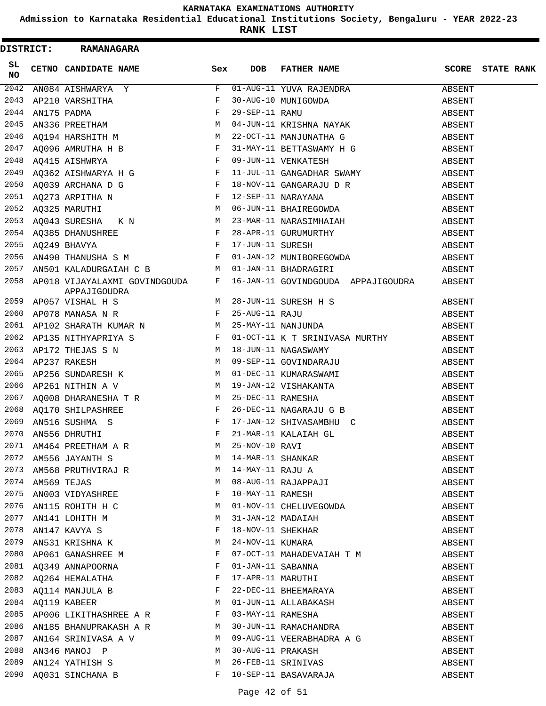**Admission to Karnataka Residential Educational Institutions Society, Bengaluru - YEAR 2022-23**

|            | DISTRICT: RAMANAGARA                                                                                                                                                                                                      |              |            |                                                                                                                                                                                                                                                                                                                                              |        |                         |
|------------|---------------------------------------------------------------------------------------------------------------------------------------------------------------------------------------------------------------------------|--------------|------------|----------------------------------------------------------------------------------------------------------------------------------------------------------------------------------------------------------------------------------------------------------------------------------------------------------------------------------------------|--------|-------------------------|
| SL.<br>NO. | CETNO CANDIDATE NAME                                                                                                                                                                                                      | Sex          | <b>DOB</b> | FATHER NAME                                                                                                                                                                                                                                                                                                                                  |        | <b>SCORE</b> STATE RANK |
| 2042       | AN084 AISHWARYA Y                                                                                                                                                                                                         | F            |            | $\overline{01 - \text{AUG}-11}$ YUVA RAJENDRA                                                                                                                                                                                                                                                                                                | ABSENT |                         |
| 2043       | AP210 VARSHITHA F<br>AN175 PADMA F<br>AN336 PREETHAM M                                                                                                                                                                    |              |            | 30-AUG-10 MUNIGOWDA<br>29-SEP-11 RAMU<br>04-JUN-11 KRISHNA NAYAK                                                                                                                                                                                                                                                                             | ABSENT |                         |
| 2044       |                                                                                                                                                                                                                           |              |            |                                                                                                                                                                                                                                                                                                                                              | ABSENT |                         |
| 2045       |                                                                                                                                                                                                                           |              |            |                                                                                                                                                                                                                                                                                                                                              | ABSENT |                         |
|            | 2046 AQ194 HARSHITH M                                                                                                                                                                                                     |              |            | 22-OCT-11 MANJUNATHA G ABSENT                                                                                                                                                                                                                                                                                                                |        |                         |
|            |                                                                                                                                                                                                                           |              |            | 31-MAY-11 BETTASWAMY H G                                                                                                                                                                                                                                                                                                                     | ABSENT |                         |
|            | 2047 AQ096 AMRUTHA H B $F$<br>2048 AQ415 AISHWRYA F F AQ362 AISHWARYA H G F F F R                                                                                                                                         |              |            | 09-JUN-11 VENKATESH                                                                                                                                                                                                                                                                                                                          | ABSENT |                         |
|            |                                                                                                                                                                                                                           |              |            | 11-JUL-11 GANGADHAR SWAMY                                                                                                                                                                                                                                                                                                                    | ABSENT |                         |
|            |                                                                                                                                                                                                                           |              |            |                                                                                                                                                                                                                                                                                                                                              | ABSENT |                         |
|            |                                                                                                                                                                                                                           |              |            |                                                                                                                                                                                                                                                                                                                                              | ABSENT |                         |
|            |                                                                                                                                                                                                                           |              |            |                                                                                                                                                                                                                                                                                                                                              | ABSENT |                         |
|            |                                                                                                                                                                                                                           |              |            | 2053 AQ043 SURESHA K N M 23-MAR-11 NARASIMHAIAH                                                                                                                                                                                                                                                                                              | ABSENT |                         |
|            | 2054 AQ385 DHANUSHREE F                                                                                                                                                                                                   |              |            | $\begin{array}{cccccccccc} \texttt{AQ385 DHANUSHREE} & & & & \texttt{F} & 28-APPR-11 GURUMURTHY & & & & & \texttt{ABSENT} \\ \texttt{AQ249 BHAVYA} & & & & & \texttt{F} & 17-JUN-11 SURESH & & & & & \texttt{ABSENT} \\ \texttt{AN490 THANUSHA S M} & & & & & \texttt{F} & 01-JAN-12 MUNIBOREGOWDA & & & & & \texttt{ABSENT} \\ \end{array}$ |        |                         |
|            | 2055 AQ249 BHAVYA                                                                                                                                                                                                         |              |            |                                                                                                                                                                                                                                                                                                                                              |        |                         |
| 2056       |                                                                                                                                                                                                                           |              |            |                                                                                                                                                                                                                                                                                                                                              |        |                         |
|            |                                                                                                                                                                                                                           |              |            | 2057 AN501 KALADURGAIAH C B M 01-JAN-11 BHADRAGIRI                                                                                                                                                                                                                                                                                           | ABSENT |                         |
|            | 2058 AP018 VIJAYALAXMI GOVINDGOUDA F<br>APPAJIGOUDRA                                                                                                                                                                      |              |            | 16-JAN-11 GOVINDGOUDA APPAJIGOUDRA ABSENT                                                                                                                                                                                                                                                                                                    |        |                         |
|            |                                                                                                                                                                                                                           |              |            |                                                                                                                                                                                                                                                                                                                                              |        |                         |
|            |                                                                                                                                                                                                                           |              |            |                                                                                                                                                                                                                                                                                                                                              |        |                         |
|            |                                                                                                                                                                                                                           |              |            |                                                                                                                                                                                                                                                                                                                                              |        |                         |
|            |                                                                                                                                                                                                                           |              |            |                                                                                                                                                                                                                                                                                                                                              |        |                         |
| 2063       |                                                                                                                                                                                                                           |              |            | AP172 THEJAS S N M 18-JUN-11 NAGASWAMY                                                                                                                                                                                                                                                                                                       | ABSENT |                         |
|            |                                                                                                                                                                                                                           |              |            |                                                                                                                                                                                                                                                                                                                                              | ABSENT |                         |
|            |                                                                                                                                                                                                                           |              |            | 2064 AP237 RAKESH M 09-SEP-11 GOVINDARAJU<br>2066 AP256 SUNDARESH K M 01-DEC-11 KUMARASWAMI<br>2066 AP261 NITHIN A V M 19-JAN-12 VISHAKANTA<br>2067 AQ008 DHARANESHA T R M 25-DEC-11 RAMESHA                                                                                                                                                 | ABSENT |                         |
|            |                                                                                                                                                                                                                           |              |            |                                                                                                                                                                                                                                                                                                                                              | ABSENT |                         |
|            |                                                                                                                                                                                                                           |              |            |                                                                                                                                                                                                                                                                                                                                              | ABSENT |                         |
| 2068       | AQ170 SHILPASHREE<br>AN516 SUSHMA S<br>AN556 DHRUTHI<br>F                                                                                                                                                                 |              |            | 26-DEC-11 NAGARAJU G B                                                                                                                                                                                                                                                                                                                       | ABSENT |                         |
| 2069       |                                                                                                                                                                                                                           |              |            | 17-JAN-12 SHIVASAMBHU C<br>21 Vid 11                                                                                                                                                                                                                                                                                                         | ABSENT |                         |
|            | 2070 AN556 DHRUTHI                                                                                                                                                                                                        |              |            | 21-MAR-11 KALAIAH GL                                                                                                                                                                                                                                                                                                                         | ABSENT |                         |
|            | $\begin{array}{lllllll} 2071 & \texttt{AM464} & \texttt{PREFHAM} & \texttt{A} & \texttt{R} & \texttt{M} & \texttt{M} \\ 2072 & \texttt{AM556 JAYANTH} & \texttt{S} & \texttt{M} & \texttt{M} & \texttt{M} \\ \end{array}$ |              |            |                                                                                                                                                                                                                                                                                                                                              | ABSENT |                         |
|            |                                                                                                                                                                                                                           |              |            |                                                                                                                                                                                                                                                                                                                                              | ABSENT |                         |
|            | 2073 AM568 PRUTHVIRAJ R<br>2074 AM569 TEJAS M                                                                                                                                                                             |              |            | 25-NOV-10 RAVI<br>14-MAR-11 SHANKAR<br>14-MAY-11 RAJU A<br>08-AUG-11 RAJAPPAJI<br>10-MAY-11 RAMESH                                                                                                                                                                                                                                           | ABSENT |                         |
|            |                                                                                                                                                                                                                           |              |            |                                                                                                                                                                                                                                                                                                                                              | ABSENT |                         |
|            | 2075 AN003 VIDYASHREE                                                                                                                                                                                                     | F            |            |                                                                                                                                                                                                                                                                                                                                              | ABSENT |                         |
|            | 2076 AN115 ROHITH H C                                                                                                                                                                                                     | M            |            | 01-NOV-11 CHELUVEGOWDA                                                                                                                                                                                                                                                                                                                       | ABSENT |                         |
|            | 2077 AN141 LOHITH M<br>2078 AN147 KAVYA S                                                                                                                                                                                 | M            |            |                                                                                                                                                                                                                                                                                                                                              | ABSENT |                         |
|            |                                                                                                                                                                                                                           | F            |            | 31-JAN-12 MADAIAH<br>18-NOV-11 SHEKHAR                                                                                                                                                                                                                                                                                                       | ABSENT |                         |
| 2079       | AN531 KRISHNA K                                                                                                                                                                                                           | M            |            | 24-NOV-11 KUMARA                                                                                                                                                                                                                                                                                                                             | ABSENT |                         |
| 2080       | AP061 GANASHREE M F                                                                                                                                                                                                       |              |            | 07-OCT-11 MAHADEVAIAH T M                                                                                                                                                                                                                                                                                                                    | ABSENT |                         |
|            | 2081 AQ349 ANNAPOORNA                                                                                                                                                                                                     | $\mathbf{F}$ |            | 01-JAN-11 SABANNA                                                                                                                                                                                                                                                                                                                            | ABSENT |                         |
|            | 2082 AQ264 HEMALATHA                                                                                                                                                                                                      | F            |            | 17-APR-11 MARUTHI                                                                                                                                                                                                                                                                                                                            | ABSENT |                         |
| 2083       | AQ114 MANJULA B F                                                                                                                                                                                                         |              |            | 22-DEC-11 BHEEMARAYA                                                                                                                                                                                                                                                                                                                         | ABSENT |                         |
|            | M<br>2084 AQ119 KABEER                                                                                                                                                                                                    |              |            | 01-JUN-11 ALLABAKASH                                                                                                                                                                                                                                                                                                                         | ABSENT |                         |
|            | 2085 AP006 LIKITHASHREE A R F                                                                                                                                                                                             |              |            | 03-MAY-11 RAMESHA                                                                                                                                                                                                                                                                                                                            | ABSENT |                         |
|            | 2086 AN185 BHANUPRAKASH A R                                                                                                                                                                                               |              |            | 30-JUN-11 RAMACHANDRA                                                                                                                                                                                                                                                                                                                        | ABSENT |                         |
| 2087       | AN164 SRINIVASA A V                                                                                                                                                                                                       | M            |            | 09-AUG-11 VEERABHADRA A G                                                                                                                                                                                                                                                                                                                    | ABSENT |                         |
| 2088       | AN346 MANOJ P                                                                                                                                                                                                             | M            |            | 30-AUG-11 PRAKASH                                                                                                                                                                                                                                                                                                                            | ABSENT |                         |
|            | 2089 AN124 YATHISH S                                                                                                                                                                                                      | M            |            | 26-FEB-11 SRINIVAS                                                                                                                                                                                                                                                                                                                           | ABSENT |                         |
|            | 2090 AQ031 SINCHANA B                                                                                                                                                                                                     | F            |            | 10-SEP-11 BASAVARAJA                                                                                                                                                                                                                                                                                                                         | ABSENT |                         |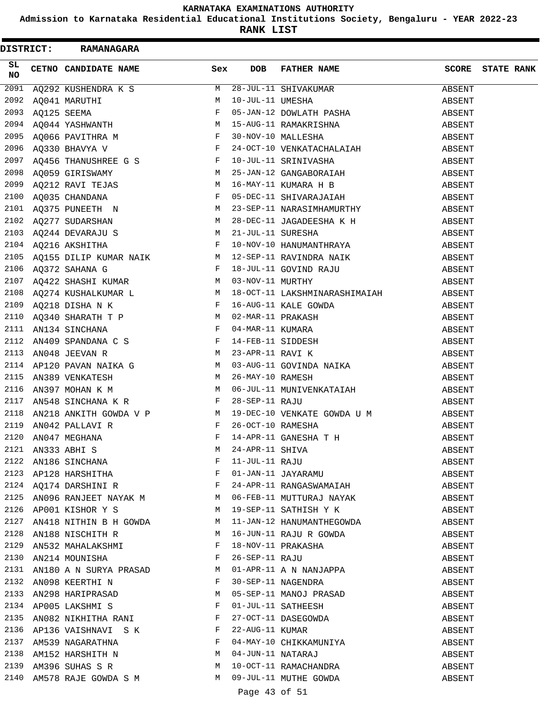**Admission to Karnataka Residential Educational Institutions Society, Bengaluru - YEAR 2022-23**

**RANK LIST**

|                 |  | DISTRICT: RAMANAGARA                                                 |     |     |                                                                                                                                                                                                                                           |        |                         |
|-----------------|--|----------------------------------------------------------------------|-----|-----|-------------------------------------------------------------------------------------------------------------------------------------------------------------------------------------------------------------------------------------------|--------|-------------------------|
| SL<br><b>NO</b> |  | CETNO CANDIDATE NAME                                                 | Sex | DOB | FATHER NAME                                                                                                                                                                                                                               |        | <b>SCORE</b> STATE RANK |
|                 |  |                                                                      |     |     |                                                                                                                                                                                                                                           |        |                         |
|                 |  |                                                                      |     |     |                                                                                                                                                                                                                                           |        |                         |
|                 |  |                                                                      |     |     |                                                                                                                                                                                                                                           |        |                         |
|                 |  |                                                                      |     |     |                                                                                                                                                                                                                                           |        |                         |
|                 |  |                                                                      |     |     |                                                                                                                                                                                                                                           |        |                         |
|                 |  |                                                                      |     |     |                                                                                                                                                                                                                                           |        |                         |
|                 |  |                                                                      |     |     |                                                                                                                                                                                                                                           |        |                         |
|                 |  |                                                                      |     |     |                                                                                                                                                                                                                                           |        |                         |
|                 |  |                                                                      |     |     | 2099 $AQ212$ RAVI TEJAS M $16-MAY-11$ KUMARA H B ABSENT                                                                                                                                                                                   |        |                         |
|                 |  |                                                                      |     |     |                                                                                                                                                                                                                                           |        |                         |
|                 |  |                                                                      |     |     |                                                                                                                                                                                                                                           |        |                         |
|                 |  |                                                                      |     |     |                                                                                                                                                                                                                                           |        |                         |
|                 |  |                                                                      |     |     |                                                                                                                                                                                                                                           |        |                         |
|                 |  |                                                                      |     |     |                                                                                                                                                                                                                                           |        |                         |
|                 |  |                                                                      |     |     |                                                                                                                                                                                                                                           |        |                         |
|                 |  |                                                                      |     |     |                                                                                                                                                                                                                                           |        |                         |
|                 |  |                                                                      |     |     |                                                                                                                                                                                                                                           |        |                         |
|                 |  |                                                                      |     |     |                                                                                                                                                                                                                                           |        |                         |
|                 |  |                                                                      |     |     |                                                                                                                                                                                                                                           |        |                         |
|                 |  |                                                                      |     |     | 2107 AQ422 SAASAL NOWAR L<br>2108 AQ274 KUSHALKUMAR L<br>2109 AQ218 DISHA N K<br>2109 AQ218 DISHA N K<br>2109 AQ340 SHARATH T P M 02-MAR-11 RAKASH<br>2111 AN134 SINCHANA F 04-MAR-11 KUMARA<br>2112 AN409 SPANDANA C S F 14-FEB-11 SIDDE |        |                         |
|                 |  |                                                                      |     |     |                                                                                                                                                                                                                                           |        |                         |
|                 |  |                                                                      |     |     |                                                                                                                                                                                                                                           |        |                         |
|                 |  |                                                                      |     |     |                                                                                                                                                                                                                                           |        |                         |
|                 |  |                                                                      |     |     |                                                                                                                                                                                                                                           |        |                         |
| 2115            |  | AN389 VENKATESH $M$ 26-MAY-10 RAMESH                                 |     |     |                                                                                                                                                                                                                                           | ABSENT |                         |
| 2116            |  | AN397 MOHAN K M                                                      |     |     | M 06-JUL-11 MUNIVENKATAIAH<br>R 28-SEP-11 RAJU<br>R ABSENT                                                                                                                                                                                |        |                         |
| 2117            |  |                                                                      |     |     | AN548 SINCHANA K R                       F   28-SEP-11 RAJU<br>AN218 ANKITH GOWDA V P             M   19-DEC-10 VENKATE GOWDA U M             ABSENT                                                                                      |        |                         |
| 2118            |  |                                                                      |     |     |                                                                                                                                                                                                                                           |        |                         |
| 2119            |  | AN042 PALLAVI R                                                      |     |     |                                                                                                                                                                                                                                           | ABSENT |                         |
|                 |  | 2120 AN047 MEGHANA                                                   |     |     | R<br>F 26-OCT-10 RAMESHA<br>F 14-APR-11 GANESHA T H                                                                                                                                                                                       | ABSENT |                         |
|                 |  | 2121 AN333 ABHI S<br>2122 AN186 SINCHANA F<br>2123 AP128 HARSHITHA F |     |     | M 24-APR-11 SHIVA<br>F 11-JUL-11 RAJU<br>F 01-JAN-11 JAYARAMU                                                                                                                                                                             | ABSENT |                         |
|                 |  |                                                                      |     |     |                                                                                                                                                                                                                                           | ABSENT |                         |
|                 |  |                                                                      |     |     |                                                                                                                                                                                                                                           | ABSENT |                         |
|                 |  | 2124 AQ174 DARSHINI R F                                              |     |     | 24-APR-11 RANGASWAMAIAH                                                                                                                                                                                                                   | ABSENT |                         |
|                 |  |                                                                      |     |     | 2125 AN096 RANJEET NAYAK M M O6-FEB-11 MUTTURAJ NAYAK                                                                                                                                                                                     | ABSENT |                         |
|                 |  |                                                                      |     |     | 2126 AP001 KISHOR Y S M 19-SEP-11 SATHISH Y K                                                                                                                                                                                             | ABSENT |                         |
| 2127            |  | AN418 NITHIN B H GOWDA M                                             |     |     | 11-JAN-12 HANUMANTHEGOWDA                                                                                                                                                                                                                 | ABSENT |                         |
|                 |  | 2128 AN188 NISCHITH R M                                              |     |     | 16-JUN-11 RAJU R GOWDA                                                                                                                                                                                                                    | ABSENT |                         |
|                 |  | 2129 AN532 MAHALAKSHMI F                                             |     |     |                                                                                                                                                                                                                                           | ABSENT |                         |
|                 |  | 2130 AN214 MOUNISHA                                                  |     |     | 18-NOV-11 PRAKASHA<br>26-SEP-11 RAJU<br>01 APP 11 A - - -----                                                                                                                                                                             | ABSENT |                         |
|                 |  | 2131 AN180 A N SURYA PRASAD M                                        |     |     | 01-APR-11 A N NANJAPPA                                                                                                                                                                                                                    | ABSENT |                         |
|                 |  | 2132 AN098 KEERTHI N F                                               |     |     |                                                                                                                                                                                                                                           | ABSENT |                         |
|                 |  | 2133 AN298 HARIPRASAD M                                              |     |     | 30-SEP-11 NAGENDRA<br>05-SEP-11 MANOJ PRASAD                                                                                                                                                                                              | ABSENT |                         |
|                 |  | 2134 APOOS LAKSHMIS<br>2135 ANO82 NIKHITHA RANI F                    |     |     | 01-JUL-11 SATHEESH<br>27-OCT-11 DASEGOWDA<br>22-AUG-11 KUMAR<br>04-MAY-10 CHIKKAMUNIYA<br>04-JUN-11 NATARAJ<br>10-OCT-11 RAMACHANDRA                                                                                                      | ABSENT |                         |
|                 |  |                                                                      |     |     |                                                                                                                                                                                                                                           | ABSENT |                         |
|                 |  | 2136 AP136 VAISHNAVI S K F                                           |     |     |                                                                                                                                                                                                                                           | ABSENT |                         |
|                 |  |                                                                      |     |     |                                                                                                                                                                                                                                           | ABSENT |                         |
|                 |  | 2137 AM539 NAGARATHNA F<br>2138 AM152 HARSHITH N                     |     |     |                                                                                                                                                                                                                                           | ABSENT |                         |
|                 |  | 2139 AM396 SUHAS S R M                                               |     |     |                                                                                                                                                                                                                                           | ABSENT |                         |
|                 |  |                                                                      |     |     | 2140 AM578 RAJE GOWDA S M M 09-JUL-11 MUTHE GOWDA                                                                                                                                                                                         | ABSENT |                         |
|                 |  |                                                                      |     |     |                                                                                                                                                                                                                                           |        |                         |

# Page 43 of 51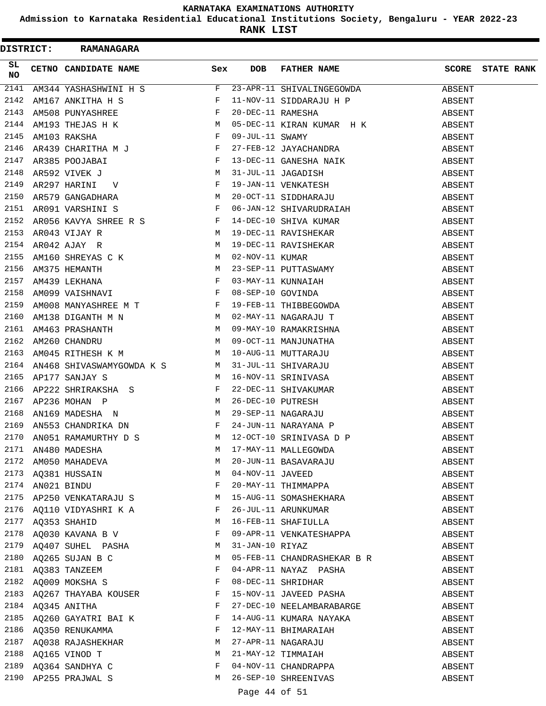**Admission to Karnataka Residential Educational Institutions Society, Bengaluru - YEAR 2022-23**

**RANK LIST**

| <b>DISTRICT:</b> |                  | <b>RAMANAGARA</b>                                       |     |                  |                                                                                                                  |        |                   |
|------------------|------------------|---------------------------------------------------------|-----|------------------|------------------------------------------------------------------------------------------------------------------|--------|-------------------|
| SL<br>NO.        |                  | CETNO CANDIDATE NAME                                    | Sex | <b>DOB</b>       | FATHER NAME                                                                                                      | SCORE  | <b>STATE RANK</b> |
| 2141             |                  |                                                         |     |                  |                                                                                                                  |        |                   |
| 2142             |                  |                                                         |     |                  |                                                                                                                  |        |                   |
| 2143             |                  |                                                         |     |                  |                                                                                                                  |        |                   |
| 2144             |                  |                                                         |     |                  |                                                                                                                  |        |                   |
| 2145             |                  |                                                         |     |                  |                                                                                                                  |        |                   |
| 2146             |                  | AR439 CHARITHA M J<br>PROSE TAX                         |     |                  | 09-DEC-11 NINAN NOTES<br>09-JUL-11 SWAMY ABSENT<br>27-FEB-12 JAYACHANDRA ABSENT<br>13-DEC-11 GANESHA NAIK ABSENT |        |                   |
| 2147             |                  |                                                         |     |                  |                                                                                                                  |        |                   |
|                  |                  |                                                         |     |                  |                                                                                                                  | ABSENT |                   |
|                  |                  | AR385 POOJABAI F<br>AR592 VIVEK J M<br>AR297 HARINI V F |     |                  |                                                                                                                  | ABSENT |                   |
|                  |                  |                                                         |     |                  |                                                                                                                  | ABSENT |                   |
|                  |                  |                                                         |     |                  |                                                                                                                  | ABSENT |                   |
|                  |                  |                                                         |     |                  |                                                                                                                  | ABSENT |                   |
|                  |                  |                                                         |     |                  |                                                                                                                  | ABSENT |                   |
|                  |                  |                                                         |     |                  |                                                                                                                  | ABSENT |                   |
|                  |                  |                                                         |     |                  |                                                                                                                  | ABSENT |                   |
|                  |                  |                                                         |     |                  |                                                                                                                  | ABSENT |                   |
|                  |                  |                                                         |     |                  |                                                                                                                  | ABSENT |                   |
|                  |                  |                                                         |     |                  |                                                                                                                  | ABSENT |                   |
|                  |                  |                                                         |     |                  |                                                                                                                  | ABSENT |                   |
|                  |                  |                                                         |     |                  |                                                                                                                  | ABSENT |                   |
|                  |                  |                                                         |     |                  |                                                                                                                  |        |                   |
|                  |                  |                                                         |     |                  |                                                                                                                  | ABSENT |                   |
|                  |                  |                                                         |     |                  |                                                                                                                  | ABSENT |                   |
|                  |                  |                                                         |     |                  |                                                                                                                  | ABSENT |                   |
|                  |                  |                                                         |     |                  |                                                                                                                  | ABSENT |                   |
|                  |                  |                                                         |     |                  |                                                                                                                  | ABSENT |                   |
|                  |                  |                                                         |     |                  |                                                                                                                  | ABSENT |                   |
|                  |                  |                                                         |     |                  |                                                                                                                  | ABSENT |                   |
|                  |                  |                                                         |     |                  |                                                                                                                  | ABSENT |                   |
|                  |                  |                                                         |     |                  |                                                                                                                  | ABSENT |                   |
|                  |                  |                                                         |     |                  |                                                                                                                  | ABSENT |                   |
|                  |                  | 2171 AN480 MADESHA                                      | M   |                  | 17-MAY-11 MALLEGOWDA                                                                                             | ABSENT |                   |
|                  |                  | 2172 AM050 MAHADEVA                                     | M   |                  | 20-JUN-11 BASAVARAJU                                                                                             | ABSENT |                   |
|                  |                  | 2173 AQ381 HUSSAIN                                      | M   | 04-NOV-11 JAVEED |                                                                                                                  | ABSENT |                   |
|                  | 2174 AN021 BINDU |                                                         | F   |                  | 20-MAY-11 THIMMAPPA                                                                                              | ABSENT |                   |
|                  |                  | 2175 AP250 VENKATARAJU S                                | M   |                  | 15-AUG-11 SOMASHEKHARA                                                                                           | ABSENT |                   |
|                  |                  | 2176 AQ110 VIDYASHRI K A                                | F   |                  | 26-JUL-11 ARUNKUMAR                                                                                              | ABSENT |                   |
|                  |                  | 2177 AQ353 SHAHID                                       | M   |                  | 16-FEB-11 SHAFIULLA                                                                                              | ABSENT |                   |
|                  |                  | 2178 AQ030 KAVANA B V                                   | F   |                  | 09-APR-11 VENKATESHAPPA                                                                                          | ABSENT |                   |
|                  |                  | 2179 AQ407 SUHEL PASHA                                  | M   | 31-JAN-10 RIYAZ  |                                                                                                                  | ABSENT |                   |
|                  |                  | 2180 AQ265 SUJAN B C                                    | M   |                  | 05-FEB-11 CHANDRASHEKAR B R                                                                                      | ABSENT |                   |
|                  |                  | 2181 AQ383 TANZEEM                                      | F   |                  | 04-APR-11 NAYAZ PASHA                                                                                            | ABSENT |                   |
|                  |                  | 2182 AQ009 MOKSHA S<br>$\mathbf{F}$                     |     |                  | 08-DEC-11 SHRIDHAR                                                                                               | ABSENT |                   |
|                  |                  | 2183 AQ267 THAYABA KOUSER                               | F   |                  | 15-NOV-11 JAVEED PASHA                                                                                           | ABSENT |                   |
|                  |                  | 2184 AQ345 ANITHA                                       | F   |                  | 27-DEC-10 NEELAMBARABARGE                                                                                        | ABSENT |                   |
|                  |                  | 2185 AQ260 GAYATRI BAI K                                |     |                  | 14-AUG-11 KUMARA NAYAKA                                                                                          | ABSENT |                   |
|                  |                  | 2186 AQ350 RENUKAMMA                                    | F   |                  | 12-MAY-11 BHIMARAIAH                                                                                             | ABSENT |                   |
|                  |                  | 2187 AQ038 RAJASHEKHAR                                  |     |                  | M 27-APR-11 NAGARAJU                                                                                             | ABSENT |                   |
|                  |                  | 2188 AQ165 VINOD T                                      | M   |                  | 21-MAY-12 TIMMAIAH                                                                                               | ABSENT |                   |
|                  |                  | 2189 AQ364 SANDHYA C                                    | F   |                  | 04-NOV-11 CHANDRAPPA                                                                                             | ABSENT |                   |
|                  |                  | 2190 AP255 PRAJWAL S                                    | M   |                  | 26-SEP-10 SHREENIVAS                                                                                             | ABSENT |                   |

## Page 44 of 51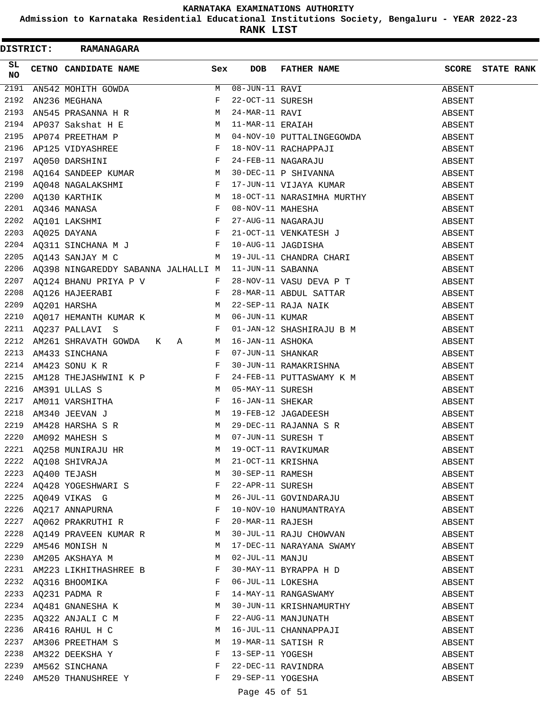**Admission to Karnataka Residential Educational Institutions Society, Bengaluru - YEAR 2022-23**

**RANK LIST**

|            | DISTRICT: RAMANAGARA                                |     |                  |                                                                                                                                                                                                                                                          |        |                         |
|------------|-----------------------------------------------------|-----|------------------|----------------------------------------------------------------------------------------------------------------------------------------------------------------------------------------------------------------------------------------------------------|--------|-------------------------|
| SL.<br>NO. | CETNO CANDIDATE NAME                                | Sex |                  | DOB FATHER NAME                                                                                                                                                                                                                                          |        | <b>SCORE STATE RANK</b> |
|            |                                                     |     |                  | 2191 AN542 MOHITH GOWDA<br>2192 AN236 MEGHANA<br>2193 AN545 PRASANNA HR M 24-MAR-11 RAVI<br>2194 AP037 Sakshat HE M 11-MAR-11 ERAIAH                                                                                                                     | ABSENT |                         |
|            |                                                     |     |                  |                                                                                                                                                                                                                                                          | ABSENT |                         |
|            |                                                     |     |                  |                                                                                                                                                                                                                                                          | ABSENT |                         |
|            |                                                     |     |                  |                                                                                                                                                                                                                                                          | ABSENT |                         |
|            |                                                     |     |                  |                                                                                                                                                                                                                                                          |        |                         |
|            |                                                     |     |                  |                                                                                                                                                                                                                                                          |        |                         |
|            |                                                     |     |                  | 2195 AP074 PREETHAM P<br>2196 AP125 VIDYASHREE F 18-NOV-10 PUTTALINGEGOWDA<br>2197 AQ050 DARSHINI F 24-FEB-11 NAGARAJU<br>2198 AQ164 SANDEEP KUMAR M 30-DEC-11 P SHIVANNA ABSENT<br>2198 AQ164 SANDEEP KUMAR M 30-DEC-11 P SHIVANNA AB                   |        |                         |
|            |                                                     |     |                  |                                                                                                                                                                                                                                                          |        |                         |
|            |                                                     |     |                  |                                                                                                                                                                                                                                                          |        |                         |
|            |                                                     |     |                  |                                                                                                                                                                                                                                                          |        |                         |
|            |                                                     |     |                  |                                                                                                                                                                                                                                                          |        |                         |
|            |                                                     |     |                  |                                                                                                                                                                                                                                                          |        |                         |
|            |                                                     |     |                  |                                                                                                                                                                                                                                                          |        |                         |
|            |                                                     |     |                  |                                                                                                                                                                                                                                                          |        |                         |
|            |                                                     |     |                  |                                                                                                                                                                                                                                                          |        |                         |
|            |                                                     |     |                  | 2206 AQ398 NINGAREDDY SABANNA JALHALLI M 11-JUN-11 SABANNA                                                                                                                                                                                               | ABSENT |                         |
|            |                                                     |     |                  | 2207 AQ124 BHANU PRIYA P V $F$ 28-NOV-11 VASU DEVA P T ABSENT                                                                                                                                                                                            |        |                         |
|            |                                                     |     |                  |                                                                                                                                                                                                                                                          |        |                         |
|            |                                                     |     |                  |                                                                                                                                                                                                                                                          |        |                         |
|            |                                                     |     |                  |                                                                                                                                                                                                                                                          |        |                         |
|            |                                                     |     |                  |                                                                                                                                                                                                                                                          |        |                         |
|            |                                                     |     |                  |                                                                                                                                                                                                                                                          |        |                         |
|            |                                                     |     |                  | 2210 AQUI / HEMANIH AUMARA ARSENT COMPARENT FOR THE MANUSCRIP OF THE SHASHIRAJU B M ABSENT AND ABSENT AND ALLAYER AND ARREST AND A RESENT AND A RESENT AND A RESENT AND A RESENT AND A RESENT AND A RESENT AND A RESENT AND A                            |        |                         |
|            | 2213 AM433 SINCHANA F<br>2214 AM423 SONU K R F      |     |                  | 30-JUN-11 RAMAKRISHNA                                                                                                                                                                                                                                    | ABSENT |                         |
| 2215       |                                                     |     |                  |                                                                                                                                                                                                                                                          | ABSENT |                         |
| 2216       |                                                     |     |                  | AM128 THEJASHWINI K P<br>AM391 ULLAS S<br>AM011 VARSHITHA<br>AM340 JEEVAN J<br>AM428 HARSHA S R<br>AM092 MAHESH S<br>AM092 MAHESH S<br>AM092 MAHESH S<br>AM092 MAHESH S<br>AM092 MAHESH S<br>AM092 MAHESH S<br>AM092 MAHESH S<br>AM092 MAHESH S<br>AM092 | ABSENT |                         |
| 2217       |                                                     |     |                  |                                                                                                                                                                                                                                                          | ABSENT |                         |
| 2218       |                                                     |     |                  |                                                                                                                                                                                                                                                          | ABSENT |                         |
| 2219       |                                                     |     |                  |                                                                                                                                                                                                                                                          | ABSENT |                         |
| 2220       |                                                     |     |                  |                                                                                                                                                                                                                                                          |        |                         |
|            |                                                     | M   |                  |                                                                                                                                                                                                                                                          | ABSENT |                         |
|            | 2221 AQ258 MUNIRAJU HR                              | M   |                  | 19-OCT-11 RAVIKUMAR                                                                                                                                                                                                                                      | ABSENT |                         |
|            | 2222 AQ108 SHIVRAJA<br>2223 AQ400 TEJASH M          |     |                  | 21-OCT-11 KRISHNA                                                                                                                                                                                                                                        | ABSENT |                         |
|            |                                                     |     |                  | 30-SEP-11 RAMESH<br>22-APR-11 SURESH                                                                                                                                                                                                                     | ABSENT |                         |
|            | 2224 AQ428 YOGESHWARI S                             |     |                  |                                                                                                                                                                                                                                                          | ABSENT |                         |
|            | 2225 AQ049 VIKAS G NORTH M 26-JUL-11 GOVINDARAJU    |     |                  |                                                                                                                                                                                                                                                          | ABSENT |                         |
|            | 2226 AQ217 ANNAPURNA F                              |     |                  | 10-NOV-10 HANUMANTRAYA                                                                                                                                                                                                                                   | ABSENT |                         |
|            | 2227 AQ062 PRAKRUTHI R F                            |     |                  | 20-MAR-11 RAJESH                                                                                                                                                                                                                                         | ABSENT |                         |
|            | 2228 AQ149 PRAVEEN KUMAR R M 30-JUL-11 RAJU CHOWVAN |     |                  |                                                                                                                                                                                                                                                          | ABSENT |                         |
|            | 2229 AM546 MONISH N                                 |     |                  | M 17-DEC-11 NARAYANA SWAMY                                                                                                                                                                                                                               | ABSENT |                         |
|            | 2230 AM205 AKSHAYA M                                |     | 02-JUL-11 MANJU  |                                                                                                                                                                                                                                                          | ABSENT |                         |
|            | 2231 AM223 LIKHITHASHREE B F                        |     |                  | 30-MAY-11 BYRAPPA H D                                                                                                                                                                                                                                    | ABSENT |                         |
|            | 2232 AQ316 BHOOMIKA                                 | F   |                  | 06-JUL-11 LOKESHA                                                                                                                                                                                                                                        | ABSENT |                         |
|            | 2233 AQ231 PADMA R                                  | F   |                  | 14-MAY-11 RANGASWAMY                                                                                                                                                                                                                                     | ABSENT |                         |
|            | 2234 AQ481 GNANESHA K                               | M   |                  | 30-JUN-11 KRISHNAMURTHY                                                                                                                                                                                                                                  | ABSENT |                         |
|            | 2235 AQ322 ANJALI C M                               | F   |                  | 22-AUG-11 MANJUNATH                                                                                                                                                                                                                                      | ABSENT |                         |
|            | 2236 AR416 RAHUL H C                                | M   |                  | 16-JUL-11 CHANNAPPAJI                                                                                                                                                                                                                                    | ABSENT |                         |
|            | 2237 AM306 PREETHAM S                               | M   |                  | 19-MAR-11 SATISH R                                                                                                                                                                                                                                       | ABSENT |                         |
|            | 2238 AM322 DEEKSHA Y                                | F   | 13-SEP-11 YOGESH |                                                                                                                                                                                                                                                          | ABSENT |                         |
|            | 2239 AM562 SINCHANA F                               |     |                  | 22-DEC-11 RAVINDRA                                                                                                                                                                                                                                       | ABSENT |                         |
|            | 2240 AM520 THANUSHREE Y                             | F   |                  | 29-SEP-11 YOGESHA                                                                                                                                                                                                                                        | ABSENT |                         |

# Page 45 of 51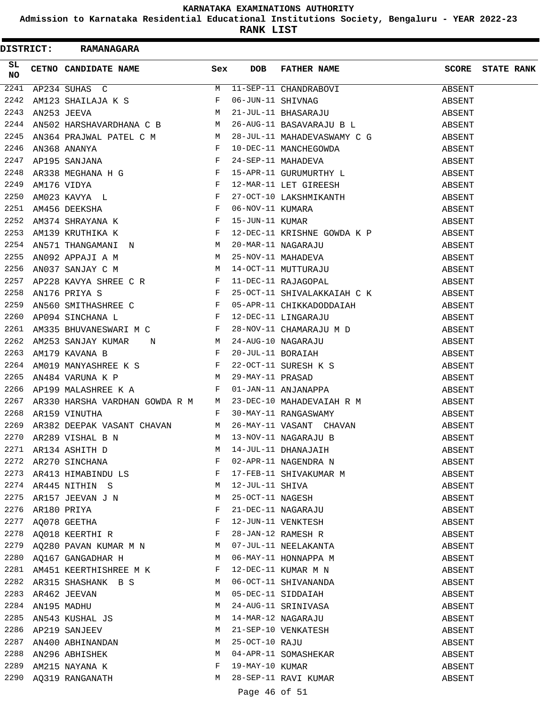**Admission to Karnataka Residential Educational Institutions Society, Bengaluru - YEAR 2022-23**

**RANK LIST**

|           |  | DISTRICT: RAMANAGARA                                                                                                                                                                                                                                                                                                                                                                                                                |              |                 |                                     |        |                         |
|-----------|--|-------------------------------------------------------------------------------------------------------------------------------------------------------------------------------------------------------------------------------------------------------------------------------------------------------------------------------------------------------------------------------------------------------------------------------------|--------------|-----------------|-------------------------------------|--------|-------------------------|
| SL<br>NO. |  | CETNO CANDIDATE NAME Sex                                                                                                                                                                                                                                                                                                                                                                                                            |              | <b>DOB</b>      | FATHER NAME                         |        | <b>SCORE</b> STATE RANK |
| 2241      |  | AP234 SUHAS C $M$ 11-SEP-11 CHANDRABOVI ABSENT AN123 SHAILAJA K S $F$ 06-JUN-11 SHIVNAG ABSENT AN253 JEEVA $M$ 21-JUL-11 BHASARAJU ABSENT ABSENT                                                                                                                                                                                                                                                                                    |              |                 |                                     |        |                         |
| 2242      |  |                                                                                                                                                                                                                                                                                                                                                                                                                                     |              |                 |                                     |        |                         |
| 2243      |  |                                                                                                                                                                                                                                                                                                                                                                                                                                     |              |                 |                                     |        |                         |
| 2244      |  | AN502 HARSHAVARDHANA C B $M$ 26-AUG-11 BASAVARAJU B L ABSENT                                                                                                                                                                                                                                                                                                                                                                        |              |                 |                                     |        |                         |
|           |  |                                                                                                                                                                                                                                                                                                                                                                                                                                     |              |                 |                                     |        |                         |
|           |  |                                                                                                                                                                                                                                                                                                                                                                                                                                     |              |                 |                                     |        |                         |
|           |  |                                                                                                                                                                                                                                                                                                                                                                                                                                     |              |                 |                                     |        |                         |
|           |  |                                                                                                                                                                                                                                                                                                                                                                                                                                     |              |                 |                                     |        |                         |
|           |  |                                                                                                                                                                                                                                                                                                                                                                                                                                     |              |                 |                                     |        |                         |
|           |  |                                                                                                                                                                                                                                                                                                                                                                                                                                     |              |                 |                                     |        |                         |
|           |  |                                                                                                                                                                                                                                                                                                                                                                                                                                     |              |                 |                                     |        |                         |
|           |  |                                                                                                                                                                                                                                                                                                                                                                                                                                     |              |                 |                                     |        |                         |
|           |  |                                                                                                                                                                                                                                                                                                                                                                                                                                     |              |                 |                                     |        |                         |
|           |  |                                                                                                                                                                                                                                                                                                                                                                                                                                     |              |                 |                                     |        |                         |
|           |  |                                                                                                                                                                                                                                                                                                                                                                                                                                     |              |                 |                                     |        |                         |
|           |  |                                                                                                                                                                                                                                                                                                                                                                                                                                     |              |                 |                                     |        |                         |
|           |  |                                                                                                                                                                                                                                                                                                                                                                                                                                     |              |                 |                                     |        |                         |
|           |  |                                                                                                                                                                                                                                                                                                                                                                                                                                     |              |                 |                                     |        |                         |
|           |  |                                                                                                                                                                                                                                                                                                                                                                                                                                     |              |                 |                                     |        |                         |
|           |  | $\begin{array}{lllllllllllll} \text{LTP} & \text{LTP} & \text{LTP} & \text{LTP} & \text{LTP} & \text{LTP} \\ \text{LTP} & \text{LTP} & \text{LTP} & \text{LTP} & \text{LTP} & \text{LTP} & \text{LTP} \\ \text{LTP} & \text{LTP} & \text{LTP} & \text{LTP} & \text{LTP} & \text{LTP} & \text{LTP} \\ \text{LTP} & \text{LTP} & \text{LTP} & \text{LTP} & \text{LTP} & \text{LTP} & \text{LTP} \\ \text{LTP} & \text{LTP} & \text{L$ |              |                 |                                     |        |                         |
|           |  |                                                                                                                                                                                                                                                                                                                                                                                                                                     |              |                 |                                     |        |                         |
|           |  |                                                                                                                                                                                                                                                                                                                                                                                                                                     |              |                 |                                     |        |                         |
|           |  |                                                                                                                                                                                                                                                                                                                                                                                                                                     |              |                 |                                     |        |                         |
|           |  |                                                                                                                                                                                                                                                                                                                                                                                                                                     |              |                 |                                     |        |                         |
|           |  |                                                                                                                                                                                                                                                                                                                                                                                                                                     |              |                 |                                     |        |                         |
|           |  |                                                                                                                                                                                                                                                                                                                                                                                                                                     |              |                 |                                     |        |                         |
|           |  | 2260 AP094 SINCHANA L<br>2260 AP094 SINCHANA L<br>2261 AM335 BHUVANESWARI M C<br>2262 AM253 SANJAY KUMAR N<br>2262 AM253 SANJAY KUMAR N<br>2262 AM253 SANJAY KUMAR N<br>2263 AM179 KAVANA B<br>2263 AM179 KAVANA B<br>2264 AM019 MANYASHREE K                                                                                                                                                                                       |              |                 |                                     |        |                         |
|           |  |                                                                                                                                                                                                                                                                                                                                                                                                                                     |              |                 |                                     |        |                         |
| 2269      |  |                                                                                                                                                                                                                                                                                                                                                                                                                                     |              |                 |                                     |        |                         |
|           |  |                                                                                                                                                                                                                                                                                                                                                                                                                                     |              |                 |                                     |        |                         |
| 2270      |  | AR289 VISHAL B N                                                                                                                                                                                                                                                                                                                                                                                                                    |              |                 |                                     |        |                         |
|           |  | 2271 AR134 ASHITH D                                                                                                                                                                                                                                                                                                                                                                                                                 | M            |                 | 14-JUL-11 DHANAJAIH                 | ABSENT |                         |
|           |  | 2272 AR270 SINCHANA                                                                                                                                                                                                                                                                                                                                                                                                                 | F            |                 | 02-APR-11 NAGENDRA N                | ABSENT |                         |
|           |  | 2273 AR413 HIMABINDU LS F                                                                                                                                                                                                                                                                                                                                                                                                           |              |                 | 17-FEB-11 SHIVAKUMAR M              | ABSENT |                         |
|           |  | 2274 AR445 NITHIN S                                                                                                                                                                                                                                                                                                                                                                                                                 | M            | 12-JUL-11 SHIVA | 14-JUL-11 SHIVA<br>25-OCT-11 NAGESH | ABSENT |                         |
|           |  | 2275 AR157 JEEVAN J N                                                                                                                                                                                                                                                                                                                                                                                                               | M            |                 |                                     | ABSENT |                         |
| 2276      |  | AR180 PRIYA                                                                                                                                                                                                                                                                                                                                                                                                                         | F            |                 | 21-DEC-11 NAGARAJU                  | ABSENT |                         |
| 2277      |  | AQ078 GEETHA $$\rm F$$                                                                                                                                                                                                                                                                                                                                                                                                              |              |                 | 12-JUN-11 VENKTESH                  | ABSENT |                         |
|           |  | 2278 AQ018 KEERTHI R                                                                                                                                                                                                                                                                                                                                                                                                                | $\mathbf{F}$ |                 | 28-JAN-12 RAMESH R                  | ABSENT |                         |
|           |  | 2279 AQ280 PAVAN KUMAR M N M O7-JUL-11 NEELAKANTA                                                                                                                                                                                                                                                                                                                                                                                   |              |                 |                                     | ABSENT |                         |
|           |  | M <sub>1</sub><br>2280 AQ167 GANGADHAR H                                                                                                                                                                                                                                                                                                                                                                                            |              |                 | 06-MAY-11 HONNAPPA M                | ABSENT |                         |
|           |  | 2281 AM451 KEERTHISHREE M K F                                                                                                                                                                                                                                                                                                                                                                                                       |              |                 | 12-DEC-11 KUMAR M N                 | ABSENT |                         |
|           |  | 2282 AR315 SHASHANK B S                                                                                                                                                                                                                                                                                                                                                                                                             | M            |                 | 06-OCT-11 SHIVANANDA                | ABSENT |                         |
|           |  | 2283 AR462 JEEVAN                                                                                                                                                                                                                                                                                                                                                                                                                   | M            |                 | 05-DEC-11 SIDDAIAH                  | ABSENT |                         |
| 2284      |  | AN195 MADHU                                                                                                                                                                                                                                                                                                                                                                                                                         | М            |                 | 24-AUG-11 SRINIVASA                 | ABSENT |                         |
| 2285      |  | AN543 KUSHAL JS                                                                                                                                                                                                                                                                                                                                                                                                                     | M            |                 | 14-MAR-12 NAGARAJU                  | ABSENT |                         |
| 2286      |  | AP219 SANJEEV                                                                                                                                                                                                                                                                                                                                                                                                                       | M            |                 | 21-SEP-10 VENKATESH                 | ABSENT |                         |
|           |  | 2287 AN400 ABHINANDAN                                                                                                                                                                                                                                                                                                                                                                                                               | M            | 25-OCT-10 RAJU  |                                     | ABSENT |                         |
| 2288      |  | AN296 ABHISHEK                                                                                                                                                                                                                                                                                                                                                                                                                      | M            |                 | 04-APR-11 SOMASHEKAR                | ABSENT |                         |
| 2289      |  | AM215 NAYANA K                                                                                                                                                                                                                                                                                                                                                                                                                      | F            | 19-MAY-10 KUMAR |                                     | ABSENT |                         |
|           |  | 2290 AQ319 RANGANATH                                                                                                                                                                                                                                                                                                                                                                                                                | M            |                 | 28-SEP-11 RAVI KUMAR                | ABSENT |                         |
|           |  |                                                                                                                                                                                                                                                                                                                                                                                                                                     |              | Page 46 of 51   |                                     |        |                         |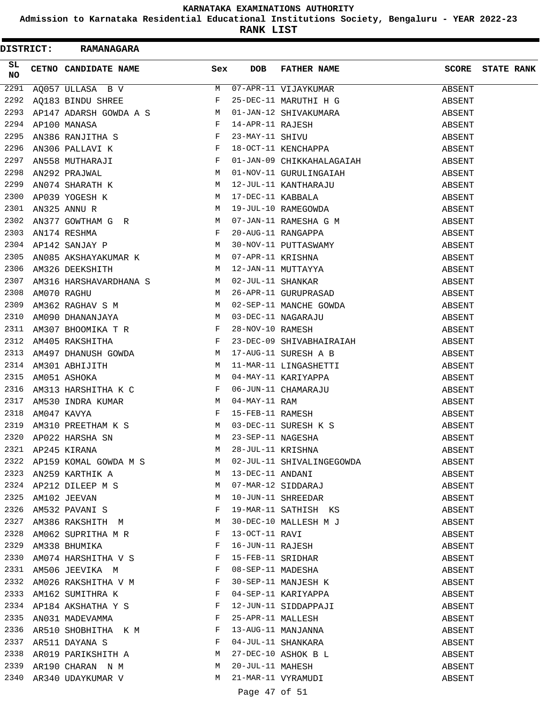**Admission to Karnataka Residential Educational Institutions Society, Bengaluru - YEAR 2022-23**

**RANK LIST**

| <b>DISTRICT:</b> | <b>RAMANAGARA</b>                                                                                                                                                                                                                                     |              |                   |                                                                                                                                                                                                       |                  |                   |
|------------------|-------------------------------------------------------------------------------------------------------------------------------------------------------------------------------------------------------------------------------------------------------|--------------|-------------------|-------------------------------------------------------------------------------------------------------------------------------------------------------------------------------------------------------|------------------|-------------------|
| SL.<br>NO.       | CETNO CANDIDATE NAME                                                                                                                                                                                                                                  | Sex          | <b>DOB</b>        | FATHER NAME                                                                                                                                                                                           | SCORE            | <b>STATE RANK</b> |
| 2291             | AQ057 ULLASA B V<br>AQ183 BINDU SHREE F 25-DEC-11 MARUTHI H G<br>AP147 ADARSH GOWDA A S<br>AP100 MANASA F 14-APR-11 RAJESH<br>AN386 RANJITHA S F 23-MAY-11 SHIVU<br>AN306 PALLAVI K F 18-OCT-11 KENCHAPPA<br>NTES MITHIARITY F 01-IN 09 G             |              |                   |                                                                                                                                                                                                       | ABSENT           |                   |
|                  | 2292 AQ183 BINDU SHREE                                                                                                                                                                                                                                |              |                   |                                                                                                                                                                                                       | ABSENT           |                   |
| 2293             |                                                                                                                                                                                                                                                       |              |                   |                                                                                                                                                                                                       | ABSENT           |                   |
| 2294             |                                                                                                                                                                                                                                                       |              |                   |                                                                                                                                                                                                       | ABSENT           |                   |
| 2295             | AN386 RANJITHA S<br>AN306 PALLAVI K<br>AN306 PALLAVI K<br>AN558 MUTHARAJI F 01-JAN-09 CHIKKAHALAGAIAH<br>AN292 PRAJWAL<br>M 01-NOV-11 GURULINGAIAH                                                                                                    |              |                   |                                                                                                                                                                                                       | ABSENT           |                   |
| 2296             |                                                                                                                                                                                                                                                       |              |                   |                                                                                                                                                                                                       | ABSENT           |                   |
| 2297             |                                                                                                                                                                                                                                                       |              |                   |                                                                                                                                                                                                       | ABSENT           |                   |
| 2298             |                                                                                                                                                                                                                                                       |              |                   |                                                                                                                                                                                                       | ABSENT           |                   |
|                  |                                                                                                                                                                                                                                                       |              |                   |                                                                                                                                                                                                       | ABSENT           |                   |
|                  |                                                                                                                                                                                                                                                       |              |                   |                                                                                                                                                                                                       | ABSENT           |                   |
|                  |                                                                                                                                                                                                                                                       |              |                   |                                                                                                                                                                                                       | ABSENT           |                   |
|                  |                                                                                                                                                                                                                                                       |              |                   |                                                                                                                                                                                                       | ABSENT           |                   |
|                  |                                                                                                                                                                                                                                                       |              |                   |                                                                                                                                                                                                       | ABSENT           |                   |
|                  |                                                                                                                                                                                                                                                       |              |                   |                                                                                                                                                                                                       | ABSENT           |                   |
|                  |                                                                                                                                                                                                                                                       |              |                   |                                                                                                                                                                                                       | ABSENT           |                   |
|                  |                                                                                                                                                                                                                                                       |              |                   |                                                                                                                                                                                                       | ABSENT           |                   |
|                  |                                                                                                                                                                                                                                                       |              |                   |                                                                                                                                                                                                       | ABSENT           |                   |
|                  |                                                                                                                                                                                                                                                       |              |                   |                                                                                                                                                                                                       | ABSENT           |                   |
|                  |                                                                                                                                                                                                                                                       |              |                   |                                                                                                                                                                                                       | ABSENT           |                   |
|                  |                                                                                                                                                                                                                                                       |              |                   |                                                                                                                                                                                                       | ABSENT           |                   |
|                  |                                                                                                                                                                                                                                                       |              |                   |                                                                                                                                                                                                       | ABSENT           |                   |
| 2312             | AM405 RAKSHITHA F                                                                                                                                                                                                                                     |              |                   |                                                                                                                                                                                                       | ABSENT           |                   |
| 2313             | NASA SERIKA SERIKA SERIKA SERIKA SERIKA SERIKA SERIKA SERIKA SERIKA SERIKA SERIKA SERIKA SERIKA SERIKA SERIKA<br>SERIKA SERIKA SERIKA SERIKA SERIKA SERIKA SERIKA SERIKA SERIKA SERIKA SERIKA SERIKA SERIKA SERIKA SERIKA SERI                        |              |                   | 23-DEC-09 SHIVABHAIRAIAH<br>17 AUG 11 Augustus -                                                                                                                                                      | ABSENT           |                   |
| 2314             | AM301 ABHIJITH M                                                                                                                                                                                                                                      |              |                   | 17-AUG-11 SURESH A B<br>11-MAR-11 LINGASHETTI                                                                                                                                                         | ABSENT           |                   |
| 2315             |                                                                                                                                                                                                                                                       |              |                   |                                                                                                                                                                                                       | ABSENT           |                   |
| 2316             |                                                                                                                                                                                                                                                       |              |                   |                                                                                                                                                                                                       | ABSENT           |                   |
| 2317             |                                                                                                                                                                                                                                                       |              |                   |                                                                                                                                                                                                       | ABSENT           |                   |
| 2318             |                                                                                                                                                                                                                                                       |              |                   |                                                                                                                                                                                                       | ABSENT           |                   |
| 2319             |                                                                                                                                                                                                                                                       |              |                   |                                                                                                                                                                                                       |                  |                   |
| 2320             |                                                                                                                                                                                                                                                       |              |                   |                                                                                                                                                                                                       | ABSENT<br>ABSENT |                   |
|                  | en de la provincia de la provincia de la provincia de la provincia de la provincia de la provincia de la provi<br>La provincia de la provincia de la provincia de la provincia de la provincia de la provincia de la provincia d<br>2321 AP245 KIRANA | M            | 28-JUL-11 KRISHNA |                                                                                                                                                                                                       |                  |                   |
|                  |                                                                                                                                                                                                                                                       | M            |                   |                                                                                                                                                                                                       | ABSENT           |                   |
|                  | 2322 AP159 KOMAL GOWDA M S<br>M<br>2323 AN259 KARTHIK A                                                                                                                                                                                               |              |                   | 02-JUL-11 SHIVALINGEGOWDA                                                                                                                                                                             | ABSENT           |                   |
|                  |                                                                                                                                                                                                                                                       | M            |                   |                                                                                                                                                                                                       | ABSENT           |                   |
|                  | 2324 AP212 DILEEP M S<br>2325 AM102 JEEVAN<br>2326 AM532 PAVANI S                                                                                                                                                                                     | M            |                   | 02-000-11 SHIVADING<br>13-DEC-11 ANDANI<br>07-MAR-12 SIDDARAJ<br>10-JUN-11 SHREEDAR                                                                                                                   | ABSENT           |                   |
|                  |                                                                                                                                                                                                                                                       | F            |                   |                                                                                                                                                                                                       | ABSENT           |                   |
| 2327             | AM386 RAKSHITH M M                                                                                                                                                                                                                                    |              |                   | 19-MAR-11 SATHISH KS<br>19-WAR-11 SAIRLISH M J<br>30-DEC-10 MALLESH M J<br>13-OCT-11 RAVI<br>16-JUN-11 RAJESH<br>15-FEB-11 SRIDHAR<br>08-SEP-11 MADESHA<br>30-SEP-11 MANJESH K<br>04-SEP-11 KARIYAPPA | ABSENT           |                   |
| 2328             |                                                                                                                                                                                                                                                       | $\mathbf{F}$ |                   |                                                                                                                                                                                                       | ABSENT           |                   |
|                  | AM062 SUPRITHA M R                                                                                                                                                                                                                                    |              |                   |                                                                                                                                                                                                       | ABSENT           |                   |
|                  | 2329 AM338 BHUMIKA $F$ 2330 AM074 HARSHITHA V S                                                                                                                                                                                                       |              |                   |                                                                                                                                                                                                       | ABSENT           |                   |
|                  |                                                                                                                                                                                                                                                       |              |                   |                                                                                                                                                                                                       | ABSENT           |                   |
|                  | 2331 AM506 JEEVIKA M                                                                                                                                                                                                                                  |              |                   |                                                                                                                                                                                                       | ABSENT           |                   |
|                  | 2332 AM026 RAKSHITHA V M                                                                                                                                                                                                                              |              |                   |                                                                                                                                                                                                       | ABSENT           |                   |
|                  | 2333 AM162 SUMITHRA K F<br>2334 AP184 AKSHATHA Y S F                                                                                                                                                                                                  |              |                   |                                                                                                                                                                                                       | ABSENT           |                   |
|                  |                                                                                                                                                                                                                                                       |              |                   | 12-JUN-11 SIDDAPPAJI                                                                                                                                                                                  | ABSENT           |                   |
| 2335             | ANO 31 MADEVAMMA $F$                                                                                                                                                                                                                                  |              |                   |                                                                                                                                                                                                       | ABSENT           |                   |
| 2336             | AR510 SHOBHITHA K M<br>AR511 DAYANA S                                                                                                                                                                                                                 |              |                   |                                                                                                                                                                                                       | ABSENT           |                   |
|                  | 2337 AR511 DAYANA S                                                                                                                                                                                                                                   |              |                   | 25-APR-11 MALLESH<br>13-AUG-11 MANJANNA<br>04-JUL-11 SHANKARA<br>27-DEC-10 ASHOK B L                                                                                                                  | ABSENT           |                   |
| 2338             | AR019 PARIKSHITH A M                                                                                                                                                                                                                                  |              |                   |                                                                                                                                                                                                       | ABSENT           |                   |
| 2339             | AR190 CHARAN N M                                                                                                                                                                                                                                      | M            | 20-JUL-11 MAHESH  |                                                                                                                                                                                                       | ABSENT           |                   |
|                  | 2340 AR340 UDAYKUMAR V                                                                                                                                                                                                                                | M            |                   | 21-MAR-11 VYRAMUDI                                                                                                                                                                                    | ABSENT           |                   |

Page 47 of 51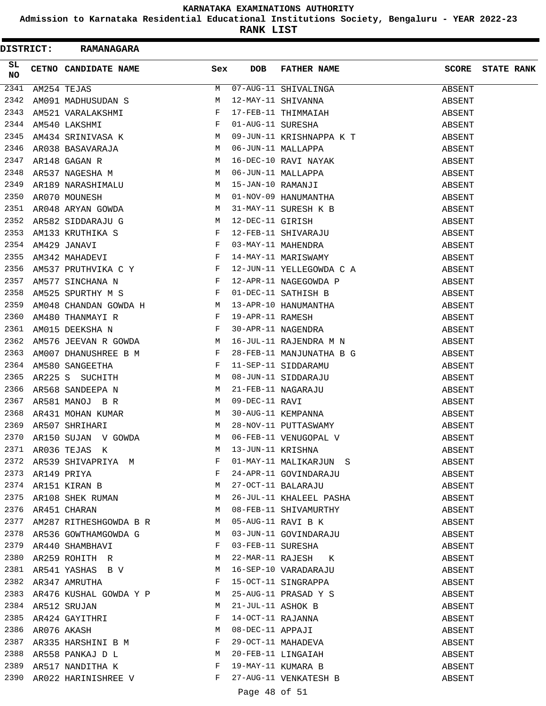**Admission to Karnataka Residential Educational Institutions Society, Bengaluru - YEAR 2022-23**

| <b>DISTRICT:</b> | <b>RAMANAGARA</b>                                                                                 |              |                   |                                                                                                                                                                                                                                                                 |              |                   |
|------------------|---------------------------------------------------------------------------------------------------|--------------|-------------------|-----------------------------------------------------------------------------------------------------------------------------------------------------------------------------------------------------------------------------------------------------------------|--------------|-------------------|
| SL<br><b>NO</b>  | CETNO CANDIDATE NAME                                                                              | Sex          | DOB               | FATHER NAME                                                                                                                                                                                                                                                     | <b>SCORE</b> | <b>STATE RANK</b> |
| 2341             | AM254 TEJAS                                                                                       | M            |                   | 07-AUG-11 SHIVALINGA<br>12-MAY-11 SHIVANNA<br>17-FEB-11 THIMMAIAH<br>01-AUG-11 SURESHA                                                                                                                                                                          | ABSENT       |                   |
| 2342             |                                                                                                   |              |                   |                                                                                                                                                                                                                                                                 | ABSENT       |                   |
| 2343             |                                                                                                   |              |                   |                                                                                                                                                                                                                                                                 | ABSENT       |                   |
| 2344             | AM091 MADHUSUDAN S<br>AM521 VARALAKSHMI F<br>AM540 LAKSHMI F<br>AM434 SRINIVASA K M               |              |                   |                                                                                                                                                                                                                                                                 | ABSENT       |                   |
| 2345             |                                                                                                   |              |                   | 09-JUN-11 KRISHNAPPA K T                                                                                                                                                                                                                                        | ABSENT       |                   |
| 2346             | ARO38 BASAVARAJA M<br>AR148 GAGAN R M<br>AR537 NAGESHA M M                                        |              |                   | 09-JUN-11 KRISHNAPPA K T<br>06-JUN-11 MALLAPPA<br>16-DEC-10 RAVI NAYAK<br>06-JUN-11 MALLAPPA<br>15-JAN-10 RAMANJI<br>01-NOV-09 HANUMANTHA<br>31-MAY-11 SURESH K B<br>12-DEC-11 GIRISH<br>12-FEB-11 SHIVARAJU<br>03-MAY-11 MAHENDRA<br>14-MAY-11 MAHENDRA<br>12- | ABSENT       |                   |
| 2347             |                                                                                                   |              |                   |                                                                                                                                                                                                                                                                 | ABSENT       |                   |
| 2348             |                                                                                                   |              |                   |                                                                                                                                                                                                                                                                 | ABSENT       |                   |
| 2349             | AR189 NARASHIMALU M                                                                               |              |                   |                                                                                                                                                                                                                                                                 | ABSENT       |                   |
| 2350             | AR070 MOUNESH<br>AR048 ARYAN GOWDA M<br>AR582 SIDDARAJU G M                                       |              |                   |                                                                                                                                                                                                                                                                 | ABSENT       |                   |
| 2351             |                                                                                                   |              |                   |                                                                                                                                                                                                                                                                 | ABSENT       |                   |
| 2352             |                                                                                                   |              |                   |                                                                                                                                                                                                                                                                 | ABSENT       |                   |
| 2353             |                                                                                                   |              |                   |                                                                                                                                                                                                                                                                 | ABSENT       |                   |
| 2354             |                                                                                                   |              |                   |                                                                                                                                                                                                                                                                 | ABSENT       |                   |
| 2355             | AM133 KRUTHIKA S<br>AM429 JANAVI F<br>AM342 MAHADEVI F                                            |              |                   |                                                                                                                                                                                                                                                                 | ABSENT       |                   |
| 2356             | AM537 PRUTHVIKA C Y                                                                               |              |                   | 12-JUN-11 YELLEGOWDA C A                                                                                                                                                                                                                                        | ABSENT       |                   |
| 2357             | $\mathbf{F}$ and $\mathbf{F}$ are $\mathbf{F}$ . In the set of $\mathbf{F}$<br>AM577 SINCHANA N   |              |                   | 12-APR-11 NAGEGOWDA P                                                                                                                                                                                                                                           | ABSENT       |                   |
| 2358             | $\mathbb{F}^{\mathbb{Z}}$ . The state of the state $\mathbb{F}^{\mathbb{Z}}$<br>AM525 SPURTHY M S |              |                   |                                                                                                                                                                                                                                                                 | ABSENT       |                   |
| 2359             |                                                                                                   |              |                   |                                                                                                                                                                                                                                                                 | ABSENT       |                   |
| 2360             | AM048 CHANDAN GOWDA H M<br>AM480 THANMAYI R F                                                     |              |                   |                                                                                                                                                                                                                                                                 | ABSENT       |                   |
| 2361             | $\mathbb{F}^{\mathbb{Z}}$ . The state $\mathbb{F}^{\mathbb{Z}}$<br>AM015 DEEKSHA N                |              |                   | 01-DEC-11 SATHISH B<br>13-APR-10 HANUMANTHA<br>19-APR-11 RAMESH<br>30-APR-11 NAGENDRA<br>16-JUL-11 RAJENDRA M N                                                                                                                                                 | ABSENT       |                   |
| 2362             | AM576 JEEVAN R GOWDA M                                                                            |              |                   |                                                                                                                                                                                                                                                                 | ABSENT       |                   |
| 2363             |                                                                                                   |              |                   | 28-FEB-11 MANJUNATHA B G                                                                                                                                                                                                                                        | ABSENT       |                   |
| 2364             | AM007 DHANUSHREE B M<br>AM580 SANGEETHA F                                                         |              |                   | 11-SEP-11 SIDDARAMU                                                                                                                                                                                                                                             | ABSENT       |                   |
| 2365             | AR225 S SUCHITH M                                                                                 |              |                   | 08-JUN-11 SIDDARAJU<br>21-FEB-11 NAGARAJU<br>09-DEC-11 RAVI<br>30-AUG-11 KEMPANNA<br>28-NOV-11 PUTTASWAMY<br>06-FEB-11 VENUGOPAL V                                                                                                                              | ABSENT       |                   |
| 2366             | M<br>AR568 SANDEEPA N                                                                             |              |                   |                                                                                                                                                                                                                                                                 | ABSENT       |                   |
| 2367             | AR581 MANOJ BR<br>AR431 MOHAN KUMAR M                                                             |              |                   |                                                                                                                                                                                                                                                                 | ABSENT       |                   |
| 2368             |                                                                                                   |              |                   |                                                                                                                                                                                                                                                                 | ABSENT       |                   |
| 2369             | M<br>AR507 SHRIHARI                                                                               |              |                   |                                                                                                                                                                                                                                                                 | ABSENT       |                   |
| 2370             | AR150 SUJAN V GOWDA                                                                               | M            |                   |                                                                                                                                                                                                                                                                 | ABSENT       |                   |
|                  |                                                                                                   |              |                   | 13-JUN-11 KRISHNA<br>01-MAY-11 MALIKARJUN S                                                                                                                                                                                                                     | ABSENT       |                   |
|                  |                                                                                                   |              |                   |                                                                                                                                                                                                                                                                 | ABSENT       |                   |
|                  | 2371 AR036 TEJAS K<br>2372 AR539 SHIVAPRIYA M<br>2373 AR149 PRIYA M<br>F                          |              |                   | 24-APR-11 GOVINDARAJU                                                                                                                                                                                                                                           | ABSENT       |                   |
|                  | 2374 AR151 KIRAN B<br>2375 AR108 SHEK RUMAN M                                                     |              |                   | 27-OCT-11 BALARAJU                                                                                                                                                                                                                                              | ABSENT       |                   |
|                  |                                                                                                   |              |                   | 26-JUL-11 KHALEEL PASHA                                                                                                                                                                                                                                         | ABSENT       |                   |
| 2376             | AR451 CHARAN<br>M <sub>N</sub>                                                                    |              |                   | 08-FEB-11 SHIVAMURTHY                                                                                                                                                                                                                                           | ABSENT       |                   |
| 2377             | AM287 RITHESHGOWDA B R M                                                                          |              |                   | 05-AUG-11 RAVI B K                                                                                                                                                                                                                                              | ABSENT       |                   |
|                  | 2378 AR536 GOWTHAMGOWDA G M                                                                       |              |                   | 03-JUN-11 GOVINDARAJU                                                                                                                                                                                                                                           | ABSENT       |                   |
|                  | 2379 AR440 SHAMBHAVI                                                                              |              |                   | 03-FEB-11 SURESHA                                                                                                                                                                                                                                               | ABSENT       |                   |
| 2380             | AR440 SHAMBHAVI F<br>AR259 ROHITH R                                                               |              |                   | 22-MAR-11 RAJESH K                                                                                                                                                                                                                                              | ABSENT       |                   |
|                  | 2381 AR541 YASHAS B V M                                                                           |              |                   | 16-SEP-10 VARADARAJU                                                                                                                                                                                                                                            | ABSENT       |                   |
|                  | 2382 AR347 AMRUTHA                                                                                |              |                   | 15-OCT-11 SINGRAPPA                                                                                                                                                                                                                                             | ABSENT       |                   |
|                  | 2383 AR476 KUSHAL GOWDA Y P M                                                                     |              |                   | 25-AUG-11 PRASAD Y S                                                                                                                                                                                                                                            | ABSENT       |                   |
|                  | 2384 AR512 SRUJAN                                                                                 | M            | 21-JUL-11 ASHOK B |                                                                                                                                                                                                                                                                 | ABSENT       |                   |
| 2385             | AR424 GAYITHRI                                                                                    | $_{\rm F}$   |                   |                                                                                                                                                                                                                                                                 | ABSENT       |                   |
| 2386             | M<br>AR076 AKASH                                                                                  |              |                   | 14-OCT-11 RAJANNA<br>08-DEC-11 APPAJI<br>29-OCT-11 MAHADEVA<br>20-FEB-11 LINGAIAH                                                                                                                                                                               | ABSENT       |                   |
|                  | 2387 AR335 HARSHINI B M                                                                           | $\mathbf{F}$ |                   |                                                                                                                                                                                                                                                                 | ABSENT       |                   |
| 2388             | AR558 PANKAJ D L                                                                                  |              |                   |                                                                                                                                                                                                                                                                 | ABSENT       |                   |
|                  | 2389 AR517 NANDITHA K                                                                             | F            |                   | 19-MAY-11 KUMARA B                                                                                                                                                                                                                                              | ABSENT       |                   |
|                  | 2390 AR022 HARINISHREE V                                                                          | F            |                   | 27-AUG-11 VENKATESH B                                                                                                                                                                                                                                           | ABSENT       |                   |
|                  |                                                                                                   |              |                   |                                                                                                                                                                                                                                                                 |              |                   |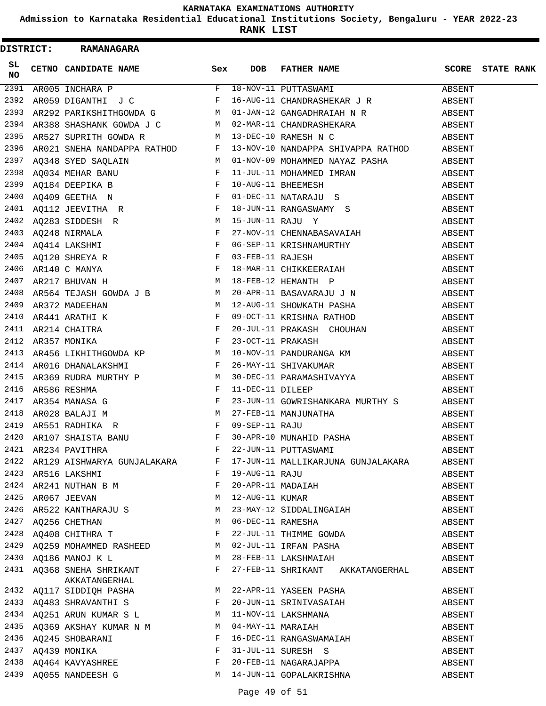**Admission to Karnataka Residential Educational Institutions Society, Bengaluru - YEAR 2022-23**

|           |  | DISTRICT: RAMANAGARA                                                                                                                                                                                                                        |                               |                |                                                                                                                                                                                                                                                                                                                                                                                                                                                                   |        |                         |
|-----------|--|---------------------------------------------------------------------------------------------------------------------------------------------------------------------------------------------------------------------------------------------|-------------------------------|----------------|-------------------------------------------------------------------------------------------------------------------------------------------------------------------------------------------------------------------------------------------------------------------------------------------------------------------------------------------------------------------------------------------------------------------------------------------------------------------|--------|-------------------------|
| SL<br>NO. |  | CETNO CANDIDATE NAME                                                                                                                                                                                                                        | Sex                           | DOB            | FATHER NAME                                                                                                                                                                                                                                                                                                                                                                                                                                                       |        | <b>SCORE</b> STATE RANK |
| 2391      |  |                                                                                                                                                                                                                                             |                               |                | $\begin{tabular}{lllllllllllll} \multicolumn{3}{c}{\textbf{AR005 INCHARA P}} & \multicolumn{3}{c}{\textbf{F}} & 18-NOV-11 PUTTASWAMI} & \multicolumn{3}{c}{\textbf{ABSENT}} & \multicolumn{3}{c}{\textbf{ABSENT}} \\ \multicolumn{3}{c}{\textbf{AR059 DIGANTHI}} & \textbf{J C} & \multicolumn{3}{c}{\textbf{F}} & 16-NOV-11 CHANDRASHEKAR} & \textbf{J R} & \multicolumn{3}{c}{\textbf{ABSENT}} \\ \multicolumn{3}{c}{\textbf{AR292 PARIKSHITHGOWDA G}} & \mult$ |        |                         |
| 2392      |  |                                                                                                                                                                                                                                             |                               |                |                                                                                                                                                                                                                                                                                                                                                                                                                                                                   |        |                         |
| 2393      |  |                                                                                                                                                                                                                                             |                               |                |                                                                                                                                                                                                                                                                                                                                                                                                                                                                   |        |                         |
|           |  |                                                                                                                                                                                                                                             |                               |                | 2394 AR388 SHASHANK GOWDA J C $M$ 02-MAR-11 CHANDRASHEKARA ABSENT                                                                                                                                                                                                                                                                                                                                                                                                 |        |                         |
|           |  |                                                                                                                                                                                                                                             |                               |                |                                                                                                                                                                                                                                                                                                                                                                                                                                                                   |        |                         |
|           |  |                                                                                                                                                                                                                                             |                               |                |                                                                                                                                                                                                                                                                                                                                                                                                                                                                   |        |                         |
|           |  |                                                                                                                                                                                                                                             |                               |                |                                                                                                                                                                                                                                                                                                                                                                                                                                                                   |        |                         |
|           |  |                                                                                                                                                                                                                                             |                               |                |                                                                                                                                                                                                                                                                                                                                                                                                                                                                   |        |                         |
|           |  |                                                                                                                                                                                                                                             |                               |                |                                                                                                                                                                                                                                                                                                                                                                                                                                                                   |        |                         |
|           |  |                                                                                                                                                                                                                                             |                               |                |                                                                                                                                                                                                                                                                                                                                                                                                                                                                   |        |                         |
|           |  |                                                                                                                                                                                                                                             |                               |                |                                                                                                                                                                                                                                                                                                                                                                                                                                                                   |        |                         |
|           |  |                                                                                                                                                                                                                                             |                               |                |                                                                                                                                                                                                                                                                                                                                                                                                                                                                   |        |                         |
|           |  |                                                                                                                                                                                                                                             |                               |                |                                                                                                                                                                                                                                                                                                                                                                                                                                                                   |        |                         |
|           |  |                                                                                                                                                                                                                                             |                               |                |                                                                                                                                                                                                                                                                                                                                                                                                                                                                   |        |                         |
|           |  |                                                                                                                                                                                                                                             |                               |                |                                                                                                                                                                                                                                                                                                                                                                                                                                                                   |        |                         |
|           |  |                                                                                                                                                                                                                                             |                               |                |                                                                                                                                                                                                                                                                                                                                                                                                                                                                   |        |                         |
|           |  |                                                                                                                                                                                                                                             |                               |                |                                                                                                                                                                                                                                                                                                                                                                                                                                                                   |        |                         |
|           |  |                                                                                                                                                                                                                                             |                               |                |                                                                                                                                                                                                                                                                                                                                                                                                                                                                   |        |                         |
|           |  |                                                                                                                                                                                                                                             |                               |                |                                                                                                                                                                                                                                                                                                                                                                                                                                                                   |        |                         |
|           |  |                                                                                                                                                                                                                                             |                               |                |                                                                                                                                                                                                                                                                                                                                                                                                                                                                   |        |                         |
|           |  |                                                                                                                                                                                                                                             |                               |                |                                                                                                                                                                                                                                                                                                                                                                                                                                                                   |        |                         |
|           |  |                                                                                                                                                                                                                                             |                               |                |                                                                                                                                                                                                                                                                                                                                                                                                                                                                   |        |                         |
|           |  |                                                                                                                                                                                                                                             |                               |                |                                                                                                                                                                                                                                                                                                                                                                                                                                                                   |        |                         |
|           |  |                                                                                                                                                                                                                                             |                               |                |                                                                                                                                                                                                                                                                                                                                                                                                                                                                   |        |                         |
| 2415      |  |                                                                                                                                                                                                                                             |                               |                | AR369 RUDRA MURTHY P ABSENT<br>AR369 RUDRA MURTHY P M 30-DEC-11 DILEEP<br>AR586 RESHMA<br>AR554 MANASA G F 23-JUN-11 GOWRISHANKARA MURTHY S ABSENT<br>AR628 BALAJI M M 27-FEB-11 MANJUNATHA<br>AR551 RADHIKA R F 09-SEP-11 RAJU<br>AR551 R                                                                                                                                                                                                                        |        |                         |
| 2416      |  |                                                                                                                                                                                                                                             |                               |                |                                                                                                                                                                                                                                                                                                                                                                                                                                                                   |        |                         |
| 2417      |  |                                                                                                                                                                                                                                             |                               |                |                                                                                                                                                                                                                                                                                                                                                                                                                                                                   |        |                         |
| 2418      |  |                                                                                                                                                                                                                                             |                               |                |                                                                                                                                                                                                                                                                                                                                                                                                                                                                   |        |                         |
| 2419      |  |                                                                                                                                                                                                                                             |                               |                |                                                                                                                                                                                                                                                                                                                                                                                                                                                                   |        |                         |
| 2420      |  |                                                                                                                                                                                                                                             |                               |                |                                                                                                                                                                                                                                                                                                                                                                                                                                                                   |        |                         |
|           |  | <u>and a strong strong the strong</u><br>2421 AR234 PAVITHRA                                                                                                                                                                                | F                             |                | 22-JUN-11 PUTTASWAMI                                                                                                                                                                                                                                                                                                                                                                                                                                              | ABSENT |                         |
|           |  | 2422 AR129 AISHWARYA GUNJALAKARA F                                                                                                                                                                                                          |                               |                | 17-JUN-11 MALLIKARJUNA GUNJALAKARA                                                                                                                                                                                                                                                                                                                                                                                                                                | ABSENT |                         |
|           |  | 2423 AR516 LAKSHMI                                                                                                                                                                                                                          | $\mathbf{F}$ and $\mathbf{F}$ | 19-AUG-11 RAJU |                                                                                                                                                                                                                                                                                                                                                                                                                                                                   | ABSENT |                         |
|           |  | 2424 AR241 NUTHAN B M $F$                                                                                                                                                                                                                   |                               |                | 20-APR-11 MADAIAH                                                                                                                                                                                                                                                                                                                                                                                                                                                 | ABSENT |                         |
|           |  | M<br>2425 AR067 JEEVAN                                                                                                                                                                                                                      |                               |                | 12-AUG-11 KUMAR                                                                                                                                                                                                                                                                                                                                                                                                                                                   | ABSENT |                         |
| 2426      |  | AR522 KANTHARAJU S M                                                                                                                                                                                                                        |                               |                | 23-MAY-12 SIDDALINGAIAH                                                                                                                                                                                                                                                                                                                                                                                                                                           | ABSENT |                         |
|           |  |                                                                                                                                                                                                                                             |                               |                |                                                                                                                                                                                                                                                                                                                                                                                                                                                                   | ABSENT |                         |
|           |  |                                                                                                                                                                                                                                             |                               |                |                                                                                                                                                                                                                                                                                                                                                                                                                                                                   | ABSENT |                         |
|           |  |                                                                                                                                                                                                                                             |                               |                |                                                                                                                                                                                                                                                                                                                                                                                                                                                                   | ABSENT |                         |
|           |  | 2430 AQ186 MANOJ K L                                                                                                                                                                                                                        |                               |                | M 28-FEB-11 LAKSHMAIAH                                                                                                                                                                                                                                                                                                                                                                                                                                            | ABSENT |                         |
|           |  | 2431 AQ368 SNEHA SHRIKANT FAKKATANGERHAL                                                                                                                                                                                                    |                               |                | 27-FEB-11 SHRIKANT AKKATANGERHAL                                                                                                                                                                                                                                                                                                                                                                                                                                  | ABSENT |                         |
|           |  | 2432 AQ117 SIDDIQH PASHA M                                                                                                                                                                                                                  |                               |                | 22-APR-11 YASEEN PASHA                                                                                                                                                                                                                                                                                                                                                                                                                                            | ABSENT |                         |
|           |  |                                                                                                                                                                                                                                             |                               |                | 20-JUN-11 SRINIVASAIAH                                                                                                                                                                                                                                                                                                                                                                                                                                            | ABSENT |                         |
|           |  | 2433 AQ483 SHRAVANTHI S<br>2434 AQ251 ARUN KUMAR S L M 11-NOV-11 LAKSHMANA<br>2435 AQ369 AKSHAY KUMAR N M M M 04-MAY-11 MARAIAH                                                                                                             |                               |                |                                                                                                                                                                                                                                                                                                                                                                                                                                                                   | ABSENT |                         |
|           |  |                                                                                                                                                                                                                                             |                               |                |                                                                                                                                                                                                                                                                                                                                                                                                                                                                   | ABSENT |                         |
|           |  | 2436 AQ245 SHOBARANI F                                                                                                                                                                                                                      |                               |                | 16-DEC-11 RANGASWAMAIAH                                                                                                                                                                                                                                                                                                                                                                                                                                           | ABSENT |                         |
|           |  |                                                                                                                                                                                                                                             |                               |                | 31-JUL-11 SURESH S                                                                                                                                                                                                                                                                                                                                                                                                                                                | ABSENT |                         |
|           |  |                                                                                                                                                                                                                                             |                               |                | 20-FEB-11 NAGARAJAPPA                                                                                                                                                                                                                                                                                                                                                                                                                                             | ABSENT |                         |
|           |  | $\begin{tabular}{lllllll} 2437 & \texttt{AQ439} & \texttt{MONIKA} & & & & & & \texttt{F} \\ 2438 & \texttt{AQ464} & \texttt{KAVYASHREE} & & & & \texttt{F} \\ 2439 & \texttt{AQ055} & \texttt{NANDEESH} & G & & & \texttt{M} \end{tabular}$ |                               |                | M 14-JUN-11 GOPALAKRISHNA                                                                                                                                                                                                                                                                                                                                                                                                                                         | ABSENT |                         |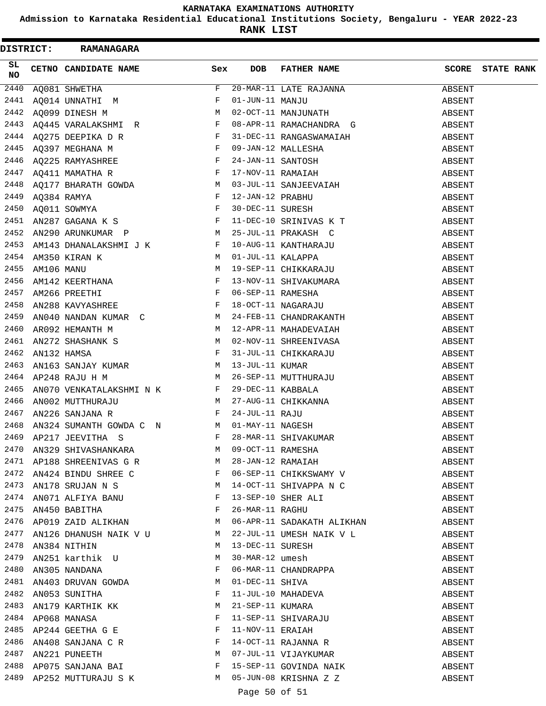**Admission to Karnataka Residential Educational Institutions Society, Bengaluru - YEAR 2022-23**

**RANK LIST**

 $\blacksquare$ 

|            |  | DISTRICT: RAMANAGARA                                                                                                                                                                                                                            |     |                    |                                                                                                                                                                        |        |                         |
|------------|--|-------------------------------------------------------------------------------------------------------------------------------------------------------------------------------------------------------------------------------------------------|-----|--------------------|------------------------------------------------------------------------------------------------------------------------------------------------------------------------|--------|-------------------------|
| SL.<br>NO. |  | CETNO CANDIDATE NAME                                                                                                                                                                                                                            | Sex | <b>DOB</b>         | FATHER NAME                                                                                                                                                            |        | <b>SCORE</b> STATE RANK |
| 2440       |  | AQ081 SHWETHA                                                                                                                                                                                                                                   | F   |                    | 20-MAR-11 LATE RAJANNA                                                                                                                                                 | ABSENT |                         |
|            |  | 2441 AQ014 UNNATHI M<br>2442 AQ099 DINESH M<br>2442 AQ099 DINESH M M M M M M M M M M MANJUNATH                                                                                                                                                  |     |                    |                                                                                                                                                                        | ABSENT |                         |
|            |  |                                                                                                                                                                                                                                                 |     |                    |                                                                                                                                                                        | ABSENT |                         |
| 2443       |  | AQ445 VARALAKSHMI R F                                                                                                                                                                                                                           |     |                    | 08-APR-11 RAMACHANDRA G                                                                                                                                                | ABSENT |                         |
|            |  |                                                                                                                                                                                                                                                 |     |                    |                                                                                                                                                                        | ABSENT |                         |
|            |  |                                                                                                                                                                                                                                                 |     |                    |                                                                                                                                                                        | ABSENT |                         |
|            |  |                                                                                                                                                                                                                                                 |     |                    |                                                                                                                                                                        | ABSENT |                         |
|            |  |                                                                                                                                                                                                                                                 |     |                    |                                                                                                                                                                        | ABSENT |                         |
|            |  |                                                                                                                                                                                                                                                 |     |                    |                                                                                                                                                                        | ABSENT |                         |
|            |  |                                                                                                                                                                                                                                                 |     |                    |                                                                                                                                                                        | ABSENT |                         |
|            |  | 2444 AQ275 DEEPIKA DR<br>2444 AQ275 DEEPIKA DR<br>2445 AQ397 MEGHANA M F 09-JAN-12 MALLESHA<br>2446 AQ225 RAMYASHREE F 24-JAN-11 SANTOSH<br>2447 AQ411 MAMATHA R F 17-NOV-11 RAMAIAH<br>2448 AQ177 BHARATH GOWDA M 03-JUL-11 SANJEEVA           |     |                    |                                                                                                                                                                        | ABSENT |                         |
|            |  |                                                                                                                                                                                                                                                 |     |                    |                                                                                                                                                                        | ABSENT |                         |
|            |  | 2452 AN290 ARUNKUMAR P<br>2453 AM143 DHANALAKSHMI J K F 10-AUG-11 KANTHARAJU<br>2454 AM350 KIRAN K M 01-JUL-11 KALAPPA<br>2455 AM106 MANU M 19-SEP-11 CHIKKARAJU                                                                                |     |                    |                                                                                                                                                                        | ABSENT |                         |
|            |  |                                                                                                                                                                                                                                                 |     |                    |                                                                                                                                                                        | ABSENT |                         |
|            |  |                                                                                                                                                                                                                                                 |     |                    |                                                                                                                                                                        | ABSENT |                         |
|            |  |                                                                                                                                                                                                                                                 |     |                    |                                                                                                                                                                        | ABSENT |                         |
| 2456       |  |                                                                                                                                                                                                                                                 |     |                    |                                                                                                                                                                        | ABSENT |                         |
|            |  | AM142 KEERTHANA F 13-NOV-11 SHIVAKUMARA<br>AM266 PREETHI F 06-SEP-11 RAMESHA<br>AN288 KAVYASHREE F 18-OCT-11 NAGARAJU<br>2457 AM266 PREETHI                                                                                                     |     |                    |                                                                                                                                                                        | ABSENT |                         |
| 2458       |  |                                                                                                                                                                                                                                                 |     |                    |                                                                                                                                                                        | ABSENT |                         |
| 2459       |  | AN040 NANDAN KUMAR C M 24-FEB-11 CHANDRAKANTH                                                                                                                                                                                                   |     |                    |                                                                                                                                                                        | ABSENT |                         |
|            |  | 2460 AR092 HEMANTH M                                                                                                                                                                                                                            |     |                    | M 12-APR-11 MAHADEVAIAH                                                                                                                                                | ABSENT |                         |
|            |  |                                                                                                                                                                                                                                                 |     |                    |                                                                                                                                                                        |        |                         |
|            |  |                                                                                                                                                                                                                                                 |     |                    |                                                                                                                                                                        | ABSENT |                         |
|            |  |                                                                                                                                                                                                                                                 |     |                    |                                                                                                                                                                        | ABSENT |                         |
|            |  |                                                                                                                                                                                                                                                 |     |                    |                                                                                                                                                                        | ABSENT |                         |
|            |  | 2460 AR092 HEMANTH M<br>2461 AN272 SHASHANK S<br>2461 AN272 SHASHANK S<br>2462 AN132 HAMSA<br>2463 AN163 SANJAY KUMAR<br>2463 AN163 SANJAY KUMAR<br>2464 AP248 RAJU H M<br>2464 AP248 RAJU H M<br>2465 AN070 VENKATALAKSHMINK K<br>2465 AN022 M |     |                    |                                                                                                                                                                        | ABSENT |                         |
|            |  |                                                                                                                                                                                                                                                 |     |                    |                                                                                                                                                                        | ABSENT |                         |
|            |  |                                                                                                                                                                                                                                                 |     |                    |                                                                                                                                                                        | ABSENT |                         |
|            |  |                                                                                                                                                                                                                                                 |     |                    |                                                                                                                                                                        | ABSENT |                         |
|            |  |                                                                                                                                                                                                                                                 |     |                    |                                                                                                                                                                        | ABSENT |                         |
|            |  |                                                                                                                                                                                                                                                 |     |                    |                                                                                                                                                                        | ABSENT |                         |
|            |  | 2470 AN329 SHIVASHANKARA M 09-OCT-11 RAMESHA<br>2471 AP188 SHREENIVAS G R M 28-JAN-12 RAMAIAH<br>2472 AN424 BINDU SHREE C F 06-SEP-11 CHIKKSWAMY V                                                                                              |     |                    |                                                                                                                                                                        | ABSENT |                         |
|            |  |                                                                                                                                                                                                                                                 |     |                    |                                                                                                                                                                        | ABSENT |                         |
|            |  |                                                                                                                                                                                                                                                 |     |                    |                                                                                                                                                                        | ABSENT |                         |
|            |  |                                                                                                                                                                                                                                                 |     |                    |                                                                                                                                                                        | ABSENT |                         |
|            |  | 2473 AN178 SRUJAN N S<br>2474 AN071 ALFIYA BANU RAMBURA E 13-SEP-10 SHER ALI<br>2475 AN450 BABITHA RAMBURA RAMBURA E 26-MAR-11 RAGHU                                                                                                            |     |                    |                                                                                                                                                                        | ABSENT |                         |
|            |  |                                                                                                                                                                                                                                                 |     |                    |                                                                                                                                                                        | ABSENT |                         |
|            |  | 2476 AP019 ZAID ALIKHAN M                                                                                                                                                                                                                       |     |                    | 06-APR-11 SADAKATH ALIKHAN                                                                                                                                             | ABSENT |                         |
|            |  | 2477 AN126 DHANUSH NAIK V U M                                                                                                                                                                                                                   |     |                    | 22-JUL-11 UMESH NAIK V L                                                                                                                                               | ABSENT |                         |
|            |  | 2478 AN384 NITHIN                                                                                                                                                                                                                               |     | M 13-DEC-11 SURESH |                                                                                                                                                                        | ABSENT |                         |
|            |  | 2479 AN251 karthik U M                                                                                                                                                                                                                          |     | 30-MAR-12 umesh    |                                                                                                                                                                        | ABSENT |                         |
|            |  | $\begin{tabular}{lllllll} 2480 & AN305 & NANDANA & & & & & & & & \textbf{F} \\ 2481 & AN403 & DRUVAN & GOWDA & & & & & \textbf{M} \end{tabular}$                                                                                                |     |                    |                                                                                                                                                                        | ABSENT |                         |
|            |  |                                                                                                                                                                                                                                                 |     |                    |                                                                                                                                                                        | ABSENT |                         |
|            |  | 2482 AN053 SUNITHA                                                                                                                                                                                                                              | F   |                    |                                                                                                                                                                        | ABSENT |                         |
| 2483       |  | AN179 KARTHIK KK                                                                                                                                                                                                                                |     |                    | 30-MAR-12 UMBSH<br>06-MAR-11 CHANDRAPPA<br>01-DEC-11 SHIVA<br>11-JUL-10 MAHADEVA<br>21-SEP-11 KUMARA<br>11-SEP-11 SHIVARAJU<br>11-NOV-11 ERAIAH<br>14-OCT-11 RAJANNA R | ABSENT |                         |
|            |  | $\begin{array}{lllllll} 2484 & \texttt{AP068} & \texttt{MANASA} & \texttt{F}\\ 2485 & \texttt{AP244} & \texttt{GEETHA} & \texttt{G} & \texttt{E} & \texttt{F} & \texttt{F} \end{array}$                                                         |     |                    |                                                                                                                                                                        | ABSENT |                         |
|            |  |                                                                                                                                                                                                                                                 |     |                    |                                                                                                                                                                        | ABSENT |                         |
|            |  | 2486 AN408 SANJANA C R<br>2487 AN221 PUNEETH M                                                                                                                                                                                                  |     |                    |                                                                                                                                                                        | ABSENT |                         |
|            |  |                                                                                                                                                                                                                                                 |     |                    | 07-JUL-11 VIJAYKUMAR                                                                                                                                                   | ABSENT |                         |
|            |  | 2488 AP075 SANJANA BAI                                                                                                                                                                                                                          |     |                    | 15-SEP-11 GOVINDA NAIK                                                                                                                                                 | ABSENT |                         |
|            |  | 2489 AP252 MUTTURAJU S K M 05-JUN-08 KRISHNA Z Z                                                                                                                                                                                                |     |                    |                                                                                                                                                                        | ABSENT |                         |

Page 50 of 51